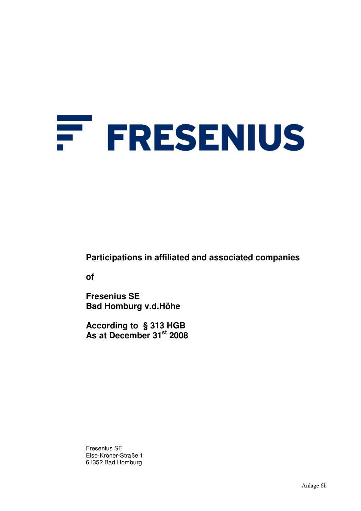# F. **FRESENIUS**

**Participations in affiliated and associated companies** 

**of** 

**Fresenius SE Bad Homburg v.d.Höhe** 

**According to § 313 HGB As at December 31st 2008** 

Fresenius SE Else-Kröner-Straße 1 61352 Bad Homburg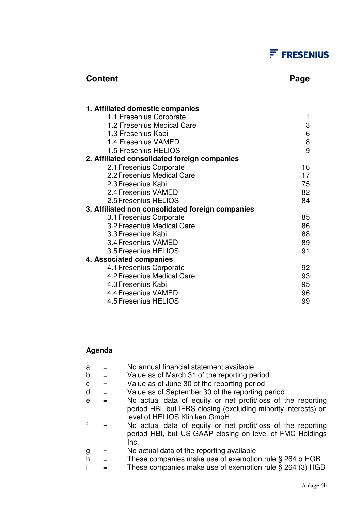## $F$  FRESENIUS

### **Content Page 2018**

| 1. Affiliated domestic companies                 |    |
|--------------------------------------------------|----|
| 1.1 Fresenius Corporate                          | 1  |
| 1.2 Fresenius Medical Care                       | 3  |
| 1.3 Fresenius Kabi                               | 6  |
| 1.4 Fresenius VAMED                              | 8  |
| 1.5 Fresenius HELIOS                             | 9  |
| 2. Affiliated consolidated foreign companies     |    |
| 2.1 Fresenius Corporate                          | 16 |
| 2.2 Fresenius Medical Care                       | 17 |
| 2.3 Fresenius Kabi                               | 75 |
| 2.4 Fresenius VAMED                              | 82 |
| 2.5 Fresenius HELIOS                             | 84 |
| 3. Affiliated non consolidated foreign companies |    |
| 3.1 Fresenius Corporate                          | 85 |
| 3.2 Fresenius Medical Care                       | 86 |
| 3.3 Fresenius Kabi                               | 88 |
| 3.4 Fresenius VAMED                              | 89 |
| 3.5 Fresenius HELIOS                             | 91 |
| 4. Associated companies                          |    |
| 4.1 Fresenius Corporate                          | 92 |
| 4.2 Fresenius Medical Care                       | 93 |
| 4.3 Fresenius Kabi                               | 95 |
| 4.4 Fresenius VAMED                              | 96 |
| 4.5 Fresenius HELIOS                             | 99 |

### **Agenda**

| a              |     | No annual financial statement available                                                                                          |
|----------------|-----|----------------------------------------------------------------------------------------------------------------------------------|
| b              |     | Value as of March 31 of the reporting period                                                                                     |
| C              | $=$ | Value as of June 30 of the reporting period                                                                                      |
| d              |     | Value as of September 30 of the reporting period                                                                                 |
| e              |     | No actual data of equity or net profit/loss of the reporting                                                                     |
|                |     | period HBI, but IFRS-closing (excluding minority interests) on<br>level of HELIOS Kliniken GmbH                                  |
|                |     | No actual data of equity or net profit/loss of the reporting<br>period HBI, but US-GAAP closing on level of FMC Holdings<br>Inc. |
| g              |     | No actual data of the reporting available                                                                                        |
| $\overline{h}$ |     | These companies make use of exemption rule § 264 b HGB                                                                           |
|                |     | These companies make use of exemption rule § 264 (3) HGB                                                                         |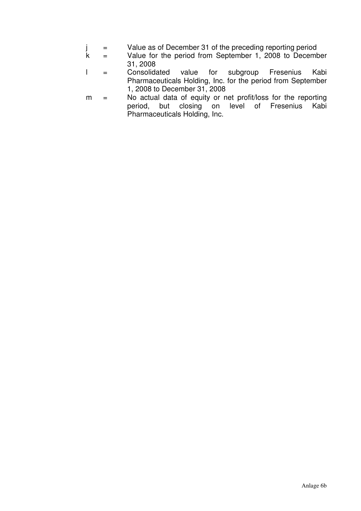- j = Value as of December 31 of the preceding reporting period
- $k =$  Value for the period from September 1, 2008 to December 31, 2008
- l = Consolidated value for subgroup Fresenius Kabi Pharmaceuticals Holding, Inc. for the period from September 1, 2008 to December 31, 2008
- m = No actual data of equity or net profit/loss for the reporting period, but closing on level of Fresenius Kabi Pharmaceuticals Holding, Inc.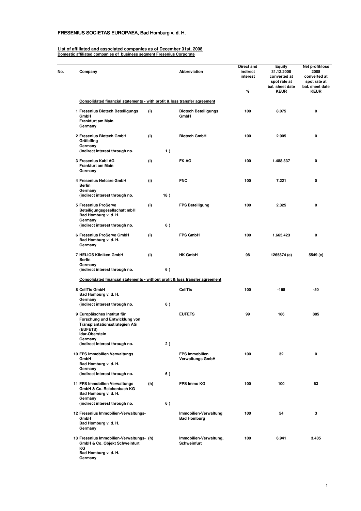### FRESENIUS SOCIETAS EUROPAEA, Bad Homburg v. d. H.

**Germany**

#### **List of affiliated and associated companies as of December 31st, 2008 Domestic affiliated companies of business segment Fresenius Corporate**

| No. | Company                                                                                                                            |     |     | <b>Abbreviation</b>                              | Direct and<br>indirect<br>interest<br>% | <b>Equity</b><br>31.12.2008<br>converted at<br>spot rate at<br>bal. sheet date<br><b>KEUR</b> | Net profit/loss<br>2008<br>converted at<br>spot rate at<br>bal. sheet date<br><b>KEUR</b> |
|-----|------------------------------------------------------------------------------------------------------------------------------------|-----|-----|--------------------------------------------------|-----------------------------------------|-----------------------------------------------------------------------------------------------|-------------------------------------------------------------------------------------------|
|     | Consolidated financial statements - with profit & loss transfer agreement                                                          |     |     |                                                  |                                         |                                                                                               |                                                                                           |
|     | 1 Fresenius Biotech Beteiligungs<br>GmbH<br><b>Frankfurt am Main</b><br>Germany                                                    | (i) |     | <b>Biotech Beteiligungs</b><br>GmbH              | 100                                     | 8.075                                                                                         | 0                                                                                         |
|     | 2 Fresenius Biotech GmbH<br>Gräfelfing<br>Germany                                                                                  | (i) |     | <b>Biotech GmbH</b>                              | 100                                     | 2.905                                                                                         | 0                                                                                         |
|     | (indirect interest through no.                                                                                                     |     | 1)  |                                                  |                                         |                                                                                               |                                                                                           |
|     | 3 Fresenius Kabi AG<br>Frankfurt am Main<br>Germany                                                                                | (i) |     | <b>FK AG</b>                                     | 100                                     | 1.488.337                                                                                     | 0                                                                                         |
|     | 4 Fresenius Netcare GmbH<br><b>Berlin</b><br>Germany                                                                               | (i) |     | <b>FNC</b>                                       | 100                                     | 7.221                                                                                         | 0                                                                                         |
|     | (indirect interest through no.                                                                                                     |     | 18) |                                                  |                                         |                                                                                               |                                                                                           |
|     | 5 Fresenius ProServe<br>Beteiligungsgesellschaft mbH<br>Bad Homburg v. d. H.<br>Germany<br>(indirect interest through no.          | (i) | 6)  | <b>FPS Beteiligung</b>                           | 100                                     | 2.325                                                                                         | 0                                                                                         |
|     | 6 Fresenius ProServe GmbH<br>Bad Homburg v. d. H.<br>Germany                                                                       | (i) |     | <b>FPS GmbH</b>                                  | 100                                     | 1.665.423                                                                                     | 0                                                                                         |
|     | 7 HELIOS Kliniken GmbH<br><b>Berlin</b><br>Germany                                                                                 | (i) |     | <b>HK GmbH</b>                                   | 98                                      | 1265874 (e)                                                                                   | 5549 (e)                                                                                  |
|     | (indirect interest through no.                                                                                                     |     | 6)  |                                                  |                                         |                                                                                               |                                                                                           |
|     | Consolidated financial statements - without profit & loss transfer agreement                                                       |     |     |                                                  |                                         |                                                                                               |                                                                                           |
|     | 8 CellTis GmbH<br>Bad Homburg v. d. H.<br>Germany                                                                                  |     |     | <b>CellTis</b>                                   | 100                                     | $-168$                                                                                        | -50                                                                                       |
|     | (indirect interest through no.                                                                                                     |     | 6)  |                                                  |                                         |                                                                                               |                                                                                           |
|     | 9 Europäisches Institut für<br>Forschung und Entwicklung von<br><b>Transplantationsstrategien AG</b><br>(EUFETS)<br>Idar-Oberstein |     |     | <b>EUFETS</b>                                    | 99                                      | 186                                                                                           | 885                                                                                       |
|     | Germany<br>(indirect interest through no.                                                                                          |     | 2)  |                                                  |                                         |                                                                                               |                                                                                           |
|     | 10 FPS Immobilien Verwaltungs<br>GmbH<br>Bad Homburg v. d. H.<br>Germany                                                           |     |     | <b>FPS Immobilien</b><br><b>Verwaltungs GmbH</b> | 100                                     | 32                                                                                            | 0                                                                                         |
|     | (indirect interest through no.                                                                                                     |     | 6)  |                                                  |                                         |                                                                                               |                                                                                           |
|     | 11 FPS Immobilien Verwaltungs<br>GmbH & Co. Reichenbach KG<br>Bad Homburg v. d. H.<br>Germany                                      | (h) |     | <b>FPS Immo KG</b>                               | 100                                     | 100                                                                                           | 63                                                                                        |
|     | (indirect interest through no.                                                                                                     |     | 6)  |                                                  |                                         |                                                                                               |                                                                                           |
|     | 12 Fresenius Immobilien-Verwaltungs-<br>GmbH<br>Bad Homburg v. d. H.<br>Germany                                                    |     |     | Immobilien-Verwaltung<br><b>Bad Homburg</b>      | 100                                     | 54                                                                                            | 3                                                                                         |
|     | 13 Fresenius Immobilien-Verwaltungs- (h)<br>GmbH & Co. Objekt Schweinfurt<br>ΚG<br>Bad Homburg v. d. H.                            |     |     | Immobilien-Verwaltung,<br><b>Schweinfurt</b>     | 100                                     | 6.941                                                                                         | 3.405                                                                                     |

1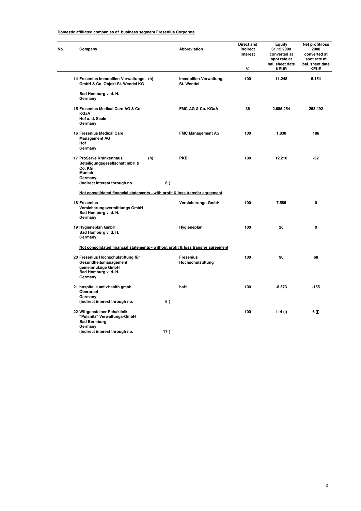#### **Domestic affiliated companies of business segment Fresenius Corporate**

| Company                                                                                                                                             |                                                                                  | Abbreviation                          | Direct and<br>indirect<br>interest<br>% | Equity<br>31.12.2008<br>converted at<br>spot rate at<br>bal. sheet date<br><b>KEUR</b> | Net profit/loss<br>2008<br>converted at<br>spot rate at<br>bal. sheet date<br><b>KEUR</b> |  |  |  |  |  |
|-----------------------------------------------------------------------------------------------------------------------------------------------------|----------------------------------------------------------------------------------|---------------------------------------|-----------------------------------------|----------------------------------------------------------------------------------------|-------------------------------------------------------------------------------------------|--|--|--|--|--|
| 14 Fresenius Immobilien-Verwaltungs- (h)<br>GmbH & Co. Objekt St. Wendel KG                                                                         |                                                                                  | Immobilien-Verwaltung,<br>St. Wendel  | 100                                     | 11.248                                                                                 | 5.154                                                                                     |  |  |  |  |  |
| Bad Homburg v. d. H.<br>Germany                                                                                                                     |                                                                                  |                                       |                                         |                                                                                        |                                                                                           |  |  |  |  |  |
| 15 Fresenius Medical Care AG & Co.<br><b>KGaA</b><br>Hof a. d. Saale<br>Germany                                                                     |                                                                                  | FMC-AG & Co. KGaA                     | 36                                      | 2.685.254                                                                              | 253.492                                                                                   |  |  |  |  |  |
| <b>16 Fresenius Medical Care</b><br><b>Management AG</b><br>Hof                                                                                     |                                                                                  | <b>FMC Management AG</b>              | 100                                     | 1.830                                                                                  | 186                                                                                       |  |  |  |  |  |
| Germany<br>17 ProServe Krankenhaus<br>(h)<br>Beteiligungsgesellschaft mbH &<br>Co. KG<br><b>Munich</b><br>Germany<br>(indirect interest through no. | 6)                                                                               | <b>PKB</b>                            | 100                                     | 12.210                                                                                 | $-62$                                                                                     |  |  |  |  |  |
| Not consolidated financial statements - with profit & loss transfer agreement                                                                       |                                                                                  |                                       |                                         |                                                                                        |                                                                                           |  |  |  |  |  |
| 18 Fresenius<br>Versicherungsvermittlungs GmbH<br>Bad Homburg v. d. H.<br>Germany                                                                   |                                                                                  | Versicherungs-GmbH                    | 100                                     | 7.585                                                                                  | $\mathbf 0$                                                                               |  |  |  |  |  |
| 19 Hygieneplan GmbH<br>Bad Homburg v. d. H.<br>Germany                                                                                              |                                                                                  | Hygieneplan                           | 100                                     | 26                                                                                     | 0                                                                                         |  |  |  |  |  |
|                                                                                                                                                     | Not consolidated financial statements - without profit & loss transfer agreement |                                       |                                         |                                                                                        |                                                                                           |  |  |  |  |  |
| 20 Fresenius Hochschulstiftung für<br>Gesundheitsmanagement<br>gemeinnützige GmbH<br>Bad Homburg v. d. H.<br>Germany                                |                                                                                  | <b>Fresenius</b><br>Hochschulstiftung | 100                                     | 90                                                                                     | 68                                                                                        |  |  |  |  |  |
| 21 hospitalia activHealth gmbh<br>Oberursel<br>Germany<br>(indirect interest through no.                                                            | 6)                                                                               | haH                                   | 100                                     | $-8.573$                                                                               | $-155$                                                                                    |  |  |  |  |  |
| 22 Wittgensteiner Rehaklinik<br>"Pulsnitz" Verwaltungs-GmbH<br><b>Bad Berleburg</b><br>Germany                                                      |                                                                                  |                                       | 100                                     | 114 (j)                                                                                | 6 (j)                                                                                     |  |  |  |  |  |
| (indirect interest through no.                                                                                                                      | 17)                                                                              |                                       |                                         |                                                                                        |                                                                                           |  |  |  |  |  |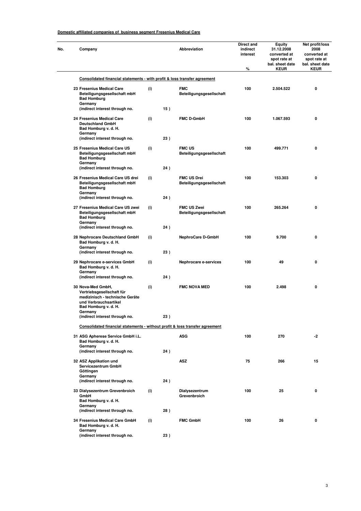#### **Domestic affiliated companies of business segment Fresenius Medical Care**

 $\overline{\phantom{0}}$ 

| No. | Company                                                                                                                                       |     |     | Abbreviation                                   | Direct and<br>indirect<br>interest<br>% | Equity<br>31.12.2008<br>converted at<br>spot rate at<br>bal. sheet date<br><b>KEUR</b> | Net profit/loss<br>2008<br>converted at<br>spot rate at<br>bal. sheet date<br><b>KEUR</b> |
|-----|-----------------------------------------------------------------------------------------------------------------------------------------------|-----|-----|------------------------------------------------|-----------------------------------------|----------------------------------------------------------------------------------------|-------------------------------------------------------------------------------------------|
|     | Consolidated financial statements - with profit & loss transfer agreement                                                                     |     |     |                                                |                                         |                                                                                        |                                                                                           |
|     | 23 Fresenius Medical Care<br>Beteiligungsgesellschaft mbH<br><b>Bad Homburg</b><br>Germany                                                    | (i) |     | <b>FMC</b><br>Beteiligungsgesellschaft         | 100                                     | 2.504.522                                                                              | 0                                                                                         |
|     | (indirect interest through no.                                                                                                                |     | 15) |                                                |                                         |                                                                                        |                                                                                           |
|     | 24 Fresenius Medical Care<br><b>Deutschland GmbH</b><br>Bad Homburg v. d. H.<br>Germany<br>(indirect interest through no.                     | (i) | 23) | <b>FMC D-GmbH</b>                              | 100                                     | 1.067.593                                                                              | 0                                                                                         |
|     | 25 Fresenius Medical Care US<br>Beteiligungsgesellschaft mbH<br><b>Bad Homburg</b><br>Germany                                                 | (i) |     | <b>FMC US</b><br>Beteiligungsgesellschaft      | 100                                     | 499.771                                                                                | 0                                                                                         |
|     | (indirect interest through no.                                                                                                                |     | 24) |                                                |                                         |                                                                                        |                                                                                           |
|     | 26 Fresenius Medical Care US drei<br>Beteiligungsgesellschaft mbH<br><b>Bad Homburg</b><br>Germany                                            | (i) |     | <b>FMC US Drei</b><br>Beteiligungsgesellschaft | 100                                     | 153.303                                                                                | 0                                                                                         |
|     | (indirect interest through no.                                                                                                                |     | 24) |                                                |                                         |                                                                                        |                                                                                           |
|     | 27 Fresenius Medical Care US zwei<br>Beteiligungsgesellschaft mbH<br><b>Bad Homburg</b><br>Germany                                            | (i) |     | FMC US Zwei<br>Beteiligungsgesellschaft        | 100                                     | 265.264                                                                                | 0                                                                                         |
|     | (indirect interest through no.                                                                                                                |     | 24) |                                                |                                         |                                                                                        |                                                                                           |
|     | 28 Nephrocare Deutschland GmbH<br>Bad Homburg v. d. H.<br>Germany                                                                             | (i) |     | <b>NephroCare D-GmbH</b>                       | 100                                     | 9.700                                                                                  | 0                                                                                         |
|     | (indirect interest through no.                                                                                                                |     | 23) |                                                |                                         |                                                                                        |                                                                                           |
|     | 29 Nephrocare e-services GmbH<br>Bad Homburg v. d. H.<br>Germany                                                                              | (i) |     | Nephrocare e-services                          | 100                                     | 49                                                                                     | 0                                                                                         |
|     | (indirect interest through no.                                                                                                                |     | 24) |                                                |                                         |                                                                                        |                                                                                           |
|     | 30 Nova-Med GmbH,<br>Vertriebsgesellschaft für<br>medizinisch - technische Geräte<br>und Verbrauchsartikel<br>Bad Homburg v. d. H.<br>Germany | (i) |     | <b>FMC NOVA MED</b>                            | 100                                     | 2.498                                                                                  | 0                                                                                         |
|     | (indirect interest through no.                                                                                                                |     | 23) |                                                |                                         |                                                                                        |                                                                                           |
|     | Consolidated financial statements - without profit & loss transfer agreement                                                                  |     |     |                                                |                                         |                                                                                        |                                                                                           |
|     | 31 ASG Apherese Service GmbH i.L.<br>Bad Homburg v. d. H.<br>Germany                                                                          |     |     | <b>ASG</b>                                     | 100                                     | 270                                                                                    | $-2$                                                                                      |
|     | (indirect interest through no.                                                                                                                |     | 24) |                                                |                                         |                                                                                        |                                                                                           |
|     | 32 ASZ Applikation und<br>Servicezentrum GmbH<br>Göttingen<br>Germany                                                                         |     |     | ASZ                                            | 75                                      | 266                                                                                    | 15                                                                                        |
|     | (indirect interest through no.                                                                                                                |     | 24) |                                                |                                         |                                                                                        |                                                                                           |
|     | 33 Dialysezentrum Grevenbroich<br>GmbH<br>Bad Homburg v. d. H.                                                                                | (i) |     | Dialysezentrum<br>Grevenbroich                 | 100                                     | 25                                                                                     | 0                                                                                         |
|     | Germany<br>(indirect interest through no.                                                                                                     |     | 28) |                                                |                                         |                                                                                        |                                                                                           |
|     | 34 Fresenius Medical Care GmbH<br>Bad Homburg v. d. H.                                                                                        | (i) |     | <b>FMC GmbH</b>                                | 100                                     | 26                                                                                     | 0                                                                                         |
|     | Germany<br>(indirect interest through no.                                                                                                     |     | 23) |                                                |                                         |                                                                                        |                                                                                           |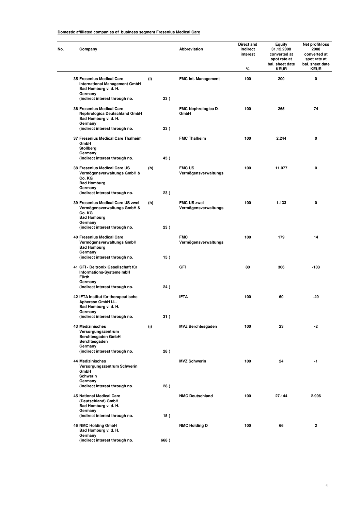#### **Domestic affiliated companies of business segment Fresenius Medical Care**

| No. | Company                                                                                                |     |      | Abbreviation                               | Direct and<br>indirect<br>interest<br>% | <b>Equity</b><br>31.12.2008<br>converted at<br>spot rate at<br>bal. sheet date<br><b>KEUR</b> | Net profit/loss<br>2008<br>converted at<br>spot rate at<br>bal. sheet date<br><b>KEUR</b> |
|-----|--------------------------------------------------------------------------------------------------------|-----|------|--------------------------------------------|-----------------------------------------|-----------------------------------------------------------------------------------------------|-------------------------------------------------------------------------------------------|
|     | 35 Fresenius Medical Care<br><b>International Management GmbH</b><br>Bad Homburg v. d. H.<br>Germany   | (i) |      | <b>FMC Int. Management</b>                 | 100                                     | 200                                                                                           | 0                                                                                         |
|     | (indirect interest through no.                                                                         |     | 23)  |                                            |                                         |                                                                                               |                                                                                           |
|     | 36 Fresenius Medical Care<br><b>Nephrologica Deutschland GmbH</b><br>Bad Homburg v. d. H.<br>Germany   |     |      | FMC Nephrologica D-<br>GmbH                | 100                                     | 265                                                                                           | 74                                                                                        |
|     | (indirect interest through no.                                                                         |     | 23)  |                                            |                                         |                                                                                               |                                                                                           |
|     | 37 Fresenius Medical Care Thalheim<br>GmbH<br>Stollberg<br>Germany<br>(indirect interest through no.   |     | 45)  | <b>FMC Thalheim</b>                        | 100                                     | 2.244                                                                                         | 0                                                                                         |
|     |                                                                                                        |     |      |                                            |                                         |                                                                                               |                                                                                           |
|     | 38 Fresenius Medical Care US<br>Vermögensverwaltungs GmbH &<br>Co. KG<br><b>Bad Homburg</b><br>Germany | (h) |      | <b>FMC US</b><br>Vermögensverwaltungs      | 100                                     | 11.077                                                                                        | 0                                                                                         |
|     | (indirect interest through no.                                                                         |     | 23)  |                                            |                                         |                                                                                               |                                                                                           |
|     | 39 Fresenius Medical Care US zwei<br>Vermögensverwaltungs GmbH &<br>Co. KG                             | (h) |      | <b>FMC US zwei</b><br>Vermögensverwaltungs | 100                                     | 1.133                                                                                         | 0                                                                                         |
|     | <b>Bad Homburg</b><br>Germany                                                                          |     |      |                                            |                                         |                                                                                               |                                                                                           |
|     | (indirect interest through no.                                                                         |     | 23)  |                                            |                                         |                                                                                               |                                                                                           |
|     | <b>40 Fresenius Medical Care</b><br>Vermögensverwaltungs GmbH<br><b>Bad Homburg</b><br>Germany         |     |      | <b>FMC</b><br>Vermögensverwaltungs         | 100                                     | 179                                                                                           | 14                                                                                        |
|     | (indirect interest through no.                                                                         |     | 15)  |                                            |                                         |                                                                                               |                                                                                           |
|     | 41 GFI - Deltronix Gesellschaft für<br>Informations-Systeme mbH<br>Fürth<br>Germany                    |     |      | GFI                                        | 80                                      | 306                                                                                           | $-103$                                                                                    |
|     | (indirect interest through no.                                                                         |     | 24)  |                                            |                                         |                                                                                               |                                                                                           |
|     | 42 IFTA Institut für therapeutische<br>Apherese GmbH i.L.<br>Bad Homburg v. d. H.<br>Germany           |     |      | <b>IFTA</b>                                | 100                                     | 60                                                                                            | -40                                                                                       |
|     | (indirect interest through no.                                                                         |     | 31)  |                                            |                                         |                                                                                               |                                                                                           |
|     | 43 Medizinisches<br>Versorgungszentrum<br>Berchtesgaden GmbH<br>Berchtesgaden<br>Germany               | (i) |      | <b>MVZ Berchtesgaden</b>                   | 100                                     | 23                                                                                            | $-2$                                                                                      |
|     | (indirect interest through no.                                                                         |     | 28)  |                                            |                                         |                                                                                               |                                                                                           |
|     | <b>44 Medizinisches</b><br>Versorgungszentrum Schwerin<br>GmbH<br>Schwerin                             |     |      | <b>MVZ Schwerin</b>                        | 100                                     | 24                                                                                            | -1                                                                                        |
|     | Germany<br>(indirect interest through no.                                                              |     | 28)  |                                            |                                         |                                                                                               |                                                                                           |
|     | <b>45 National Medical Care</b><br>(Deutschland) GmbH<br>Bad Homburg v. d. H.                          |     |      | <b>NMC Deutschland</b>                     | 100                                     | 27.144                                                                                        | 2.906                                                                                     |
|     | Germany<br>(indirect interest through no.                                                              |     | 15)  |                                            |                                         |                                                                                               |                                                                                           |
|     | 46 NMC Holding GmbH<br>Bad Homburg v. d. H.                                                            |     |      | <b>NMC Holding D</b>                       | 100                                     | 66                                                                                            | $\mathbf{2}$                                                                              |
|     | Germany<br>(indirect interest through no.                                                              |     | 668) |                                            |                                         |                                                                                               |                                                                                           |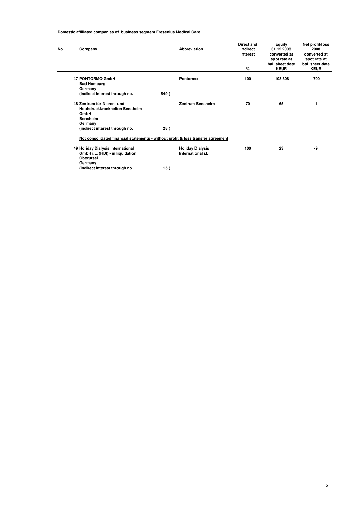#### **Domestic affiliated companies of business segment Fresenius Medical Care**

| No. | Company                                                                                                                             | Abbreviation                                                                                                | Direct and<br>indirect<br>interest<br>% | <b>Equity</b><br>31.12.2008<br>converted at<br>spot rate at<br>bal, sheet date<br><b>KEUR</b> | Net profit/loss<br>2008<br>converted at<br>spot rate at<br>bal. sheet date<br><b>KEUR</b> |
|-----|-------------------------------------------------------------------------------------------------------------------------------------|-------------------------------------------------------------------------------------------------------------|-----------------------------------------|-----------------------------------------------------------------------------------------------|-------------------------------------------------------------------------------------------|
|     | 47 PONTORMO GmbH<br><b>Bad Homburg</b><br>Germany<br>(indirect interest through no.                                                 | Pontormo<br>549)                                                                                            | 100                                     | $-103.308$                                                                                    | -700                                                                                      |
|     | 48 Zentrum für Nieren- und<br>Hochdruckkrankheiten Bensheim<br>GmbH<br><b>Bensheim</b><br>Germany<br>(indirect interest through no. | <b>Zentrum Bensheim</b><br>28)                                                                              | 70                                      | 65                                                                                            | -1                                                                                        |
|     | 49 Holiday Dialysis International                                                                                                   | Not consolidated financial statements - without profit & loss transfer agreement<br><b>Holiday Dialysis</b> | 100                                     | 23                                                                                            | -9                                                                                        |
|     | GmbH i.L. (HDI) - in liquidation<br><b>Oberursel</b><br>Germany<br>(indirect interest through no.                                   | International i.L.<br>15)                                                                                   |                                         |                                                                                               |                                                                                           |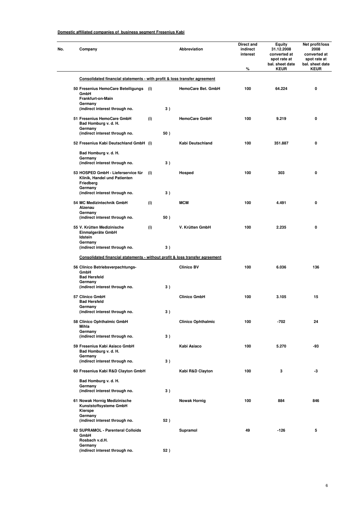| No. | Company                                                                                    |     |     | <b>Abbreviation</b>       | Direct and<br>indirect<br>interest<br>% | Equity<br>31.12.2008<br>converted at<br>spot rate at<br>bal. sheet date<br><b>KEUR</b> | Net profit/loss<br>2008<br>converted at<br>spot rate at<br>bal. sheet date<br><b>KEUR</b> |
|-----|--------------------------------------------------------------------------------------------|-----|-----|---------------------------|-----------------------------------------|----------------------------------------------------------------------------------------|-------------------------------------------------------------------------------------------|
|     |                                                                                            |     |     |                           |                                         |                                                                                        |                                                                                           |
|     | Consolidated financial statements - with profit & loss transfer agreement                  |     |     |                           |                                         |                                                                                        |                                                                                           |
|     | 50 Fresenius HemoCare Beteiligungs<br>GmbH<br>Frankfurt-on-Main<br>Germany                 | (i) |     | HemoCare Bet. GmbH        | 100                                     | 64.224                                                                                 | 0                                                                                         |
|     | (indirect interest through no.                                                             |     | 3)  |                           |                                         |                                                                                        |                                                                                           |
|     | 51 Fresenius HemoCare GmbH<br>Bad Homburg v. d. H.<br>Germany                              | (i) |     | <b>HemoCare GmbH</b>      | 100                                     | 9.219                                                                                  | 0                                                                                         |
|     | (indirect interest through no.                                                             |     | 50) |                           |                                         |                                                                                        |                                                                                           |
|     | 52 Fresenius Kabi Deutschland GmbH (i)                                                     |     |     | Kabi Deutschland          | 100                                     | 351.887                                                                                | 0                                                                                         |
|     | Bad Homburg v. d. H.<br>Germany                                                            |     |     |                           |                                         |                                                                                        |                                                                                           |
|     | (indirect interest through no.                                                             |     | 3)  |                           |                                         |                                                                                        |                                                                                           |
|     | 53 HOSPED GmbH - Lieferservice für<br>Klinik, Handel und Patienten<br>Friedberg<br>Germany | (i) |     | Hosped                    | 100                                     | 303                                                                                    | 0                                                                                         |
|     | (indirect interest through no.                                                             |     | 3)  |                           |                                         |                                                                                        |                                                                                           |
|     | 54 MC Medizintechnik GmbH<br>Alzenau<br>Germany                                            | (i) |     | <b>MCM</b>                | 100                                     | 4.491                                                                                  | 0                                                                                         |
|     | (indirect interest through no.                                                             |     | 50) |                           |                                         |                                                                                        |                                                                                           |
|     | 55 V. Krütten Medizinische<br>Einmalgeräte GmbH<br>Idstein<br>Germany                      | (i) |     | V. Krütten GmbH           | 100                                     | 2.235                                                                                  | 0                                                                                         |
|     | (indirect interest through no.                                                             |     | 3)  |                           |                                         |                                                                                        |                                                                                           |
|     | Consolidated financial statements - without profit & loss transfer agreement               |     |     |                           |                                         |                                                                                        |                                                                                           |
|     | 56 Clinico Betriebsverpachtungs-<br>GmbH<br><b>Bad Hersfeld</b>                            |     |     | <b>Clinico BV</b>         | 100                                     | 6.036                                                                                  | 136                                                                                       |
|     | Germany<br>(indirect interest through no.                                                  |     | 3)  |                           |                                         |                                                                                        |                                                                                           |
|     | 57 Clinico GmbH<br><b>Bad Hersfeld</b><br>Germany                                          |     |     | <b>Clinico GmbH</b>       | 100                                     | 3.105                                                                                  | 15                                                                                        |
|     | (indirect interest through no.                                                             |     | 3)  |                           |                                         |                                                                                        |                                                                                           |
|     | 58 Clinico Ophthalmic GmbH<br>Mihla<br>Germany                                             |     |     | <b>Clinico Ophthalmic</b> | 100                                     | -702                                                                                   | 24                                                                                        |
|     | (indirect interest through no.                                                             |     | 3)  |                           |                                         |                                                                                        |                                                                                           |
|     | 59 Fresenius Kabi Asiaco GmbH<br>Bad Homburg v. d. H.                                      |     |     | Kabi Asiaco               | 100                                     | 5.270                                                                                  | -93                                                                                       |
|     | Germany<br>(indirect interest through no.                                                  |     | 3)  |                           |                                         |                                                                                        |                                                                                           |
|     | 60 Fresenius Kabi R&D Clayton GmbH                                                         |     |     | Kabi R&D Clayton          | 100                                     | 3                                                                                      | -3                                                                                        |
|     | Bad Homburg v. d. H.                                                                       |     |     |                           |                                         |                                                                                        |                                                                                           |
|     | Germany<br>(indirect interest through no.                                                  |     | 3)  |                           |                                         |                                                                                        |                                                                                           |
|     | 61 Nowak Hornig Medizinische<br>Kunststoffsysteme GmbH<br>Kierspe                          |     |     | <b>Nowak Hornig</b>       | 100                                     | 884                                                                                    | 846                                                                                       |
|     | Germany                                                                                    |     |     |                           |                                         |                                                                                        |                                                                                           |
|     | (indirect interest through no.                                                             |     | 52) |                           |                                         |                                                                                        |                                                                                           |
|     | 62 SUPRAMOL - Parenteral Colloids<br>GmbH<br>Rosbach v.d.H.                                |     |     | Supramol                  | 49                                      | -126                                                                                   | 5                                                                                         |
|     | Germany<br>(indirect interest through no.                                                  |     | 52) |                           |                                         |                                                                                        |                                                                                           |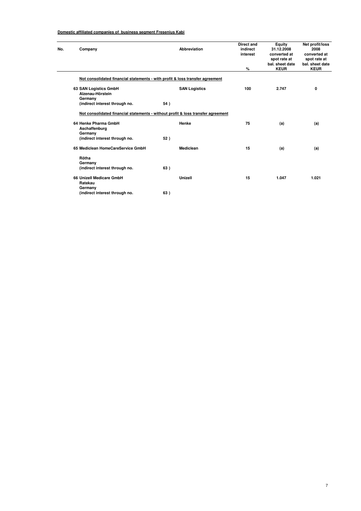| No. | Company                                                                          |     | <b>Abbreviation</b>  | <b>Direct and</b><br>indirect<br>interest<br>% | Equity<br>31.12.2008<br>converted at<br>spot rate at<br>bal, sheet date<br><b>KEUR</b> | Net profit/loss<br>2008<br>converted at<br>spot rate at<br>bal. sheet date<br><b>KEUR</b> |
|-----|----------------------------------------------------------------------------------|-----|----------------------|------------------------------------------------|----------------------------------------------------------------------------------------|-------------------------------------------------------------------------------------------|
|     | Not consolidated financial statements - with profit & loss transfer agreement    |     |                      |                                                |                                                                                        |                                                                                           |
|     | 63 SAN Logistics GmbH<br>Alzenau-Hörstein<br>Germany                             |     | <b>SAN Logistics</b> | 100                                            | 2.747                                                                                  | 0                                                                                         |
|     | (indirect interest through no.                                                   | 54) |                      |                                                |                                                                                        |                                                                                           |
|     | Not consolidated financial statements - without profit & loss transfer agreement |     |                      |                                                |                                                                                        |                                                                                           |
|     | 64 Henke Pharma GmbH<br>Aschaffenburg<br>Germany                                 |     | Henke                | 75                                             | (a)                                                                                    | (a)                                                                                       |
|     | (indirect interest through no.                                                   | 52) |                      |                                                |                                                                                        |                                                                                           |
|     | 65 Mediclean HomeCareService GmbH                                                |     | Mediclean            | 15                                             | (a)                                                                                    | (a)                                                                                       |
|     | Rötha<br>Germany                                                                 |     |                      |                                                |                                                                                        |                                                                                           |
|     | (indirect interest through no.                                                   | 63) |                      |                                                |                                                                                        |                                                                                           |
|     | 66 Unizell Medicare GmbH<br>Ratekau<br>Germany                                   |     | Unizell              | 15                                             | 1.047                                                                                  | 1.021                                                                                     |
|     | (indirect interest through no.                                                   | 63) |                      |                                                |                                                                                        |                                                                                           |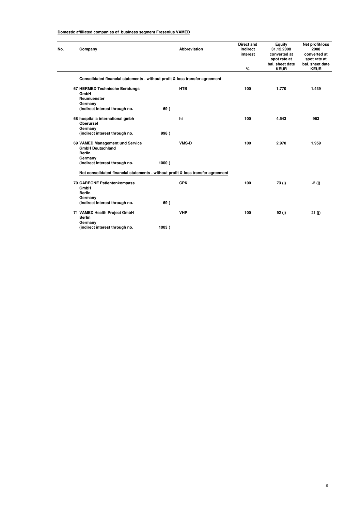| Company                                                                          |       | <b>Abbreviation</b> | Direct and<br>indirect<br>interest | Equity<br>31.12.2008<br>converted at<br>spot rate at<br>bal, sheet date | Net profit/loss<br>2008<br>converted at<br>spot rate at<br>bal. sheet date |
|----------------------------------------------------------------------------------|-------|---------------------|------------------------------------|-------------------------------------------------------------------------|----------------------------------------------------------------------------|
|                                                                                  |       |                     | %                                  | <b>KEUR</b>                                                             | <b>KEUR</b>                                                                |
| Consolidated financial statements - without profit & loss transfer agreement     |       |                     |                                    |                                                                         |                                                                            |
| 67 HERMED Technische Beratungs<br>GmbH<br><b>Neumuenster</b><br>Germany          |       | <b>HTB</b>          | 100                                | 1.770                                                                   | 1.439                                                                      |
| (indirect interest through no.                                                   | 69)   |                     |                                    |                                                                         |                                                                            |
| 68 hospitalia international gmbh<br>Oberursel<br>Germany                         |       | hi                  | 100                                | 4.543                                                                   | 963                                                                        |
| (indirect interest through no.                                                   | 998)  |                     |                                    |                                                                         |                                                                            |
| 69 VAMED Management und Service<br><b>GmbH Deutschland</b><br><b>Berlin</b>      |       | <b>VMS-D</b>        | 100                                | 2.970                                                                   | 1.959                                                                      |
| Germany<br>(indirect interest through no.                                        | 1000) |                     |                                    |                                                                         |                                                                            |
| Not consolidated financial statements - without profit & loss transfer agreement |       |                     |                                    |                                                                         |                                                                            |
| 70 CAREONE Patientenkompass<br>GmbH<br><b>Berlin</b>                             |       | <b>CPK</b>          | 100                                | 73(j)                                                                   | $-2$ (j)                                                                   |
| Germany<br>(indirect interest through no.                                        | 69)   |                     |                                    |                                                                         |                                                                            |
| 71 VAMED Health Project GmbH<br><b>Berlin</b><br>Germany                         |       | <b>VHP</b>          | 100                                | 92(i)                                                                   | 21 (i)                                                                     |
| (indirect interest through no.                                                   | 1003) |                     |                                    |                                                                         |                                                                            |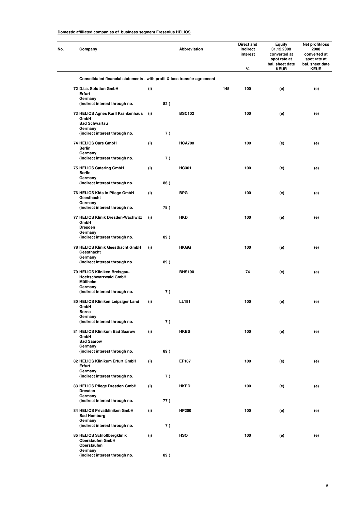| No. | Company                                                                                                   |     |     | Abbreviation  |     | Direct and<br>indirect<br>interest<br>% | Equity<br>31.12.2008<br>converted at<br>spot rate at<br>bal. sheet date<br><b>KEUR</b> | Net profit/loss<br>2008<br>converted at<br>spot rate at<br>bal. sheet date<br><b>KEUR</b> |
|-----|-----------------------------------------------------------------------------------------------------------|-----|-----|---------------|-----|-----------------------------------------|----------------------------------------------------------------------------------------|-------------------------------------------------------------------------------------------|
|     | Consolidated financial statements - with profit & loss transfer agreement                                 |     |     |               |     |                                         |                                                                                        |                                                                                           |
|     | 72 D.i.a. Solution GmbH<br>Erfurt                                                                         | (i) |     |               | 145 | 100                                     | (e)                                                                                    | (e)                                                                                       |
|     | Germany<br>(indirect interest through no.                                                                 |     | 82) |               |     |                                         |                                                                                        |                                                                                           |
|     | 73 HELIOS Agnes Karll Krankenhaus<br>GmbH<br><b>Bad Schwartau</b><br>Germany                              | (i) | 7)  | <b>BSC102</b> |     | 100                                     | (e)                                                                                    | (e)                                                                                       |
|     | (indirect interest through no.<br>74 HELIOS Care GmbH<br>Berlin                                           | (i) |     | <b>HCA700</b> |     | 100                                     | (e)                                                                                    | (e)                                                                                       |
|     | Germany<br>(indirect interest through no.                                                                 |     | 7)  |               |     |                                         |                                                                                        |                                                                                           |
|     | 75 HELIOS Catering GmbH<br><b>Berlin</b><br>Germany                                                       | (i) |     | HC301         |     | 100                                     | (e)                                                                                    | (e)                                                                                       |
|     | (indirect interest through no.                                                                            |     | 86) |               |     |                                         |                                                                                        |                                                                                           |
|     | 76 HELIOS Kids in Pflege GmbH<br>Geesthacht<br>Germany                                                    | (i) |     | <b>BPG</b>    |     | 100                                     | (e)                                                                                    | (e)                                                                                       |
|     | (indirect interest through no.                                                                            |     | 78) |               |     |                                         |                                                                                        |                                                                                           |
|     | 77 HELIOS Klinik Dresden-Wachwitz<br>GmbH<br><b>Dresden</b><br>Germany                                    | (i) |     | <b>HKD</b>    |     | 100                                     | (e)                                                                                    | (e)                                                                                       |
|     | (indirect interest through no.                                                                            |     | 89) |               |     |                                         |                                                                                        |                                                                                           |
|     | 78 HELIOS Klinik Geesthacht GmbH<br>Geesthacht<br>Germany                                                 | (i) |     | <b>HKGG</b>   |     | 100                                     | (e)                                                                                    | (e)                                                                                       |
|     | (indirect interest through no.<br>79 HELIOS Kliniken Breisgau-<br><b>Hochschwarzwald GmbH</b><br>Müllheim |     | 89) | <b>BHS190</b> |     | 74                                      | (e)                                                                                    | (e)                                                                                       |
|     | Germany<br>(indirect interest through no.                                                                 |     | 7)  |               |     |                                         |                                                                                        |                                                                                           |
|     | 80 HELIOS Kliniken Leipziger Land<br>GmbH<br>Borna                                                        | (i) |     | LL191         |     | 100                                     | (e)                                                                                    | (e)                                                                                       |
|     | Germany<br>(indirect interest through no.                                                                 |     | 7)  |               |     |                                         |                                                                                        |                                                                                           |
|     | 81 HELIOS Klinikum Bad Saarow<br>GmbH<br><b>Bad Saarow</b>                                                | (i) |     | <b>HKBS</b>   |     | 100                                     | (e)                                                                                    | (e)                                                                                       |
|     | Germany<br>(indirect interest through no.                                                                 |     | 89) |               |     |                                         |                                                                                        |                                                                                           |
|     | 82 HELIOS Klinikum Erfurt GmbH<br>Erfurt<br>Germany                                                       | (i) |     | EF107         |     | 100                                     | (e)                                                                                    | (e)                                                                                       |
|     | (indirect interest through no.                                                                            |     | 7)  |               |     |                                         |                                                                                        |                                                                                           |
|     | 83 HELIOS Pflege Dresden GmbH<br><b>Dresden</b><br>Germany                                                | (i) |     | <b>HKPD</b>   |     | 100                                     | (e)                                                                                    | (e)                                                                                       |
|     | (indirect interest through no.                                                                            |     | 77) |               |     |                                         |                                                                                        |                                                                                           |
|     | 84 HELIOS Privatkliniken GmbH<br><b>Bad Homburg</b><br>Germany                                            | (i) |     | <b>HP200</b>  |     | 100                                     | (e)                                                                                    | (e)                                                                                       |
|     | (indirect interest through no.                                                                            |     | 7)  |               |     |                                         |                                                                                        |                                                                                           |
|     | 85 HELIOS Schloßbergklinik<br><b>Oberstaufen GmbH</b><br>Oberstaufen                                      | (i) |     | <b>HSO</b>    |     | 100                                     | (e)                                                                                    | (e)                                                                                       |
|     | Germany<br>(indirect interest through no.                                                                 |     | 89) |               |     |                                         |                                                                                        |                                                                                           |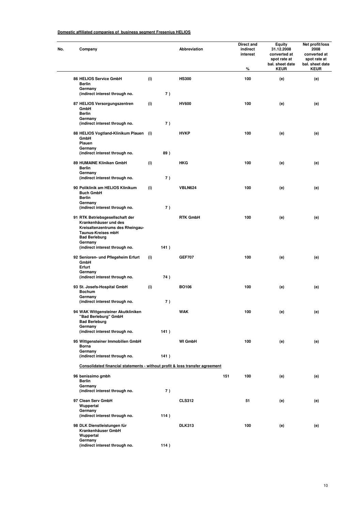| Company                                                                                                                                               |     |      | Abbreviation    |     | Direct and<br>indirect<br>interest<br>% | <b>Equity</b><br>31.12.2008<br>converted at<br>spot rate at<br>bal. sheet date<br><b>KEUR</b> | Net profit/loss<br>2008<br>converted at<br>spot rate at<br>bal. sheet date<br><b>KEUR</b> |
|-------------------------------------------------------------------------------------------------------------------------------------------------------|-----|------|-----------------|-----|-----------------------------------------|-----------------------------------------------------------------------------------------------|-------------------------------------------------------------------------------------------|
| 86 HELIOS Service GmbH<br><b>Berlin</b>                                                                                                               | (i) |      | <b>HS300</b>    |     | 100                                     | (e)                                                                                           | (e)                                                                                       |
| Germany<br>(indirect interest through no.                                                                                                             |     | 7)   |                 |     |                                         |                                                                                               |                                                                                           |
| 87 HELIOS Versorgungszentren<br>GmbH<br><b>Berlin</b><br>Germany                                                                                      | (i) |      | <b>HV600</b>    |     | 100                                     | (e)                                                                                           | (e)                                                                                       |
| (indirect interest through no.                                                                                                                        |     | 7)   |                 |     |                                         |                                                                                               |                                                                                           |
| 88 HELIOS Vogtland-Klinikum Plauen (i)<br>GmbH<br>Plauen                                                                                              |     |      | <b>HVKP</b>     |     | 100                                     | (e)                                                                                           | (e)                                                                                       |
| Germany<br>(indirect interest through no.                                                                                                             |     | 89)  |                 |     |                                         |                                                                                               |                                                                                           |
| 89 HUMAINE Kliniken GmbH<br><b>Berlin</b>                                                                                                             | (i) |      | <b>HKG</b>      |     | 100                                     | (e)                                                                                           | (e)                                                                                       |
| Germany<br>(indirect interest through no.                                                                                                             |     | 7)   |                 |     |                                         |                                                                                               |                                                                                           |
| 90 Poliklinik am HELIOS Klinikum<br><b>Buch GmbH</b><br><b>Berlin</b>                                                                                 | (i) |      | <b>VBLN624</b>  |     | 100                                     | (e)                                                                                           | (e)                                                                                       |
| Germany<br>(indirect interest through no.                                                                                                             |     | 7)   |                 |     |                                         |                                                                                               |                                                                                           |
| 91 RTK Betriebsgesellschaft der<br>Krankenhäuser und des<br>Kreisaltenzentrums des Rheingau-<br>Taunus-Kreises mbH<br><b>Bad Berleburg</b><br>Germany |     |      | <b>RTK GmbH</b> |     | 100                                     | (e)                                                                                           | (e)                                                                                       |
| (indirect interest through no.                                                                                                                        |     | 141) |                 |     |                                         |                                                                                               |                                                                                           |
| 92 Senioren- und Pflegeheim Erfurt<br>GmbH<br>Erfurt                                                                                                  | (i) |      | <b>GEF707</b>   |     | 100                                     | (e)                                                                                           | (e)                                                                                       |
| Germany<br>(indirect interest through no.                                                                                                             |     | 74)  |                 |     |                                         |                                                                                               |                                                                                           |
| 93 St. Josefs-Hospital GmbH<br><b>Bochum</b>                                                                                                          | (i) |      | BO106           |     | 100                                     | (e)                                                                                           | (e)                                                                                       |
| Germany<br>(indirect interest through no.                                                                                                             |     | 7)   |                 |     |                                         |                                                                                               |                                                                                           |
| 94 WAK Wittgensteiner Akutkliniken<br>"Bad Berleburg" GmbH<br><b>Bad Berleburg</b>                                                                    |     |      | WAK             |     | 100                                     | (e)                                                                                           | (e)                                                                                       |
| Germany<br>(indirect interest through no.                                                                                                             |     | 141) |                 |     |                                         |                                                                                               |                                                                                           |
| 95 Wittgensteiner Immobilien GmbH<br><b>Borna</b>                                                                                                     |     |      | <b>WI GmbH</b>  |     | 100                                     | (e)                                                                                           | (e)                                                                                       |
| Germany<br>(indirect interest through no.                                                                                                             |     | 141) |                 |     |                                         |                                                                                               |                                                                                           |
| Consolidated financial statements - without profit & loss transfer agreement                                                                          |     |      |                 |     |                                         |                                                                                               |                                                                                           |
| 96 benissimo gmbh                                                                                                                                     |     |      |                 | 151 | 100                                     | (e)                                                                                           | (e)                                                                                       |
| <b>Berlin</b><br>Germany                                                                                                                              |     |      |                 |     |                                         |                                                                                               |                                                                                           |
| (indirect interest through no.                                                                                                                        |     | 7)   |                 |     |                                         |                                                                                               |                                                                                           |
| 97 Clean Serv GmbH<br>Wuppertal                                                                                                                       |     |      | <b>CLS312</b>   |     | 51                                      | (e)                                                                                           | (e)                                                                                       |
| Germany                                                                                                                                               |     |      |                 |     |                                         |                                                                                               |                                                                                           |
| (indirect interest through no.                                                                                                                        |     | 114) |                 |     |                                         |                                                                                               |                                                                                           |
| 98 DLK Dienstleistungen für<br>Krankenhäuser GmbH<br>Wuppertal                                                                                        |     |      | <b>DLK313</b>   |     | 100                                     | (e)                                                                                           | (e)                                                                                       |
| Germany<br>(indirect interest through no.                                                                                                             |     | 114) |                 |     |                                         |                                                                                               |                                                                                           |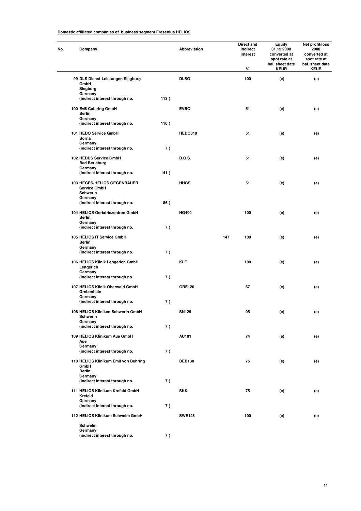| Company                                                          |      | Abbreviation   |     | Direct and<br>indirect<br>interest<br>% | <b>Equity</b><br>31.12.2008<br>converted at<br>spot rate at<br>bal. sheet date<br><b>KEUR</b> | Net profit/loss<br>2008<br>converted at<br>spot rate at<br>bal. sheet date<br><b>KEUR</b> |
|------------------------------------------------------------------|------|----------------|-----|-----------------------------------------|-----------------------------------------------------------------------------------------------|-------------------------------------------------------------------------------------------|
| 99 DLS Dienst-Leistungen Siegburg<br>GmbH<br>Siegburg<br>Germany |      | <b>DLSG</b>    |     | 100                                     | (e)                                                                                           | (e)                                                                                       |
| (indirect interest through no.                                   | 113) |                |     |                                         |                                                                                               |                                                                                           |
| 100 EvB Catering GmbH<br><b>Berlin</b><br>Germany                |      | <b>EVBC</b>    |     | 51                                      | (e)                                                                                           | (e)                                                                                       |
| (indirect interest through no.                                   | 110) |                |     |                                         |                                                                                               |                                                                                           |
| 101 HEDO Service GmbH<br>Borna<br>Germany                        |      | <b>HEDO319</b> |     | 51                                      | (e)                                                                                           | (e)                                                                                       |
| (indirect interest through no.                                   | 7)   |                |     |                                         |                                                                                               |                                                                                           |
| 102 HEDUS Service GmbH<br><b>Bad Berleburg</b><br>Germany        |      | <b>B.O.S.</b>  |     | 51                                      | (e)                                                                                           | (e)                                                                                       |
| (indirect interest through no.                                   | 141) |                |     |                                         |                                                                                               |                                                                                           |
| 103 HEGES-HELIOS GEGENBAUER<br>Service GmbH<br>Schwerin          |      | <b>HHGS</b>    |     | 51                                      | (e)                                                                                           | (e)                                                                                       |
| Germany<br>(indirect interest through no.                        | 86)  |                |     |                                         |                                                                                               |                                                                                           |
| 104 HELIOS Geriatriezentren GmbH<br>Berlin                       |      | <b>HG400</b>   |     | 100                                     | (e)                                                                                           | (e)                                                                                       |
| Germany<br>(indirect interest through no.                        | 7)   |                |     |                                         |                                                                                               |                                                                                           |
| 105 HELIOS IT Service GmbH<br>Berlin<br>Germany                  |      |                | 147 | 100                                     | (e)                                                                                           | (e)                                                                                       |
| (indirect interest through no.                                   | 7)   |                |     |                                         |                                                                                               |                                                                                           |
| 106 HELIOS Klinik Lengerich GmbH<br>Lengerich<br>Germany         |      | <b>KLE</b>     |     | 100                                     | (e)                                                                                           | (e)                                                                                       |
| (indirect interest through no.                                   | 7)   |                |     |                                         |                                                                                               |                                                                                           |
| 107 HELIOS Klinik Oberwald GmbH<br>Grebenhain<br>Germany         |      | <b>GRE120</b>  |     | 67                                      | (e)                                                                                           | (e)                                                                                       |
| (indirect interest through no.                                   | 7)   |                |     |                                         |                                                                                               |                                                                                           |
| 108 HELIOS Kliniken Schwerin GmbH<br>Schwerin<br>Germany         |      | SN129          |     | 95                                      | (e)                                                                                           | (e)                                                                                       |
| (indirect interest through no.                                   | 7)   |                |     |                                         |                                                                                               |                                                                                           |
| 109 HELIOS Klinikum Aue GmbH<br>Aue<br>Germany                   |      | AU101          |     | 74                                      | (e)                                                                                           | (e)                                                                                       |
| (indirect interest through no.                                   | 7)   |                |     |                                         |                                                                                               |                                                                                           |
| 110 HELIOS Klinikum Emil von Behring<br>GmbH<br><b>Berlin</b>    |      | <b>BEB130</b>  |     | 75                                      | (e)                                                                                           | (e)                                                                                       |
| Germany<br>(indirect interest through no.                        | 7)   |                |     |                                         |                                                                                               |                                                                                           |
| 111 HELIOS Klinikum Krefeld GmbH<br>Krefeld                      |      | <b>SKK</b>     |     | 75                                      | (e)                                                                                           | (e)                                                                                       |
| Germany<br>(indirect interest through no.                        | 7)   |                |     |                                         |                                                                                               |                                                                                           |
| 112 HELIOS Klinikum Schwelm GmbH                                 |      | <b>SWE128</b>  |     | 100                                     | (e)                                                                                           | (e)                                                                                       |
| Schwelm                                                          |      |                |     |                                         |                                                                                               |                                                                                           |
| Germany<br>(indirect interest through no.                        | 7)   |                |     |                                         |                                                                                               |                                                                                           |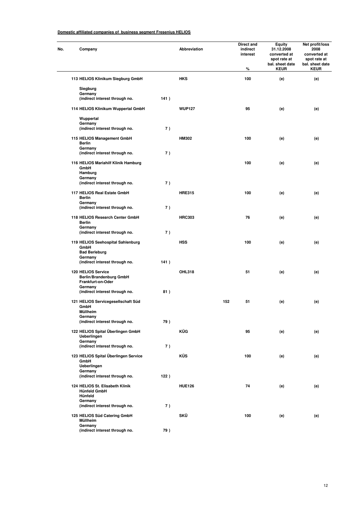| No. | Company                                                                                  |      | Abbreviation  |     | Direct and<br>indirect<br>interest<br>% | <b>Equity</b><br>31.12.2008<br>converted at<br>spot rate at<br>bal. sheet date<br><b>KEUR</b> | Net profit/loss<br>2008<br>converted at<br>spot rate at<br>bal. sheet date<br><b>KEUR</b> |
|-----|------------------------------------------------------------------------------------------|------|---------------|-----|-----------------------------------------|-----------------------------------------------------------------------------------------------|-------------------------------------------------------------------------------------------|
|     | 113 HELIOS Klinikum Siegburg GmbH                                                        |      | <b>HKS</b>    |     | 100                                     | (e)                                                                                           | (e)                                                                                       |
|     | Siegburg<br>Germany<br>(indirect interest through no.                                    | 141) |               |     |                                         |                                                                                               |                                                                                           |
|     | 114 HELIOS Klinikum Wuppertal GmbH                                                       |      | <b>WUP127</b> |     | 95                                      | (e)                                                                                           | (e)                                                                                       |
|     | Wuppertal<br>Germany<br>(indirect interest through no.                                   | 7)   |               |     |                                         |                                                                                               |                                                                                           |
|     | 115 HELIOS Management GmbH<br><b>Berlin</b><br>Germany<br>(indirect interest through no. | 7)   | <b>HM302</b>  |     | 100                                     | (e)                                                                                           | (e)                                                                                       |
|     | 116 HELIOS Mariahilf Klinik Hamburg<br>GmbH<br>Hamburg<br>Germany                        |      |               |     | 100                                     | (e)                                                                                           | (e)                                                                                       |
|     | (indirect interest through no.                                                           | 7)   |               |     |                                         |                                                                                               |                                                                                           |
|     | 117 HELIOS Real Estate GmbH<br>Berlin<br>Germany                                         |      | <b>HRE315</b> |     | 100                                     | (e)                                                                                           | (e)                                                                                       |
|     | (indirect interest through no.                                                           | 7)   |               |     |                                         |                                                                                               |                                                                                           |
|     | 118 HELIOS Research Center GmbH<br><b>Berlin</b><br>Germany                              |      | <b>HRC303</b> |     | 76                                      | (e)                                                                                           | (e)                                                                                       |
|     | (indirect interest through no.                                                           | 7)   |               |     |                                         |                                                                                               |                                                                                           |
|     | 119 HELIOS Seehospital Sahlenburg<br>GmbH<br><b>Bad Berleburg</b><br>Germany             |      | <b>HSS</b>    |     | 100                                     | (e)                                                                                           | (e)                                                                                       |
|     | (indirect interest through no.                                                           | 141) |               |     |                                         |                                                                                               |                                                                                           |
|     | 120 HELIOS Service<br>Berlin/Brandenburg GmbH<br>Frankfurt-on-Oder<br>Germany            |      | OHL318        |     | 51                                      | (e)                                                                                           | (e)                                                                                       |
|     | (indirect interest through no.                                                           | 81)  |               |     |                                         |                                                                                               |                                                                                           |
|     | 121 HELIOS Servicegesellschaft Süd<br>GmbH<br>Mullheim                                   |      |               | 152 | 51                                      | (e)                                                                                           | (e)                                                                                       |
|     | Germany<br>(indirect interest through no.                                                | 79)  |               |     |                                         |                                                                                               |                                                                                           |
|     | 122 HELIOS Spital Überlingen GmbH<br><b>Ueberlingen</b><br>Germany                       |      | KÜG           |     | 95                                      | (e)                                                                                           | (e)                                                                                       |
|     | (indirect interest through no.                                                           | 7)   |               |     |                                         |                                                                                               |                                                                                           |
|     | 123 HELIOS Spital Überlingen Service<br>GmbH<br>Ueberlingen<br>Germany                   |      | <b>KÜS</b>    |     | 100                                     | (e)                                                                                           | (e)                                                                                       |
|     | (indirect interest through no.                                                           | 122) |               |     |                                         |                                                                                               |                                                                                           |
|     | 124 HELIOS St. Elisabeth Klinik<br><b>Hünfeld GmbH</b><br>Hünfeld<br>Germany             |      | <b>HUE126</b> |     | 74                                      | (e)                                                                                           | (e)                                                                                       |
|     | (indirect interest through no.                                                           | 7)   |               |     |                                         |                                                                                               |                                                                                           |
|     | 125 HELIOS Süd Catering GmbH<br>Müllheim<br>Germany                                      |      | SKÜ           |     | 100                                     | (e)                                                                                           | (e)                                                                                       |
|     | (indirect interest through no.                                                           | 79)  |               |     |                                         |                                                                                               |                                                                                           |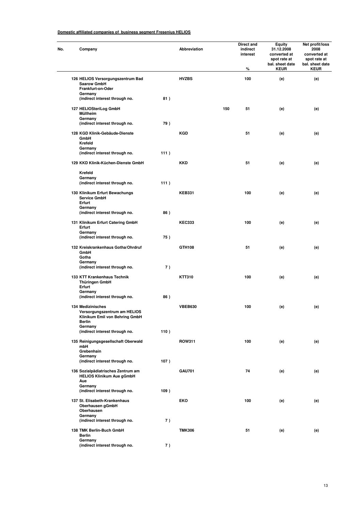| Company                                                                                              |      | Abbreviation   |     | Direct and<br>indirect<br>interest<br>% | <b>Equity</b><br>31.12.2008<br>converted at<br>spot rate at<br>bal. sheet date<br><b>KEUR</b> | Net profit/loss<br>2008<br>converted at<br>spot rate at<br>bal. sheet date<br><b>KEUR</b> |
|------------------------------------------------------------------------------------------------------|------|----------------|-----|-----------------------------------------|-----------------------------------------------------------------------------------------------|-------------------------------------------------------------------------------------------|
| 126 HELIOS Versorgungszentrum Bad<br><b>Saarow GmbH</b><br>Frankfurt-on-Oder<br>Germany              |      | <b>HVZBS</b>   |     | 100                                     | (e)                                                                                           | (e)                                                                                       |
| (indirect interest through no.                                                                       | 81)  |                |     |                                         |                                                                                               |                                                                                           |
| 127 HELIOSteriLog GmbH<br>Müllheim<br>Germany                                                        |      |                | 150 | 51                                      | (e)                                                                                           | (e)                                                                                       |
| (indirect interest through no.<br>128 KGD Klinik-Gebäude-Dienste<br>GmbH<br>Krefeld                  | 79)  | <b>KGD</b>     |     | 51                                      | (e)                                                                                           | (e)                                                                                       |
| Germany<br>(indirect interest through no.                                                            | 111) |                |     |                                         |                                                                                               |                                                                                           |
| 129 KKD Klinik-Küchen-Dienste GmbH                                                                   |      | KKD            |     | 51                                      | (e)                                                                                           | (e)                                                                                       |
| Krefeld<br>Germany<br>(indirect interest through no.                                                 | 111) |                |     |                                         |                                                                                               |                                                                                           |
| 130 Klinikum Erfurt Bewachungs<br>Service GmbH<br>Erfurt<br>Germany                                  |      | <b>KEB331</b>  |     | 100                                     | (e)                                                                                           | (e)                                                                                       |
| (indirect interest through no.                                                                       | 86)  |                |     |                                         |                                                                                               |                                                                                           |
| 131 Klinikum Erfurt Catering GmbH<br>Erfurt<br>Germany                                               |      | <b>KEC333</b>  |     | 100                                     | (e)                                                                                           | (e)                                                                                       |
| (indirect interest through no.                                                                       | 75)  |                |     |                                         |                                                                                               |                                                                                           |
| 132 Kreiskrankenhaus Gotha/Ohrdruf<br>GmbH<br>Gotha<br>Germany                                       |      | GTH108         |     | 51                                      | (e)                                                                                           | (e)                                                                                       |
| (indirect interest through no.                                                                       | 7)   |                |     |                                         |                                                                                               |                                                                                           |
| 133 KTT Krankenhaus Technik<br>Thüringen GmbH<br>Erfurt                                              |      | <b>KTT310</b>  |     | 100                                     | (e)                                                                                           | (e)                                                                                       |
| Germany<br>(indirect interest through no.                                                            | 86)  |                |     |                                         |                                                                                               |                                                                                           |
| 134 Medizinisches<br>Versorgungszentrum am HELIOS<br>Klinikum Emil von Behring GmbH<br><b>Berlin</b> |      | <b>VBEB630</b> |     | 100                                     | (e)                                                                                           | (e)                                                                                       |
| Germany<br>(indirect interest through no.                                                            | 110) |                |     |                                         |                                                                                               |                                                                                           |
| 135 Reinigungsgesellschaft Oberwald<br>mbH<br>Grebenhain                                             |      | <b>ROW311</b>  |     | 100                                     | (e)                                                                                           | (e)                                                                                       |
| Germany<br>(indirect interest through no.                                                            | 107) |                |     |                                         |                                                                                               |                                                                                           |
| 136 Sozialpädiatrisches Zentrum am<br><b>HELIOS Klinikum Aue gGmbH</b><br>Aue                        |      | <b>GAU701</b>  |     | 74                                      | (e)                                                                                           | (e)                                                                                       |
| Germany<br>(indirect interest through no.                                                            | 109) |                |     |                                         |                                                                                               |                                                                                           |
| 137 St. Elisabeth-Krankenhaus<br>Oberhausen gGmbH<br>Oberhausen<br>Germany                           |      | EKO            |     | 100                                     | (e)                                                                                           | (e)                                                                                       |
| (indirect interest through no.                                                                       | 7)   |                |     |                                         |                                                                                               |                                                                                           |
| 138 TMK Berlin-Buch GmbH<br><b>Berlin</b><br>Germany                                                 |      | <b>TMK306</b>  |     | 51                                      | (e)                                                                                           | (e)                                                                                       |
| (indirect interest through no.                                                                       | 7)   |                |     |                                         |                                                                                               |                                                                                           |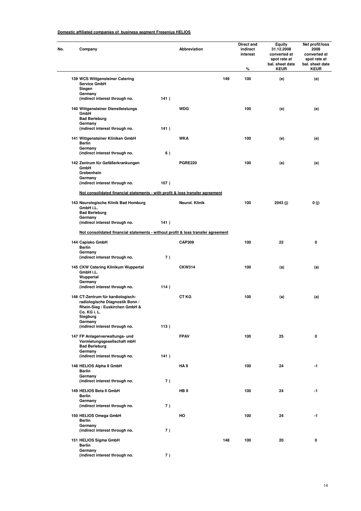| Company                                                                                                                                       |      | <b>Abbreviation</b> |     | Direct and<br>indirect<br>interest<br>% | Equity<br>31.12.2008<br>converted at<br>spot rate at<br>bal. sheet date<br><b>KEUR</b> | Net profit/loss<br>2008<br>converted at<br>spot rate at<br>bal. sheet date<br><b>KEUR</b> |
|-----------------------------------------------------------------------------------------------------------------------------------------------|------|---------------------|-----|-----------------------------------------|----------------------------------------------------------------------------------------|-------------------------------------------------------------------------------------------|
| 139 WCS Wittgensteiner Catering                                                                                                               |      |                     | 149 | 100                                     | (e)                                                                                    | (e)                                                                                       |
| <b>Service GmbH</b><br>Siegen<br>Germany                                                                                                      |      |                     |     |                                         |                                                                                        |                                                                                           |
| (indirect interest through no.                                                                                                                | 141) |                     |     |                                         |                                                                                        |                                                                                           |
| 140 Wittgensteiner Dienstleistungs<br>GmbH<br><b>Bad Berleburg</b><br>Germany                                                                 |      | <b>WDG</b>          |     | 100                                     | (e)                                                                                    | (e)                                                                                       |
| (indirect interest through no.                                                                                                                | 141) |                     |     |                                         |                                                                                        |                                                                                           |
| 141 Wittgensteiner Kliniken GmbH<br><b>Berlin</b><br>Germany                                                                                  |      | <b>WKA</b>          |     | 100                                     | (e)                                                                                    | (e)                                                                                       |
| (indirect interest through no.                                                                                                                | 6)   |                     |     |                                         |                                                                                        |                                                                                           |
| 142 Zentrum für Gefäßerkrankungen<br>GmbH                                                                                                     |      | <b>PGRE220</b>      |     | 100                                     | (e)                                                                                    | (e)                                                                                       |
| Grebenhain<br>Germany                                                                                                                         |      |                     |     |                                         |                                                                                        |                                                                                           |
| (indirect interest through no.                                                                                                                | 107) |                     |     |                                         |                                                                                        |                                                                                           |
| Not consolidated financial statements - with profit & loss transfer agreement                                                                 |      |                     |     |                                         |                                                                                        |                                                                                           |
| 143 Neurologische Klinik Bad Homburg<br>GmbH i.L.<br><b>Bad Berleburg</b>                                                                     |      | Neurol. Klinik      |     | 100                                     | 2043 (j)                                                                               | 0(j)                                                                                      |
| Germany<br>(indirect interest through no.                                                                                                     | 141) |                     |     |                                         |                                                                                        |                                                                                           |
| Not consolidated financial statements - without profit & loss transfer agreement                                                              |      |                     |     |                                         |                                                                                        |                                                                                           |
| 144 Capisko GmbH                                                                                                                              |      | <b>CAP309</b>       |     | 100                                     | 22                                                                                     | 0                                                                                         |
| <b>Berlin</b><br>Germany                                                                                                                      |      |                     |     |                                         |                                                                                        |                                                                                           |
| (indirect interest through no.                                                                                                                | 7)   |                     |     |                                         |                                                                                        |                                                                                           |
| 145 CKW Catering Klinikum Wuppertal<br>GmbH i.L.<br>Wuppertal                                                                                 |      | <b>CKW314</b>       |     | 100                                     | (a)                                                                                    | (a)                                                                                       |
| Germany<br>(indirect interest through no.                                                                                                     | 114) |                     |     |                                         |                                                                                        |                                                                                           |
| 146 CT-Zentrum für kardiologisch-<br>radiologische Diagnostik Bonn /<br>Rhein-Sieg / Euskirchen GmbH &<br>Co. KG i. L.<br>Siegburg<br>Germany |      | <b>CT KG</b>        |     | 100                                     | (a)                                                                                    | (a)                                                                                       |
| (indirect interest through no.                                                                                                                | 113) |                     |     |                                         |                                                                                        |                                                                                           |
| 147 FP Anlagenverwaltungs- und<br>Vermietungsgesellschaft mbH<br><b>Bad Berleburg</b><br>Germany                                              |      | <b>FPAV</b>         |     | 100                                     | 25                                                                                     | 0                                                                                         |
| (indirect interest through no.                                                                                                                | 141) |                     |     |                                         |                                                                                        |                                                                                           |
| 148 HELIOS Alpha II GmbH<br><b>Berlin</b>                                                                                                     |      | HA II               |     | 100                                     | 24                                                                                     | $-1$                                                                                      |
| Germany<br>(indirect interest through no.                                                                                                     | 7)   |                     |     |                                         |                                                                                        |                                                                                           |
| 149 HELIOS Beta II GmbH<br><b>Berlin</b><br>Germany                                                                                           |      | HB II               |     | 100                                     | 24                                                                                     | $-1$                                                                                      |
| (indirect interest through no.                                                                                                                | 7)   |                     |     |                                         |                                                                                        |                                                                                           |
| 150 HELIOS Omega GmbH<br>Berlin<br>Germany                                                                                                    |      | HO                  |     | 100                                     | 24                                                                                     | -1                                                                                        |
| (indirect interest through no.                                                                                                                | 7)   |                     |     |                                         |                                                                                        |                                                                                           |
| 151 HELIOS Sigma GmbH<br><b>Berlin</b>                                                                                                        |      |                     | 148 | 100                                     | 20                                                                                     | 0                                                                                         |
| Germany<br>(indirect interest through no.                                                                                                     | 7)   |                     |     |                                         |                                                                                        |                                                                                           |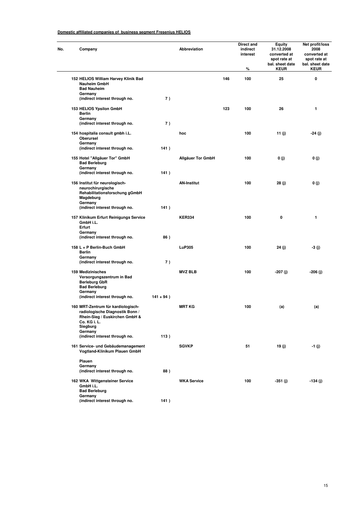| Company                                                                                                 |              | Abbreviation             |     | Direct and<br>indirect<br>interest<br>% | <b>Equity</b><br>31.12.2008<br>converted at<br>spot rate at<br>bal. sheet date<br><b>KEUR</b> | Net profit/loss<br>2008<br>converted at<br>spot rate at<br>bal. sheet date<br><b>KEUR</b> |
|---------------------------------------------------------------------------------------------------------|--------------|--------------------------|-----|-----------------------------------------|-----------------------------------------------------------------------------------------------|-------------------------------------------------------------------------------------------|
| 152 HELIOS William Harvey Klinik Bad<br>Nauheim GmbH                                                    |              |                          | 146 | 100                                     | 25                                                                                            | 0                                                                                         |
| <b>Bad Nauheim</b>                                                                                      |              |                          |     |                                         |                                                                                               |                                                                                           |
| Germany                                                                                                 |              |                          |     |                                         |                                                                                               |                                                                                           |
| (indirect interest through no.                                                                          | 7)           |                          |     |                                         |                                                                                               |                                                                                           |
| 153 HELIOS Ypsilon GmbH<br><b>Berlin</b>                                                                |              |                          | 123 | 100                                     | 26                                                                                            | 1                                                                                         |
| Germany                                                                                                 |              |                          |     |                                         |                                                                                               |                                                                                           |
| (indirect interest through no.                                                                          | 7)           |                          |     |                                         |                                                                                               |                                                                                           |
| 154 hospitalia consult gmbh i.L.<br>Oberursel                                                           |              | hoc                      |     | 100                                     | 11 (j)                                                                                        | -24 (j)                                                                                   |
| Germany                                                                                                 |              |                          |     |                                         |                                                                                               |                                                                                           |
| (indirect interest through no.                                                                          | 141)         |                          |     |                                         |                                                                                               |                                                                                           |
| 155 Hotel "Allgäuer Tor" GmbH<br><b>Bad Berleburg</b>                                                   |              | <b>Allgäuer Tor GmbH</b> |     | 100                                     | 0 (j)                                                                                         | 0(j)                                                                                      |
| Germany<br>(indirect interest through no.                                                               | 141)         |                          |     |                                         |                                                                                               |                                                                                           |
| 156 Institut für neurologisch-                                                                          |              | <b>AN-Institut</b>       |     | 100                                     | 28 (j)                                                                                        | 0(j)                                                                                      |
| neurochirurgische<br>Rehabilitationsforschung gGmbH<br>Magdeburg                                        |              |                          |     |                                         |                                                                                               |                                                                                           |
| Germany                                                                                                 |              |                          |     |                                         |                                                                                               |                                                                                           |
| (indirect interest through no.                                                                          | 141)         |                          |     |                                         |                                                                                               |                                                                                           |
| 157 Klinikum Erfurt Reinigungs Service<br>GmbH i.L.                                                     |              | <b>KER334</b>            |     | 100                                     | 0                                                                                             | 1                                                                                         |
| Erfurt<br>Germany                                                                                       |              |                          |     |                                         |                                                                                               |                                                                                           |
| (indirect interest through no.                                                                          | 86)          |                          |     |                                         |                                                                                               |                                                                                           |
|                                                                                                         |              |                          |     |                                         |                                                                                               |                                                                                           |
| 158 L + P Berlin-Buch GmbH<br><b>Berlin</b><br>Germany                                                  |              | <b>LuP305</b>            |     | 100                                     | 24 (j)                                                                                        | -3 (j)                                                                                    |
| (indirect interest through no.                                                                          | 7)           |                          |     |                                         |                                                                                               |                                                                                           |
| 159 Medizinisches                                                                                       |              | <b>MVZ BLB</b>           |     | 100                                     | -207 (j)                                                                                      | -206 (j)                                                                                  |
| Versorgungszentrum in Bad<br><b>Berleburg GbR</b><br><b>Bad Berleburg</b>                               |              |                          |     |                                         |                                                                                               |                                                                                           |
| Germany                                                                                                 |              |                          |     |                                         |                                                                                               |                                                                                           |
| (indirect interest through no.                                                                          | $141 + 94$ ) |                          |     |                                         |                                                                                               |                                                                                           |
| 160 MRT-Zentrum für kardiologisch-<br>radiologische Diagnostik Bonn /<br>Rhein-Sieg / Euskirchen GmbH & |              | <b>MRT KG</b>            |     | 100                                     | (a)                                                                                           | (a)                                                                                       |
| Co. KG i. L.<br>Siegburg                                                                                |              |                          |     |                                         |                                                                                               |                                                                                           |
| Germany<br>(indirect interest through no.                                                               | 113)         |                          |     |                                         |                                                                                               |                                                                                           |
|                                                                                                         |              |                          |     |                                         |                                                                                               |                                                                                           |
| 161 Service- und Gebäudemanagement<br>Vogtland-Klinikum Plauen GmbH                                     |              | <b>SGVKP</b>             |     | 51                                      | 19(j)                                                                                         | $-1(j)$                                                                                   |
| Plauen                                                                                                  |              |                          |     |                                         |                                                                                               |                                                                                           |
| Germany<br>(indirect interest through no.                                                               | 88)          |                          |     |                                         |                                                                                               |                                                                                           |
| 162 WKA Wittgensteiner Service                                                                          |              | <b>WKA Service</b>       |     | 100                                     | -351 (j)                                                                                      | -134 (j)                                                                                  |
| GmbH i.L.<br><b>Bad Berleburg</b><br>Germany                                                            |              |                          |     |                                         |                                                                                               |                                                                                           |
| (indirect interest through no.                                                                          | 141)         |                          |     |                                         |                                                                                               |                                                                                           |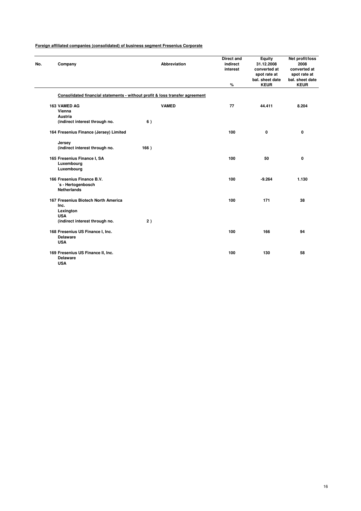| No. | Company                                                     | <b>Abbreviation</b>                                                          | <b>Direct and</b><br>indirect<br>interest | <b>Equity</b><br>31.12.2008<br>converted at<br>spot rate at<br>bal. sheet date | Net profit/loss<br>2008<br>converted at<br>spot rate at<br>bal. sheet date |
|-----|-------------------------------------------------------------|------------------------------------------------------------------------------|-------------------------------------------|--------------------------------------------------------------------------------|----------------------------------------------------------------------------|
|     |                                                             |                                                                              | %                                         | <b>KEUR</b>                                                                    | <b>KEUR</b>                                                                |
|     |                                                             | Consolidated financial statements - without profit & loss transfer agreement |                                           |                                                                                |                                                                            |
|     | 163 VAMED AG<br>Vienna                                      | <b>VAMED</b>                                                                 | 77                                        | 44.411                                                                         | 8.204                                                                      |
|     | <b>Austria</b><br>(indirect interest through no.            | 6)                                                                           |                                           |                                                                                |                                                                            |
|     |                                                             |                                                                              |                                           |                                                                                |                                                                            |
|     | 164 Fresenius Finance (Jersey) Limited                      |                                                                              | 100                                       | 0                                                                              | 0                                                                          |
|     | Jersey                                                      |                                                                              |                                           |                                                                                |                                                                            |
|     | (indirect interest through no.                              | 166)                                                                         |                                           |                                                                                |                                                                            |
|     | 165 Fresenius Finance I, SA<br>Luxembourg                   |                                                                              | 100                                       | 50                                                                             | 0                                                                          |
|     | Luxembourg                                                  |                                                                              |                                           |                                                                                |                                                                            |
|     | 166 Fresenius Finance B.V.                                  |                                                                              | 100                                       | $-9.264$                                                                       | 1.130                                                                      |
|     | 's - Hertogenbosch                                          |                                                                              |                                           |                                                                                |                                                                            |
|     | <b>Netherlands</b>                                          |                                                                              |                                           |                                                                                |                                                                            |
|     | 167 Fresenius Biotech North America<br>Inc.                 |                                                                              | 100                                       | 171                                                                            | 38                                                                         |
|     | Lexington<br><b>USA</b>                                     |                                                                              |                                           |                                                                                |                                                                            |
|     | (indirect interest through no.                              | 2)                                                                           |                                           |                                                                                |                                                                            |
|     | 168 Fresenius US Finance I, Inc.<br><b>Delaware</b>         |                                                                              | 100                                       | 166                                                                            | 94                                                                         |
|     | <b>USA</b>                                                  |                                                                              |                                           |                                                                                |                                                                            |
|     | 169 Fresenius US Finance II, Inc.<br>Delaware<br><b>USA</b> |                                                                              | 100                                       | 130                                                                            | 58                                                                         |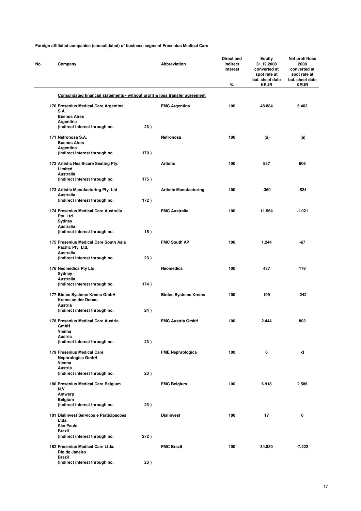| No. | Company                                                                      |      | Abbreviation                  | Direct and<br>indirect<br>interest | <b>Equity</b><br>31.12.2008<br>converted at<br>spot rate at<br>bal. sheet date | Net profit/loss<br>2008<br>converted at<br>spot rate at<br>bal. sheet date |
|-----|------------------------------------------------------------------------------|------|-------------------------------|------------------------------------|--------------------------------------------------------------------------------|----------------------------------------------------------------------------|
|     |                                                                              |      |                               | $\%$                               | <b>KEUR</b>                                                                    | <b>KEUR</b>                                                                |
|     | Consolidated financial statements - without profit & loss transfer agreement |      |                               |                                    |                                                                                |                                                                            |
|     | 170 Fresenius Medical Care Argentina<br>S.A.<br><b>Buenos Aires</b>          |      | <b>FMC Argentina</b>          | 100                                | 48.884                                                                         | 5.463                                                                      |
|     | Argentina<br>(indirect interest through no.                                  | 23)  |                               |                                    |                                                                                |                                                                            |
|     | 171 Nefronosa S.A.<br><b>Buenos Aires</b>                                    |      | Nefronosa                     | 100                                | (a)                                                                            | (a)                                                                        |
|     | Argentina<br>(indirect interest through no.                                  | 170) |                               |                                    |                                                                                |                                                                            |
|     | 172 Artistic Healthcare Seating Pty.<br>Limited                              |      | <b>Artistic</b>               | 100                                | 857                                                                            | 606                                                                        |
|     | <b>Australia</b><br>(indirect interest through no.                           | 175) |                               |                                    |                                                                                |                                                                            |
|     | 173 Artistic Manufacturing Pty. Ltd<br><b>Australia</b>                      |      | <b>Artistic Manufacturing</b> | 100                                | $-360$                                                                         | $-524$                                                                     |
|     | (indirect interest through no.                                               | 172) |                               |                                    |                                                                                |                                                                            |
|     | 174 Fresenius Medical Care Australia<br>Pty. Ltd.<br>Sydney                  |      | <b>FMC Australia</b>          | 100                                | 11.564                                                                         | $-1.021$                                                                   |
|     | Australia<br>(indirect interest through no.                                  | 15)  |                               |                                    |                                                                                |                                                                            |
|     | 175 Fresenius Medical Care South Asia<br>Pacific Pty. Ltd.                   |      | <b>FMC South AP</b>           | 100                                | 1.244                                                                          | -67                                                                        |
|     | Australia<br>(indirect interest through no.                                  | 23)  |                               |                                    |                                                                                |                                                                            |
|     | 176 Neomedics Pty Ltd.<br>Sydney                                             |      | <b>Neomedics</b>              | 100                                | 437                                                                            | 178                                                                        |
|     | Australia<br>(indirect interest through no.                                  | 174) |                               |                                    |                                                                                |                                                                            |
|     | 177 Biotec Systems Krems GmbH<br>Krems an der Donau                          |      | <b>Biotec Systems Krems</b>   | 100                                | 199                                                                            | -242                                                                       |
|     | Austria<br>(indirect interest through no.                                    | 24)  |                               |                                    |                                                                                |                                                                            |
|     | 178 Fresenius Medical Care Austria<br>GmbH                                   |      | <b>FMC Austria GmbH</b>       | 100                                | 2.444                                                                          | 803                                                                        |
|     | Vienna<br>Austria                                                            |      |                               |                                    |                                                                                |                                                                            |
|     | (indirect interest through no.                                               | 23)  |                               |                                    |                                                                                |                                                                            |
|     | 179 Fresenius Medical Care<br>Nephrologica GmbH<br>Vienna                    |      | <b>FME Nephrologica</b>       | 100                                | 6                                                                              | -3                                                                         |
|     | Austria                                                                      |      |                               |                                    |                                                                                |                                                                            |
|     | (indirect interest through no.                                               | 23)  |                               |                                    |                                                                                |                                                                            |
|     | 180 Fresenius Medical Care Belgium<br>N.V                                    |      | <b>FMC Belgium</b>            | 100                                | 6.918                                                                          | 2.586                                                                      |
|     | Antwerp<br><b>Belgium</b><br>(indirect interest through no.                  | 23)  |                               |                                    |                                                                                |                                                                            |
|     | 181 Dialinvest Servicos e Participacoes                                      |      | <b>Dialinvest</b>             | 100                                | 17                                                                             | 0                                                                          |
|     | Ltda.<br>São Paulo                                                           |      |                               |                                    |                                                                                |                                                                            |
|     | <b>Brazil</b><br>(indirect interest through no.                              | 272) |                               |                                    |                                                                                |                                                                            |
|     | 182 Fresenius Medical Care Ltda.<br>Rio de Janeiro                           |      | <b>FMC Brazil</b>             | 100                                | 34.830                                                                         | $-7.222$                                                                   |
|     | Brazil<br>(indirect interest through no.                                     | 23)  |                               |                                    |                                                                                |                                                                            |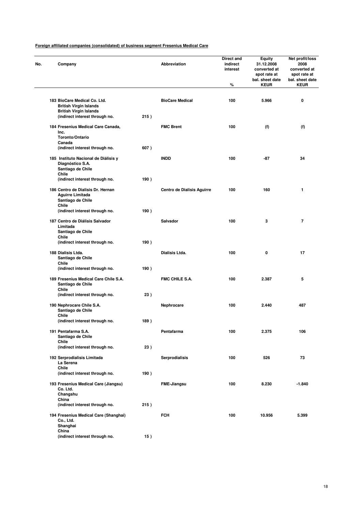| Company                                                                           |      | Abbreviation               | Direct and<br>indirect<br>interest<br>% | Equity<br>31.12.2008<br>converted at<br>spot rate at<br>bal. sheet date<br><b>KEUR</b> | Net profit/loss<br>2008<br>converted at<br>spot rate at<br>bal. sheet date<br><b>KEUR</b> |
|-----------------------------------------------------------------------------------|------|----------------------------|-----------------------------------------|----------------------------------------------------------------------------------------|-------------------------------------------------------------------------------------------|
|                                                                                   |      |                            |                                         |                                                                                        |                                                                                           |
| 183 BioCare Medical Co. Ltd.<br><b>British Virgin Islands</b>                     |      | <b>BioCare Medical</b>     | 100                                     | 5.966                                                                                  | 0                                                                                         |
| <b>British Virgin Islands</b><br>(indirect interest through no.                   | 215) |                            |                                         |                                                                                        |                                                                                           |
| 184 Fresenius Medical Care Canada,<br>Inc.                                        |      | <b>FMC Brent</b>           | 100                                     | (f)                                                                                    | (f)                                                                                       |
| <b>Toronto/Ontario</b>                                                            |      |                            |                                         |                                                                                        |                                                                                           |
| Canada<br>(indirect interest through no.                                          | 607) |                            |                                         |                                                                                        |                                                                                           |
| 185 Instituto Nacional de Diálisis y<br>Diagnóstico S.A.                          |      | <b>INDD</b>                | 100                                     | -87                                                                                    | 34                                                                                        |
| Santiago de Chile<br>Chile                                                        |      |                            |                                         |                                                                                        |                                                                                           |
| (indirect interest through no.                                                    | 190) |                            |                                         |                                                                                        |                                                                                           |
| 186 Centro de Dialisis Dr. Hernan<br><b>Aguirre Limitada</b><br>Santiago de Chile |      | Centro de Dialisis Aguirre | 100                                     | 160                                                                                    | 1                                                                                         |
| Chile<br>(indirect interest through no.                                           | 190) |                            |                                         |                                                                                        |                                                                                           |
| 187 Centro de Diálisis Salvador<br>Limitada                                       |      | <b>Salvador</b>            | 100                                     | 3                                                                                      | 7                                                                                         |
| Santiago de Chile<br>Chile                                                        |      |                            |                                         |                                                                                        |                                                                                           |
| (indirect interest through no.                                                    | 190) |                            |                                         |                                                                                        |                                                                                           |
| 188 Dialisis Ltda.<br>Santiago de Chile                                           |      | Dialisis Ltda.             | 100                                     | 0                                                                                      | 17                                                                                        |
| Chile<br>(indirect interest through no.                                           | 190) |                            |                                         |                                                                                        |                                                                                           |
| 189 Fresenius Medical Care Chile S.A.<br>Santiago de Chile<br>Chile               |      | <b>FMC CHILE S.A.</b>      | 100                                     | 2.387                                                                                  | 5                                                                                         |
| (indirect interest through no.                                                    | 23)  |                            |                                         |                                                                                        |                                                                                           |
| 190 Nephrocare Chile S.A.<br>Santiago de Chile                                    |      | Nephrocare                 | 100                                     | 2.440                                                                                  | 487                                                                                       |
| Chile<br>(indirect interest through no.                                           | 189) |                            |                                         |                                                                                        |                                                                                           |
| 191 Pentafarma S.A.<br>Santiago de Chile                                          |      | Pentafarma                 | 100                                     | 2.375                                                                                  | 106                                                                                       |
| Chile<br>(indirect interest through no.                                           | 23)  |                            |                                         |                                                                                        |                                                                                           |
| 192 Serprodialisis Limitada                                                       |      | <b>Serprodialisis</b>      | 100                                     | 526                                                                                    | 73                                                                                        |
| La Serena<br>Chile                                                                |      |                            |                                         |                                                                                        |                                                                                           |
| (indirect interest through no.                                                    | 190) |                            |                                         |                                                                                        |                                                                                           |
| 193 Fresenius Medical Care (Jiangsu)<br>Co. Ltd.                                  |      | <b>FME-Jiangsu</b>         | 100                                     | 8.230                                                                                  | $-1.840$                                                                                  |
| Changshu<br>China<br>(indirect interest through no.                               | 215) |                            |                                         |                                                                                        |                                                                                           |
|                                                                                   |      | <b>FCH</b>                 | 100                                     | 10.956                                                                                 | 5.399                                                                                     |
| 194 Fresenius Medical Care (Shanghai)<br>Co., Ltd.<br>Shanghai<br>China           |      |                            |                                         |                                                                                        |                                                                                           |
| (indirect interest through no.                                                    | 15)  |                            |                                         |                                                                                        |                                                                                           |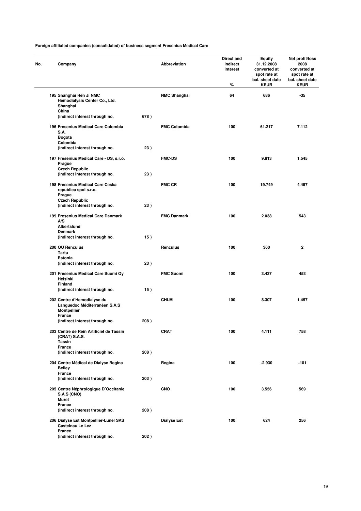| No. | Company                                                                            |      | Abbreviation        | Direct and<br>indirect<br>interest<br>% | <b>Equity</b><br>31.12.2008<br>converted at<br>spot rate at<br>bal. sheet date<br><b>KEUR</b> | Net profit/loss<br>2008<br>converted at<br>spot rate at<br>bal. sheet date<br><b>KEUR</b> |
|-----|------------------------------------------------------------------------------------|------|---------------------|-----------------------------------------|-----------------------------------------------------------------------------------------------|-------------------------------------------------------------------------------------------|
|     | 195 Shanghai Ren Ji NMC<br>Hemodialysis Center Co., Ltd.<br>Shanghai               |      | <b>NMC Shanghai</b> | 64                                      | 686                                                                                           | $-35$                                                                                     |
|     | China<br>(indirect interest through no.                                            | 678) |                     |                                         |                                                                                               |                                                                                           |
|     | 196 Fresenius Medical Care Colombia<br>S.A.<br><b>Bogota</b>                       |      | <b>FMC Colombia</b> | 100                                     | 61.217                                                                                        | 7.112                                                                                     |
|     | Colombia<br>(indirect interest through no.                                         | 23)  |                     |                                         |                                                                                               |                                                                                           |
|     | 197 Fresenius Medical Care - DS, s.r.o.<br>Prague                                  |      | <b>FMC-DS</b>       | 100                                     | 9.813                                                                                         | 1.545                                                                                     |
|     | <b>Czech Republic</b><br>(indirect interest through no.                            | 23)  |                     |                                         |                                                                                               |                                                                                           |
|     | 198 Fresenius Medical Care Ceska<br>republica spol s.r.o.<br>Prague                |      | <b>FMC CR</b>       | 100                                     | 19.749                                                                                        | 4.497                                                                                     |
|     | <b>Czech Republic</b><br>(indirect interest through no.                            | 23)  |                     |                                         |                                                                                               |                                                                                           |
|     | 199 Fresenius Medical Care Danmark<br>A/S                                          |      | <b>FMC Danmark</b>  | 100                                     | 2.038                                                                                         | 543                                                                                       |
|     | Albertslund<br>Denmark<br>(indirect interest through no.                           | 15)  |                     |                                         |                                                                                               |                                                                                           |
|     | 200 OÜ Renculus<br>Tartu                                                           |      | Renculus            | 100                                     | 360                                                                                           | $\mathbf{2}$                                                                              |
|     | Estonia<br>(indirect interest through no.                                          | 23)  |                     |                                         |                                                                                               |                                                                                           |
|     | 201 Fresenius Medical Care Suomi Oy<br>Helsinki<br><b>Finland</b>                  |      | <b>FMC Suomi</b>    | 100                                     | 3.437                                                                                         | 453                                                                                       |
|     | (indirect interest through no.                                                     | 15)  |                     |                                         |                                                                                               |                                                                                           |
|     | 202 Centre d'Hemodialyse du<br>Languedoc Méditerranéen S.A.S<br><b>Montpellier</b> |      | <b>CHLM</b>         | 100                                     | 8.307                                                                                         | 1.457                                                                                     |
|     | France<br>(indirect interest through no.                                           | 208) |                     |                                         |                                                                                               |                                                                                           |
|     | 203 Centre de Rein Artificiel de Tassin<br>(CRAT) S.A.S.<br><b>Tassin</b>          |      | <b>CRAT</b>         | 100                                     | 4.111                                                                                         | 758                                                                                       |
|     | <b>France</b><br>(indirect interest through no.                                    | 208) |                     |                                         |                                                                                               |                                                                                           |
|     | 204 Centre Médical de Dialyse Regina<br><b>Belley</b>                              |      | Regina              | 100                                     | $-2.930$                                                                                      | -101                                                                                      |
|     | France<br>(indirect interest through no.                                           | 203) |                     |                                         |                                                                                               |                                                                                           |
|     | 205 Centre Néphrologique D'Occitanie<br><b>S.A.S (CNO)</b><br>Muret                |      | <b>CNO</b>          | 100                                     | 3.556                                                                                         | 569                                                                                       |
|     | France<br>(indirect interest through no.                                           | 208) |                     |                                         |                                                                                               |                                                                                           |
|     | 206 Dialyse Est Montpellier-Lunel SAS<br>Castelnau Le Lez                          |      | <b>Dialyse Est</b>  | 100                                     | 624                                                                                           | 256                                                                                       |
|     | France<br>(indirect interest through no.                                           | 202) |                     |                                         |                                                                                               |                                                                                           |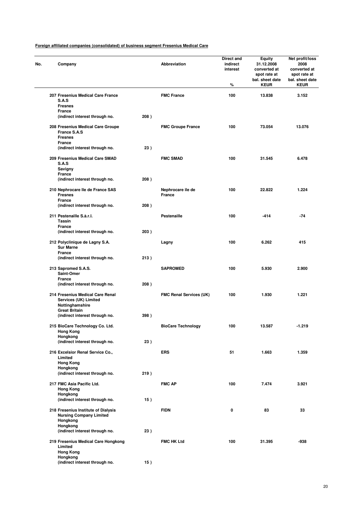| No. | Company                                                                           |                                     |      | <b>Abbreviation</b>                | Direct and<br>indirect<br>interest<br>% | Equity<br>31.12.2008<br>converted at<br>spot rate at<br>bal. sheet date<br><b>KEUR</b> | Net profit/loss<br>2008<br>converted at<br>spot rate at<br>bal. sheet date<br><b>KEUR</b> |
|-----|-----------------------------------------------------------------------------------|-------------------------------------|------|------------------------------------|-----------------------------------------|----------------------------------------------------------------------------------------|-------------------------------------------------------------------------------------------|
|     | 207 Fresenius Medical Care France<br>S.A.S<br><b>Fresnes</b>                      |                                     |      | <b>FMC France</b>                  | 100                                     | 13.838                                                                                 | 3.152                                                                                     |
|     | France<br>(indirect interest through no.                                          |                                     | 208) |                                    |                                         |                                                                                        |                                                                                           |
|     | 208 Fresenius Medical Care Groupe<br>France S.A.S                                 |                                     |      | <b>FMC Groupe France</b>           | 100                                     | 73.054                                                                                 | 13.076                                                                                    |
|     | <b>Fresnes</b><br><b>France</b>                                                   |                                     |      |                                    |                                         |                                                                                        |                                                                                           |
|     | (indirect interest through no.                                                    |                                     | 23)  |                                    |                                         |                                                                                        |                                                                                           |
|     | 209 Fresenius Medical Care SMAD<br><b>S.A.S</b><br>Savigny                        |                                     |      | <b>FMC SMAD</b>                    | 100                                     | 31.545                                                                                 | 6.478                                                                                     |
|     | <b>France</b><br>(indirect interest through no.                                   |                                     | 208) |                                    |                                         |                                                                                        |                                                                                           |
|     |                                                                                   |                                     |      |                                    |                                         |                                                                                        |                                                                                           |
|     | 210 Nephrocare Ile de France SAS<br><b>Fresnes</b><br>France                      |                                     |      | Nephrocare ile de<br><b>France</b> | 100                                     | 22.822                                                                                 | 1.224                                                                                     |
|     | (indirect interest through no.                                                    |                                     | 208) |                                    |                                         |                                                                                        |                                                                                           |
|     | 211 Pestenaille S.à.r.l.<br><b>Tassin</b><br>France                               |                                     |      | <b>Pestenaille</b>                 | 100                                     | $-414$                                                                                 | $-74$                                                                                     |
|     | (indirect interest through no.                                                    |                                     | 203) |                                    |                                         |                                                                                        |                                                                                           |
|     | 212 Polyclinique de Lagny S.A.<br><b>Sur Marne</b>                                |                                     |      | Lagny                              | 100                                     | 6.262                                                                                  | 415                                                                                       |
|     | <b>France</b><br>(indirect interest through no.                                   |                                     | 213) |                                    |                                         |                                                                                        |                                                                                           |
|     | 213 Sapromed S.A.S.<br>Saint-Omer                                                 |                                     |      | <b>SAPROMED</b>                    | 100                                     | 5.930                                                                                  | 2.900                                                                                     |
|     | France<br>(indirect interest through no.                                          |                                     | 208) |                                    |                                         |                                                                                        |                                                                                           |
|     |                                                                                   |                                     |      |                                    | 100                                     | 1.930                                                                                  | 1.221                                                                                     |
|     | 214 Fresenius Medical Care Renal<br>Services (UK) Limited<br>Nottinghamshire      |                                     |      | <b>FMC Renal Services (UK)</b>     |                                         |                                                                                        |                                                                                           |
|     | <b>Great Britain</b><br>(indirect interest through no.                            |                                     | 398) |                                    |                                         |                                                                                        |                                                                                           |
|     | 215 BioCare Technology Co. Ltd.<br><b>Hong Kong</b>                               |                                     |      | <b>BioCare Technology</b>          | 100                                     | 13.587                                                                                 | $-1.219$                                                                                  |
|     | Hongkong<br>(indirect interest through no.                                        |                                     | 23)  |                                    |                                         |                                                                                        |                                                                                           |
|     | 216 Excelsior Renal Service Co.,<br>Limited                                       |                                     |      | <b>ERS</b>                         | 51                                      | 1.663                                                                                  | 1.359                                                                                     |
|     | <b>Hong Kong</b><br>Hongkong                                                      |                                     |      |                                    |                                         |                                                                                        |                                                                                           |
|     | (indirect interest through no.                                                    |                                     | 219) |                                    |                                         |                                                                                        |                                                                                           |
|     | 217 FMC Asia Pacific Ltd.<br><b>Hong Kong</b>                                     |                                     |      | <b>FMC AP</b>                      | 100                                     | 7.474                                                                                  | 3.921                                                                                     |
|     | Hongkong<br>(indirect interest through no.                                        |                                     | 15)  |                                    |                                         |                                                                                        |                                                                                           |
|     | 218 Fresenius Institute of Dialysis<br><b>Nursing Company Limited</b><br>Hongkong |                                     |      | <b>FIDN</b>                        | 0                                       | 83                                                                                     | 33                                                                                        |
|     | Hongkong<br>(indirect interest through no.                                        |                                     | 23)  |                                    |                                         |                                                                                        |                                                                                           |
|     |                                                                                   | 219 Fresenius Medical Care Hongkong |      | <b>FMC HK Ltd</b>                  | 100                                     | 31.395                                                                                 | -938                                                                                      |
|     | Limited<br><b>Hong Kong</b><br>Hongkong                                           |                                     |      |                                    |                                         |                                                                                        |                                                                                           |
|     | (indirect interest through no.                                                    |                                     | 15)  |                                    |                                         |                                                                                        |                                                                                           |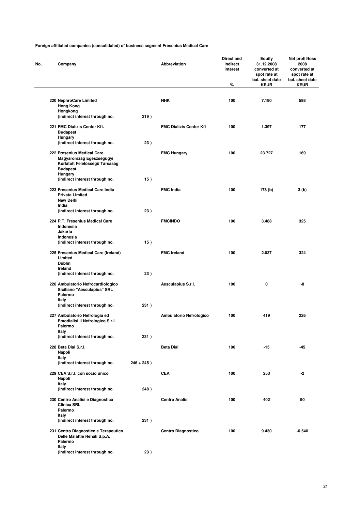| No. | Company                                                                                                                        |               | Abbreviation                   | Direct and<br>indirect<br>interest<br>% | <b>Equity</b><br>31.12.2008<br>converted at<br>spot rate at<br>bal. sheet date<br><b>KEUR</b> | Net profit/loss<br>2008<br>converted at<br>spot rate at<br>bal. sheet date<br><b>KEUR</b> |
|-----|--------------------------------------------------------------------------------------------------------------------------------|---------------|--------------------------------|-----------------------------------------|-----------------------------------------------------------------------------------------------|-------------------------------------------------------------------------------------------|
|     |                                                                                                                                |               |                                |                                         |                                                                                               |                                                                                           |
|     | 220 NephroCare Limited<br><b>Hong Kong</b>                                                                                     |               | <b>NHK</b>                     | 100                                     | 7.190                                                                                         | 598                                                                                       |
|     | Hongkong<br>(indirect interest through no.                                                                                     | 219)          |                                |                                         |                                                                                               |                                                                                           |
|     | 221 FMC Dialízis Center Kft.<br><b>Budapest</b><br>Hungary                                                                     |               | <b>FMC Dialízis Center Kft</b> | 100                                     | 1.397                                                                                         | 177                                                                                       |
|     | (indirect interest through no.                                                                                                 | 23)           |                                |                                         |                                                                                               |                                                                                           |
|     | 222 Fresenius Medical Care<br>Magyarország Egészségügyi<br>Korlátolt Felelösségü Társaság<br><b>Budapest</b><br><b>Hungary</b> |               | <b>FMC Hungary</b>             | 100                                     | 23.727                                                                                        | 169                                                                                       |
|     | (indirect interest through no.                                                                                                 | 15)           |                                |                                         |                                                                                               |                                                                                           |
|     | 223 Fresenius Medical Care India<br><b>Private Limited</b><br><b>New Delhi</b>                                                 |               | <b>FMC India</b>               | 100                                     | 178 (b)                                                                                       | 3 (b)                                                                                     |
|     | India<br>(indirect interest through no.                                                                                        | 23)           |                                |                                         |                                                                                               |                                                                                           |
|     | 224 P.T. Fresenius Medical Care<br>Indonesia<br>Jakarta                                                                        |               | <b>FMCINDO</b>                 | 100                                     | 3.488                                                                                         | 325                                                                                       |
|     | Indonesia<br>(indirect interest through no.                                                                                    | 15)           |                                |                                         |                                                                                               |                                                                                           |
|     | 225 Fresenius Medical Care (Ireland)<br>Limited<br><b>Dublin</b><br>Ireland                                                    |               | <b>FMC Ireland</b>             | 100                                     | 2.037                                                                                         | 324                                                                                       |
|     | (indirect interest through no.                                                                                                 | 23)           |                                |                                         |                                                                                               |                                                                                           |
|     | 226 Ambulatorio Nefrocardiologico<br>Siciliano "Aesculapius" SRL<br>Palermo<br>Italy                                           |               | Aesculapius S.r.I.             | 100                                     | 0                                                                                             | -8                                                                                        |
|     | (indirect interest through no.                                                                                                 | 231)          |                                |                                         |                                                                                               |                                                                                           |
|     | 227 Ambulatorio Nefrologia ed<br>Emodialisi il Nefrologico S.r.l.<br>Palermo<br>Italy                                          |               | Ambulatorio Nefrologico        | 100                                     | 419                                                                                           | 226                                                                                       |
|     | (indirect interest through no.                                                                                                 | 231)          |                                |                                         |                                                                                               |                                                                                           |
|     | 228 Beta Dial S.r.l.<br>Napoli                                                                                                 |               | <b>Beta Dial</b>               | 100                                     | $-15$                                                                                         | $-45$                                                                                     |
|     | Italy<br>(indirect interest through no.                                                                                        | $246 + 245$ ) |                                |                                         |                                                                                               |                                                                                           |
|     | 229 CEA S.r.I. con socio unico<br>Napoli<br>Italy                                                                              |               | <b>CEA</b>                     | 100                                     | 253                                                                                           | -2                                                                                        |
|     | (indirect interest through no.                                                                                                 | 248)          |                                |                                         |                                                                                               |                                                                                           |
|     | 230 Centro Analisi e Diagnostica<br><b>Clinica SRL</b><br>Palermo<br>Italy                                                     |               | <b>Centro Analisi</b>          | 100                                     | 402                                                                                           | 90                                                                                        |
|     | (indirect interest through no.                                                                                                 | 231)          |                                |                                         |                                                                                               |                                                                                           |
|     | 231 Centro Diagnostico e Terapeutico<br>Delle Malattie Renali S.p.A.<br>Palermo                                                |               | <b>Centro Diagnostico</b>      | 100                                     | 9.430                                                                                         | $-6.540$                                                                                  |
|     | Italy<br>(indirect interest through no.                                                                                        | 23)           |                                |                                         |                                                                                               |                                                                                           |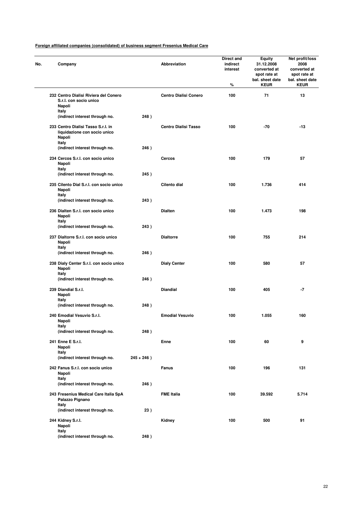| No. | Company                                                                               |               | Abbreviation                 | Direct and<br>indirect<br>interest<br>% | Equity<br>31.12.2008<br>converted at<br>spot rate at<br>bal. sheet date<br><b>KEUR</b> | Net profit/loss<br>2008<br>converted at<br>spot rate at<br>bal. sheet date<br><b>KEUR</b> |
|-----|---------------------------------------------------------------------------------------|---------------|------------------------------|-----------------------------------------|----------------------------------------------------------------------------------------|-------------------------------------------------------------------------------------------|
|     | 232 Centro Dialisi Riviera del Conero<br>S.r.l. con socio unico<br>Napoli             |               | <b>Centro Dialisi Conero</b> | 100                                     | 71                                                                                     | 13                                                                                        |
|     | Italy<br>(indirect interest through no.                                               | 248)          |                              |                                         |                                                                                        |                                                                                           |
|     | 233 Centro Dialisi Tasso S.r.l. in<br>liquidazione con socio unico<br>Napoli<br>Italy |               | <b>Centro Dialisi Tasso</b>  | 100                                     | $-70$                                                                                  | $-13$                                                                                     |
|     | (indirect interest through no.                                                        | 246)          |                              |                                         |                                                                                        |                                                                                           |
|     | 234 Cercos S.r.I. con socio unico<br>Napoli<br>Italy                                  |               | Cercos                       | 100                                     | 179                                                                                    | 57                                                                                        |
|     | (indirect interest through no.                                                        | 245)          |                              |                                         |                                                                                        |                                                                                           |
|     | 235 Cilento Dial S.r.l. con socio unico<br>Napoli<br>Italy                            |               | Cilento dial                 | 100                                     | 1.736                                                                                  | 414                                                                                       |
|     | (indirect interest through no.                                                        | 243)          |                              |                                         |                                                                                        |                                                                                           |
|     | 236 Dialten S.r.I. con socio unico<br>Napoli<br>Italy                                 |               | <b>Dialten</b>               | 100                                     | 1.473                                                                                  | 198                                                                                       |
|     | (indirect interest through no.                                                        | 243)          |                              |                                         |                                                                                        |                                                                                           |
|     | 237 Dialtorre S.r.l. con socio unico<br>Napoli                                        |               | <b>Dialtorre</b>             | 100                                     | 755                                                                                    | 214                                                                                       |
|     | Italy<br>(indirect interest through no.                                               | 246)          |                              |                                         |                                                                                        |                                                                                           |
|     | 238 Dialy Center S.r.l. con socio unico<br>Napoli<br>Italy                            |               | <b>Dialy Center</b>          | 100                                     | 580                                                                                    | 57                                                                                        |
|     | (indirect interest through no.                                                        | 246)          |                              |                                         |                                                                                        |                                                                                           |
|     | 239 Diandial S.r.l.<br>Napoli                                                         |               | <b>Diandial</b>              | 100                                     | 405                                                                                    | -7                                                                                        |
|     | Italy<br>(indirect interest through no.                                               | 248)          |                              |                                         |                                                                                        |                                                                                           |
|     | 240 Emodial Vesuvio S.r.l.<br>Napoli                                                  |               | <b>Emodial Vesuvio</b>       | 100                                     | 1.055                                                                                  | 160                                                                                       |
|     | Italy<br>(indirect interest through no.                                               | 248)          |                              |                                         |                                                                                        |                                                                                           |
|     | 241 Enne E S.r.I.<br>Napoli                                                           |               | Enne                         | 100                                     | 60                                                                                     | 9                                                                                         |
|     | Italy<br>(indirect interest through no.                                               | $245 + 246$ ) |                              |                                         |                                                                                        |                                                                                           |
|     | 242 Fanus S.r.l. con socio unico<br>Napoli                                            |               | <b>Fanus</b>                 | 100                                     | 196                                                                                    | 131                                                                                       |
|     | Italy<br>(indirect interest through no.                                               | 246)          |                              |                                         |                                                                                        |                                                                                           |
|     | 243 Fresenius Medical Care Italia SpA<br>Palazzo Pignano                              |               | <b>FME Italia</b>            | 100                                     | 39.592                                                                                 | 5.714                                                                                     |
|     | Italy<br>(indirect interest through no.                                               | 23)           |                              |                                         |                                                                                        |                                                                                           |
|     | 244 Kidney S.r.l.<br>Napoli                                                           |               | Kidney                       | 100                                     | 500                                                                                    | 91                                                                                        |
|     | Italy<br>(indirect interest through no.                                               | 248)          |                              |                                         |                                                                                        |                                                                                           |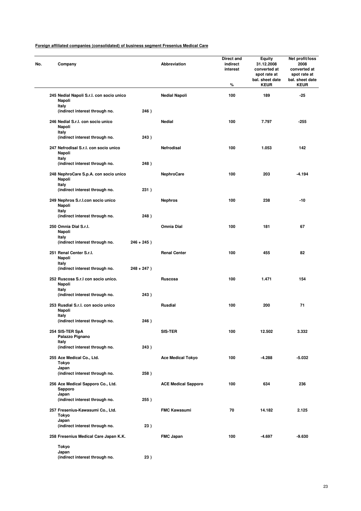|  | Company                                                  |               | Abbreviation               | Direct and<br>indirect<br>interest<br>% | Equity<br>31.12.2008<br>converted at<br>spot rate at<br>bal. sheet date<br><b>KEUR</b> | Net profit/loss<br>2008<br>converted at<br>spot rate at<br>bal. sheet date<br><b>KEUR</b> |
|--|----------------------------------------------------------|---------------|----------------------------|-----------------------------------------|----------------------------------------------------------------------------------------|-------------------------------------------------------------------------------------------|
|  | 245 Nedial Napoli S.r.l. con socio unico<br>Napoli       |               | <b>Nedial Napoli</b>       | 100                                     | 189                                                                                    | $-25$                                                                                     |
|  | Italy<br>(indirect interest through no.                  | 246)          |                            |                                         |                                                                                        |                                                                                           |
|  | 246 Nedial S.r.I. con socio unico<br>Napoli<br>Italy     |               | <b>Nedial</b>              | 100                                     | 7.797                                                                                  | $-255$                                                                                    |
|  | (indirect interest through no.                           | 243)          |                            |                                         |                                                                                        |                                                                                           |
|  | 247 Nefrodisal S.r.I. con socio unico<br>Napoli<br>Italy |               | Netrodisal                 | 100                                     | 1.053                                                                                  | 142                                                                                       |
|  | (indirect interest through no.                           | 248)          |                            |                                         |                                                                                        |                                                                                           |
|  | 248 NephroCare S.p.A. con socio unico<br>Napoli<br>Italy |               | <b>NephroCare</b>          | 100                                     | 203                                                                                    | $-4.194$                                                                                  |
|  | (indirect interest through no.                           | 231)          |                            |                                         |                                                                                        |                                                                                           |
|  | 249 Nephros S.r.I.con socio unico<br>Napoli<br>Italy     |               | <b>Nephros</b>             | 100                                     | 238                                                                                    | -10                                                                                       |
|  | (indirect interest through no.                           | 248)          |                            |                                         |                                                                                        |                                                                                           |
|  | 250 Omnia Dial S.r.l.<br>Napoli                          |               | Omnia Dial                 | 100                                     | 181                                                                                    | 67                                                                                        |
|  | Italy<br>(indirect interest through no.                  | $246 + 245$ ) |                            |                                         |                                                                                        |                                                                                           |
|  | 251 Renal Center S.r.l.<br>Napoli                        |               | <b>Renal Center</b>        | 100                                     | 455                                                                                    | 82                                                                                        |
|  | Italy<br>(indirect interest through no.                  | $248 + 247$ ) |                            |                                         |                                                                                        |                                                                                           |
|  | 252 Ruscosa S.r.I con socio unico.<br>Napoli             |               | Ruscosa                    | 100                                     | 1.471                                                                                  | 154                                                                                       |
|  | Italy<br>(indirect interest through no.                  | 243)          |                            |                                         |                                                                                        |                                                                                           |
|  | 253 Rusdial S.r.l. con socio unico<br>Napoli             |               | <b>Rusdial</b>             | 100                                     | 200                                                                                    | 71                                                                                        |
|  | Italy<br>(indirect interest through no.                  | 246)          |                            |                                         |                                                                                        |                                                                                           |
|  | 254 SIS-TER SpA<br>Palazzo Pignano                       |               | <b>SIS-TER</b>             | 100                                     | 12.502                                                                                 | 3.332                                                                                     |
|  | Italy<br>(indirect interest through no.                  | 243)          |                            |                                         |                                                                                        |                                                                                           |
|  | 255 Ace Medical Co., Ltd.<br>Tokyo                       |               | <b>Ace Medical Tokyo</b>   | 100                                     | $-4.288$                                                                               | $-5.032$                                                                                  |
|  | Japan<br>(indirect interest through no.                  | 258)          |                            |                                         |                                                                                        |                                                                                           |
|  | 256 Ace Medical Sapporo Co., Ltd.<br>Sapporo             |               | <b>ACE Medical Sapporo</b> | 100                                     | 634                                                                                    | 236                                                                                       |
|  | Japan<br>(indirect interest through no.                  | 255)          |                            |                                         |                                                                                        |                                                                                           |
|  | 257 Fresenius-Kawasumi Co., Ltd.<br>Tokyo                |               | <b>FMC Kawasumi</b>        | 70                                      | 14.182                                                                                 | 2.125                                                                                     |
|  | Japan<br>(indirect interest through no.                  | 23)           |                            |                                         |                                                                                        |                                                                                           |
|  | 258 Fresenius Medical Care Japan K.K.                    |               | <b>FMC Japan</b>           | 100                                     | -4.697                                                                                 | -9.630                                                                                    |
|  | Tokyo                                                    |               |                            |                                         |                                                                                        |                                                                                           |
|  | Japan<br>(indirect interest through no.                  | 23)           |                            |                                         |                                                                                        |                                                                                           |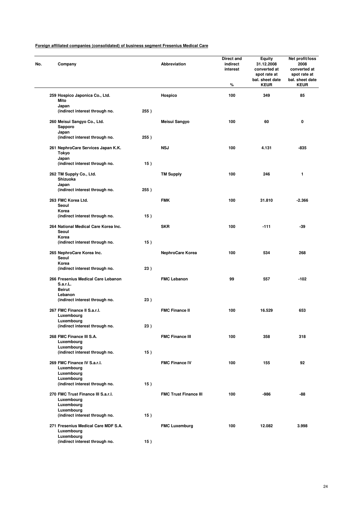| No. | Company                                                         |      | Abbreviation                 | Direct and<br>indirect<br>interest<br>% | Equity<br>31.12.2008<br>converted at<br>spot rate at<br>bal. sheet date<br><b>KEUR</b> | Net profit/loss<br>2008<br>converted at<br>spot rate at<br>bal. sheet date<br><b>KEUR</b> |
|-----|-----------------------------------------------------------------|------|------------------------------|-----------------------------------------|----------------------------------------------------------------------------------------|-------------------------------------------------------------------------------------------|
|     | 259 Hospico Japonica Co., Ltd.<br>Mito                          |      | Hospico                      | 100                                     | 349                                                                                    | 85                                                                                        |
|     | Japan<br>(indirect interest through no.                         | 255) |                              |                                         |                                                                                        |                                                                                           |
|     | 260 Meisui Sangyo Co., Ltd.<br>Sapporo                          |      | Meisui Sangyo                | 100                                     | 60                                                                                     | 0                                                                                         |
|     | Japan<br>(indirect interest through no.                         | 255) |                              |                                         |                                                                                        |                                                                                           |
|     | 261 NephroCare Services Japan K.K.<br>Tokyo<br>Japan            |      | <b>NSJ</b>                   | 100                                     | 4.131                                                                                  | -835                                                                                      |
|     | (indirect interest through no.                                  | 15)  |                              |                                         |                                                                                        |                                                                                           |
|     | 262 TM Supply Co., Ltd.<br>Shizuoka<br>Japan                    |      | <b>TM Supply</b>             | 100                                     | 246                                                                                    | 1                                                                                         |
|     | (indirect interest through no.                                  | 255) |                              |                                         |                                                                                        |                                                                                           |
|     | 263 FMC Korea Ltd.<br>Seoul                                     |      | <b>FMK</b>                   | 100                                     | 31.810                                                                                 | $-2.366$                                                                                  |
|     | Korea<br>(indirect interest through no.                         | 15)  |                              |                                         |                                                                                        |                                                                                           |
|     | 264 National Medical Care Korea Inc.<br>Seoul                   |      | <b>SKR</b>                   | 100                                     | $-111$                                                                                 | -39                                                                                       |
|     | Korea<br>(indirect interest through no.                         | 15)  |                              |                                         |                                                                                        |                                                                                           |
|     | 265 NephroCare Korea Inc.<br>Seoul                              |      | NephroCare Korea             | 100                                     | 534                                                                                    | 268                                                                                       |
|     | Korea<br>(indirect interest through no.                         | 23)  |                              |                                         |                                                                                        |                                                                                           |
|     | 266 Fresenius Medical Care Lebanon<br>S.a.r.L.<br><b>Beirut</b> |      | <b>FMC Lebanon</b>           | 99                                      | 557                                                                                    | $-102$                                                                                    |
|     | Lebanon<br>(indirect interest through no.                       | 23)  |                              |                                         |                                                                                        |                                                                                           |
|     | 267 FMC Finance II S.a.r.I.                                     |      | <b>FMC Finance II</b>        | 100                                     | 16.529                                                                                 | 653                                                                                       |
|     | Luxembourg<br>Luxembourg                                        |      |                              |                                         |                                                                                        |                                                                                           |
|     | (indirect interest through no.                                  | 23)  |                              |                                         |                                                                                        |                                                                                           |
|     | 268 FMC Finance III S.A.<br>Luxembourg<br>Luxembourg            |      | <b>FMC Finance III</b>       | 100                                     | 358                                                                                    | 318                                                                                       |
|     | (indirect interest through no.                                  | 15)  |                              |                                         |                                                                                        |                                                                                           |
|     | 269 FMC Finance IV S.a.r.l.<br>Luxembourg<br>Luxembourg         |      | <b>FMC Finance IV</b>        | 100                                     | 155                                                                                    | 92                                                                                        |
|     | Luxembourg                                                      |      |                              |                                         |                                                                                        |                                                                                           |
|     | (indirect interest through no.                                  | 15)  |                              |                                         |                                                                                        |                                                                                           |
|     | 270 FMC Trust Finance III S.a.r.I.<br>Luxembourg<br>Luxembourg  |      | <b>FMC Trust Finance III</b> | 100                                     | $-986$                                                                                 | -88                                                                                       |
|     | Luxembourg<br>(indirect interest through no.                    | 15)  |                              |                                         |                                                                                        |                                                                                           |
|     | 271 Fresenius Medical Care MDF S.A.<br>Luxembourg               |      | <b>FMC Luxemburg</b>         | 100                                     | 12.082                                                                                 | 3.998                                                                                     |
|     | Luxembourg<br>(indirect interest through no.                    | 15)  |                              |                                         |                                                                                        |                                                                                           |
|     |                                                                 |      |                              |                                         |                                                                                        |                                                                                           |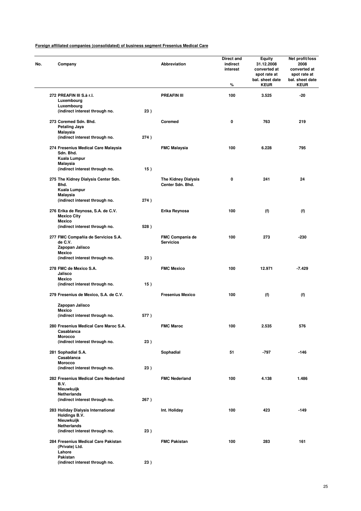| Company                                                               |      | Abbreviation                                   | Direct and<br>indirect<br>interest<br>% | <b>Equity</b><br>31.12.2008<br>converted at<br>spot rate at<br>bal. sheet date<br><b>KEUR</b> | Net profit/loss<br>2008<br>converted at<br>spot rate at<br>bal. sheet date<br><b>KEUR</b> |
|-----------------------------------------------------------------------|------|------------------------------------------------|-----------------------------------------|-----------------------------------------------------------------------------------------------|-------------------------------------------------------------------------------------------|
| 272 PREAFIN III S.à r.I.<br>Luxembourg                                |      | <b>PREAFIN III</b>                             | 100                                     | 3.525                                                                                         | $-20$                                                                                     |
| Luxembourg<br>(indirect interest through no.                          | 23)  |                                                |                                         |                                                                                               |                                                                                           |
| 273 Coremed Sdn. Bhd.<br><b>Petaling Jaya</b>                         |      | Coremed                                        | 0                                       | 763                                                                                           | 219                                                                                       |
| Malaysia<br>(indirect interest through no.                            | 274) |                                                |                                         |                                                                                               |                                                                                           |
| 274 Fresenius Medical Care Malaysia<br>Sdn. Bhd.                      |      | <b>FMC Malaysia</b>                            | 100                                     | 6.228                                                                                         | 795                                                                                       |
| Kuala Lumpur<br>Malaysia                                              |      |                                                |                                         |                                                                                               |                                                                                           |
| (indirect interest through no.                                        | 15)  |                                                |                                         |                                                                                               |                                                                                           |
| 275 The Kidney Dialysis Center Sdn.<br>Bhd.<br>Kuala Lumpur           |      | <b>The Kidney Dialysis</b><br>Center Sdn. Bhd. | 0                                       | 241                                                                                           | 24                                                                                        |
| Malaysia<br>(indirect interest through no.                            | 274) |                                                |                                         |                                                                                               |                                                                                           |
| 276 Erika de Reynosa, S.A. de C.V.<br><b>Mexico City</b>              |      | Erika Reynosa                                  | 100                                     | (f)                                                                                           | (f)                                                                                       |
| <b>Mexico</b><br>(indirect interest through no.                       | 528) |                                                |                                         |                                                                                               |                                                                                           |
| 277 FMC Compañia de Servicios S.A.<br>de C.V.                         |      | <b>FMC Compania de</b><br><b>Servicios</b>     | 100                                     | 273                                                                                           | -230                                                                                      |
| Zapopan Jalisco<br><b>Mexico</b><br>(indirect interest through no.    | 23)  |                                                |                                         |                                                                                               |                                                                                           |
| 278 FMC de Mexico S.A.                                                |      | <b>FMC Mexico</b>                              | 100                                     | 12.971                                                                                        | $-7.429$                                                                                  |
| Jalisco<br><b>Mexico</b>                                              |      |                                                |                                         |                                                                                               |                                                                                           |
| (indirect interest through no.                                        | 15)  |                                                |                                         |                                                                                               |                                                                                           |
| 279 Fresenius de Mexico, S.A. de C.V.                                 |      | <b>Fresenius Mexico</b>                        | 100                                     | (f)                                                                                           | (f)                                                                                       |
| Zapopan Jalisco<br><b>Mexico</b>                                      |      |                                                |                                         |                                                                                               |                                                                                           |
| (indirect interest through no.                                        | 577) |                                                |                                         |                                                                                               |                                                                                           |
| 280 Fresenius Medical Care Maroc S.A.<br>Casablanca                   |      | <b>FMC Maroc</b>                               | 100                                     | 2.535                                                                                         | 576                                                                                       |
| <b>Morocco</b><br>(indirect interest through no.                      | 23)  |                                                |                                         |                                                                                               |                                                                                           |
| 281 Sophadial S.A.<br>Casablanca                                      |      | Sophadial                                      | 51                                      | -797                                                                                          | $-146$                                                                                    |
| <b>Morocco</b><br>(indirect interest through no.                      | 23)  |                                                |                                         |                                                                                               |                                                                                           |
| 282 Fresenius Medical Care Nederland<br>B.V.                          |      | <b>FMC Nederland</b>                           | 100                                     | 4.138                                                                                         | 1.486                                                                                     |
| Nieuwkuijk<br><b>Netherlands</b>                                      |      |                                                |                                         |                                                                                               |                                                                                           |
| (indirect interest through no.                                        | 267) |                                                |                                         |                                                                                               |                                                                                           |
| 283 Holiday Dialysis International<br>Holdings B.V.<br>Nieuwkuijk     |      | Int. Holiday                                   | 100                                     | 423                                                                                           | $-149$                                                                                    |
| Netherlands                                                           |      |                                                |                                         |                                                                                               |                                                                                           |
| (indirect interest through no.<br>284 Fresenius Medical Care Pakistan | 23)  | <b>FMC Pakistan</b>                            | 100                                     | 283                                                                                           | 161                                                                                       |
| (Private) Ltd.<br>Lahore<br>Pakistan                                  |      |                                                |                                         |                                                                                               |                                                                                           |
| (indirect interest through no.                                        | 23)  |                                                |                                         |                                                                                               |                                                                                           |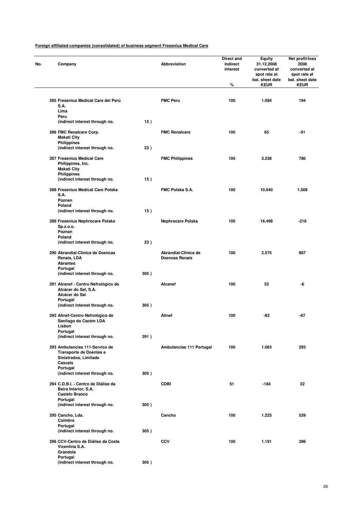| No. | Company                                                                                       |      | Abbreviation                                  | Direct and<br>indirect<br>interest<br>% | Equity<br>31.12.2008<br>converted at<br>spot rate at<br>bal. sheet date<br><b>KEUR</b> | Net profit/loss<br>2008<br>converted at<br>spot rate at<br>bal. sheet date<br><b>KEUR</b> |
|-----|-----------------------------------------------------------------------------------------------|------|-----------------------------------------------|-----------------------------------------|----------------------------------------------------------------------------------------|-------------------------------------------------------------------------------------------|
|     | 285 Fresenius Medical Care del Perú<br>S.A.<br>Lima                                           |      | <b>FMC Peru</b>                               | 100                                     | 1.094                                                                                  | 194                                                                                       |
|     | Peru<br>(indirect interest through no.                                                        | 15)  |                                               |                                         |                                                                                        |                                                                                           |
|     | 286 FMC Renalcare Corp.<br><b>Makati City</b><br><b>Philippines</b>                           |      | <b>FMC Renalcare</b>                          | 100                                     | 65                                                                                     | -51                                                                                       |
|     | (indirect interest through no.                                                                | 23)  |                                               |                                         |                                                                                        |                                                                                           |
|     | 287 Fresenius Medical Care<br>Philippines, Inc.<br><b>Makati City</b><br><b>Philippines</b>   |      | <b>FMC Philippines</b>                        | 100                                     | 3.238                                                                                  | 780                                                                                       |
|     | (indirect interest through no.                                                                | 15)  |                                               |                                         |                                                                                        |                                                                                           |
|     | 288 Fresenius Medical Care Polska<br>S.A.<br>Poznan                                           |      | <b>FMC Polska S.A.</b>                        | 100                                     | 10.640                                                                                 | 1.508                                                                                     |
|     | Poland<br>(indirect interest through no.                                                      | 15)  |                                               |                                         |                                                                                        |                                                                                           |
|     | 289 Fresenius Nephrocare Polska<br>Sp.z.o.o.                                                  |      | Nephrocare Polska                             | 100                                     | 16.498                                                                                 | $-216$                                                                                    |
|     | Poznan<br>Poland<br>(indirect interest through no.                                            | 23)  |                                               |                                         |                                                                                        |                                                                                           |
|     | 290 Abrandial-Clínica de Doencas<br>Renais, LDA<br><b>Abrantes</b>                            |      | Abrandial-Clinica de<br><b>Doencas Renais</b> | 100                                     | 2.575                                                                                  | 867                                                                                       |
|     | Portugal<br>(indirect interest through no.                                                    | 305) |                                               |                                         |                                                                                        |                                                                                           |
|     | 291 Alcanef - Centro Nefrológico de<br>Alcácer do Sal, S.A.<br>Alcácer do Sal                 |      | Alcanef                                       | 100                                     | 52                                                                                     | -6                                                                                        |
|     | Portugal<br>(indirect interest through no.                                                    | 305) |                                               |                                         |                                                                                        |                                                                                           |
|     | 292 Alinef-Centro Nefrológico de<br>Santiago do Cacém LDA<br>Lisbon                           |      | <b>Alinef</b>                                 | 100                                     | -82                                                                                    | -67                                                                                       |
|     | Portugal<br>(indirect interest through no.                                                    | 291) |                                               |                                         |                                                                                        |                                                                                           |
|     | 293 Ambulancias 111-Servico de<br>Transporte de Doentes e<br>Sinistrados, Limitada<br>Cascais |      | Ambulancias 111 Portugal                      | 100                                     | 1.063                                                                                  | 293                                                                                       |
|     | Portugal<br>(indirect interest through no.                                                    | 305) |                                               |                                         |                                                                                        |                                                                                           |
|     | 294 C.D.B.I. - Centro de Diálise da<br>Beira Interior, S.A.<br>Castelo Branco                 |      | <b>CDBI</b>                                   | 51                                      | -184                                                                                   | 22                                                                                        |
|     | Portugal<br>(indirect interest through no.                                                    | 305) |                                               |                                         |                                                                                        |                                                                                           |
|     | 295 Cancho, Lda.<br>Coimbra                                                                   |      | Cancho                                        | 100                                     | 1.225                                                                                  | 539                                                                                       |
|     | Portugal<br>(indirect interest through no.                                                    | 305) |                                               |                                         |                                                                                        |                                                                                           |
|     | 296 CCV-Centro de Diálise da Costa<br>Vicentina S.A.<br>Grandola                              |      | <b>CCV</b>                                    | 100                                     | 1.191                                                                                  | 396                                                                                       |
|     | Portugal<br>(indirect interest through no.                                                    | 305) |                                               |                                         |                                                                                        |                                                                                           |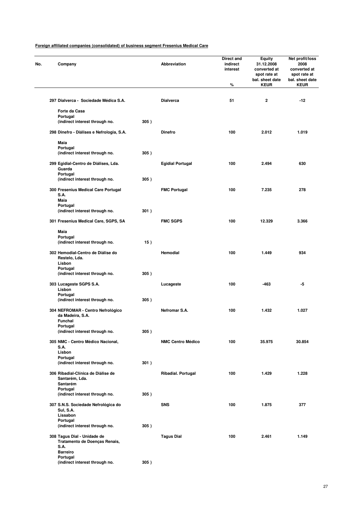| Company                                                                 |      | Abbreviation             | Direct and<br>indirect<br>interest<br>% | <b>Equity</b><br>31.12.2008<br>converted at<br>spot rate at<br>bal. sheet date<br><b>KEUR</b> | Net profit/loss<br>2008<br>converted at<br>spot rate at<br>bal. sheet date<br><b>KEUR</b> |
|-------------------------------------------------------------------------|------|--------------------------|-----------------------------------------|-----------------------------------------------------------------------------------------------|-------------------------------------------------------------------------------------------|
|                                                                         |      |                          |                                         |                                                                                               |                                                                                           |
| 297 Dialverca - Sociedade Médica S.A.                                   |      | <b>Dialverca</b>         | 51                                      | $\mathbf{2}$                                                                                  | $-12$                                                                                     |
| Forte da Casa                                                           |      |                          |                                         |                                                                                               |                                                                                           |
| Portugal<br>(indirect interest through no.                              | 305) |                          |                                         |                                                                                               |                                                                                           |
| 298 Dinefro - Diálises e Nefrologia, S.A.                               |      | <b>Dinefro</b>           | 100                                     | 2.012                                                                                         | 1.019                                                                                     |
|                                                                         |      |                          |                                         |                                                                                               |                                                                                           |
| Maia<br>Portugal                                                        |      |                          |                                         |                                                                                               |                                                                                           |
| (indirect interest through no.                                          | 305) |                          |                                         |                                                                                               |                                                                                           |
| 299 Egidial-Centro de Diálises, Lda.<br>Guarda                          |      | <b>Egidial Portugal</b>  | 100                                     | 2.494                                                                                         | 630                                                                                       |
| Portugal<br>(indirect interest through no.                              | 305) |                          |                                         |                                                                                               |                                                                                           |
| 300 Fresenius Medical Care Portugal<br>S.A.                             |      | <b>FMC Portugal</b>      | 100                                     | 7.235                                                                                         | 278                                                                                       |
| <b>Maia</b>                                                             |      |                          |                                         |                                                                                               |                                                                                           |
| Portugal<br>(indirect interest through no.                              | 301) |                          |                                         |                                                                                               |                                                                                           |
| 301 Fresenius Medical Care, SGPS, SA                                    |      | <b>FMC SGPS</b>          | 100                                     | 12.329                                                                                        | 3.366                                                                                     |
| Maia                                                                    |      |                          |                                         |                                                                                               |                                                                                           |
| Portugal<br>(indirect interest through no.                              | 15)  |                          |                                         |                                                                                               |                                                                                           |
|                                                                         |      |                          |                                         |                                                                                               |                                                                                           |
| 302 Hemodial-Centro de Diálise do<br>Restelo, Lda.<br>Lisbon            |      | Hemodial                 | 100                                     | 1.449                                                                                         | 934                                                                                       |
| Portugal<br>(indirect interest through no.                              | 305) |                          |                                         |                                                                                               |                                                                                           |
| 303 Lucageste SGPS S.A.<br>Lisbon                                       |      | Lucageste                | 100                                     | -463                                                                                          | -5                                                                                        |
| Portugal                                                                | 305) |                          |                                         |                                                                                               |                                                                                           |
| (indirect interest through no.                                          |      |                          |                                         |                                                                                               |                                                                                           |
| 304 NEFROMAR - Centro Nefrológico<br>da Madeira, S.A.<br><b>Funchal</b> |      | Netromar S.A.            | 100                                     | 1.432                                                                                         | 1.027                                                                                     |
| Portugal                                                                |      |                          |                                         |                                                                                               |                                                                                           |
| (indirect interest through no.                                          | 305) |                          |                                         |                                                                                               |                                                                                           |
| 305 NMC - Centro Médico Nacional,<br>S.A.<br>Lisbon                     |      | <b>NMC Centro Médico</b> | 100                                     | 35.975                                                                                        | 30.854                                                                                    |
| Portugal                                                                |      |                          |                                         |                                                                                               |                                                                                           |
| (indirect interest through no.                                          | 301) |                          |                                         |                                                                                               |                                                                                           |
| 306 Ribadial-Clínica de Diálise de<br>Santarém, Lda.                    |      | Ribadial. Portugal       | 100                                     | 1.429                                                                                         | 1.228                                                                                     |
| Santarém<br>Portugal                                                    |      |                          |                                         |                                                                                               |                                                                                           |
| (indirect interest through no.                                          | 305) |                          |                                         |                                                                                               |                                                                                           |
| 307 S.N.S. Sociedade Nefrológica do<br>Sul, S.A.                        |      | <b>SNS</b>               | 100                                     | 1.875                                                                                         | 377                                                                                       |
| Lissabon<br>Portugal                                                    |      |                          |                                         |                                                                                               |                                                                                           |
| (indirect interest through no.                                          | 305) |                          |                                         |                                                                                               |                                                                                           |
| 308 Tagus Dial - Unidade de<br>Tratamento de Doenças Renais,<br>S.A.    |      | <b>Tagus Dial</b>        | 100                                     | 2.461                                                                                         | 1.149                                                                                     |
| <b>Barreiro</b><br>Portugal                                             |      |                          |                                         |                                                                                               |                                                                                           |
| (indirect interest through no.                                          | 305) |                          |                                         |                                                                                               |                                                                                           |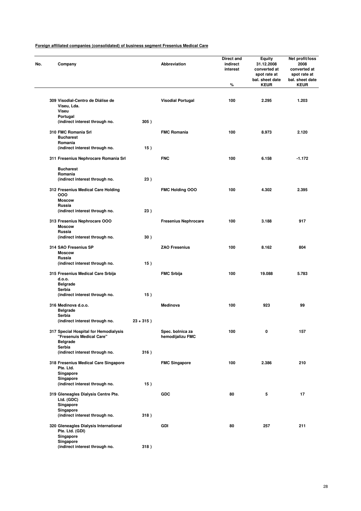| Company                                                                              |              | Abbreviation                         | Direct and<br>indirect<br>interest<br>% | <b>Equity</b><br>31.12.2008<br>converted at<br>spot rate at<br>bal. sheet date<br><b>KEUR</b> | Net profit/loss<br>2008<br>converted at<br>spot rate at<br>bal. sheet date<br><b>KEUR</b> |
|--------------------------------------------------------------------------------------|--------------|--------------------------------------|-----------------------------------------|-----------------------------------------------------------------------------------------------|-------------------------------------------------------------------------------------------|
| 309 Visodial-Centro de Diálise de                                                    |              | <b>Visodial Portugal</b>             | 100                                     | 2.295                                                                                         | 1.203                                                                                     |
| Viseu, Lda.<br>Viseu                                                                 |              |                                      |                                         |                                                                                               |                                                                                           |
| Portugal                                                                             |              |                                      |                                         |                                                                                               |                                                                                           |
| (indirect interest through no.                                                       | 305)         |                                      |                                         |                                                                                               |                                                                                           |
| 310 FMC Romania Srl<br><b>Bucharest</b>                                              |              | <b>FMC Romania</b>                   | 100                                     | 8.973                                                                                         | 2.120                                                                                     |
| Romania<br>(indirect interest through no.                                            | 15)          |                                      |                                         |                                                                                               |                                                                                           |
| 311 Fresenius Nephrocare Romania Srl                                                 |              | <b>FNC</b>                           | 100                                     | 6.158                                                                                         | $-1.172$                                                                                  |
| <b>Bucharest</b>                                                                     |              |                                      |                                         |                                                                                               |                                                                                           |
| Romania<br>(indirect interest through no.                                            | 23)          |                                      |                                         |                                                                                               |                                                                                           |
| 312 Fresenius Medical Care Holding<br>000                                            |              | <b>FMC Holding OOO</b>               | 100                                     | 4.302                                                                                         | 2.395                                                                                     |
| <b>Moscow</b><br>Russia                                                              |              |                                      |                                         |                                                                                               |                                                                                           |
| (indirect interest through no.                                                       | 23)          |                                      |                                         |                                                                                               |                                                                                           |
| 313 Fresenius Nephrocare OOO<br><b>Moscow</b>                                        |              | <b>Fresenius Nephrocare</b>          | 100                                     | 3.188                                                                                         | 917                                                                                       |
| Russia<br>(indirect interest through no.                                             | 30)          |                                      |                                         |                                                                                               |                                                                                           |
| 314 SAO Fresenius SP<br><b>Moscow</b>                                                |              | <b>ZAO Fresenius</b>                 | 100                                     | 8.162                                                                                         | 804                                                                                       |
| Russia<br>(indirect interest through no.                                             | 15)          |                                      |                                         |                                                                                               |                                                                                           |
| 315 Fresenius Medical Care Srbija<br>d.o.o.                                          |              | <b>FMC Srbija</b>                    | 100                                     | 19.088                                                                                        | 5.783                                                                                     |
| <b>Belgrade</b><br>Serbia                                                            |              |                                      |                                         |                                                                                               |                                                                                           |
| (indirect interest through no.                                                       | 15)          |                                      |                                         |                                                                                               |                                                                                           |
| 316 Medinova d.o.o.<br><b>Belgrade</b>                                               |              | Medinova                             | 100                                     | 923                                                                                           | 99                                                                                        |
| Serbia<br>(indirect interest through no.                                             | $23 + 315$ ) |                                      |                                         |                                                                                               |                                                                                           |
| 317 Special Hospital for Hemodialysis<br>"Fresenuis Medical Care"<br><b>Belgrade</b> |              | Spec. bolnica za<br>hemodijalizu FMC | 100                                     | 0                                                                                             | 157                                                                                       |
| Serbia                                                                               |              |                                      |                                         |                                                                                               |                                                                                           |
| (indirect interest through no.<br>318 Fresenius Medical Care Singapore               | 316)         | <b>FMC Singapore</b>                 | 100                                     | 2.386                                                                                         | 210                                                                                       |
| Pte. Ltd.<br>Singapore                                                               |              |                                      |                                         |                                                                                               |                                                                                           |
| Singapore<br>(indirect interest through no.                                          | 15)          |                                      |                                         |                                                                                               |                                                                                           |
| 319 Gleneagles Dialysis Centre Pte.<br>Ltd. (GDC)                                    |              | <b>GDC</b>                           | 80                                      | 5                                                                                             | 17                                                                                        |
| Singapore<br>Singapore<br>(indirect interest through no.                             | 318)         |                                      |                                         |                                                                                               |                                                                                           |
| 320 Gleneagles Dialysis International<br>Pte. Ltd. (GDI)                             |              | GDI                                  | 80                                      | 257                                                                                           | 211                                                                                       |
| Singapore<br>Singapore<br>(indirect interest through no.                             | 318)         |                                      |                                         |                                                                                               |                                                                                           |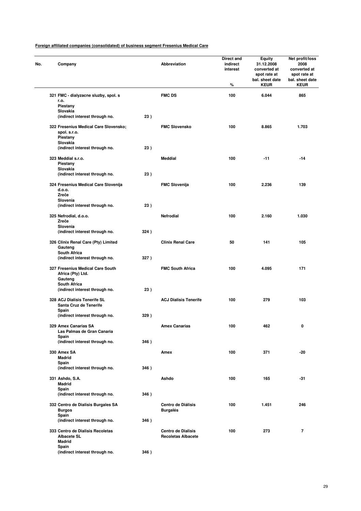| No. | Company                                                                       |      | Abbreviation                                           | Direct and<br>indirect<br>interest<br>% | <b>Equity</b><br>31.12.2008<br>converted at<br>spot rate at<br>bal. sheet date<br><b>KEUR</b> | Net profit/loss<br>2008<br>converted at<br>spot rate at<br>bal. sheet date<br><b>KEUR</b> |
|-----|-------------------------------------------------------------------------------|------|--------------------------------------------------------|-----------------------------------------|-----------------------------------------------------------------------------------------------|-------------------------------------------------------------------------------------------|
|     | 321 FMC - dialyzacne sluzby, spol. s                                          |      | <b>FMC DS</b>                                          | 100                                     | 6.044                                                                                         | 865                                                                                       |
|     | r.o.<br>Piestany                                                              |      |                                                        |                                         |                                                                                               |                                                                                           |
|     | Slovakia                                                                      |      |                                                        |                                         |                                                                                               |                                                                                           |
|     | (indirect interest through no.                                                | 23)  |                                                        |                                         |                                                                                               |                                                                                           |
|     | 322 Fresenius Medical Care Slovensko;<br>spol. s.r.o.<br>Piestany<br>Slovakia |      | <b>FMC Slovensko</b>                                   | 100                                     | 8.865                                                                                         | 1.703                                                                                     |
|     | (indirect interest through no.                                                | 23)  |                                                        |                                         |                                                                                               |                                                                                           |
|     | 323 Meddial s.r.o.<br>Piestany                                                |      | Meddial                                                | 100                                     | $-11$                                                                                         | -14                                                                                       |
|     | Slovakia                                                                      |      |                                                        |                                         |                                                                                               |                                                                                           |
|     | (indirect interest through no.                                                | 23)  |                                                        |                                         |                                                                                               |                                                                                           |
|     | 324 Fresenius Medical Care Slovenija<br>d.o.o.                                |      | <b>FMC Slovenija</b>                                   | 100                                     | 2.236                                                                                         | 139                                                                                       |
|     | Zreče<br>Slovenia                                                             |      |                                                        |                                         |                                                                                               |                                                                                           |
|     | (indirect interest through no.                                                | 23)  |                                                        |                                         |                                                                                               |                                                                                           |
|     | 325 Nefrodial, d.o.o.<br>Zreče                                                |      | <b>Nefrodial</b>                                       | 100                                     | 2.160                                                                                         | 1.030                                                                                     |
|     | Slovenia                                                                      |      |                                                        |                                         |                                                                                               |                                                                                           |
|     | (indirect interest through no.                                                | 324) |                                                        |                                         |                                                                                               |                                                                                           |
|     | 326 Clinix Renal Care (Pty) Limited<br>Gauteng<br>South Africa                |      | <b>Clinix Renal Care</b>                               | 50                                      | 141                                                                                           | 105                                                                                       |
|     | (indirect interest through no.                                                | 327) |                                                        |                                         |                                                                                               |                                                                                           |
|     | 327 Fresenius Medical Care South<br>Africa (Pty) Ltd.<br>Gauteng              |      | <b>FMC South Africa</b>                                | 100                                     | 4.095                                                                                         | 171                                                                                       |
|     | <b>South Africa</b><br>(indirect interest through no.                         | 23)  |                                                        |                                         |                                                                                               |                                                                                           |
|     |                                                                               |      |                                                        |                                         |                                                                                               |                                                                                           |
|     | 328 ACJ Dialisis Tenerife SL<br>Santa Cruz de Tenerife<br>Spain               |      | <b>ACJ Dialisis Tenerife</b>                           | 100                                     | 279                                                                                           | 103                                                                                       |
|     | (indirect interest through no.                                                | 329) |                                                        |                                         |                                                                                               |                                                                                           |
|     | 329 Amex Canarias SA<br>Las Palmas de Gran Canaria                            |      | <b>Amex Canarias</b>                                   | 100                                     | 462                                                                                           | 0                                                                                         |
|     | Spain                                                                         |      |                                                        |                                         |                                                                                               |                                                                                           |
|     | (indirect interest through no.                                                | 346) |                                                        |                                         |                                                                                               |                                                                                           |
|     | 330 Amex SA<br><b>Madrid</b><br>Spain                                         |      | Amex                                                   | 100                                     | 371                                                                                           | -20                                                                                       |
|     | (indirect interest through no.                                                | 346) |                                                        |                                         |                                                                                               |                                                                                           |
|     | 331 Ashdo, S.A.<br><b>Madrid</b>                                              |      | Ashdo                                                  | 100                                     | 165                                                                                           | $-31$                                                                                     |
|     | Spain<br>(indirect interest through no.                                       | 346) |                                                        |                                         |                                                                                               |                                                                                           |
|     | 332 Centro de Dialisis Burgales SA<br><b>Burgos</b>                           |      | Centro de Diálisis<br><b>Burgalés</b>                  | 100                                     | 1.451                                                                                         | 246                                                                                       |
|     | Spain<br>(indirect interest through no.                                       | 346) |                                                        |                                         |                                                                                               |                                                                                           |
|     | 333 Centro de Dialisis Recoletas<br><b>Albacete SL</b><br><b>Madrid</b>       |      | <b>Centro de Dialisis</b><br><b>Recoletas Albacete</b> | 100                                     | 273                                                                                           | $\overline{7}$                                                                            |
|     | Spain<br>(indirect interest through no.                                       | 346) |                                                        |                                         |                                                                                               |                                                                                           |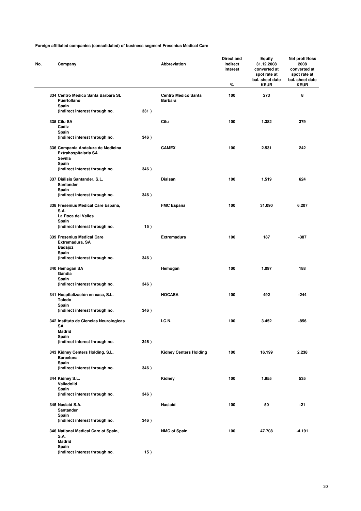| No. | Company                                                              |      | Abbreviation                                 | Direct and<br>indirect<br>interest<br>℅ | Equity<br>31.12.2008<br>converted at<br>spot rate at<br>bal. sheet date<br><b>KEUR</b> | Net profit/loss<br>2008<br>converted at<br>spot rate at<br>bal. sheet date<br><b>KEUR</b> |
|-----|----------------------------------------------------------------------|------|----------------------------------------------|-----------------------------------------|----------------------------------------------------------------------------------------|-------------------------------------------------------------------------------------------|
|     | 334 Centro Medico Santa Barbara SL<br>Puertollano                    |      | <b>Centro Medico Santa</b><br><b>Barbara</b> | 100                                     | 273                                                                                    | 8                                                                                         |
|     | Spain<br>(indirect interest through no.                              | 331) |                                              |                                         |                                                                                        |                                                                                           |
|     | 335 Cilu SA                                                          |      | Cilu                                         | 100                                     | 1.382                                                                                  | 379                                                                                       |
|     | Cádiz                                                                |      |                                              |                                         |                                                                                        |                                                                                           |
|     | Spain<br>(indirect interest through no.                              | 346) |                                              |                                         |                                                                                        |                                                                                           |
|     |                                                                      |      |                                              |                                         |                                                                                        |                                                                                           |
|     | 336 Compania Andaluza de Medicina<br>Extrahospitalaria SA<br>Sevilla |      | <b>CAMEX</b>                                 | 100                                     | 2.531                                                                                  | 242                                                                                       |
|     | Spain<br>(indirect interest through no.                              | 346) |                                              |                                         |                                                                                        |                                                                                           |
|     | 337 Diálisis Santander, S.L.<br>Santander                            |      | Dialsan                                      | 100                                     | 1.519                                                                                  | 624                                                                                       |
|     | Spain<br>(indirect interest through no.                              | 346) |                                              |                                         |                                                                                        |                                                                                           |
|     |                                                                      |      |                                              |                                         |                                                                                        |                                                                                           |
|     | 338 Fresenius Medical Care Espana,<br>S.A.                           |      | <b>FMC Espana</b>                            | 100                                     | 31.090                                                                                 | 6.207                                                                                     |
|     | La Roca del Valles<br>Spain                                          |      |                                              |                                         |                                                                                        |                                                                                           |
|     | (indirect interest through no.                                       | 15)  |                                              |                                         |                                                                                        |                                                                                           |
|     | 339 Fresenius Medical Care<br>Extremadura, SA                        |      | <b>Extremadura</b>                           | 100                                     | 187                                                                                    | $-387$                                                                                    |
|     | <b>Badajoz</b><br>Spain                                              |      |                                              |                                         |                                                                                        |                                                                                           |
|     | (indirect interest through no.                                       | 346) |                                              |                                         |                                                                                        |                                                                                           |
|     | 340 Hemogan SA<br>Gandia<br>Spain                                    |      | Hemogan                                      | 100                                     | 1.097                                                                                  | 188                                                                                       |
|     | (indirect interest through no.                                       | 346) |                                              |                                         |                                                                                        |                                                                                           |
|     | 341 Hospitalización en casa, S.L.<br>Toledo                          |      | <b>HOCASA</b>                                | 100                                     | 492                                                                                    | -244                                                                                      |
|     | Spain<br>(indirect interest through no.                              | 346) |                                              |                                         |                                                                                        |                                                                                           |
|     |                                                                      |      |                                              |                                         |                                                                                        |                                                                                           |
|     | 342 Instituto de Ciencias Neurologicas<br>SΑ<br>Madrid               |      | <b>I.C.N.</b>                                | 100                                     | 3.452                                                                                  | -856                                                                                      |
|     | Spain<br>(indirect interest through no.                              | 346) |                                              |                                         |                                                                                        |                                                                                           |
|     | 343 Kidney Centers Holding, S.L.                                     |      | <b>Kidney Centers Holding</b>                | 100                                     | 16.199                                                                                 | 2.238                                                                                     |
|     | <b>Barcelona</b><br>Spain                                            |      |                                              |                                         |                                                                                        |                                                                                           |
|     | (indirect interest through no.                                       | 346) |                                              |                                         |                                                                                        |                                                                                           |
|     | 344 Kidney S.L.                                                      |      | Kidney                                       | 100                                     | 1.955                                                                                  | 535                                                                                       |
|     | Valladolid<br>Spain                                                  |      |                                              |                                         |                                                                                        |                                                                                           |
|     | (indirect interest through no.                                       | 346) |                                              |                                         |                                                                                        |                                                                                           |
|     | 345 Naslaid S.A.<br>Santander                                        |      | Naslaid                                      | 100                                     | 50                                                                                     | $-21$                                                                                     |
|     | Spain<br>(indirect interest through no.                              | 346) |                                              |                                         |                                                                                        |                                                                                           |
|     | 346 National Medical Care of Spain,<br>S.A.                          |      | <b>NMC of Spain</b>                          | 100                                     | 47.708                                                                                 | -4.191                                                                                    |
|     | <b>Madrid</b><br>Spain                                               |      |                                              |                                         |                                                                                        |                                                                                           |
|     | (indirect interest through no.                                       | 15)  |                                              |                                         |                                                                                        |                                                                                           |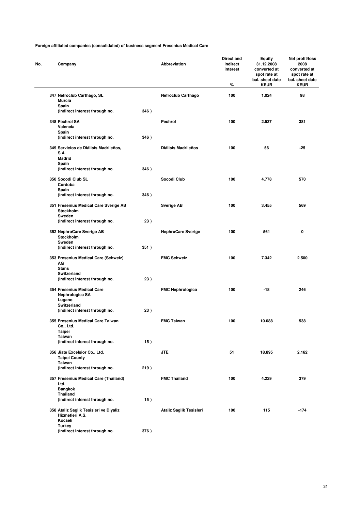| No. | Company                                                              |      | Abbreviation               | Direct and<br>indirect<br>interest<br>% | Equity<br>31.12.2008<br>converted at<br>spot rate at<br>bal. sheet date<br><b>KEUR</b> | Net profit/loss<br>2008<br>converted at<br>spot rate at<br>bal. sheet date<br><b>KEUR</b> |
|-----|----------------------------------------------------------------------|------|----------------------------|-----------------------------------------|----------------------------------------------------------------------------------------|-------------------------------------------------------------------------------------------|
|     | 347 Nefroclub Carthago, SL<br><b>Murcia</b>                          |      | <b>Nefroclub Carthago</b>  | 100                                     | 1.024                                                                                  | 98                                                                                        |
|     | Spain<br>(indirect interest through no.                              | 346) |                            |                                         |                                                                                        |                                                                                           |
|     | 348 Pechrol SA                                                       |      | Pechrol                    | 100                                     | 2.537                                                                                  | 381                                                                                       |
|     | Valencia<br>Spain                                                    |      |                            |                                         |                                                                                        |                                                                                           |
|     | (indirect interest through no.                                       | 346) |                            |                                         |                                                                                        |                                                                                           |
|     | 349 Servicios de Diálisis Madrileños,<br>S.A.                        |      | <b>Diálisis Madrileños</b> | 100                                     | 56                                                                                     | $-25$                                                                                     |
|     | <b>Madrid</b><br>Spain                                               |      |                            |                                         |                                                                                        |                                                                                           |
|     | (indirect interest through no.                                       | 346) |                            |                                         |                                                                                        |                                                                                           |
|     | 350 Socodi Club SL<br>Córdoba                                        |      | Socodi Club                | 100                                     | 4.778                                                                                  | 570                                                                                       |
|     | Spain<br>(indirect interest through no.                              | 346) |                            |                                         |                                                                                        |                                                                                           |
|     | 351 Fresenius Medical Care Sverige AB<br>Stockholm                   |      | <b>Sverige AB</b>          | 100                                     | 3.455                                                                                  | 569                                                                                       |
|     | Sweden<br>(indirect interest through no.                             | 23)  |                            |                                         |                                                                                        |                                                                                           |
|     | 352 NephroCare Sverige AB<br>Stockholm                               |      | <b>NephroCare Sverige</b>  | 100                                     | 561                                                                                    | 0                                                                                         |
|     | Sweden<br>(indirect interest through no.                             | 351) |                            |                                         |                                                                                        |                                                                                           |
|     | 353 Fresenius Medical Care (Schweiz)<br>AG<br><b>Stans</b>           |      | <b>FMC Schweiz</b>         | 100                                     | 7.342                                                                                  | 2.500                                                                                     |
|     | Switzerland                                                          |      |                            |                                         |                                                                                        |                                                                                           |
|     | (indirect interest through no.                                       | 23)  |                            |                                         |                                                                                        |                                                                                           |
|     | 354 Fresenius Medical Care<br>Nephrologica SA<br>Lugano              |      | <b>FMC Nephrologica</b>    | 100                                     | -18                                                                                    | 246                                                                                       |
|     | Switzerland                                                          |      |                            |                                         |                                                                                        |                                                                                           |
|     | (indirect interest through no.                                       | 23)  |                            |                                         |                                                                                        |                                                                                           |
|     | 355 Fresenius Medical Care Taiwan<br>Co., Ltd.<br><b>Taipei</b>      |      | <b>FMC Taiwan</b>          | 100                                     | 10.088                                                                                 | 538                                                                                       |
|     | <b>Taiwan</b><br>(indirect interest through no.                      | 15)  |                            |                                         |                                                                                        |                                                                                           |
|     | 356 Jiate Excelsior Co., Ltd.                                        |      | <b>JTE</b>                 | 51                                      | 18.895                                                                                 | 2.162                                                                                     |
|     | <b>Taipei County</b><br>Taiwan<br>(indirect interest through no.     | 219) |                            |                                         |                                                                                        |                                                                                           |
|     | 357 Fresenius Medical Care (Thailand)                                |      | <b>FMC Thailand</b>        | 100                                     | 4.229                                                                                  | 379                                                                                       |
|     | Ltd.<br><b>Bangkok</b>                                               |      |                            |                                         |                                                                                        |                                                                                           |
|     | Thailand<br>(indirect interest through no.                           | 15)  |                            |                                         |                                                                                        |                                                                                           |
|     | 358 Ataliz Saglik Tesisleri ve Diyaliz<br>Hizmetleri A.S.<br>Kocaeli |      | Ataliz Saglik Tesisleri    | 100                                     | 115                                                                                    | $-174$                                                                                    |
|     | <b>Turkey</b><br>(indirect interest through no.                      | 376) |                            |                                         |                                                                                        |                                                                                           |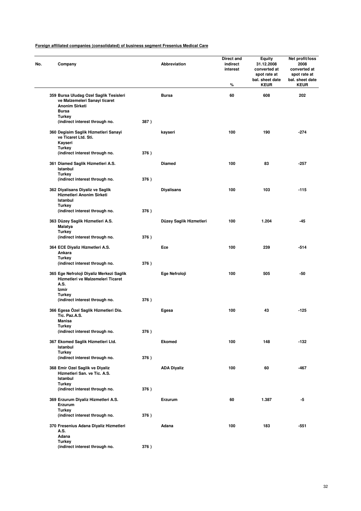| No. | Company                                                                                          |      | <b>Abbreviation</b>     | Direct and<br>indirect<br>interest<br>% | Equity<br>31.12.2008<br>converted at<br>spot rate at<br>bal. sheet date<br><b>KEUR</b> | Net profit/loss<br>2008<br>converted at<br>spot rate at<br>bal. sheet date<br><b>KEUR</b> |
|-----|--------------------------------------------------------------------------------------------------|------|-------------------------|-----------------------------------------|----------------------------------------------------------------------------------------|-------------------------------------------------------------------------------------------|
|     | 359 Bursa Uludag Ozel Saglik Tesisleri<br>ve Malzemeleri Sanayi ticaret<br><b>Anonim Sirketi</b> |      | <b>Bursa</b>            | 60                                      | 608                                                                                    | 202                                                                                       |
|     | Bursa<br><b>Turkey</b>                                                                           |      |                         |                                         |                                                                                        |                                                                                           |
|     | (indirect interest through no.                                                                   | 387) |                         |                                         |                                                                                        |                                                                                           |
|     | 360 Degisim Saglik Hizmetleri Sanayi<br>ve Ticaret Ltd. Sti.<br>Kayseri<br><b>Turkey</b>         |      | kayseri                 | 100                                     | 190                                                                                    | -274                                                                                      |
|     | (indirect interest through no.                                                                   | 376) |                         |                                         |                                                                                        |                                                                                           |
|     | 361 Diamed Saglik Hizmetleri A.S.<br>Istanbul                                                    |      | <b>Diamed</b>           | 100                                     | 83                                                                                     | $-257$                                                                                    |
|     | <b>Turkey</b><br>(indirect interest through no.                                                  | 376) |                         |                                         |                                                                                        |                                                                                           |
|     | 362 Diyalisans Diyaliz ve Saglik<br>Hizmetleri Anonim Sirketi<br>Istanbul                        |      | <b>Diyalisans</b>       | 100                                     | 103                                                                                    | $-115$                                                                                    |
|     | <b>Turkey</b><br>(indirect interest through no.                                                  | 376) |                         |                                         |                                                                                        |                                                                                           |
|     | 363 Düzey Saglik Hizmetleri A.S.<br>Malatya                                                      |      | Düzey Saglik Hizmetleri | 100                                     | 1.204                                                                                  | -45                                                                                       |
|     | Turkey<br>(indirect interest through no.                                                         | 376) |                         |                                         |                                                                                        |                                                                                           |
|     | 364 ECE Diyaliz Hizmetleri A.S.<br>Ankara                                                        |      | Ece                     | 100                                     | 239                                                                                    | -514                                                                                      |
|     | Turkey<br>(indirect interest through no.                                                         | 376) |                         |                                         |                                                                                        |                                                                                           |
|     | 365 Ege Nefroloji Diyaliz Merkezi Saglik<br>Hizmetleri ve Malzemeleri Ticaret<br>A.S.            |      | Ege Nefroloji           | 100                                     | 505                                                                                    | -50                                                                                       |
|     | Izmir                                                                                            |      |                         |                                         |                                                                                        |                                                                                           |
|     | <b>Turkey</b>                                                                                    |      |                         |                                         |                                                                                        |                                                                                           |
|     | (indirect interest through no.                                                                   | 376) |                         |                                         |                                                                                        |                                                                                           |
|     | 366 Egesa Özel Saglik Hizmetleri Dis.<br>Tic. Paz.A.S.<br><b>Manisa</b>                          |      | Egesa                   | 100                                     | 43                                                                                     | $-125$                                                                                    |
|     | <b>Turkey</b><br>(indirect interest through no.                                                  | 376) |                         |                                         |                                                                                        |                                                                                           |
|     | 367 Ekomed Saglik Hizmetleri Ltd.<br>Istanbul                                                    |      | Ekomed                  | 100                                     | 148                                                                                    | $-132$                                                                                    |
|     | <b>Turkey</b>                                                                                    |      |                         |                                         |                                                                                        |                                                                                           |
|     | (indirect interest through no.                                                                   | 376) |                         |                                         |                                                                                        |                                                                                           |
|     | 368 Emir Ozel Saglik ve Diyaliz<br>Hizmetleri San. ve Tic. A.S.<br>Istanbul                      |      | <b>ADA Diyaliz</b>      | 100                                     | 60                                                                                     | -467                                                                                      |
|     | <b>Turkey</b><br>(indirect interest through no.                                                  | 376) |                         |                                         |                                                                                        |                                                                                           |
|     | 369 Erzurum Diyaliz Hizmetleri A.S.<br>Erzurum                                                   |      | Erzurum                 | 60                                      | 1.387                                                                                  | -5                                                                                        |
|     | Turkey<br>(indirect interest through no.                                                         | 376) |                         |                                         |                                                                                        |                                                                                           |
|     | 370 Fresenius Adana Diyaliz Hizmetleri<br>A.S.                                                   |      | Adana                   | 100                                     | 183                                                                                    | $-551$                                                                                    |
|     | Adana<br><b>Turkey</b>                                                                           |      |                         |                                         |                                                                                        |                                                                                           |
|     | (indirect interest through no.                                                                   | 376) |                         |                                         |                                                                                        |                                                                                           |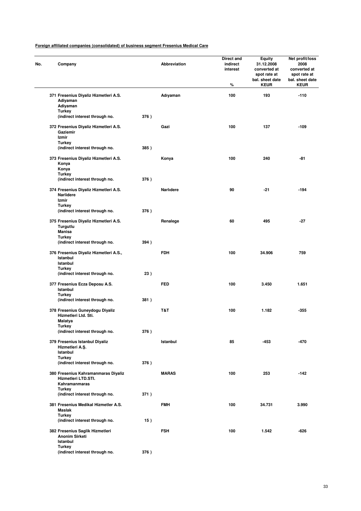| No. | Company                                                                     |      | <b>Abbreviation</b> | Direct and<br>indirect<br>interest<br>% | <b>Equity</b><br>31.12.2008<br>converted at<br>spot rate at<br>bal. sheet date<br><b>KEUR</b> | Net profit/loss<br>2008<br>converted at<br>spot rate at<br>bal. sheet date<br><b>KEUR</b> |
|-----|-----------------------------------------------------------------------------|------|---------------------|-----------------------------------------|-----------------------------------------------------------------------------------------------|-------------------------------------------------------------------------------------------|
|     | 371 Fresenius Diyaliz Hizmetleri A.S.<br>Adiyaman<br>Adiyaman               |      | Adıyaman            | 100                                     | 193                                                                                           | $-110$                                                                                    |
|     | <b>Turkey</b><br>(indirect interest through no.                             | 376) |                     |                                         |                                                                                               |                                                                                           |
|     | 372 Fresenius Diyaliz Hizmetleri A.S.<br>Gaziemir<br>Izmir                  |      | Gazi                | 100                                     | 137                                                                                           | $-109$                                                                                    |
|     | <b>Turkey</b><br>(indirect interest through no.                             | 385) |                     |                                         |                                                                                               |                                                                                           |
|     | 373 Fresenius Diyaliz Hizmetleri A.S.<br>Konya<br>Konya                     |      | Konya               | 100                                     | 240                                                                                           | -81                                                                                       |
|     | Turkey<br>(indirect interest through no.                                    | 376) |                     |                                         |                                                                                               |                                                                                           |
|     | 374 Fresenius Diyaliz Hizmetleri A.S.<br><b>Narlidere</b><br>Izmir          |      | Narlidere           | 90                                      | $-21$                                                                                         | $-194$                                                                                    |
|     | <b>Turkey</b><br>(indirect interest through no.                             | 376) |                     |                                         |                                                                                               |                                                                                           |
|     | 375 Fresenius Diyaliz Hizmetleri A.S.<br>Turgutlu<br>Manisa                 |      | Renalege            | 60                                      | 495                                                                                           | $-27$                                                                                     |
|     | <b>Turkey</b><br>(indirect interest through no.                             | 394) |                     |                                         |                                                                                               |                                                                                           |
|     | 376 Fresenius Diyaliz Hizmetleri A.S.,<br>Istanbul<br>Istanbul<br>Turkey    |      | <b>FDH</b>          | 100                                     | 34.906                                                                                        | 759                                                                                       |
|     | (indirect interest through no.                                              | 23)  |                     |                                         |                                                                                               |                                                                                           |
|     | 377 Fresenius Ecza Deposu A.S.<br>Istanbul<br><b>Turkey</b>                 |      | <b>FED</b>          | 100                                     | 3.450                                                                                         | 1.651                                                                                     |
|     | (indirect interest through no.                                              | 381) |                     |                                         |                                                                                               |                                                                                           |
|     | 378 Fresenius Guneydogu Diyaliz<br>Hizmetleri Ltd. Sti.<br>Malatya          |      | T&T                 | 100                                     | 1.182                                                                                         | $-355$                                                                                    |
|     | <b>Turkey</b><br>(indirect interest through no.                             | 376) |                     |                                         |                                                                                               |                                                                                           |
|     | 379 Fresenius Istanbul Diyaliz<br>Hizmetleri A.Ş.<br>Istanbul               |      | Istanbul            | 85                                      | $-453$                                                                                        | -470                                                                                      |
|     | <b>Turkey</b><br>(indirect interest through no.                             | 376) |                     |                                         |                                                                                               |                                                                                           |
|     | 380 Fresenius Kahramanmaras Diyaliz<br>Hizmetleri LTD.STI.<br>Kahramanmaras |      | <b>MARAS</b>        | 100                                     | 253                                                                                           | $-142$                                                                                    |
|     | <b>Turkey</b><br>(indirect interest through no.                             | 371) |                     |                                         |                                                                                               |                                                                                           |
|     | 381 Fresenius Medikal Hizmetler A.S.<br><b>Maslak</b>                       |      | <b>FMH</b>          | 100                                     | 34.731                                                                                        | 3.990                                                                                     |
|     | <b>Turkey</b><br>(indirect interest through no.                             | 15)  |                     |                                         |                                                                                               |                                                                                           |
|     | 382 Fresenius Saglik Hizmetleri<br><b>Anonim Sirketi</b><br>Istanbul        |      | <b>FSH</b>          | 100                                     | 1.542                                                                                         | -626                                                                                      |
|     | <b>Turkey</b><br>(indirect interest through no.                             | 376) |                     |                                         |                                                                                               |                                                                                           |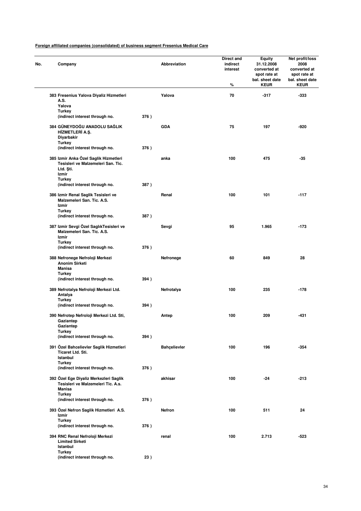| No. | Company                                                                                                        |      | Abbreviation        | Direct and<br>indirect<br>interest<br>% | <b>Equity</b><br>31.12.2008<br>converted at<br>spot rate at<br>bal. sheet date<br><b>KEUR</b> | Net profit/loss<br>2008<br>converted at<br>spot rate at<br>bal. sheet date<br><b>KEUR</b> |
|-----|----------------------------------------------------------------------------------------------------------------|------|---------------------|-----------------------------------------|-----------------------------------------------------------------------------------------------|-------------------------------------------------------------------------------------------|
|     | 383 Fresenius Yalova Diyaliz Hizmetleri<br>A.S.<br>Yalova                                                      |      | Yalova              | 70                                      | $-317$                                                                                        | $-333$                                                                                    |
|     | <b>Turkey</b><br>(indirect interest through no.                                                                | 376) |                     |                                         |                                                                                               |                                                                                           |
|     | 384 GÜNEYDOĞU ANADOLU SAĞLIK<br>HİZMETLERİ A.Ş.<br>Diyarbakir                                                  |      | <b>GDA</b>          | 75                                      | 197                                                                                           | $-920$                                                                                    |
|     | <b>Turkey</b><br>(indirect interest through no.                                                                | 376) |                     |                                         |                                                                                               |                                                                                           |
|     | 385 Izmir Anka Özel Saglik Hizmetleri<br>Tesisleri ve Malzemeleri San. Tic.<br>Ltd. Sti.<br>Izmir              |      | anka                | 100                                     | 475                                                                                           | -35                                                                                       |
|     | <b>Turkey</b><br>(indirect interest through no.                                                                | 387) |                     |                                         |                                                                                               |                                                                                           |
|     | 386 Izmir Renal Saglik Tesisleri ve<br>Malzemeleri San. Tic. A.S.<br>Izmir                                     |      | Renal               | 100                                     | 101                                                                                           | $-117$                                                                                    |
|     | <b>Turkey</b><br>(indirect interest through no.                                                                | 387) |                     |                                         |                                                                                               |                                                                                           |
|     | 387 Izmir Sevgi Özel SaglıkTesisleri ve<br>Malzemeleri San. Tic. A.S.<br>Izmir<br><b>Turkey</b>                |      | Sevgi               | 95                                      | 1.965                                                                                         | $-173$                                                                                    |
|     | (indirect interest through no.                                                                                 | 376) |                     |                                         |                                                                                               |                                                                                           |
|     | 388 Nefronege Nefroloji Merkezi<br><b>Anonim Sirketi</b><br>Manisa<br>Turkey                                   |      | Nefronege           | 60                                      | 849                                                                                           | 28                                                                                        |
|     | (indirect interest through no.                                                                                 | 394) |                     |                                         |                                                                                               |                                                                                           |
|     | 389 Nefrotalya Nefroloji Merkezi Ltd.<br>Antalya<br><b>Turkey</b>                                              |      | Nefrotalya          | 100                                     | 235                                                                                           | $-178$                                                                                    |
|     | (indirect interest through no.                                                                                 | 394) |                     |                                         |                                                                                               |                                                                                           |
|     | 390 Nefrotep Nefroloji Merkezi Ltd. Sti,<br>Gaziantep<br>Gaziantep                                             |      | Antep               | 100                                     | 209                                                                                           | -431                                                                                      |
|     | <b>Turkey</b><br>(indirect interest through no.                                                                | 394) |                     |                                         |                                                                                               |                                                                                           |
|     | 391 Özel Bahcelievler Saglik Hizmetleri<br>Ticaret Ltd. Sti.<br>Istanbul                                       |      | <b>Bahçelievler</b> | 100                                     | 196                                                                                           | $-354$                                                                                    |
|     | <b>Turkey</b><br>(indirect interest through no.                                                                | 376) |                     |                                         |                                                                                               |                                                                                           |
|     | 392 Özel Ege Diyaliz Merkezleri Saglik<br>Tesisleri ve Malzemeleri Tic. A.s.<br><b>Manisa</b><br><b>Turkey</b> |      | akhisar             | 100                                     | -24                                                                                           | $-213$                                                                                    |
|     | (indirect interest through no.                                                                                 | 376) |                     |                                         |                                                                                               |                                                                                           |
|     | 393 Özel Nefron Saglik Hizmetleri A.S.<br>Izmir<br><b>Turkey</b>                                               |      | Nefron              | 100                                     | 511                                                                                           | 24                                                                                        |
|     | (indirect interest through no.                                                                                 | 376) |                     |                                         |                                                                                               |                                                                                           |
|     | 394 RNC Renal Nefroloji Merkezi<br><b>Limited Sirketi</b><br>Istanbul                                          |      | renal               | 100                                     | 2.713                                                                                         | $-523$                                                                                    |
|     | <b>Turkey</b><br>(indirect interest through no.                                                                | 23)  |                     |                                         |                                                                                               |                                                                                           |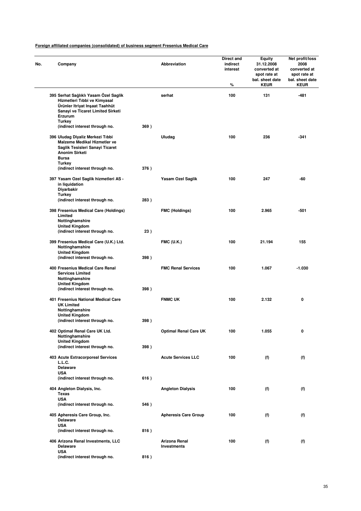| Company                                                                                                                                                                                                    |      | Abbreviation                        | Direct and<br>indirect<br>interest<br>% | <b>Equity</b><br>31.12.2008<br>converted at<br>spot rate at<br>bal. sheet date<br><b>KEUR</b> | Net profit/loss<br>2008<br>converted at<br>spot rate at<br>bal. sheet date<br><b>KEUR</b> |
|------------------------------------------------------------------------------------------------------------------------------------------------------------------------------------------------------------|------|-------------------------------------|-----------------------------------------|-----------------------------------------------------------------------------------------------|-------------------------------------------------------------------------------------------|
| 395 Serhat Sağlıklı Yasam Özel Saglik<br>Hizmetleri Tıbbi ve Kimyasal<br>Ürünler Itriyat Inşaat Taahhüt<br>Sanayi ve Ticaret Limited Sirketi<br>Erzurum<br><b>Turkey</b><br>(indirect interest through no. | 369) | serhat                              | 100                                     | 131                                                                                           | $-481$                                                                                    |
| 396 Uludag Diyaliz Merkezi Tıbbi<br>Malzeme Medikal Hizmetler ve<br>Saglik Tesisleri Sanayi Ticaret<br><b>Anonim Sirketi</b><br>Bursa<br>Turkey                                                            |      | Uludag                              | 100                                     | 236                                                                                           | $-341$                                                                                    |
| (indirect interest through no.<br>397 Yasam Ozel Saglik hizmetleri AS -<br>in liquidation<br>Diyarbakir<br><b>Turkey</b>                                                                                   | 376) | Yasam Ozel Saglik                   | 100                                     | 247                                                                                           | -60                                                                                       |
| (indirect interest through no.<br>398 Fresenius Medical Care (Holdings)<br>Limited<br>Nottinghamshire                                                                                                      | 283) | <b>FMC (Holdings)</b>               | 100                                     | 2.965                                                                                         | -501                                                                                      |
| <b>United Kingdom</b><br>(indirect interest through no.                                                                                                                                                    | 23)  |                                     |                                         |                                                                                               |                                                                                           |
| 399 Fresenius Medical Care (U.K.) Ltd.<br>Nottinghamshire<br><b>United Kingdom</b><br>(indirect interest through no.                                                                                       | 398) | <b>FMC (U.K.)</b>                   | 100                                     | 21.194                                                                                        | 155                                                                                       |
| 400 Fresenius Medical Care Renal<br><b>Services Limited</b><br>Nottinghamshire<br><b>United Kingdom</b><br>(indirect interest through no.                                                                  | 398) | <b>FMC Renal Services</b>           | 100                                     | 1.067                                                                                         | $-1.030$                                                                                  |
| 401 Fresenius National Medical Care<br><b>UK Limited</b><br>Nottinghamshire<br><b>United Kingdom</b>                                                                                                       |      | <b>FNMC UK</b>                      | 100                                     | 2.132                                                                                         | 0                                                                                         |
| (indirect interest through no.<br>402 Optimal Renal Care UK Ltd.<br>Nottinghamshire                                                                                                                        | 398) | <b>Optimal Renal Care UK</b>        | 100                                     | 1.055                                                                                         | 0                                                                                         |
| <b>United Kingdom</b><br>(indirect interest through no.                                                                                                                                                    | 398) |                                     |                                         |                                                                                               |                                                                                           |
| 403 Acute Extracorporeal Services<br>L.L.C.<br><b>Delaware</b><br><b>USA</b>                                                                                                                               |      | <b>Acute Services LLC</b>           | 100                                     | (f)                                                                                           | (f)                                                                                       |
| (indirect interest through no.<br>404 Angleton Dialysis, Inc.<br>Texas                                                                                                                                     | 616) | <b>Angleton Dialysis</b>            | 100                                     | (f)                                                                                           | (f)                                                                                       |
| <b>USA</b><br>(indirect interest through no.                                                                                                                                                               | 546) |                                     |                                         |                                                                                               |                                                                                           |
| 405 Apheresis Care Group, Inc.<br><b>Delaware</b><br><b>USA</b>                                                                                                                                            |      | <b>Apheresis Care Group</b>         | 100                                     | (f)                                                                                           | (f)                                                                                       |
| (indirect interest through no.                                                                                                                                                                             | 816) |                                     |                                         |                                                                                               |                                                                                           |
| 406 Arizona Renal Investments, LLC<br><b>Delaware</b><br><b>USA</b>                                                                                                                                        |      | Arizona Renal<br><b>Investments</b> | 100                                     | (f)                                                                                           | (f)                                                                                       |
| (indirect interest through no.                                                                                                                                                                             | 816) |                                     |                                         |                                                                                               |                                                                                           |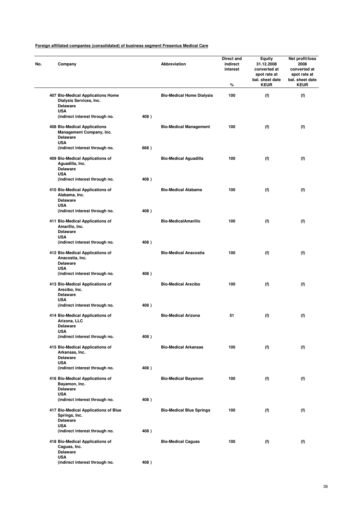| Company                                                                                |      | Abbreviation                     | Direct and<br>indirect<br>interest<br>% | <b>Equity</b><br>31.12.2008<br>converted at<br>spot rate at<br>bal. sheet date<br><b>KEUR</b> | Net profit/loss<br>2008<br>converted at<br>spot rate at<br>bal. sheet date<br><b>KEUR</b> |
|----------------------------------------------------------------------------------------|------|----------------------------------|-----------------------------------------|-----------------------------------------------------------------------------------------------|-------------------------------------------------------------------------------------------|
| 407 Bio-Medical Applications Home<br>Dialysis Services, Inc.<br><b>Delaware</b>        |      | <b>Bio-Medical Home Dialysis</b> | 100                                     | (f)                                                                                           | (f)                                                                                       |
| <b>USA</b><br>(indirect interest through no.                                           | 408) |                                  |                                         |                                                                                               |                                                                                           |
| 408 Bio-Medical Applications<br>Management Company, Inc.<br>Delaware<br><b>USA</b>     |      | <b>Bio-Medical Management</b>    | 100                                     | (f)                                                                                           | (f)                                                                                       |
| (indirect interest through no.                                                         | 668) |                                  |                                         |                                                                                               |                                                                                           |
| 409 Bio-Medical Applications of<br>Aguadilla, Inc.<br><b>Delaware</b><br><b>USA</b>    |      | <b>Bio-Medical Aguadilla</b>     | 100                                     | (f)                                                                                           | (f)                                                                                       |
| (indirect interest through no.                                                         | 408) |                                  |                                         |                                                                                               |                                                                                           |
| 410 Bio-Medical Applications of<br>Alabama, Inc.<br><b>Delaware</b>                    |      | <b>Bio-Medical Alabama</b>       | 100                                     | (f)                                                                                           | (f)                                                                                       |
| <b>USA</b><br>(indirect interest through no.                                           | 408) |                                  |                                         |                                                                                               |                                                                                           |
| 411 Bio-Medical Applications of<br>Amarillo, Inc.<br><b>Delaware</b>                   |      | <b>Bio-MedicalAmarillo</b>       | 100                                     | (f)                                                                                           | (f)                                                                                       |
| <b>USA</b><br>(indirect interest through no.                                           | 408) |                                  |                                         |                                                                                               |                                                                                           |
| 412 Bio-Medical Applications of<br>Anacostia, Inc.<br><b>Delaware</b>                  |      | <b>Bio-Medical Anacostia</b>     | 100                                     | (f)                                                                                           | (f)                                                                                       |
| <b>USA</b><br>(indirect interest through no.                                           | 408) |                                  |                                         |                                                                                               |                                                                                           |
| 413 Bio-Medical Applications of<br>Arecibo, Inc.<br><b>Delaware</b>                    |      | <b>Bio-Medical Arecibo</b>       | 100                                     | (f)                                                                                           | (f)                                                                                       |
| <b>USA</b><br>(indirect interest through no.                                           | 408) |                                  |                                         |                                                                                               |                                                                                           |
| 414 Bio-Medical Applications of<br>Arizona, LLC<br>Delaware                            |      | <b>Bio-Medical Arizona</b>       | 51                                      | (f)                                                                                           | (f)                                                                                       |
| USA<br>(indirect interest through no.                                                  | 408) |                                  |                                         |                                                                                               |                                                                                           |
| 415 Bio-Medical Applications of<br>Arkansas, Inc.<br><b>Delaware</b>                   |      | <b>Bio-Medical Arkansas</b>      | 100                                     | (f)                                                                                           | (f)                                                                                       |
| <b>USA</b><br>(indirect interest through no.                                           | 408) |                                  |                                         |                                                                                               |                                                                                           |
| 416 Bio-Medical Applications of<br>Bayamon, Inc.<br><b>Delaware</b>                    |      | <b>Bio-Medical Bayamon</b>       | 100                                     | (f)                                                                                           | (f)                                                                                       |
| <b>USA</b><br>(indirect interest through no.                                           | 408) |                                  |                                         |                                                                                               |                                                                                           |
| 417 Bio-Medical Applications of Blue<br>Springs, Inc.<br><b>Delaware</b><br><b>USA</b> |      | <b>Bio-Medical Blue Springs</b>  | 100                                     | (f)                                                                                           | (f)                                                                                       |
| (indirect interest through no.                                                         | 408) |                                  |                                         |                                                                                               |                                                                                           |
| 418 Bio-Medical Applications of<br>Caguas, Inc.<br><b>Delaware</b>                     |      | <b>Bio-Medical Caguas</b>        | 100                                     | (f)                                                                                           | (f)                                                                                       |
| <b>USA</b><br>(indirect interest through no.                                           | 408) |                                  |                                         |                                                                                               |                                                                                           |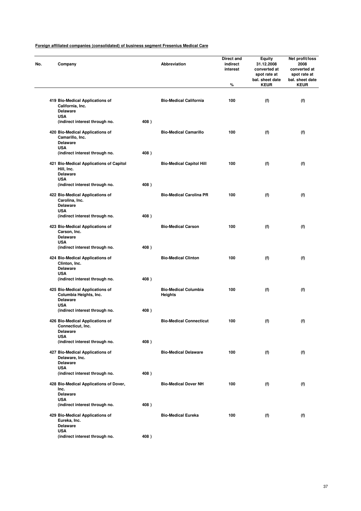| Company                                                                       |      | Abbreviation                                  | Direct and<br>indirect<br>interest<br>$\%$ | <b>Equity</b><br>31.12.2008<br>converted at<br>spot rate at<br>bal. sheet date<br><b>KEUR</b> | Net profit/loss<br>2008<br>converted at<br>spot rate at<br>bal. sheet date<br><b>KEUR</b> |
|-------------------------------------------------------------------------------|------|-----------------------------------------------|--------------------------------------------|-----------------------------------------------------------------------------------------------|-------------------------------------------------------------------------------------------|
|                                                                               |      |                                               |                                            |                                                                                               |                                                                                           |
| 419 Bio-Medical Applications of<br>California, Inc.<br>Delaware<br><b>USA</b> |      | <b>Bio-Medical California</b>                 | 100                                        | (f)                                                                                           | (f)                                                                                       |
| (indirect interest through no.                                                | 408) |                                               |                                            |                                                                                               |                                                                                           |
| 420 Bio-Medical Applications of<br>Camarillo, Inc.<br>Delaware                |      | <b>Bio-Medical Camarillo</b>                  | 100                                        | (f)                                                                                           | (f)                                                                                       |
| <b>USA</b>                                                                    |      |                                               |                                            |                                                                                               |                                                                                           |
| (indirect interest through no.                                                | 408) |                                               |                                            |                                                                                               |                                                                                           |
| 421 Bio-Medical Applications of Capitol<br>Hill, Inc.<br><b>Delaware</b>      |      | <b>Bio-Medical Capitol Hill</b>               | 100                                        | (f)                                                                                           | (f)                                                                                       |
| <b>USA</b>                                                                    |      |                                               |                                            |                                                                                               |                                                                                           |
| (indirect interest through no.                                                | 408) |                                               |                                            |                                                                                               |                                                                                           |
| 422 Bio-Medical Applications of<br>Carolina, Inc.<br><b>Delaware</b>          |      | <b>Bio-Medical Carolina PR</b>                | 100                                        | (f)                                                                                           | (f)                                                                                       |
| <b>USA</b>                                                                    |      |                                               |                                            |                                                                                               |                                                                                           |
| (indirect interest through no.                                                | 408) |                                               |                                            |                                                                                               |                                                                                           |
| 423 Bio-Medical Applications of<br>Carson, Inc.<br><b>Delaware</b>            |      | <b>Bio-Medical Carson</b>                     | 100                                        | (f)                                                                                           | (f)                                                                                       |
| <b>USA</b><br>(indirect interest through no.                                  | 408) |                                               |                                            |                                                                                               |                                                                                           |
|                                                                               |      | <b>Bio-Medical Clinton</b>                    | 100                                        |                                                                                               |                                                                                           |
| 424 Bio-Medical Applications of<br>Clinton, Inc.<br><b>Delaware</b>           |      |                                               |                                            | (f)                                                                                           | (f)                                                                                       |
| <b>USA</b><br>(indirect interest through no.                                  | 408) |                                               |                                            |                                                                                               |                                                                                           |
| 425 Bio-Medical Applications of<br>Columbia Heights, Inc.                     |      | <b>Bio-Medical Columbia</b><br><b>Heights</b> | 100                                        | (f)                                                                                           | (f)                                                                                       |
| <b>Delaware</b><br><b>USA</b>                                                 |      |                                               |                                            |                                                                                               |                                                                                           |
| (indirect interest through no.                                                | 408) |                                               |                                            |                                                                                               |                                                                                           |
| 426 Bio-Medical Applications of<br>Connecticut, Inc.                          |      | <b>Bio-Medical Connecticut</b>                | 100                                        | (f)                                                                                           | (f)                                                                                       |
| <b>Delaware</b><br><b>USA</b>                                                 |      |                                               |                                            |                                                                                               |                                                                                           |
| (indirect interest through no.                                                | 408) |                                               |                                            |                                                                                               |                                                                                           |
| 427 Bio-Medical Applications of<br>Delaware, Inc.                             |      | <b>Bio-Medical Delaware</b>                   | 100                                        | (f)                                                                                           | (f)                                                                                       |
| <b>Delaware</b>                                                               |      |                                               |                                            |                                                                                               |                                                                                           |
| <b>USA</b><br>(indirect interest through no.                                  | 408) |                                               |                                            |                                                                                               |                                                                                           |
| 428 Bio-Medical Applications of Dover,<br>Inc.                                |      | <b>Bio-Medical Dover NH</b>                   | 100                                        | (f)                                                                                           | (f)                                                                                       |
| <b>Delaware</b>                                                               |      |                                               |                                            |                                                                                               |                                                                                           |
| <b>USA</b><br>(indirect interest through no.                                  | 408) |                                               |                                            |                                                                                               |                                                                                           |
| 429 Bio-Medical Applications of<br>Eureka, Inc.                               |      | <b>Bio-Medical Eureka</b>                     | 100                                        | (f)                                                                                           | (f)                                                                                       |
| <b>Delaware</b>                                                               |      |                                               |                                            |                                                                                               |                                                                                           |
| <b>USA</b><br>(indirect interest through no.                                  | 408) |                                               |                                            |                                                                                               |                                                                                           |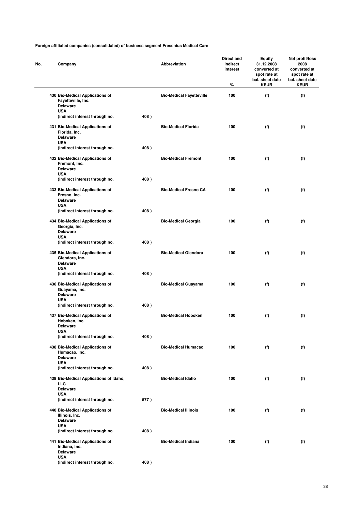| No. | Company                                                                           |      | Abbreviation                    | Direct and<br>indirect<br>interest<br>% | Equity<br>31.12.2008<br>converted at<br>spot rate at<br>bal. sheet date<br><b>KEUR</b> | Net profit/loss<br>2008<br>converted at<br>spot rate at<br>bal. sheet date<br><b>KEUR</b> |
|-----|-----------------------------------------------------------------------------------|------|---------------------------------|-----------------------------------------|----------------------------------------------------------------------------------------|-------------------------------------------------------------------------------------------|
|     | 430 Bio-Medical Applications of<br>Fayetteville, Inc.<br><b>Delaware</b>          |      | <b>Bio-Medical Fayetteville</b> | 100                                     | (f)                                                                                    | (f)                                                                                       |
|     | <b>USA</b><br>(indirect interest through no.                                      | 408) |                                 |                                         |                                                                                        |                                                                                           |
|     | 431 Bio-Medical Applications of<br>Florida, Inc.<br><b>Delaware</b><br><b>USA</b> |      | <b>Bio-Medical Florida</b>      | 100                                     | (f)                                                                                    | (f)                                                                                       |
|     | (indirect interest through no.                                                    | 408) |                                 |                                         |                                                                                        |                                                                                           |
|     | 432 Bio-Medical Applications of<br>Fremont, Inc.<br><b>Delaware</b><br><b>USA</b> |      | <b>Bio-Medical Fremont</b>      | 100                                     | (f)                                                                                    | (f)                                                                                       |
|     | (indirect interest through no.                                                    | 408) |                                 |                                         |                                                                                        |                                                                                           |
|     | 433 Bio-Medical Applications of<br>Fresno, Inc.<br><b>Delaware</b><br><b>USA</b>  |      | <b>Bio-Medical Fresno CA</b>    | 100                                     | (f)                                                                                    | (f)                                                                                       |
|     | (indirect interest through no.                                                    | 408) |                                 |                                         |                                                                                        |                                                                                           |
|     | 434 Bio-Medical Applications of<br>Georgia, Inc.<br><b>Delaware</b><br><b>USA</b> |      | <b>Bio-Medical Georgia</b>      | 100                                     | (f)                                                                                    | (f)                                                                                       |
|     | (indirect interest through no.                                                    | 408) |                                 |                                         |                                                                                        |                                                                                           |
|     | 435 Bio-Medical Applications of<br>Glendora, Inc.<br><b>Delaware</b>              |      | <b>Bio-Medical Glendora</b>     | 100                                     | (f)                                                                                    | (f)                                                                                       |
|     | <b>USA</b><br>(indirect interest through no.                                      | 408) |                                 |                                         |                                                                                        |                                                                                           |
|     | 436 Bio-Medical Applications of<br>Guayama, Inc.<br><b>Delaware</b>               |      | <b>Bio-Medical Guayama</b>      | 100                                     | (f)                                                                                    | (f)                                                                                       |
|     | <b>USA</b><br>(indirect interest through no.                                      | 408) |                                 |                                         |                                                                                        |                                                                                           |
|     | 437 Bio-Medical Applications of<br>Hoboken, Inc.<br>Delaware                      |      | <b>Bio-Medical Hoboken</b>      | 100                                     | (f)                                                                                    | (f)                                                                                       |
|     | USA<br>(indirect interest through no.                                             | 408) |                                 |                                         |                                                                                        |                                                                                           |
|     | 438 Bio-Medical Applications of<br>Humacao, Inc.<br><b>Delaware</b>               |      | <b>Bio-Medical Humacao</b>      | 100                                     | (f)                                                                                    | (f)                                                                                       |
|     | <b>USA</b><br>(indirect interest through no.                                      | 408) |                                 |                                         |                                                                                        |                                                                                           |
|     | 439 Bio-Medical Applications of Idaho,<br><b>LLC</b><br><b>Delaware</b>           |      | <b>Bio-Medical Idaho</b>        | 100                                     | (f)                                                                                    | (f)                                                                                       |
|     | <b>USA</b><br>(indirect interest through no.                                      | 577) |                                 |                                         |                                                                                        |                                                                                           |
|     | 440 Bio-Medical Applications of<br>Illinois, Inc.<br><b>Delaware</b>              |      | <b>Bio-Medical Illinois</b>     | 100                                     | (f)                                                                                    | (f)                                                                                       |
|     | <b>USA</b><br>(indirect interest through no.                                      | 408) |                                 |                                         |                                                                                        |                                                                                           |
|     | 441 Bio-Medical Applications of<br>Indiana, Inc.<br><b>Delaware</b>               |      | <b>Bio-Medical Indiana</b>      | 100                                     | (f)                                                                                    | (f)                                                                                       |
|     | <b>USA</b><br>(indirect interest through no.                                      | 408) |                                 |                                         |                                                                                        |                                                                                           |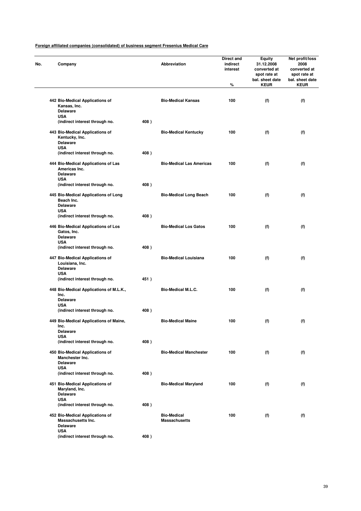| Company                                                                             |      | Abbreviation                               | Direct and<br>indirect<br>interest<br>$\%$ | <b>Equity</b><br>31.12.2008<br>converted at<br>spot rate at<br>bal. sheet date<br><b>KEUR</b> | Net profit/loss<br>2008<br>converted at<br>spot rate at<br>bal. sheet date<br><b>KEUR</b> |
|-------------------------------------------------------------------------------------|------|--------------------------------------------|--------------------------------------------|-----------------------------------------------------------------------------------------------|-------------------------------------------------------------------------------------------|
|                                                                                     |      |                                            |                                            |                                                                                               |                                                                                           |
| 442 Bio-Medical Applications of<br>Kansas, Inc.<br><b>Delaware</b><br><b>USA</b>    |      | <b>Bio-Medical Kansas</b>                  | 100                                        | (f)                                                                                           | (f)                                                                                       |
| (indirect interest through no.                                                      | 408) |                                            |                                            |                                                                                               |                                                                                           |
| 443 Bio-Medical Applications of<br>Kentucky, Inc.<br>Delaware                       |      | <b>Bio-Medical Kentucky</b>                | 100                                        | (f)                                                                                           | (f)                                                                                       |
| <b>USA</b><br>(indirect interest through no.                                        | 408) |                                            |                                            |                                                                                               |                                                                                           |
| 444 Bio-Medical Applications of Las<br>Americas Inc.<br><b>Delaware</b>             |      | <b>Bio-Medical Las Americas</b>            | 100                                        | (f)                                                                                           | (f)                                                                                       |
| <b>USA</b><br>(indirect interest through no.                                        | 408) |                                            |                                            |                                                                                               |                                                                                           |
| 445 Bio-Medical Applications of Long                                                |      | <b>Bio-Medical Long Beach</b>              | 100                                        | (f)                                                                                           | (f)                                                                                       |
| Beach Inc.<br><b>Delaware</b><br><b>USA</b>                                         |      |                                            |                                            |                                                                                               |                                                                                           |
| (indirect interest through no.                                                      | 408) |                                            |                                            |                                                                                               |                                                                                           |
| 446 Bio-Medical Applications of Los<br>Gatos, Inc.<br><b>Delaware</b>               |      | <b>Bio-Medical Los Gatos</b>               | 100                                        | (f)                                                                                           | (f)                                                                                       |
| <b>USA</b><br>(indirect interest through no.                                        | 408) |                                            |                                            |                                                                                               |                                                                                           |
| 447 Bio-Medical Applications of<br>Louisiana, Inc.<br><b>Delaware</b><br><b>USA</b> |      | <b>Bio-Medical Louisiana</b>               | 100                                        | (f)                                                                                           | (f)                                                                                       |
| (indirect interest through no.                                                      | 451) |                                            |                                            |                                                                                               |                                                                                           |
| 448 Bio-Medical Applications of M.L.K.,<br>Inc.<br><b>Delaware</b><br><b>USA</b>    |      | <b>Bio-Medical M.L.C.</b>                  | 100                                        | (f)                                                                                           | (f)                                                                                       |
| (indirect interest through no.                                                      | 408) |                                            |                                            |                                                                                               |                                                                                           |
| 449 Bio-Medical Applications of Maine,<br>Inc.                                      |      | <b>Bio-Medical Maine</b>                   | 100                                        | (f)                                                                                           | (f)                                                                                       |
| Delaware<br><b>USA</b>                                                              |      |                                            |                                            |                                                                                               |                                                                                           |
| (indirect interest through no.                                                      | 408) |                                            |                                            |                                                                                               |                                                                                           |
| 450 Bio-Medical Applications of<br>Manchester Inc.<br><b>Delaware</b>               |      | <b>Bio-Medical Manchester</b>              | 100                                        | (f)                                                                                           | (f)                                                                                       |
| <b>USA</b><br>(indirect interest through no.                                        | 408) |                                            |                                            |                                                                                               |                                                                                           |
| 451 Bio-Medical Applications of<br>Maryland, Inc.<br>Delaware                       |      | <b>Bio-Medical Maryland</b>                | 100                                        | (f)                                                                                           | (f)                                                                                       |
| <b>USA</b><br>(indirect interest through no.                                        | 408) |                                            |                                            |                                                                                               |                                                                                           |
| 452 Bio-Medical Applications of<br>Massachusetts Inc.<br><b>Delaware</b>            |      | <b>Bio-Medical</b><br><b>Massachusetts</b> | 100                                        | (f)                                                                                           | (f)                                                                                       |
| <b>USA</b><br>(indirect interest through no.                                        | 408) |                                            |                                            |                                                                                               |                                                                                           |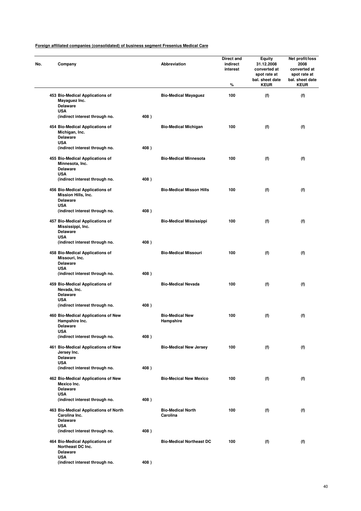| No. | Company                                                                                 |      | Abbreviation                         | Direct and<br>indirect<br>interest<br>℅ | Equity<br>31.12.2008<br>converted at<br>spot rate at<br>bal. sheet date<br><b>KEUR</b> | Net profit/loss<br>2008<br>converted at<br>spot rate at<br>bal. sheet date<br><b>KEUR</b> |
|-----|-----------------------------------------------------------------------------------------|------|--------------------------------------|-----------------------------------------|----------------------------------------------------------------------------------------|-------------------------------------------------------------------------------------------|
|     | 453 Bio-Medical Applications of<br>Mayaguez Inc.<br><b>Delaware</b>                     |      | <b>Bio-Medical Mayaguez</b>          | 100                                     | (f)                                                                                    | (f)                                                                                       |
|     | <b>USA</b><br>(indirect interest through no.                                            | 408) |                                      |                                         |                                                                                        |                                                                                           |
|     | 454 Bio-Medical Applications of<br>Michigan, Inc.<br><b>Delaware</b><br><b>USA</b>      |      | <b>Bio-Medical Michigan</b>          | 100                                     | (f)                                                                                    | (f)                                                                                       |
|     | (indirect interest through no.                                                          | 408) |                                      |                                         |                                                                                        |                                                                                           |
|     | 455 Bio-Medical Applications of<br>Minnesota, Inc.<br><b>Delaware</b><br><b>USA</b>     |      | <b>Bio-Medical Minnesota</b>         | 100                                     | (f)                                                                                    | (f)                                                                                       |
|     | (indirect interest through no.                                                          | 408) |                                      |                                         |                                                                                        |                                                                                           |
|     | 456 Bio-Medical Applications of<br>Mission Hills, Inc.<br><b>Delaware</b><br><b>USA</b> |      | <b>Bio-Medical Misson Hills</b>      | 100                                     | (f)                                                                                    | (f)                                                                                       |
|     | (indirect interest through no.                                                          | 408) |                                      |                                         |                                                                                        |                                                                                           |
|     | 457 Bio-Medical Applications of<br>Mississippi, Inc.<br><b>Delaware</b><br><b>USA</b>   |      | <b>Bio-Medical Mississippi</b>       | 100                                     | (f)                                                                                    | (f)                                                                                       |
|     | (indirect interest through no.                                                          | 408) |                                      |                                         |                                                                                        |                                                                                           |
|     | 458 Bio-Medical Applications of<br>Missouri, Inc.<br><b>Delaware</b>                    |      | <b>Bio-Medical Missouri</b>          | 100                                     | (f)                                                                                    | (f)                                                                                       |
|     | <b>USA</b><br>(indirect interest through no.                                            | 408) |                                      |                                         |                                                                                        |                                                                                           |
|     | 459 Bio-Medical Applications of<br>Nevada, Inc.<br><b>Delaware</b>                      |      | <b>Bio-Medical Nevada</b>            | 100                                     | (f)                                                                                    | (f)                                                                                       |
|     | <b>USA</b><br>(indirect interest through no.                                            | 408) |                                      |                                         |                                                                                        |                                                                                           |
|     | 460 Bio-Medical Applications of New<br>Hampshire Inc.<br>Delaware                       |      | <b>Bio-Medical New</b><br>Hampshire  | 100                                     | (f)                                                                                    | (f)                                                                                       |
|     | USA<br>(indirect interest through no.                                                   | 408) |                                      |                                         |                                                                                        |                                                                                           |
|     | 461 Bio-Medical Applications of New<br>Jersey Inc.<br><b>Delaware</b>                   |      | <b>Bio-Medical New Jersey</b>        | 100                                     | (f)                                                                                    | (f)                                                                                       |
|     | <b>USA</b><br>(indirect interest through no.                                            | 408) |                                      |                                         |                                                                                        |                                                                                           |
|     | 462 Bio-Medical Applications of New<br>Mexico Inc.<br><b>Delaware</b>                   |      | <b>Bio-Mecical New Mexico</b>        | 100                                     | (f)                                                                                    | (f)                                                                                       |
|     | <b>USA</b><br>(indirect interest through no.                                            | 408) |                                      |                                         |                                                                                        |                                                                                           |
|     | 463 Bio-Medical Applications of North<br>Carolina Inc.<br><b>Delaware</b>               |      | <b>Bio-Medical North</b><br>Carolina | 100                                     | (f)                                                                                    | (f)                                                                                       |
|     | <b>USA</b><br>(indirect interest through no.                                            | 408) |                                      |                                         |                                                                                        |                                                                                           |
|     | 464 Bio-Medical Applications of<br>Northeast DC Inc.<br><b>Delaware</b><br><b>USA</b>   |      | <b>Bio-Medical Northeast DC</b>      | 100                                     | (f)                                                                                    | (f)                                                                                       |
|     | (indirect interest through no.                                                          | 408) |                                      |                                         |                                                                                        |                                                                                           |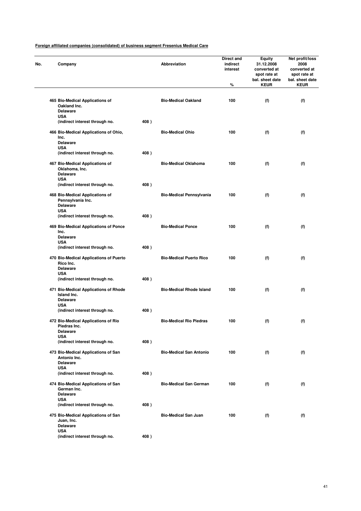| Company                                                                          |      | Abbreviation                    | Direct and<br>indirect<br>interest<br>% | Equity<br>31.12.2008<br>converted at<br>spot rate at<br>bal. sheet date<br><b>KEUR</b> | Net profit/loss<br>2008<br>converted at<br>spot rate at<br>bal. sheet date<br><b>KEUR</b> |
|----------------------------------------------------------------------------------|------|---------------------------------|-----------------------------------------|----------------------------------------------------------------------------------------|-------------------------------------------------------------------------------------------|
|                                                                                  |      |                                 |                                         |                                                                                        |                                                                                           |
| 465 Bio-Medical Applications of<br>Oakland Inc.<br><b>Delaware</b><br><b>USA</b> |      | <b>Bio-Medical Oakland</b>      | 100                                     | (f)                                                                                    | (f)                                                                                       |
| (indirect interest through no.                                                   | 408) |                                 |                                         |                                                                                        |                                                                                           |
| 466 Bio-Medical Applications of Ohio,<br>Inc.                                    |      | <b>Bio-Medical Ohio</b>         | 100                                     | (f)                                                                                    | (f)                                                                                       |
| <b>Delaware</b><br><b>USA</b>                                                    |      |                                 |                                         |                                                                                        |                                                                                           |
| (indirect interest through no.                                                   | 408) |                                 |                                         |                                                                                        |                                                                                           |
| 467 Bio-Medical Applications of<br>Oklahoma, Inc.<br><b>Delaware</b>             |      | <b>Bio-Medical Oklahoma</b>     | 100                                     | (f)                                                                                    | (f)                                                                                       |
| <b>USA</b>                                                                       |      |                                 |                                         |                                                                                        |                                                                                           |
| (indirect interest through no.                                                   | 408) |                                 |                                         |                                                                                        |                                                                                           |
| 468 Bio-Medical Applications of<br>Pennsylvania Inc.<br><b>Delaware</b>          |      | <b>Bio-Medical Pennsylvania</b> | 100                                     | (f)                                                                                    | (f)                                                                                       |
| <b>USA</b>                                                                       |      |                                 |                                         |                                                                                        |                                                                                           |
| (indirect interest through no.                                                   | 408) |                                 |                                         |                                                                                        |                                                                                           |
| 469 Bio-Medical Applications of Ponce<br>Inc.<br><b>Delaware</b>                 |      | <b>Bio-Medical Ponce</b>        | 100                                     | (f)                                                                                    | (f)                                                                                       |
| <b>USA</b>                                                                       |      |                                 |                                         |                                                                                        |                                                                                           |
| (indirect interest through no.                                                   | 408) |                                 |                                         |                                                                                        |                                                                                           |
| 470 Bio-Medical Applications of Puerto<br>Rico Inc.<br><b>Delaware</b>           |      | <b>Bio-Medical Puerto Rico</b>  | 100                                     | (f)                                                                                    | (f)                                                                                       |
| <b>USA</b>                                                                       |      |                                 |                                         |                                                                                        |                                                                                           |
| (indirect interest through no.                                                   | 408) |                                 |                                         |                                                                                        |                                                                                           |
| 471 Bio-Medical Applications of Rhode<br>Island Inc.<br><b>Delaware</b>          |      | <b>Bio-Medical Rhode Island</b> | 100                                     | (f)                                                                                    | (f)                                                                                       |
| <b>USA</b>                                                                       |      |                                 |                                         |                                                                                        |                                                                                           |
| (indirect interest through no.                                                   | 408) |                                 |                                         |                                                                                        |                                                                                           |
| 472 Bio-Medical Applications of Rio<br>Piedras Inc.                              |      | <b>Bio-Medical Rio Piedras</b>  | 100                                     | (f)                                                                                    | (f)                                                                                       |
| Delaware<br>USA                                                                  |      |                                 |                                         |                                                                                        |                                                                                           |
| (indirect interest through no.                                                   | 408) |                                 |                                         |                                                                                        |                                                                                           |
| 473 Bio-Medical Applications of San<br>Antonio Inc.                              |      | <b>Bio-Medical San Antonio</b>  | 100                                     | (f)                                                                                    | (f)                                                                                       |
| <b>Delaware</b><br><b>USA</b>                                                    |      |                                 |                                         |                                                                                        |                                                                                           |
| (indirect interest through no.                                                   | 408) |                                 |                                         |                                                                                        |                                                                                           |
| 474 Bio-Medical Applications of San<br>German Inc.<br><b>Delaware</b>            |      | <b>Bio-Medical San German</b>   | 100                                     | (f)                                                                                    | (f)                                                                                       |
| <b>USA</b>                                                                       |      |                                 |                                         |                                                                                        |                                                                                           |
| (indirect interest through no.                                                   | 408) |                                 |                                         |                                                                                        |                                                                                           |
| 475 Bio-Medical Applications of San<br>Juan, Inc.<br>Delaware                    |      | <b>Bio-Medical San Juan</b>     | 100                                     | (f)                                                                                    | (f)                                                                                       |
| <b>USA</b>                                                                       |      |                                 |                                         |                                                                                        |                                                                                           |
| (indirect interest through no.                                                   | 408) |                                 |                                         |                                                                                        |                                                                                           |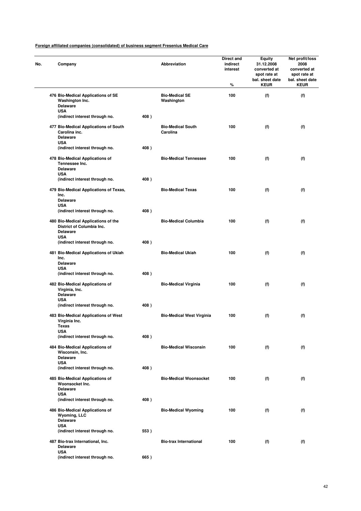| No. | Company                                                                                 |      | Abbreviation                         | Direct and<br>indirect<br>interest<br>% | Equity<br>31.12.2008<br>converted at<br>spot rate at<br>bal. sheet date<br><b>KEUR</b> | Net profit/loss<br>2008<br>converted at<br>spot rate at<br>bal. sheet date<br><b>KEUR</b> |
|-----|-----------------------------------------------------------------------------------------|------|--------------------------------------|-----------------------------------------|----------------------------------------------------------------------------------------|-------------------------------------------------------------------------------------------|
|     | 476 Bio-Medical Applications of SE<br>Washington Inc.<br><b>Delaware</b>                |      | <b>Bio-Medical SE</b><br>Washington  | 100                                     | (f)                                                                                    | (f)                                                                                       |
|     | <b>USA</b><br>(indirect interest through no.                                            | 408) |                                      |                                         |                                                                                        |                                                                                           |
|     | 477 Bio-Medical Applications of South<br>Carolina inc.<br><b>Delaware</b><br><b>USA</b> |      | <b>Bio-Medical South</b><br>Carolina | 100                                     | (f)                                                                                    | (f)                                                                                       |
|     | (indirect interest through no.                                                          | 408) |                                      |                                         |                                                                                        |                                                                                           |
|     | 478 Bio-Medical Applications of<br>Tennessee Inc.<br><b>Delaware</b>                    |      | <b>Bio-Medical Tennessee</b>         | 100                                     | (f)                                                                                    | (f)                                                                                       |
|     | <b>USA</b><br>(indirect interest through no.                                            | 408) |                                      |                                         |                                                                                        |                                                                                           |
|     | 479 Bio-Medical Applications of Texas,<br>Inc.<br><b>Delaware</b>                       |      | <b>Bio-Medical Texas</b>             | 100                                     | (f)                                                                                    | (f)                                                                                       |
|     | <b>USA</b>                                                                              |      |                                      |                                         |                                                                                        |                                                                                           |
|     | (indirect interest through no.                                                          | 408) |                                      |                                         |                                                                                        |                                                                                           |
|     | 480 Bio-Medical Applications of the<br>District of Columbia Inc.<br>Delaware            |      | <b>Bio-Medical Columbia</b>          | 100                                     | (f)                                                                                    | (f)                                                                                       |
|     | <b>USA</b><br>(indirect interest through no.                                            | 408) |                                      |                                         |                                                                                        |                                                                                           |
|     | 481 Bio-Medical Applications of Ukiah<br>Inc.<br><b>Delaware</b><br><b>USA</b>          |      | <b>Bio-Medical Ukiah</b>             | 100                                     | (f)                                                                                    | (f)                                                                                       |
|     | (indirect interest through no.                                                          | 408) |                                      |                                         |                                                                                        |                                                                                           |
|     | 482 Bio-Medical Applications of<br>Virginia, Inc.<br><b>Delaware</b><br><b>USA</b>      |      | <b>Bio-Medical Virginia</b>          | 100                                     | (f)                                                                                    | (f)                                                                                       |
|     | (indirect interest through no.                                                          | 408) |                                      |                                         |                                                                                        |                                                                                           |
|     | 483 Bio-Medical Applications of West<br>Virginia Inc.<br>lexas                          |      | <b>Bio-Medical West Virginia</b>     | 100                                     | (f)                                                                                    | (f)                                                                                       |
|     | USA<br>(indirect interest through no.                                                   | 408) |                                      |                                         |                                                                                        |                                                                                           |
|     | 484 Bio-Medical Applications of<br>Wisconsin, Inc.<br><b>Delaware</b>                   |      | <b>Bio-Medical Wisconsin</b>         | 100                                     | (f)                                                                                    | (f)                                                                                       |
|     | <b>USA</b><br>(indirect interest through no.                                            | 408) |                                      |                                         |                                                                                        |                                                                                           |
|     | 485 Bio-Medical Applications of<br>Woonsocket Inc.                                      |      | <b>Bio-Medical Woonsocket</b>        | 100                                     | (f)                                                                                    | (f)                                                                                       |
|     | <b>Delaware</b><br><b>USA</b>                                                           |      |                                      |                                         |                                                                                        |                                                                                           |
|     | (indirect interest through no.                                                          | 408) |                                      |                                         |                                                                                        |                                                                                           |
|     | 486 Bio-Medical Applications of<br>Wyoming, LLC<br><b>Delaware</b>                      |      | <b>Bio-Medical Wyoming</b>           | 100                                     | (f)                                                                                    | (f)                                                                                       |
|     | <b>USA</b><br>(indirect interest through no.                                            | 553) |                                      |                                         |                                                                                        |                                                                                           |
|     | 487 Bio-trax International, Inc.<br><b>Delaware</b>                                     |      | <b>Bio-trax International</b>        | 100                                     | (f)                                                                                    | (f)                                                                                       |
|     | <b>USA</b><br>(indirect interest through no.                                            | 665) |                                      |                                         |                                                                                        |                                                                                           |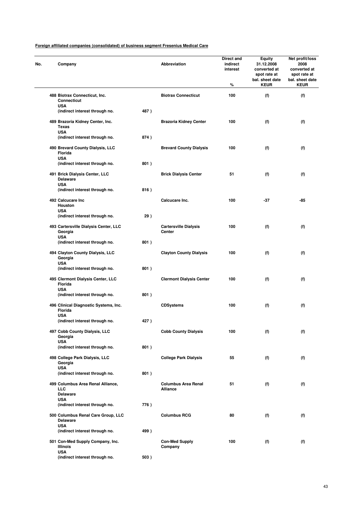| No. | Company                                                            |      | <b>Abbreviation</b>                    | Direct and<br>indirect<br>interest<br>% | Equity<br>31.12.2008<br>converted at<br>spot rate at<br>bal. sheet date<br><b>KEUR</b> | Net profit/loss<br>2008<br>converted at<br>spot rate at<br>bal. sheet date<br><b>KEUR</b> |
|-----|--------------------------------------------------------------------|------|----------------------------------------|-----------------------------------------|----------------------------------------------------------------------------------------|-------------------------------------------------------------------------------------------|
|     | 488 Biotrax Connecticut, Inc.<br><b>Connecticut</b>                |      | <b>Biotrax Connecticut</b>             | 100                                     | (f)                                                                                    | (f)                                                                                       |
|     | <b>USA</b><br>(indirect interest through no.                       | 487) |                                        |                                         |                                                                                        |                                                                                           |
|     | 489 Brazoria Kidney Center, Inc.<br>Texas                          |      | <b>Brazoria Kidney Center</b>          | 100                                     | (f)                                                                                    | (f)                                                                                       |
|     | <b>USA</b><br>(indirect interest through no.                       | 874) |                                        |                                         |                                                                                        |                                                                                           |
|     | 490 Brevard County Dialysis, LLC<br>Florida<br><b>USA</b>          |      | <b>Brevard County Dialysis</b>         | 100                                     | (f)                                                                                    | (f)                                                                                       |
|     | (indirect interest through no.                                     | 801) |                                        |                                         |                                                                                        |                                                                                           |
|     | 491 Brick Dialysis Center, LLC<br><b>Delaware</b><br><b>USA</b>    |      | <b>Brick Dialysis Center</b>           | 51                                      | (f)                                                                                    | (f)                                                                                       |
|     | (indirect interest through no.                                     | 816) |                                        |                                         |                                                                                        |                                                                                           |
|     | 492 Calcucare Inc<br>Houston<br><b>USA</b>                         |      | Calcucare Inc.                         | 100                                     | $-37$                                                                                  | -85                                                                                       |
|     | (indirect interest through no.                                     | 29)  |                                        |                                         |                                                                                        |                                                                                           |
|     | 493 Cartersville Dialysis Center, LLC<br>Georgia                   |      | <b>Cartersville Dialysis</b><br>Center | 100                                     | (f)                                                                                    | (f)                                                                                       |
|     | <b>USA</b><br>(indirect interest through no.                       | 801) |                                        |                                         |                                                                                        |                                                                                           |
|     | 494 Clayton County Dialysis, LLC<br>Georgia                        |      | <b>Clayton County Dialysis</b>         | 100                                     | (f)                                                                                    | (f)                                                                                       |
|     | <b>USA</b><br>(indirect interest through no.                       | 801) |                                        |                                         |                                                                                        |                                                                                           |
|     | 495 Clermont Dialysis Center, LLC<br>Florida                       |      | <b>Clermont Dialysis Center</b>        | 100                                     | (f)                                                                                    | (f)                                                                                       |
|     | <b>USA</b><br>(indirect interest through no.                       | 801) |                                        |                                         |                                                                                        |                                                                                           |
|     | 496 Clinical Diagnostic Systems, Inc.<br>Florida                   |      | <b>CDSystems</b>                       | 100                                     | (f)                                                                                    | (f)                                                                                       |
|     | <b>USA</b><br>(indirect interest through no.                       | 427) |                                        |                                         |                                                                                        |                                                                                           |
|     | 497 Cobb County Dialysis, LLC<br>Georgia                           |      | <b>Cobb County Dialysis</b>            | 100                                     | (f)                                                                                    | (f)                                                                                       |
|     | <b>USA</b><br>(indirect interest through no.                       | 801) |                                        |                                         |                                                                                        |                                                                                           |
|     | 498 College Park Dialysis, LLC<br>Georgia                          |      | <b>College Park Dialysis</b>           | 55                                      | (f)                                                                                    | (f)                                                                                       |
|     | <b>USA</b><br>(indirect interest through no.                       | 801) |                                        |                                         |                                                                                        |                                                                                           |
|     | 499 Columbus Area Renal Alliance,<br>LLC<br><b>Delaware</b>        |      | <b>Columbus Area Renal</b><br>Alliance | 51                                      | (f)                                                                                    | (f)                                                                                       |
|     | <b>USA</b><br>(indirect interest through no.                       | 776) |                                        |                                         |                                                                                        |                                                                                           |
|     | 500 Columbus Renal Care Group, LLC<br><b>Delaware</b>              |      | <b>Columbus RCG</b>                    | 80                                      | (f)                                                                                    | (f)                                                                                       |
|     | <b>USA</b>                                                         |      |                                        |                                         |                                                                                        |                                                                                           |
|     | (indirect interest through no.<br>501 Con-Med Supply Company, Inc. | 499) | <b>Con-Med Supply</b>                  | 100                                     | (f)                                                                                    | (f)                                                                                       |
|     | <b>Illinois</b><br><b>USA</b>                                      |      | Company                                |                                         |                                                                                        |                                                                                           |
|     | (indirect interest through no.                                     | 503) |                                        |                                         |                                                                                        |                                                                                           |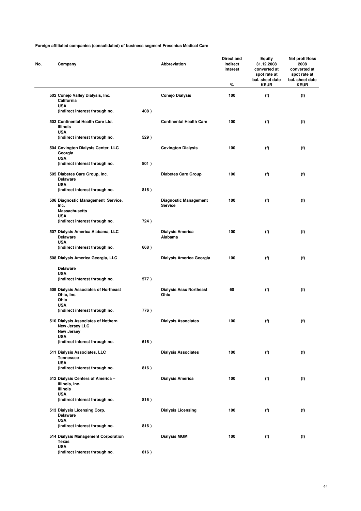| No. | Company                                                                  |      | Abbreviation                                   | Direct and<br>indirect<br>interest<br>% | Equity<br>31.12.2008<br>converted at<br>spot rate at<br>bal. sheet date<br><b>KEUR</b> | Net profit/loss<br>2008<br>converted at<br>spot rate at<br>bal. sheet date<br><b>KEUR</b> |
|-----|--------------------------------------------------------------------------|------|------------------------------------------------|-----------------------------------------|----------------------------------------------------------------------------------------|-------------------------------------------------------------------------------------------|
|     | 502 Conejo Valley Dialysis, Inc.<br>California                           |      | <b>Conejo Dialysis</b>                         | 100                                     | (f)                                                                                    | (f)                                                                                       |
|     | <b>USA</b><br>(indirect interest through no.                             | 408) |                                                |                                         |                                                                                        |                                                                                           |
|     | 503 Continental Health Care Ltd.<br><b>Illinois</b><br><b>USA</b>        |      | <b>Continental Health Care</b>                 | 100                                     | (f)                                                                                    | (f)                                                                                       |
|     | (indirect interest through no.                                           | 529) |                                                |                                         |                                                                                        |                                                                                           |
|     | 504 Covington Dialysis Center, LLC<br>Georgia<br><b>USA</b>              |      | <b>Covington Dialysis</b>                      | 100                                     | (f)                                                                                    | (f)                                                                                       |
|     | (indirect interest through no.                                           | 801) |                                                |                                         |                                                                                        |                                                                                           |
|     | 505 Diabetes Care Group, Inc.<br><b>Delaware</b><br><b>USA</b>           |      | <b>Diabetes Care Group</b>                     | 100                                     | (f)                                                                                    | (f)                                                                                       |
|     | (indirect interest through no.                                           | 816) |                                                |                                         |                                                                                        |                                                                                           |
|     | 506 Diagnostic Management Service,<br>Inc.<br><b>Massachusetts</b>       |      | <b>Diagnostic Management</b><br><b>Service</b> | 100                                     | (f)                                                                                    | (f)                                                                                       |
|     | <b>USA</b><br>(indirect interest through no.                             | 724) |                                                |                                         |                                                                                        |                                                                                           |
|     | 507 Dialysis America Alabama, LLC<br><b>Delaware</b>                     |      | <b>Dialysis America</b><br>Alabama             | 100                                     | (f)                                                                                    | (f)                                                                                       |
|     | <b>USA</b><br>(indirect interest through no.                             | 668) |                                                |                                         |                                                                                        |                                                                                           |
|     | 508 Dialysis America Georgia, LLC                                        |      | Dialysis America Georgia                       | 100                                     | (f)                                                                                    | (f)                                                                                       |
|     | <b>Delaware</b><br><b>USA</b>                                            |      |                                                |                                         |                                                                                        |                                                                                           |
|     | (indirect interest through no.                                           | 577) |                                                |                                         |                                                                                        |                                                                                           |
|     | 509 Dialysis Associates of Northeast<br>Ohio, Inc.<br>Ohio<br><b>USA</b> |      | <b>Dialysis Assc Northeast</b><br>Ohio         | 60                                      | (f)                                                                                    | (f)                                                                                       |
|     | (indirect interest through no.                                           | 776) |                                                |                                         |                                                                                        |                                                                                           |
|     | 510 Dialysis Associates of Nothern<br>New Jersey LLC<br>New Jersey       |      | <b>Dialysis Associates</b>                     | 100                                     | (f)                                                                                    | (f)                                                                                       |
|     | USA<br>(indirect interest through no.                                    | 616) |                                                |                                         |                                                                                        |                                                                                           |
|     | 511 Dialysis Associates, LLC<br><b>Tennessee</b>                         |      | <b>Dialysis Associates</b>                     | 100                                     | (f)                                                                                    | (f)                                                                                       |
|     | <b>USA</b><br>(indirect interest through no.                             | 816) |                                                |                                         |                                                                                        |                                                                                           |
|     | 512 Dialysis Centers of America -<br>Illinois, Inc.                      |      | <b>Dialysis America</b>                        | 100                                     | (f)                                                                                    | (f)                                                                                       |
|     | Illinois<br><b>USA</b>                                                   |      |                                                |                                         |                                                                                        |                                                                                           |
|     | (indirect interest through no.                                           | 816) |                                                |                                         |                                                                                        |                                                                                           |
|     | 513 Dialysis Licensing Corp.<br><b>Delaware</b><br>USA                   |      | <b>Dialysis Licensing</b>                      | 100                                     | (f)                                                                                    | (f)                                                                                       |
|     | (indirect interest through no.                                           | 816) |                                                |                                         |                                                                                        |                                                                                           |
|     | 514 Dialysis Management Corporation<br><b>Texas</b><br><b>USA</b>        |      | <b>Dialysis MGM</b>                            | 100                                     | (f)                                                                                    | (f)                                                                                       |
|     | (indirect interest through no.                                           | 816) |                                                |                                         |                                                                                        |                                                                                           |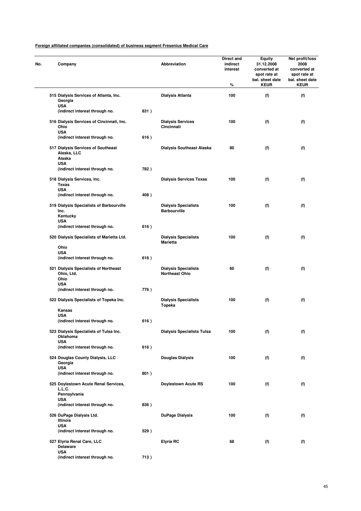| No. | Company                                                      |      | Abbreviation                                         | Direct and<br>indirect<br>interest<br>% | Equity<br>31.12.2008<br>converted at<br>spot rate at<br>bal. sheet date<br><b>KEUR</b> | Net profit/loss<br>2008<br>converted at<br>spot rate at<br>bal. sheet date<br><b>KEUR</b> |
|-----|--------------------------------------------------------------|------|------------------------------------------------------|-----------------------------------------|----------------------------------------------------------------------------------------|-------------------------------------------------------------------------------------------|
|     | 515 Dialysis Services of Atlanta, Inc.<br>Georgia            |      | <b>Dialysis Atlanta</b>                              | 100                                     | (f)                                                                                    | (f)                                                                                       |
|     | <b>USA</b><br>(indirect interest through no.                 | 831) |                                                      |                                         |                                                                                        |                                                                                           |
|     | 516 Dialysis Services of Cincinnati, Inc.<br>Ohio            |      | <b>Dialysis Services</b><br>Cincinnati               | 100                                     | (f)                                                                                    | (f)                                                                                       |
|     | <b>USA</b><br>(indirect interest through no.                 | 616) |                                                      |                                         |                                                                                        |                                                                                           |
|     | 517 Dialysis Services of Southeast<br>Alaska, LLC            |      | <b>Dialysis Southeast Alaska</b>                     | 80                                      | (f)                                                                                    | (f)                                                                                       |
|     | Alaska<br><b>USA</b>                                         |      |                                                      |                                         |                                                                                        |                                                                                           |
|     | (indirect interest through no.                               | 782) |                                                      |                                         |                                                                                        |                                                                                           |
|     | 518 Dialysis Services, Inc.<br>Texas<br><b>USA</b>           |      | <b>Dialysis Services Texas</b>                       | 100                                     | (f)                                                                                    | (f)                                                                                       |
|     | (indirect interest through no.                               | 408) |                                                      |                                         |                                                                                        |                                                                                           |
|     | 519 Dialysis Specialists of Barbourville<br>Inc.<br>Kentucky |      | <b>Dialysis Specialists</b><br><b>Barbourville</b>   | 100                                     | (f)                                                                                    | (f)                                                                                       |
|     | <b>USA</b><br>(indirect interest through no.                 | 616) |                                                      |                                         |                                                                                        |                                                                                           |
|     | 520 Dialysis Specialists of Marietta Ltd.                    |      | <b>Dialysis Specialists</b><br>Marietta              | 100                                     | (f)                                                                                    | (f)                                                                                       |
|     | Ohio<br><b>USA</b>                                           |      |                                                      |                                         |                                                                                        |                                                                                           |
|     | (indirect interest through no.                               | 616) |                                                      |                                         |                                                                                        |                                                                                           |
|     | 521 Dialysis Specialists of Northeast<br>Ohio, Ltd.<br>Ohio  |      | <b>Dialysis Specialists</b><br><b>Northeast Ohio</b> | 60                                      | (f)                                                                                    | (f)                                                                                       |
|     | USA<br>(indirect interest through no.                        | 776) |                                                      |                                         |                                                                                        |                                                                                           |
|     | 522 Dialysis Specialists of Topeka Inc.                      |      | <b>Dialysis Specialists</b><br>Topeka                | 100                                     | (f)                                                                                    | (f)                                                                                       |
|     | Kansas<br><b>USA</b>                                         |      |                                                      |                                         |                                                                                        |                                                                                           |
|     | (indirect interest through no.                               | 616) |                                                      |                                         |                                                                                        |                                                                                           |
|     | 523 Dialysis Specialists of Tulsa Inc.<br>Oklahoma           |      | <b>Dialysis Specialists Tulsa</b>                    | 100                                     | (f)                                                                                    | (f)                                                                                       |
|     | <b>USA</b><br>(indirect interest through no.                 | 616) |                                                      |                                         |                                                                                        |                                                                                           |
|     | 524 Douglas County Dialysis, LLC<br>Georgia                  |      | <b>Douglas Dialysis</b>                              | 100                                     | (f)                                                                                    | (f)                                                                                       |
|     | <b>USA</b><br>(indirect interest through no.                 | 801) |                                                      |                                         |                                                                                        |                                                                                           |
|     | 525 Doylestown Acute Renal Services,<br>L.L.C.               |      | <b>Doylestown Acute RS</b>                           | 100                                     | (f)                                                                                    | (f)                                                                                       |
|     | Pennsylvania<br><b>USA</b>                                   |      |                                                      |                                         |                                                                                        |                                                                                           |
|     | (indirect interest through no.                               | 836) |                                                      |                                         |                                                                                        |                                                                                           |
|     | 526 DuPage Dialysis Ltd.<br><b>Illinois</b><br><b>USA</b>    |      | <b>DuPage Dialysis</b>                               | 100                                     | (f)                                                                                    | (f)                                                                                       |
|     | (indirect interest through no.                               | 529) |                                                      |                                         |                                                                                        |                                                                                           |
|     | 527 Elyria Renal Care, LLC<br><b>Delaware</b>                |      | <b>Elyria RC</b>                                     | 68                                      | (f)                                                                                    | (f)                                                                                       |
|     | <b>USA</b><br>(indirect interest through no.                 | 713) |                                                      |                                         |                                                                                        |                                                                                           |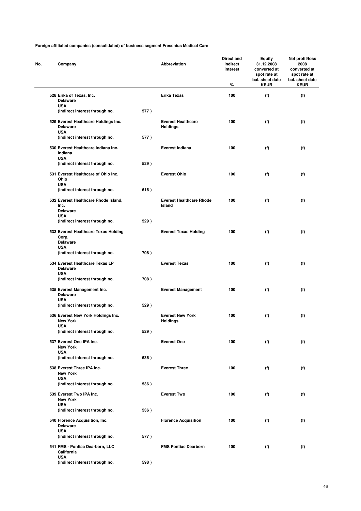| Company                                                               |      | Abbreviation                                 | Direct and<br>indirect<br>interest<br>% | <b>Equity</b><br>31.12.2008<br>converted at<br>spot rate at<br>bal. sheet date<br><b>KEUR</b> | Net profit/loss<br>2008<br>converted at<br>spot rate at<br>bal. sheet date<br><b>KEUR</b> |
|-----------------------------------------------------------------------|------|----------------------------------------------|-----------------------------------------|-----------------------------------------------------------------------------------------------|-------------------------------------------------------------------------------------------|
| 528 Erika of Texas, Inc.<br><b>Delaware</b>                           |      | Erika Texas                                  | 100                                     | (f)                                                                                           | (f)                                                                                       |
| <b>USA</b><br>(indirect interest through no.                          | 577) |                                              |                                         |                                                                                               |                                                                                           |
| 529 Everest Healthcare Holdings Inc.<br><b>Delaware</b><br><b>USA</b> |      | <b>Everest Healthcare</b><br><b>Holdings</b> | 100                                     | (f)                                                                                           | (f)                                                                                       |
| (indirect interest through no.                                        | 577) |                                              |                                         |                                                                                               |                                                                                           |
| 530 Everest Healthcare Indiana Inc.<br>Indiana<br><b>USA</b>          |      | <b>Everest Indiana</b>                       | 100                                     | (f)                                                                                           | (f)                                                                                       |
| (indirect interest through no.                                        | 529) |                                              |                                         |                                                                                               |                                                                                           |
| 531 Everest Healthcare of Ohio Inc.<br>Ohio<br><b>USA</b>             |      | <b>Everest Ohio</b>                          | 100                                     | (f)                                                                                           | (f)                                                                                       |
| (indirect interest through no.                                        | 616) |                                              |                                         |                                                                                               |                                                                                           |
| 532 Everest Healthcare Rhode Island,<br>Inc.<br><b>Delaware</b>       |      | <b>Everest Healthcare Rhode</b><br>Island    | 100                                     | (f)                                                                                           | (f)                                                                                       |
| <b>USA</b><br>(indirect interest through no.                          | 529) |                                              |                                         |                                                                                               |                                                                                           |
| 533 Everest Healthcare Texas Holding<br>Corp.<br><b>Delaware</b>      |      | <b>Everest Texas Holding</b>                 | 100                                     | (f)                                                                                           | (f)                                                                                       |
| <b>USA</b><br>(indirect interest through no.                          | 708) |                                              |                                         |                                                                                               |                                                                                           |
| 534 Everest Healthcare Texas LP<br><b>Delaware</b><br><b>USA</b>      |      | <b>Everest Texas</b>                         | 100                                     | (f)                                                                                           | (f)                                                                                       |
| (indirect interest through no.                                        | 708) |                                              |                                         |                                                                                               |                                                                                           |
| 535 Everest Management Inc.<br><b>Delaware</b>                        |      | <b>Everest Management</b>                    | 100                                     | (f)                                                                                           | (f)                                                                                       |
| <b>USA</b><br>(indirect interest through no.                          | 529) |                                              |                                         |                                                                                               |                                                                                           |
| 536 Everest New York Holdings Inc.<br><b>New York</b>                 |      | <b>Everest New York</b><br><b>Holdings</b>   | 100                                     | (f)                                                                                           | (f)                                                                                       |
| <b>USA</b><br>(indirect interest through no.                          | 529) |                                              |                                         |                                                                                               |                                                                                           |
| 537 Everest One IPA Inc.<br><b>New York</b>                           |      | <b>Everest One</b>                           | 100                                     | (f)                                                                                           | (f)                                                                                       |
| <b>USA</b><br>(indirect interest through no.                          | 536) |                                              |                                         |                                                                                               |                                                                                           |
| 538 Everest Three IPA Inc.<br><b>New York</b>                         |      | <b>Everest Three</b>                         | 100                                     | (f)                                                                                           | (f)                                                                                       |
| <b>USA</b><br>(indirect interest through no.                          | 536) |                                              |                                         |                                                                                               |                                                                                           |
| 539 Everest Two IPA Inc.<br><b>New York</b>                           |      | <b>Everest Two</b>                           | 100                                     | (f)                                                                                           | (f)                                                                                       |
| <b>USA</b><br>(indirect interest through no.                          | 536) |                                              |                                         |                                                                                               |                                                                                           |
| 540 Florence Acquisition, Inc.<br><b>Delaware</b>                     |      | <b>Florence Acquisition</b>                  | 100                                     | (f)                                                                                           | (f)                                                                                       |
| <b>USA</b><br>(indirect interest through no.                          | 577) |                                              |                                         |                                                                                               |                                                                                           |
| 541 FMS - Pontiac Dearborn, LLC<br>California                         |      | <b>FMS Pontiac Dearborn</b>                  | 100                                     | (f)                                                                                           | (f)                                                                                       |
| <b>USA</b><br>(indirect interest through no.                          | 598) |                                              |                                         |                                                                                               |                                                                                           |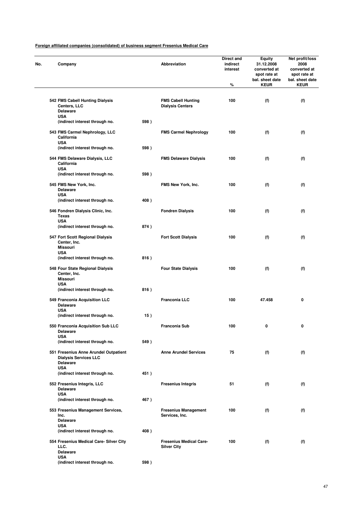| Company                                                                                  |      | Abbreviation                                         | Direct and<br>indirect<br>interest | <b>Equity</b><br>31.12.2008<br>converted at<br>spot rate at<br>bal. sheet date | Net profit/loss<br>2008<br>converted at<br>spot rate at<br>bal. sheet date |
|------------------------------------------------------------------------------------------|------|------------------------------------------------------|------------------------------------|--------------------------------------------------------------------------------|----------------------------------------------------------------------------|
|                                                                                          |      |                                                      | %                                  | <b>KEUR</b>                                                                    | <b>KEUR</b>                                                                |
| 542 FMS Cabell Hunting Dialysis<br>Centers, LLC<br>Delaware                              |      | <b>FMS Cabell Hunting</b><br><b>Dialysis Centers</b> | 100                                | (f)                                                                            | (f)                                                                        |
| <b>USA</b><br>(indirect interest through no.                                             | 598) |                                                      |                                    |                                                                                |                                                                            |
| 543 FMS Carmel Nephrology, LLC<br>California<br><b>USA</b>                               |      | <b>FMS Carmel Nephrology</b>                         | 100                                | (f)                                                                            | (f)                                                                        |
| (indirect interest through no.                                                           | 598) |                                                      |                                    |                                                                                |                                                                            |
| 544 FMS Delaware Dialysis, LLC<br>California<br><b>USA</b>                               |      | <b>FMS Delaware Dialysis</b>                         | 100                                | (f)                                                                            | (f)                                                                        |
| (indirect interest through no.                                                           | 598) |                                                      |                                    |                                                                                |                                                                            |
| 545 FMS New York, Inc.<br>Delaware<br><b>USA</b>                                         |      | FMS New York, Inc.                                   | 100                                | (f)                                                                            | (f)                                                                        |
| (indirect interest through no.                                                           | 408) |                                                      |                                    |                                                                                |                                                                            |
| 546 Fondren Dialysis Clinic, Inc.<br><b>Texas</b>                                        |      | <b>Fondren Dialysis</b>                              | 100                                | (f)                                                                            | (f)                                                                        |
| <b>USA</b><br>(indirect interest through no.                                             | 874) |                                                      |                                    |                                                                                |                                                                            |
| 547 Fort Scott Regional Dialysis<br>Center, Inc.<br><b>Missouri</b>                      |      | <b>Fort Scott Dialysis</b>                           | 100                                | (f)                                                                            | (f)                                                                        |
| <b>USA</b><br>(indirect interest through no.                                             | 816) |                                                      |                                    |                                                                                |                                                                            |
| 548 Four State Regional Dialysis<br>Center, Inc.<br><b>Missouri</b>                      |      | <b>Four State Dialysis</b>                           | 100                                | (f)                                                                            | (f)                                                                        |
| <b>USA</b><br>(indirect interest through no.                                             | 816) |                                                      |                                    |                                                                                |                                                                            |
| 549 Franconia Acquisition LLC<br><b>Delaware</b>                                         |      | <b>Franconia LLC</b>                                 | 100                                | 47.458                                                                         | 0                                                                          |
| <b>USA</b><br>(indirect interest through no.                                             | 15)  |                                                      |                                    |                                                                                |                                                                            |
| 550 Franconia Acquisition Sub LLC<br>Delaware                                            |      | Franconia Sub                                        | 100                                | 0                                                                              | U                                                                          |
| <b>USA</b><br>(indirect interest through no.                                             | 549) |                                                      |                                    |                                                                                |                                                                            |
| 551 Fresenius Anne Arundel Outpatient<br><b>Dialysis Services LLC</b><br><b>Delaware</b> |      | <b>Anne Arundel Services</b>                         | 75                                 | (f)                                                                            | (f)                                                                        |
| <b>USA</b><br>(indirect interest through no.                                             | 451) |                                                      |                                    |                                                                                |                                                                            |
| 552 Fresenius Integris, LLC<br><b>Delaware</b>                                           |      | <b>Fresenius Integris</b>                            | 51                                 | (f)                                                                            | (f)                                                                        |
| <b>USA</b><br>(indirect interest through no.                                             | 467) |                                                      |                                    |                                                                                |                                                                            |
| 553 Fresenius Management Services,<br>Inc.<br><b>Delaware</b>                            |      | <b>Fresenius Management</b><br>Services, Inc.        | 100                                | (f)                                                                            | (f)                                                                        |
| <b>USA</b><br>(indirect interest through no.                                             | 408) |                                                      |                                    |                                                                                |                                                                            |
| 554 Fresenius Medical Care- Silver City<br>LLC.                                          |      | <b>Fresenius Medical Care-</b><br><b>Silver City</b> | 100                                | (f)                                                                            | (f)                                                                        |
| <b>Delaware</b><br><b>USA</b>                                                            |      |                                                      |                                    |                                                                                |                                                                            |
| (indirect interest through no.                                                           | 598) |                                                      |                                    |                                                                                |                                                                            |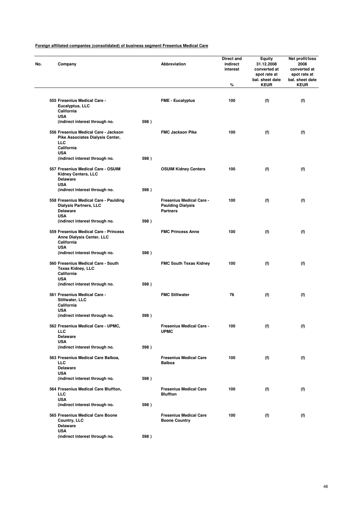| Company                                                                                    |      | <b>Abbreviation</b>                                                     | Direct and<br>indirect<br>interest<br>$\%$ | Equity<br>31.12.2008<br>converted at<br>spot rate at<br>bal. sheet date<br><b>KEUR</b> | Net profit/loss<br>2008<br>converted at<br>spot rate at<br>bal. sheet date<br><b>KEUR</b> |
|--------------------------------------------------------------------------------------------|------|-------------------------------------------------------------------------|--------------------------------------------|----------------------------------------------------------------------------------------|-------------------------------------------------------------------------------------------|
|                                                                                            |      |                                                                         |                                            |                                                                                        |                                                                                           |
| 555 Fresenius Medical Care -<br>Eucalyptus, LLC<br>California<br><b>USA</b>                |      | <b>FME - Eucalyptus</b>                                                 | 100                                        | (f)                                                                                    | (f)                                                                                       |
| (indirect interest through no.                                                             | 598) |                                                                         |                                            |                                                                                        |                                                                                           |
| 556 Fresenius Medical Care - Jackson<br>Pike Associates Dialysis Center,<br><b>LLC</b>     |      | <b>FMC Jackson Pike</b>                                                 | 100                                        | (f)                                                                                    | (f)                                                                                       |
| California<br><b>USA</b>                                                                   |      |                                                                         |                                            |                                                                                        |                                                                                           |
| (indirect interest through no.                                                             | 598) |                                                                         |                                            |                                                                                        |                                                                                           |
| 557 Fresenius Medical Care - OSUIM<br>Kidney Centers, LLC<br><b>Delaware</b><br><b>USA</b> |      | <b>OSUIM Kidney Centers</b>                                             | 100                                        | (f)                                                                                    | (f)                                                                                       |
| (indirect interest through no.                                                             | 598) |                                                                         |                                            |                                                                                        |                                                                                           |
| 558 Fresenius Medical Care - Paulding<br>Dialysis Partners, LLC<br><b>Delaware</b>         |      | Fresenius Medical Care -<br><b>Paulding Dialysis</b><br><b>Partners</b> | 100                                        | (f)                                                                                    | (f)                                                                                       |
| <b>USA</b><br>(indirect interest through no.                                               | 598) |                                                                         |                                            |                                                                                        |                                                                                           |
| 559 Fresenius Medical Care - Princess<br>Anne Dialysis Center, LLC<br>California           |      | <b>FMC Princess Anne</b>                                                | 100                                        | (f)                                                                                    | (f)                                                                                       |
| <b>USA</b><br>(indirect interest through no.                                               | 598) |                                                                         |                                            |                                                                                        |                                                                                           |
| 560 Fresenius Medical Care - South<br><b>Texas Kidney, LLC</b><br>California               |      | <b>FMC South Texas Kidney</b>                                           | 100                                        | (f)                                                                                    | (f)                                                                                       |
| <b>USA</b><br>(indirect interest through no.                                               | 598) |                                                                         |                                            |                                                                                        |                                                                                           |
| 561 Fresenius Medical Care -<br>Stillwater, LLC<br>California                              |      | <b>FMC Stillwater</b>                                                   | 76                                         | (f)                                                                                    | (f)                                                                                       |
| <b>USA</b>                                                                                 |      |                                                                         |                                            |                                                                                        |                                                                                           |
| (indirect interest through no.                                                             | 598) |                                                                         |                                            |                                                                                        |                                                                                           |
| 562 Fresenius Medical Care - UPMC,<br><b>LLC</b><br><b>Delaware</b>                        |      | Fresenius Medical Care -<br><b>UPMC</b>                                 | 100                                        | (f)                                                                                    | (f)                                                                                       |
| <b>USA</b><br>(indirect interest through no.                                               | 598) |                                                                         |                                            |                                                                                        |                                                                                           |
| 563 Fresenius Medical Care Balboa,<br><b>LLC</b><br><b>Delaware</b>                        |      | <b>Fresenius Medical Care</b><br><b>Balboa</b>                          | 100                                        | (f)                                                                                    | (f)                                                                                       |
| <b>USA</b>                                                                                 |      |                                                                         |                                            |                                                                                        |                                                                                           |
| (indirect interest through no.                                                             | 598) |                                                                         |                                            |                                                                                        |                                                                                           |
| 564 Fresenius Medical Care Bluffton,<br><b>LLC</b><br><b>USA</b>                           |      | <b>Fresenius Medical Care</b><br><b>Bluffton</b>                        | 100                                        | (f)                                                                                    | (f)                                                                                       |
| (indirect interest through no.                                                             | 598) |                                                                         |                                            |                                                                                        |                                                                                           |
| 565 Fresenius Medical Care Boone<br>Country, LLC<br>Delaware                               |      | <b>Fresenius Medical Care</b><br><b>Boone Country</b>                   | 100                                        | (f)                                                                                    | (f)                                                                                       |
| <b>USA</b><br>(indirect interest through no.                                               | 598) |                                                                         |                                            |                                                                                        |                                                                                           |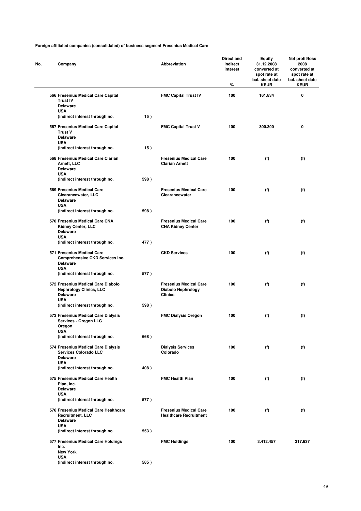| No. | Company                                                                                               |      | Abbreviation                                                                 | Direct and<br>indirect<br>interest<br>% | Equity<br>31.12.2008<br>converted at<br>spot rate at<br>bal. sheet date<br><b>KEUR</b> | Net profit/loss<br>2008<br>converted at<br>spot rate at<br>bal. sheet date<br><b>KEUR</b> |
|-----|-------------------------------------------------------------------------------------------------------|------|------------------------------------------------------------------------------|-----------------------------------------|----------------------------------------------------------------------------------------|-------------------------------------------------------------------------------------------|
|     | 566 Fresenius Medical Care Capital<br><b>Trust IV</b><br><b>Delaware</b><br><b>USA</b>                |      | <b>FMC Capital Trust IV</b>                                                  | 100                                     | 161.834                                                                                | 0                                                                                         |
|     | (indirect interest through no.                                                                        | 15)  |                                                                              |                                         |                                                                                        |                                                                                           |
|     | 567 Fresenius Medical Care Capital<br><b>Trust V</b><br><b>Delaware</b><br><b>USA</b>                 |      | <b>FMC Capital Trust V</b>                                                   | 100                                     | 300.300                                                                                | 0                                                                                         |
|     | (indirect interest through no.                                                                        | 15)  |                                                                              |                                         |                                                                                        |                                                                                           |
|     | 568 Fresenius Medical Care Clarian<br>Arnett, LLC<br><b>Delaware</b><br><b>USA</b>                    |      | <b>Fresenius Medical Care</b><br><b>Clarian Arnett</b>                       | 100                                     | (f)                                                                                    | (f)                                                                                       |
|     | (indirect interest through no.                                                                        | 598) |                                                                              |                                         |                                                                                        |                                                                                           |
|     | 569 Fresenius Medical Care<br>Clearancewater, LLC<br><b>Delaware</b><br><b>USA</b>                    |      | <b>Fresenius Medical Care</b><br>Clearancewater                              | 100                                     | (f)                                                                                    | (f)                                                                                       |
|     | (indirect interest through no.                                                                        | 598) |                                                                              |                                         |                                                                                        |                                                                                           |
|     | 570 Fresenius Medical Care CNA<br>Kidney Center, LLC<br><b>Delaware</b><br><b>USA</b>                 |      | <b>Fresenius Medical Care</b><br><b>CNA Kidney Center</b>                    | 100                                     | (f)                                                                                    | (f)                                                                                       |
|     | (indirect interest through no.                                                                        | 477) |                                                                              |                                         |                                                                                        |                                                                                           |
|     | 571 Fresenius Medical Care<br><b>Comprehensive CKD Services Inc.</b><br><b>Delaware</b><br><b>USA</b> |      | <b>CKD Services</b>                                                          | 100                                     | (f)                                                                                    | (f)                                                                                       |
|     | (indirect interest through no.                                                                        | 577) |                                                                              |                                         |                                                                                        |                                                                                           |
|     | 572 Fresenius Medical Care Diabolo<br><b>Nephrology Clinics, LLC</b><br><b>Delaware</b><br><b>USA</b> |      | <b>Fresenius Medical Care</b><br><b>Diabolo Nephrology</b><br><b>Clinics</b> | 100                                     | (f)                                                                                    | (f)                                                                                       |
|     | (indirect interest through no.                                                                        | 598) |                                                                              |                                         |                                                                                        |                                                                                           |
|     | 573 Fresenius Medical Care Dialysis<br>Services - Oregon LLC<br>Oregon<br>USA                         |      | <b>FMC Dialysis Oregon</b>                                                   | 100                                     | (f)                                                                                    | (f)                                                                                       |
|     | (indirect interest through no.                                                                        | 668) |                                                                              |                                         |                                                                                        |                                                                                           |
|     | 574 Fresenius Medical Care Dialysis<br><b>Services Colorado LLC</b><br><b>Delaware</b><br><b>USA</b>  |      | <b>Dialysis Services</b><br>Colorado                                         | 100                                     | (f)                                                                                    | (f)                                                                                       |
|     | (indirect interest through no.                                                                        | 408) |                                                                              |                                         |                                                                                        |                                                                                           |
|     | 575 Fresenius Medical Care Health<br>Plan, Inc.<br><b>Delaware</b>                                    |      | <b>FMC Health Plan</b>                                                       | 100                                     | (f)                                                                                    | (f)                                                                                       |
|     | <b>USA</b><br>(indirect interest through no.                                                          | 577) |                                                                              |                                         |                                                                                        |                                                                                           |
|     | 576 Fresenius Medical Care Healthcare<br>Recruitment, LLC<br><b>Delaware</b><br><b>USA</b>            |      | <b>Fresenius Medical Care</b><br><b>Healthcare Recruitment</b>               | 100                                     | (f)                                                                                    | (f)                                                                                       |
|     | (indirect interest through no.                                                                        | 553) |                                                                              |                                         |                                                                                        |                                                                                           |
|     | 577 Fresenius Medical Care Holdings<br>Inc.<br><b>New York</b>                                        |      | <b>FMC Holdings</b>                                                          | 100                                     | 3.412.457                                                                              | 317.637                                                                                   |
|     | <b>USA</b><br>(indirect interest through no.                                                          | 585) |                                                                              |                                         |                                                                                        |                                                                                           |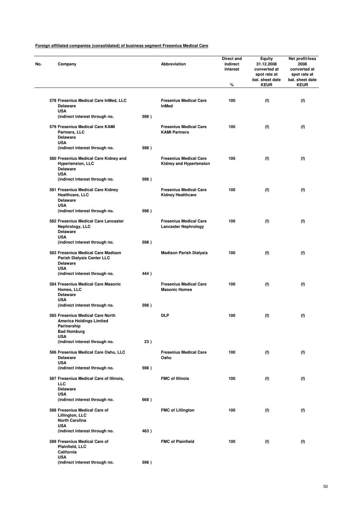| No. | Company                                                                                                  |      | Abbreviation                                                    | Direct and<br>indirect<br>interest<br>% | <b>Equity</b><br>31.12.2008<br>converted at<br>spot rate at<br>bal. sheet date<br><b>KEUR</b> | Net profit/loss<br>2008<br>converted at<br>spot rate at<br>bal. sheet date<br><b>KEUR</b> |
|-----|----------------------------------------------------------------------------------------------------------|------|-----------------------------------------------------------------|-----------------------------------------|-----------------------------------------------------------------------------------------------|-------------------------------------------------------------------------------------------|
|     |                                                                                                          |      |                                                                 |                                         |                                                                                               |                                                                                           |
|     | 578 Fresenius Medical Care InMed, LLC<br><b>Delaware</b><br><b>USA</b>                                   |      | <b>Fresenius Medical Care</b><br>InMed                          | 100                                     | (f)                                                                                           | (f)                                                                                       |
|     | (indirect interest through no.                                                                           | 598) |                                                                 |                                         |                                                                                               |                                                                                           |
|     | 579 Fresenius Medical Care KAMI<br>Partners, LLC<br><b>Delaware</b>                                      |      | <b>Fresenius Medical Care</b><br><b>KAMI Partners</b>           | 100                                     | (f)                                                                                           | (f)                                                                                       |
|     | <b>USA</b><br>(indirect interest through no.                                                             | 598) |                                                                 |                                         |                                                                                               |                                                                                           |
|     | 580 Fresenius Medical Care Kidney and<br><b>Hypertension, LLC</b><br><b>Delaware</b><br><b>USA</b>       |      | <b>Fresenius Medical Care</b><br><b>Kidney and Hypertension</b> | 100                                     | (f)                                                                                           | (f)                                                                                       |
|     | (indirect interest through no.                                                                           | 598) |                                                                 |                                         |                                                                                               |                                                                                           |
|     | 581 Fresenius Medical Care Kidney<br>Healthcare, LLC<br><b>Delaware</b>                                  |      | <b>Fresenius Medical Care</b><br><b>Kidney Healthcare</b>       | 100                                     | (f)                                                                                           | (f)                                                                                       |
|     | <b>USA</b><br>(indirect interest through no.                                                             | 598) |                                                                 |                                         |                                                                                               |                                                                                           |
|     | 582 Fresenius Medical Care Lancaster<br>Nephrology, LLC<br><b>Delaware</b>                               |      | <b>Fresenius Medical Care</b><br><b>Lancaster Nephrology</b>    | 100                                     | (f)                                                                                           | (f)                                                                                       |
|     | <b>USA</b><br>(indirect interest through no.                                                             | 598) |                                                                 |                                         |                                                                                               |                                                                                           |
|     | 583 Fresenius Medical Care Madison<br>Parish Dialysis Center LLC<br><b>Delaware</b><br><b>USA</b>        |      | <b>Madison Parish Dialysis</b>                                  | 100                                     | (f)                                                                                           | (f)                                                                                       |
|     | (indirect interest through no.                                                                           | 444) |                                                                 |                                         |                                                                                               |                                                                                           |
|     | 584 Fresenius Medical Care Masonic<br>Homes, LLC<br><b>Delaware</b><br><b>USA</b>                        |      | <b>Fresenius Medical Care</b><br><b>Masonic Homes</b>           | 100                                     | (f)                                                                                           | (f)                                                                                       |
|     | (indirect interest through no.                                                                           | 598) |                                                                 |                                         |                                                                                               |                                                                                           |
|     | 585 Fresenius Medical Care North<br><b>America Holdings Limited</b><br>Partnership<br><b>Bad Homburg</b> |      | <b>DLP</b>                                                      | 100                                     | (f)                                                                                           | (f)                                                                                       |
|     | <b>USA</b><br>(indirect interest through no.                                                             | 23)  |                                                                 |                                         |                                                                                               |                                                                                           |
|     | 586 Fresenius Medical Care Oahu, LLC<br><b>Delaware</b>                                                  |      | <b>Fresenius Medical Care</b><br>Oahu                           | 100                                     | (f)                                                                                           | (f)                                                                                       |
|     | <b>USA</b><br>(indirect interest through no.                                                             | 598) |                                                                 |                                         |                                                                                               |                                                                                           |
|     | 587 Fresenius Medical Care of Illinois,<br><b>LLC</b><br><b>Delaware</b>                                 |      | <b>FMC of Illinois</b>                                          | 100                                     | (f)                                                                                           | (f)                                                                                       |
|     | <b>USA</b><br>(indirect interest through no.                                                             | 668) |                                                                 |                                         |                                                                                               |                                                                                           |
|     | 588 Fresenius Medical Care of<br>Lillington, LLC<br><b>North Carolina</b>                                |      | <b>FMC of Lillington</b>                                        | 100                                     | (f)                                                                                           | (f)                                                                                       |
|     | <b>USA</b><br>(indirect interest through no.                                                             | 463) |                                                                 |                                         |                                                                                               |                                                                                           |
|     | 589 Fresenius Medical Care of<br>Plainfield, LLC<br>California<br><b>USA</b>                             |      | <b>FMC of Plainfield</b>                                        | 100                                     | (f)                                                                                           | (f)                                                                                       |
|     | (indirect interest through no.                                                                           | 598) |                                                                 |                                         |                                                                                               |                                                                                           |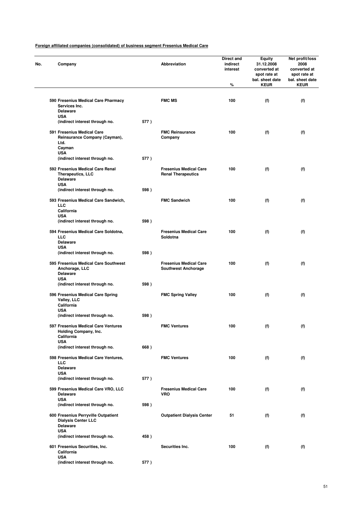| Company                                                                                            |      | Abbreviation                                                | Direct and<br>indirect<br>interest<br>% | <b>Equity</b><br>31.12.2008<br>converted at<br>spot rate at<br>bal. sheet date<br><b>KEUR</b> | Net profit/loss<br>2008<br>converted at<br>spot rate at<br>bal. sheet date<br><b>KEUR</b> |
|----------------------------------------------------------------------------------------------------|------|-------------------------------------------------------------|-----------------------------------------|-----------------------------------------------------------------------------------------------|-------------------------------------------------------------------------------------------|
| 590 Fresenius Medical Care Pharmacy<br>Services Inc.                                               |      | <b>FMC MS</b>                                               | 100                                     | (f)                                                                                           | (f)                                                                                       |
| <b>Delaware</b><br><b>USA</b><br>(indirect interest through no.                                    | 577) |                                                             |                                         |                                                                                               |                                                                                           |
| 591 Fresenius Medical Care<br>Reinsurance Company (Cayman),<br>Ltd.<br>Cayman                      |      | <b>FMC Reinsurance</b><br>Company                           | 100                                     | (f)                                                                                           | (f)                                                                                       |
| <b>USA</b><br>(indirect interest through no.                                                       | 577) |                                                             |                                         |                                                                                               |                                                                                           |
| 592 Fresenius Medical Care Renal<br><b>Therapeutics, LLC</b><br><b>Delaware</b><br><b>USA</b>      |      | <b>Fresenius Medical Care</b><br><b>Renal Therapeutics</b>  | 100                                     | (f)                                                                                           | (f)                                                                                       |
| (indirect interest through no.                                                                     | 598) |                                                             |                                         |                                                                                               |                                                                                           |
| 593 Fresenius Medical Care Sandwich,<br><b>LLC</b><br>California                                   |      | <b>FMC Sandwich</b>                                         | 100                                     | (f)                                                                                           | (f)                                                                                       |
| <b>USA</b><br>(indirect interest through no.                                                       | 598) |                                                             |                                         |                                                                                               |                                                                                           |
| 594 Fresenius Medical Care Soldotna,<br><b>LLC</b><br><b>Delaware</b>                              |      | <b>Fresenius Medical Care</b><br>Soldotna                   | 100                                     | (f)                                                                                           | (f)                                                                                       |
| <b>USA</b><br>(indirect interest through no.                                                       | 598) |                                                             |                                         |                                                                                               |                                                                                           |
| 595 Fresenius Medical Care Southwest<br>Anchorage, LLC<br><b>Delaware</b>                          |      | <b>Fresenius Medical Care</b><br><b>Southwest Anchorage</b> | 100                                     | (f)                                                                                           | (f)                                                                                       |
| <b>USA</b><br>(indirect interest through no.                                                       | 598) |                                                             |                                         |                                                                                               |                                                                                           |
| 596 Fresenius Medical Care Spring<br>Valley, LLC<br>California<br><b>USA</b>                       |      | <b>FMC Spring Valley</b>                                    | 100                                     | (f)                                                                                           | (f)                                                                                       |
| (indirect interest through no.                                                                     | 598) |                                                             |                                         |                                                                                               |                                                                                           |
| 597 Fresenius Medical Care Ventures<br>Holding Company, Inc.<br>California<br><b>USA</b>           |      | <b>FMC Ventures</b>                                         | 100                                     | (f)                                                                                           | (f)                                                                                       |
| (indirect interest through no.                                                                     | 668) |                                                             |                                         |                                                                                               |                                                                                           |
| 598 Fresenius Medical Care Ventures,<br><b>LLC</b><br><b>Delaware</b>                              |      | <b>FMC Ventures</b>                                         | 100                                     | (f)                                                                                           | (f)                                                                                       |
| <b>USA</b><br>(indirect interest through no.                                                       | 577) |                                                             |                                         |                                                                                               |                                                                                           |
| 599 Fresenius Medical Care VRO, LLC<br><b>Delaware</b><br><b>USA</b>                               |      | <b>Fresenius Medical Care</b><br><b>VRO</b>                 | 100                                     | (f)                                                                                           | (f)                                                                                       |
| (indirect interest through no.                                                                     | 598) |                                                             |                                         |                                                                                               |                                                                                           |
| 600 Fresenius Perryville Outpatient<br><b>Dialysis Center LLC</b><br><b>Delaware</b><br><b>USA</b> |      | <b>Outpatient Dialysis Center</b>                           | 51                                      | (f)                                                                                           | (f)                                                                                       |
| (indirect interest through no.                                                                     | 458) |                                                             |                                         |                                                                                               |                                                                                           |
| 601 Fresenius Securities, Inc.<br>California<br><b>USA</b>                                         |      | Securities Inc.                                             | 100                                     | (f)                                                                                           | (f)                                                                                       |
| (indirect interest through no.                                                                     | 577) |                                                             |                                         |                                                                                               |                                                                                           |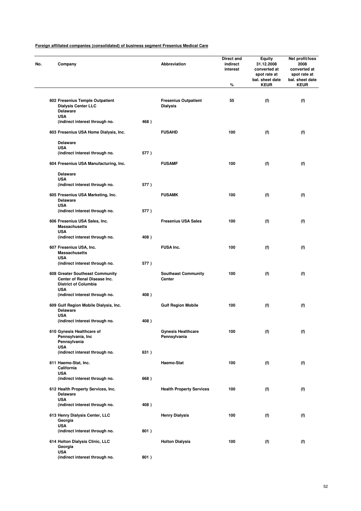| No. | Company                                                                                                      |      | Abbreviation                                   | Direct and<br>indirect<br>interest<br>% | Equity<br>31.12.2008<br>converted at<br>spot rate at<br>bal. sheet date<br><b>KEUR</b> | Net profit/loss<br>2008<br>converted at<br>spot rate at<br>bal. sheet date<br><b>KEUR</b> |
|-----|--------------------------------------------------------------------------------------------------------------|------|------------------------------------------------|-----------------------------------------|----------------------------------------------------------------------------------------|-------------------------------------------------------------------------------------------|
|     |                                                                                                              |      |                                                |                                         |                                                                                        |                                                                                           |
|     | 602 Fresenius Temple Outpatient<br><b>Dialysis Center LLC</b><br><b>Delaware</b><br><b>USA</b>               |      | <b>Fresenius Outpatient</b><br><b>Dialysis</b> | 55                                      | (f)                                                                                    | (f)                                                                                       |
|     | (indirect interest through no.                                                                               | 468) |                                                |                                         |                                                                                        |                                                                                           |
|     | 603 Fresenius USA Home Dialysis, Inc.                                                                        |      | <b>FUSAHD</b>                                  | 100                                     | (f)                                                                                    | (f)                                                                                       |
|     | <b>Delaware</b>                                                                                              |      |                                                |                                         |                                                                                        |                                                                                           |
|     | <b>USA</b><br>(indirect interest through no.                                                                 | 577) |                                                |                                         |                                                                                        |                                                                                           |
|     | 604 Fresenius USA Manufacturing, Inc.                                                                        |      | <b>FUSAMF</b>                                  | 100                                     | (f)                                                                                    | (f)                                                                                       |
|     | <b>Delaware</b>                                                                                              |      |                                                |                                         |                                                                                        |                                                                                           |
|     | <b>USA</b><br>(indirect interest through no.                                                                 |      |                                                |                                         |                                                                                        |                                                                                           |
|     |                                                                                                              | 577) |                                                |                                         |                                                                                        |                                                                                           |
|     | 605 Fresenius USA Marketing, Inc.<br><b>Delaware</b><br><b>USA</b>                                           |      | <b>FUSAMK</b>                                  | 100                                     | (f)                                                                                    | (f)                                                                                       |
|     | (indirect interest through no.                                                                               | 577) |                                                |                                         |                                                                                        |                                                                                           |
|     | 606 Fresenius USA Sales, Inc.<br><b>Massachusetts</b><br><b>USA</b>                                          |      | <b>Fresenius USA Sales</b>                     | 100                                     | (f)                                                                                    | (f)                                                                                       |
|     | (indirect interest through no.                                                                               | 408) |                                                |                                         |                                                                                        |                                                                                           |
|     | 607 Fresenius USA, Inc.<br><b>Massachusetts</b>                                                              |      | <b>FUSA Inc.</b>                               | 100                                     | (f)                                                                                    | (f)                                                                                       |
|     | <b>USA</b><br>(indirect interest through no.                                                                 | 577) |                                                |                                         |                                                                                        |                                                                                           |
|     | 608 Greater Southeast Community<br>Center of Renal Disease Inc.<br><b>District of Columbia</b><br><b>USA</b> |      | <b>Southeast Community</b><br>Center           | 100                                     | (f)                                                                                    | (f)                                                                                       |
|     | (indirect interest through no.                                                                               | 408) |                                                |                                         |                                                                                        |                                                                                           |
|     | 609 Gulf Region Mobile Dialysis, Inc.<br><b>Delaware</b>                                                     |      | <b>Gulf Region Mobile</b>                      | 100                                     | (f)                                                                                    | (f)                                                                                       |
|     | <b>USA</b><br>(indirect interest through no.                                                                 | 408) |                                                |                                         |                                                                                        |                                                                                           |
|     | 610 Gynesis Healthcare of<br>Pennsylvania, Inc<br>Pennsylvania                                               |      | <b>Gynesis Healthcare</b><br>Pennsylvania      | 100                                     | (f)                                                                                    | (f)                                                                                       |
|     | <b>USA</b><br>(indirect interest through no.                                                                 | 631) |                                                |                                         |                                                                                        |                                                                                           |
|     | 611 Haemo-Stat, Inc.<br>California                                                                           |      | Haemo-Stat                                     | 100                                     | (f)                                                                                    | (f)                                                                                       |
|     | <b>USA</b><br>(indirect interest through no.                                                                 | 668) |                                                |                                         |                                                                                        |                                                                                           |
|     |                                                                                                              |      |                                                | 100                                     |                                                                                        |                                                                                           |
|     | 612 Health Property Services, Inc.<br><b>Delaware</b><br><b>USA</b>                                          |      | <b>Health Property Services</b>                |                                         | (f)                                                                                    | (f)                                                                                       |
|     | (indirect interest through no.                                                                               | 408) |                                                |                                         |                                                                                        |                                                                                           |
|     | 613 Henry Dialysis Center, LLC<br>Georgia<br><b>USA</b>                                                      |      | <b>Henry Dialysis</b>                          | 100                                     | (f)                                                                                    | (f)                                                                                       |
|     | (indirect interest through no.                                                                               | 801) |                                                |                                         |                                                                                        |                                                                                           |
|     | 614 Holton Dialysis Clinic, LLC<br>Georgia<br><b>USA</b>                                                     |      | <b>Holton Dialysis</b>                         | 100                                     | (f)                                                                                    | (f)                                                                                       |
|     | (indirect interest through no.                                                                               | 801) |                                                |                                         |                                                                                        |                                                                                           |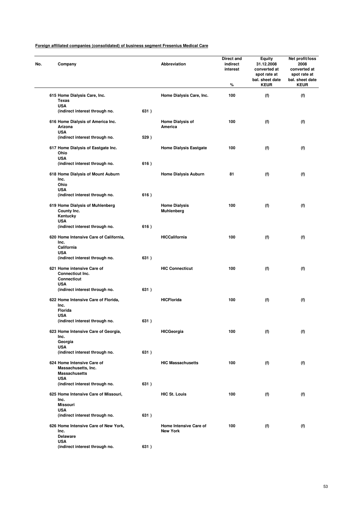| No. | Company                                                                            |      | Abbreviation                              | Direct and<br>indirect<br>interest<br>% | <b>Equity</b><br>31.12.2008<br>converted at<br>spot rate at<br>bal. sheet date<br><b>KEUR</b> | Net profit/loss<br>2008<br>converted at<br>spot rate at<br>bal. sheet date<br><b>KEUR</b> |
|-----|------------------------------------------------------------------------------------|------|-------------------------------------------|-----------------------------------------|-----------------------------------------------------------------------------------------------|-------------------------------------------------------------------------------------------|
|     | 615 Home Dialysis Care, Inc.<br><b>Texas</b>                                       |      | Home Dialysis Care, Inc.                  | 100                                     | (f)                                                                                           | (f)                                                                                       |
|     | <b>USA</b><br>(indirect interest through no.                                       | 631) |                                           |                                         |                                                                                               |                                                                                           |
|     | 616 Home Dialysis of America Inc.<br>Arizona<br><b>USA</b>                         |      | <b>Home Dialysis of</b><br>America        | 100                                     | (f)                                                                                           | (f)                                                                                       |
|     | (indirect interest through no.                                                     | 529) |                                           |                                         |                                                                                               |                                                                                           |
|     | 617 Home Dialysis of Eastgate Inc.<br>Ohio<br><b>USA</b>                           |      | <b>Home Dialysis Eastgate</b>             | 100                                     | (f)                                                                                           | (f)                                                                                       |
|     | (indirect interest through no.                                                     | 616) |                                           |                                         |                                                                                               |                                                                                           |
|     | 618 Home Dialysis of Mount Auburn<br>Inc.<br>Ohio                                  |      | <b>Home Dialysis Auburn</b>               | 81                                      | (f)                                                                                           | (f)                                                                                       |
|     | <b>USA</b><br>(indirect interest through no.                                       | 616) |                                           |                                         |                                                                                               |                                                                                           |
|     | 619 Home Dialysis of Muhlenberg<br>County Inc.<br>Kentucky                         |      | <b>Home Dialysis</b><br><b>Muhlenberg</b> | 100                                     | (f)                                                                                           | (f)                                                                                       |
|     | <b>USA</b><br>(indirect interest through no.                                       | 616) |                                           |                                         |                                                                                               |                                                                                           |
|     | 620 Home Intensive Care of California,<br>Inc.                                     |      | <b>HICCalifornia</b>                      | 100                                     | (f)                                                                                           | (f)                                                                                       |
|     | California<br><b>USA</b>                                                           |      |                                           |                                         |                                                                                               |                                                                                           |
|     | (indirect interest through no.                                                     | 631) |                                           |                                         |                                                                                               |                                                                                           |
|     | 621 Home intensive Care of<br>Connecticut Inc.<br><b>Connecticut</b><br><b>USA</b> |      | <b>HIC Connecticut</b>                    | 100                                     | (f)                                                                                           | (f)                                                                                       |
|     | (indirect interest through no.                                                     | 631) |                                           |                                         |                                                                                               |                                                                                           |
|     | 622 Home Intensive Care of Florida,<br>Inc.<br><b>Florida</b>                      |      | <b>HICFlorida</b>                         | 100                                     | (f)                                                                                           | (f)                                                                                       |
|     | <b>USA</b><br>(indirect interest through no.                                       | 631) |                                           |                                         |                                                                                               |                                                                                           |
|     | 623 Home Intensive Care of Georgia,<br>Inc.                                        |      | <b>HICGeorgia</b>                         | 100                                     | (f)                                                                                           | (f)                                                                                       |
|     | Georgia<br><b>USA</b>                                                              |      |                                           |                                         |                                                                                               |                                                                                           |
|     | (indirect interest through no.                                                     | 631) |                                           |                                         |                                                                                               |                                                                                           |
|     | 624 Home Intensive Care of<br>Massachusetts, Inc.<br><b>Massachusetts</b>          |      | <b>HIC Massachusetts</b>                  | 100                                     | (f)                                                                                           | (f)                                                                                       |
|     | <b>USA</b><br>(indirect interest through no.                                       | 631) |                                           |                                         |                                                                                               |                                                                                           |
|     | 625 Home Intensive Care of Missouri,<br>Inc.                                       |      | <b>HIC St. Louis</b>                      | 100                                     | (f)                                                                                           | (f)                                                                                       |
|     | <b>Missouri</b><br><b>USA</b><br>(indirect interest through no.                    | 631) |                                           |                                         |                                                                                               |                                                                                           |
|     | 626 Home Intensive Care of New York,                                               |      | Home Intensive Care of                    | 100                                     | (f)                                                                                           | (f)                                                                                       |
|     | Inc.<br><b>Delaware</b><br><b>USA</b>                                              |      | <b>New York</b>                           |                                         |                                                                                               |                                                                                           |
|     | (indirect interest through no.                                                     | 631) |                                           |                                         |                                                                                               |                                                                                           |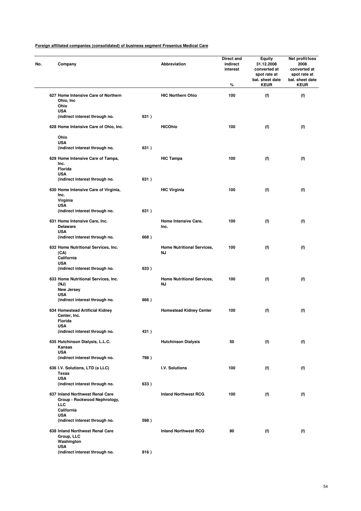| No. | Company                                                                       |      | Abbreviation                            | Direct and<br>indirect<br>interest<br>% | <b>Equity</b><br>31.12.2008<br>converted at<br>spot rate at<br>bal. sheet date<br><b>KEUR</b> | Net profit/loss<br>2008<br>converted at<br>spot rate at<br>bal. sheet date<br><b>KEUR</b> |
|-----|-------------------------------------------------------------------------------|------|-----------------------------------------|-----------------------------------------|-----------------------------------------------------------------------------------------------|-------------------------------------------------------------------------------------------|
|     | 627 Home Intensive Care of Northern<br>Ohio, Inc<br>Ohio                      |      | <b>HIC Northern Ohio</b>                | 100                                     | (f)                                                                                           | (f)                                                                                       |
|     | <b>USA</b><br>(indirect interest through no.                                  | 631) |                                         |                                         |                                                                                               |                                                                                           |
|     | 628 Home Intensive Care of Ohio, Inc.                                         |      | <b>HICOhio</b>                          | 100                                     | (f)                                                                                           | (f)                                                                                       |
|     | Ohio                                                                          |      |                                         |                                         |                                                                                               |                                                                                           |
|     | <b>USA</b><br>(indirect interest through no.                                  | 631) |                                         |                                         |                                                                                               |                                                                                           |
|     | 629 Home Intensive Care of Tampa,<br>Inc.<br>Florida                          |      | <b>HIC Tampa</b>                        | 100                                     | (f)                                                                                           | (f)                                                                                       |
|     | <b>USA</b><br>(indirect interest through no.                                  | 631) |                                         |                                         |                                                                                               |                                                                                           |
|     |                                                                               |      |                                         |                                         |                                                                                               |                                                                                           |
|     | 630 Home Intensive Care of Virginia,<br>Inc.<br>Virginia<br><b>USA</b>        |      | <b>HIC Virginia</b>                     | 100                                     | (f)                                                                                           | (f)                                                                                       |
|     | (indirect interest through no.                                                | 631) |                                         |                                         |                                                                                               |                                                                                           |
|     | 631 Home Intensive Care, Inc.<br><b>Delaware</b><br><b>USA</b>                |      | <b>Home Intensive Care,</b><br>Inc.     | 100                                     | (f)                                                                                           | (f)                                                                                       |
|     | (indirect interest through no.                                                | 668) |                                         |                                         |                                                                                               |                                                                                           |
|     | 632 Home Nutritional Services, Inc.<br>(CA)<br>California<br><b>USA</b>       |      | <b>Home Nutritional Services,</b><br>ΝJ | 100                                     | (f)                                                                                           | (f)                                                                                       |
|     | (indirect interest through no.                                                | 633) |                                         |                                         |                                                                                               |                                                                                           |
|     | 633 Home Nutritional Services, Inc.<br>(NJ)<br>New Jersey                     |      | <b>Home Nutritional Services,</b><br>ΝJ | 100                                     | (f)                                                                                           | (f)                                                                                       |
|     | <b>USA</b><br>(indirect interest through no.                                  | 666) |                                         |                                         |                                                                                               |                                                                                           |
|     | 634 Homestead Artificial Kidney<br>Center, Inc.<br>Florida                    |      | <b>Homestead Kidney Center</b>          | 100                                     | (f)                                                                                           | (f)                                                                                       |
|     | <b>USA</b><br>(indirect interest through no.                                  | 431) |                                         |                                         |                                                                                               |                                                                                           |
|     | 635 Hutchinson Dialysis, L.L.C.                                               |      | <b>Hutchinson Dialysis</b>              | 50                                      | (f)                                                                                           |                                                                                           |
|     | Kansas<br><b>USA</b>                                                          |      |                                         |                                         |                                                                                               | (f)                                                                                       |
|     | (indirect interest through no.                                                | 798) |                                         |                                         |                                                                                               |                                                                                           |
|     | 636 I.V. Solutions, LTD (a LLC)<br><b>Texas</b><br><b>USA</b>                 |      | I.V. Solutions                          | 100                                     | (f)                                                                                           | (f)                                                                                       |
|     | (indirect interest through no.                                                | 633) |                                         |                                         |                                                                                               |                                                                                           |
|     | 637 Inland Northwest Renal Care<br>Group - Rockwood Nephrology,<br><b>LLC</b> |      | <b>Inland Northwest RCG</b>             | 100                                     | (f)                                                                                           | (f)                                                                                       |
|     | California<br><b>USA</b>                                                      |      |                                         |                                         |                                                                                               |                                                                                           |
|     | (indirect interest through no.                                                | 598) |                                         |                                         |                                                                                               |                                                                                           |
|     | 638 Inland Northwest Renal Care<br>Group, LLC<br>Washington                   |      | <b>Inland Northwest RCG</b>             | 80                                      | (f)                                                                                           | (f)                                                                                       |
|     | USA<br>(indirect interest through no.                                         | 816) |                                         |                                         |                                                                                               |                                                                                           |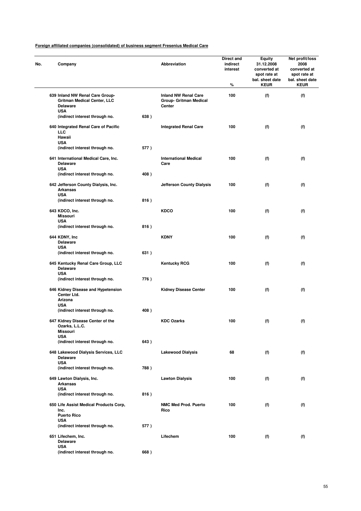| No. | Company                                                                                                |      | Abbreviation                                                           | Direct and<br>indirect<br>interest<br>% | <b>Equity</b><br>31.12.2008<br>converted at<br>spot rate at<br>bal. sheet date<br><b>KEUR</b> | Net profit/loss<br>2008<br>converted at<br>spot rate at<br>bal. sheet date<br><b>KEUR</b> |
|-----|--------------------------------------------------------------------------------------------------------|------|------------------------------------------------------------------------|-----------------------------------------|-----------------------------------------------------------------------------------------------|-------------------------------------------------------------------------------------------|
|     | 639 Inland NW Renal Care Group-<br><b>Gritman Medical Center, LLC</b><br><b>Delaware</b><br><b>USA</b> |      | <b>Inland NW Renal Care</b><br><b>Group- Gritman Medical</b><br>Center | 100                                     | (f)                                                                                           | (f)                                                                                       |
|     | (indirect interest through no.                                                                         | 638) |                                                                        |                                         |                                                                                               |                                                                                           |
|     | 640 Integrated Renal Care of Pacific<br><b>LLC</b><br>Hawaii<br><b>USA</b>                             |      | <b>Integrated Renal Care</b>                                           | 100                                     | (f)                                                                                           | (f)                                                                                       |
|     | (indirect interest through no.                                                                         | 577) |                                                                        |                                         |                                                                                               |                                                                                           |
|     | 641 International Medical Care, Inc.<br><b>Delaware</b><br><b>USA</b>                                  |      | <b>International Medical</b><br>Care                                   | 100                                     | (f)                                                                                           | (f)                                                                                       |
|     | (indirect interest through no.                                                                         | 408) |                                                                        |                                         |                                                                                               |                                                                                           |
|     | 642 Jefferson County Dialysis, Inc.<br><b>Arkansas</b>                                                 |      | <b>Jefferson County Dialysis</b>                                       | 100                                     | (f)                                                                                           | (f)                                                                                       |
|     | <b>USA</b><br>(indirect interest through no.                                                           | 816) |                                                                        |                                         |                                                                                               |                                                                                           |
|     | 643 KDCO, Inc.<br><b>Missouri</b>                                                                      |      | <b>KDCO</b>                                                            | 100                                     | (f)                                                                                           | (f)                                                                                       |
|     | <b>USA</b><br>(indirect interest through no.                                                           | 816) |                                                                        |                                         |                                                                                               |                                                                                           |
|     | 644 KDNY, Inc<br><b>Delaware</b>                                                                       |      | <b>KDNY</b>                                                            | 100                                     | (f)                                                                                           | (f)                                                                                       |
|     | <b>USA</b><br>(indirect interest through no.                                                           | 631) |                                                                        |                                         |                                                                                               |                                                                                           |
|     | 645 Kentucky Renal Care Group, LLC<br><b>Delaware</b><br><b>USA</b>                                    |      | <b>Kentucky RCG</b>                                                    | 100                                     | (f)                                                                                           | (f)                                                                                       |
|     | (indirect interest through no.                                                                         | 776) |                                                                        |                                         |                                                                                               |                                                                                           |
|     | 646 Kidney Disease and Hypetension<br>Center Ltd.<br>Arizona<br><b>USA</b>                             |      | <b>Kidney Disease Center</b>                                           | 100                                     | (f)                                                                                           | (f)                                                                                       |
|     | (indirect interest through no.                                                                         | 408) |                                                                        |                                         |                                                                                               |                                                                                           |
|     | 647 Kidney Disease Center of the<br>Ozarks, L.L.C.<br>Missouri<br><b>USA</b>                           |      | <b>KDC Ozarks</b>                                                      | 100                                     | (f)                                                                                           | (f)                                                                                       |
|     | (indirect interest through no.                                                                         | 643) |                                                                        |                                         |                                                                                               |                                                                                           |
|     | 648 Lakewood Dialysis Services, LLC<br><b>Delaware</b><br><b>USA</b>                                   |      | <b>Lakewood Dialysis</b>                                               | 68                                      | (f)                                                                                           | (f)                                                                                       |
|     | (indirect interest through no.                                                                         | 788) |                                                                        |                                         |                                                                                               |                                                                                           |
|     | 649 Lawton Dialysis, Inc.<br><b>Arkansas</b>                                                           |      | <b>Lawton Dialysis</b>                                                 | 100                                     | (f)                                                                                           | (f)                                                                                       |
|     | <b>USA</b><br>(indirect interest through no.                                                           | 816) |                                                                        |                                         |                                                                                               |                                                                                           |
|     | 650 Life Assist Medical Products Corp,<br>Inc.<br><b>Puerto Rico</b>                                   |      | <b>NMC Med Prod. Puerto</b><br>Rico                                    | 100                                     | (f)                                                                                           | (f)                                                                                       |
|     | <b>USA</b><br>(indirect interest through no.                                                           | 577) |                                                                        |                                         |                                                                                               |                                                                                           |
|     | 651 Lifechem, Inc.<br><b>Delaware</b>                                                                  |      | Lifechem                                                               | 100                                     | (f)                                                                                           | (f)                                                                                       |
|     | <b>USA</b><br>(indirect interest through no.                                                           | 668) |                                                                        |                                         |                                                                                               |                                                                                           |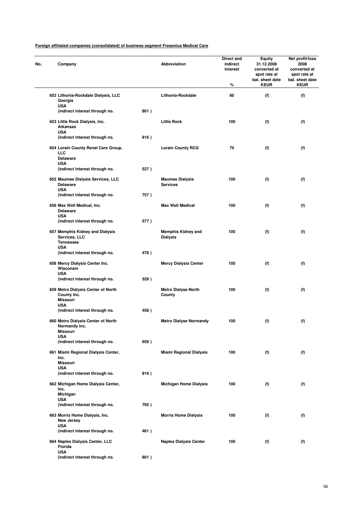| No. | Company                                                                     |      | Abbreviation                                 | Direct and<br>indirect<br>interest<br>% | Equity<br>31.12.2008<br>converted at<br>spot rate at<br>bal. sheet date<br><b>KEUR</b> | Net profit/loss<br>2008<br>converted at<br>spot rate at<br>bal. sheet date<br><b>KEUR</b> |
|-----|-----------------------------------------------------------------------------|------|----------------------------------------------|-----------------------------------------|----------------------------------------------------------------------------------------|-------------------------------------------------------------------------------------------|
|     | 652 Lithonia-Rockdale Dialysis, LLC<br>Georgia                              |      | Lithonia-Rockdale                            | 60                                      | (f)                                                                                    | (f)                                                                                       |
|     | <b>USA</b><br>(indirect interest through no.                                | 801) |                                              |                                         |                                                                                        |                                                                                           |
|     | 653 Little Rock Dialysis, Inc.<br>Arkansas<br><b>USA</b>                    |      | <b>Little Rock</b>                           | 100                                     | (f)                                                                                    | (f)                                                                                       |
|     | (indirect interest through no.                                              | 816) |                                              |                                         |                                                                                        |                                                                                           |
|     | 654 Lorain County Renal Care Group,<br>LLC<br><b>Delaware</b>               |      | <b>Lorain County RCG</b>                     | 70                                      | (f)                                                                                    | (f)                                                                                       |
|     | <b>USA</b><br>(indirect interest through no.                                | 527) |                                              |                                         |                                                                                        |                                                                                           |
|     | 655 Maumee Dialysis Services, LLC<br><b>Delaware</b>                        |      | <b>Maumee Dialysis</b><br><b>Services</b>    | 100                                     | (f)                                                                                    | (f)                                                                                       |
|     | <b>USA</b><br>(indirect interest through no.                                | 757) |                                              |                                         |                                                                                        |                                                                                           |
|     | 656 Max Well Medical, Inc.<br><b>Delaware</b>                               |      | <b>Max Well Medical</b>                      | 100                                     | (f)                                                                                    | (f)                                                                                       |
|     | <b>USA</b><br>(indirect interest through no.                                | 577) |                                              |                                         |                                                                                        |                                                                                           |
|     | 657 Memphis Kidney and Dialysis<br>Services, LLC<br><b>Tennessee</b>        |      | <b>Memphis Kidney and</b><br><b>Dialysis</b> | 100                                     | (f)                                                                                    | (f)                                                                                       |
|     | <b>USA</b><br>(indirect interest through no.                                | 478) |                                              |                                         |                                                                                        |                                                                                           |
|     | 658 Mercy Dialysis Center Inc.<br>Wisconsin<br><b>USA</b>                   |      | <b>Mercy Dialysis Center</b>                 | 100                                     | (f)                                                                                    | (f)                                                                                       |
|     | (indirect interest through no.                                              | 529) |                                              |                                         |                                                                                        |                                                                                           |
|     | 659 Metro Dialysis Center of North<br>County Inc.<br>Missouri<br><b>USA</b> |      | <b>Metro Dialyse North</b><br>County         | 100                                     | (f)                                                                                    | (f)                                                                                       |
|     | (indirect interest through no.                                              | 458) |                                              |                                         |                                                                                        |                                                                                           |
|     | 660 Metro Dialysis Center of North<br>Normandy Inc.<br>Missouri             |      | <b>Metro Dialyse Normandy</b>                | 100                                     | (f)                                                                                    | (f)                                                                                       |
|     | <b>USA</b><br>(indirect interest through no.                                | 659) |                                              |                                         |                                                                                        |                                                                                           |
|     | 661 Miami Regional Dialysis Center,<br>Inc.                                 |      | <b>Miami Regional Dialysis</b>               | 100                                     | (f)                                                                                    | (f)                                                                                       |
|     | <b>Missouri</b><br><b>USA</b>                                               |      |                                              |                                         |                                                                                        |                                                                                           |
|     | (indirect interest through no.                                              | 816) |                                              |                                         |                                                                                        |                                                                                           |
|     | 662 Michigan Home Dialysis Center,<br>Inc.<br>Michigan                      |      | <b>Michigan Home Dialysis</b>                | 100                                     | (f)                                                                                    | (f)                                                                                       |
|     | <b>USA</b><br>(indirect interest through no.                                | 795) |                                              |                                         |                                                                                        |                                                                                           |
|     | 663 Morris Home Dialysis, Inc.<br><b>New Jersey</b><br><b>USA</b>           |      | <b>Morris Home Dialysis</b>                  | 100                                     | (f)                                                                                    | (f)                                                                                       |
|     | (indirect interest through no.                                              | 461) |                                              |                                         |                                                                                        |                                                                                           |
|     | 664 Naples Dialysis Center, LLC<br>Florida<br><b>USA</b>                    |      | <b>Naples Dialysis Center</b>                | 100                                     | (f)                                                                                    | (f)                                                                                       |
|     | (indirect interest through no.                                              | 801) |                                              |                                         |                                                                                        |                                                                                           |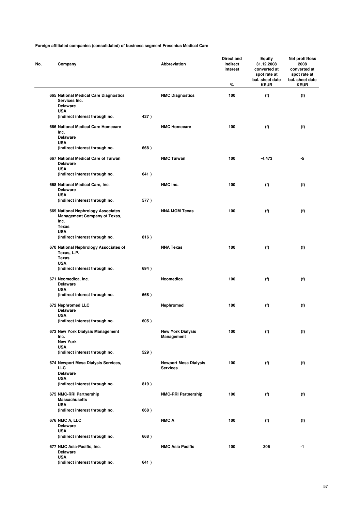| Company                                                                                    |      | Abbreviation                                    | Direct and<br>indirect<br>interest<br>% | Equity<br>31.12.2008<br>converted at<br>spot rate at<br>bal. sheet date<br><b>KEUR</b> | Net profit/loss<br>2008<br>converted at<br>spot rate at<br>bal. sheet date<br><b>KEUR</b> |
|--------------------------------------------------------------------------------------------|------|-------------------------------------------------|-----------------------------------------|----------------------------------------------------------------------------------------|-------------------------------------------------------------------------------------------|
| 665 National Medical Care Diagnostics<br>Services Inc.<br><b>Delaware</b><br><b>USA</b>    |      | <b>NMC Diagnostics</b>                          | 100                                     | (f)                                                                                    | (f)                                                                                       |
| (indirect interest through no.                                                             | 427) |                                                 |                                         |                                                                                        |                                                                                           |
| 666 National Medical Care Homecare<br>Inc.<br><b>Delaware</b><br><b>USA</b>                |      | <b>NMC Homecare</b>                             | 100                                     | (f)                                                                                    | (f)                                                                                       |
| (indirect interest through no.                                                             | 668) |                                                 |                                         |                                                                                        |                                                                                           |
| 667 National Medical Care of Taiwan<br><b>Delaware</b><br><b>USA</b>                       |      | <b>NMC Taiwan</b>                               | 100                                     | -4.473                                                                                 | -5                                                                                        |
| (indirect interest through no.                                                             | 641) |                                                 |                                         |                                                                                        |                                                                                           |
| 668 National Medical Care, Inc.<br><b>Delaware</b><br><b>USA</b>                           |      | NMC Inc.                                        | 100                                     | (f)                                                                                    | (f)                                                                                       |
| (indirect interest through no.                                                             | 577) |                                                 |                                         |                                                                                        |                                                                                           |
| 669 National Nephrology Associates<br>Management Company of Texas,<br>Inc.<br><b>Texas</b> |      | <b>NNA MGM Texas</b>                            | 100                                     | (f)                                                                                    | (f)                                                                                       |
| <b>USA</b><br>(indirect interest through no.                                               | 816) |                                                 |                                         |                                                                                        |                                                                                           |
| 670 National Nephrology Associates of<br>Texas, L.P.<br>Texas                              |      | <b>NNA Texas</b>                                | 100                                     | (f)                                                                                    | (f)                                                                                       |
| <b>USA</b><br>(indirect interest through no.                                               | 694) |                                                 |                                         |                                                                                        |                                                                                           |
| 671 Neomedica, Inc.<br><b>Delaware</b><br><b>USA</b>                                       |      | Neomedica                                       | 100                                     | (f)                                                                                    | (f)                                                                                       |
| (indirect interest through no.                                                             | 668) |                                                 |                                         |                                                                                        |                                                                                           |
| 672 Nephromed LLC<br><b>Delaware</b><br><b>USA</b>                                         |      | Nephromed                                       | 100                                     | (f)                                                                                    | (f)                                                                                       |
| (indirect interest through no.                                                             | 605) |                                                 |                                         |                                                                                        |                                                                                           |
| 673 New York Dialysis Management<br>Inc.                                                   |      | <b>New York Dialysis</b><br>Management          | 100                                     | (f)                                                                                    | (f)                                                                                       |
| <b>New York</b><br><b>USA</b>                                                              |      |                                                 |                                         |                                                                                        |                                                                                           |
| (indirect interest through no.                                                             | 529) |                                                 |                                         |                                                                                        |                                                                                           |
| 674 Newport Mesa Dialysis Services,<br><b>LLC</b><br><b>Delaware</b>                       |      | <b>Newport Mesa Dialysis</b><br><b>Services</b> | 100                                     | (f)                                                                                    | (f)                                                                                       |
| <b>USA</b><br>(indirect interest through no.                                               | 819) |                                                 |                                         |                                                                                        |                                                                                           |
| 675 NMC-RRI Partnership<br><b>Massachusetts</b>                                            |      | <b>NMC-RRI Partnership</b>                      | 100                                     | (f)                                                                                    | (f)                                                                                       |
| <b>USA</b><br>(indirect interest through no.                                               | 668) |                                                 |                                         |                                                                                        |                                                                                           |
| 676 NMC A, LLC<br><b>Delaware</b>                                                          |      | <b>NMC A</b>                                    | 100                                     | (f)                                                                                    | (f)                                                                                       |
| <b>USA</b><br>(indirect interest through no.                                               | 668) |                                                 |                                         |                                                                                        |                                                                                           |
| 677 NMC Asia-Pacific, Inc.<br><b>Delaware</b>                                              |      | <b>NMC Asia Pacific</b>                         | 100                                     | 306                                                                                    | $-1$                                                                                      |
| <b>USA</b><br>(indirect interest through no.                                               | 641) |                                                 |                                         |                                                                                        |                                                                                           |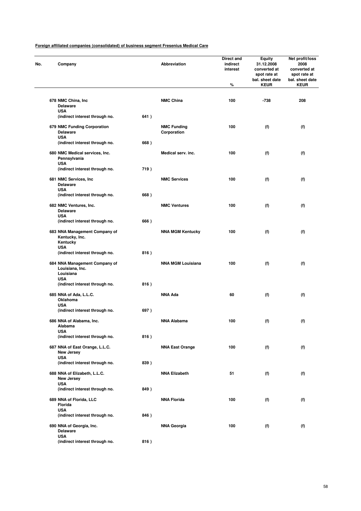| No. | Company                                                                     |      | Abbreviation                      | Direct and<br>indirect<br>interest<br>% | Equity<br>31.12.2008<br>converted at<br>spot rate at<br>bal. sheet date<br><b>KEUR</b> | Net profit/loss<br>2008<br>converted at<br>spot rate at<br>bal. sheet date<br><b>KEUR</b> |
|-----|-----------------------------------------------------------------------------|------|-----------------------------------|-----------------------------------------|----------------------------------------------------------------------------------------|-------------------------------------------------------------------------------------------|
|     |                                                                             |      |                                   |                                         |                                                                                        |                                                                                           |
|     | 678 NMC China, Inc.<br><b>Delaware</b>                                      |      | <b>NMC China</b>                  | 100                                     | $-738$                                                                                 | 208                                                                                       |
|     | <b>USA</b><br>(indirect interest through no.                                | 641) |                                   |                                         |                                                                                        |                                                                                           |
|     | 679 NMC Funding Corporation<br><b>Delaware</b><br><b>USA</b>                |      | <b>NMC Funding</b><br>Corporation | 100                                     | (f)                                                                                    | (f)                                                                                       |
|     | (indirect interest through no.                                              | 668) |                                   |                                         |                                                                                        |                                                                                           |
|     | 680 NMC Medical services, Inc.<br>Pennsylvania<br><b>USA</b>                |      | Medical serv. inc.                | 100                                     | (f)                                                                                    | (f)                                                                                       |
|     | (indirect interest through no.                                              | 719) |                                   |                                         |                                                                                        |                                                                                           |
|     | 681 NMC Services, Inc.<br><b>Delaware</b>                                   |      | <b>NMC Services</b>               | 100                                     | (f)                                                                                    | (f)                                                                                       |
|     | <b>USA</b><br>(indirect interest through no.                                | 668) |                                   |                                         |                                                                                        |                                                                                           |
|     | 682 NMC Ventures, Inc.<br><b>Delaware</b>                                   |      | <b>NMC Ventures</b>               | 100                                     | (f)                                                                                    | (f)                                                                                       |
|     | <b>USA</b><br>(indirect interest through no.                                | 666) |                                   |                                         |                                                                                        |                                                                                           |
|     | 683 NNA Management Company of<br>Kentucky, Inc.<br>Kentucky                 |      | <b>NNA MGM Kentucky</b>           | 100                                     | (f)                                                                                    | (f)                                                                                       |
|     | <b>USA</b><br>(indirect interest through no.                                | 816) |                                   |                                         |                                                                                        |                                                                                           |
|     | 684 NNA Management Company of<br>Louisiana, Inc.<br>Louisiana<br><b>USA</b> |      | <b>NNA MGM Louisiana</b>          | 100                                     | (f)                                                                                    | (f)                                                                                       |
|     | (indirect interest through no.                                              | 816) |                                   |                                         |                                                                                        |                                                                                           |
|     | 685 NNA of Ada, L.L.C.<br>Oklahoma                                          |      | <b>NNA Ada</b>                    | 60                                      | (f)                                                                                    | (f)                                                                                       |
|     | USA<br>(indirect interest through no.                                       | 697) |                                   |                                         |                                                                                        |                                                                                           |
|     | 686 NNA of Alabama, Inc.<br>Alabama                                         |      | <b>NNA Alabama</b>                | 100                                     | (f)                                                                                    | (f)                                                                                       |
|     | USA<br>(indirect interest through no.                                       | 816) |                                   |                                         |                                                                                        |                                                                                           |
|     | 687 NNA of East Orange, L.L.C.<br>New Jersey                                |      | <b>NNA East Orange</b>            | 100                                     | (f)                                                                                    | (f)                                                                                       |
|     | <b>USA</b><br>(indirect interest through no.                                | 839) |                                   |                                         |                                                                                        |                                                                                           |
|     | 688 NNA of Elizabeth, L.L.C.<br>New Jersey                                  |      | <b>NNA Elizabeth</b>              | 51                                      | (f)                                                                                    | (f)                                                                                       |
|     | <b>USA</b><br>(indirect interest through no.                                | 849) |                                   |                                         |                                                                                        |                                                                                           |
|     | 689 NNA of Florida, LLC<br>Florida                                          |      | <b>NNA Florida</b>                | 100                                     | (f)                                                                                    | (f)                                                                                       |
|     | <b>USA</b><br>(indirect interest through no.                                | 846) |                                   |                                         |                                                                                        |                                                                                           |
|     | 690 NNA of Georgia, Inc.<br><b>Delaware</b>                                 |      | <b>NNA Georgia</b>                | 100                                     | (f)                                                                                    | (f)                                                                                       |
|     | <b>USA</b><br>(indirect interest through no.                                | 816) |                                   |                                         |                                                                                        |                                                                                           |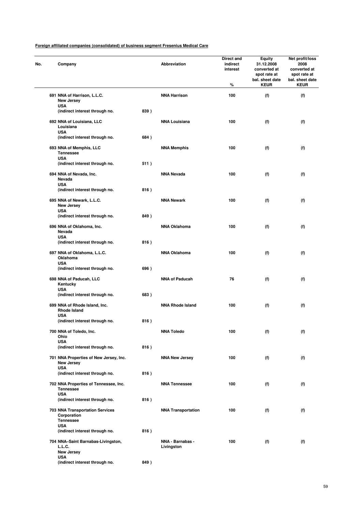| No. | Company                                                            |      | Abbreviation                   | Direct and<br>indirect<br>interest<br>% | <b>Equity</b><br>31.12.2008<br>converted at<br>spot rate at<br>bal. sheet date<br><b>KEUR</b> | Net profit/loss<br>2008<br>converted at<br>spot rate at<br>bal. sheet date<br><b>KEUR</b> |
|-----|--------------------------------------------------------------------|------|--------------------------------|-----------------------------------------|-----------------------------------------------------------------------------------------------|-------------------------------------------------------------------------------------------|
|     | 691 NNA of Harrison, L.L.C.<br><b>New Jersey</b><br><b>USA</b>     |      | <b>NNA Harrison</b>            | 100                                     | (f)                                                                                           | (f)                                                                                       |
|     | (indirect interest through no.                                     | 839) |                                |                                         |                                                                                               |                                                                                           |
|     | 692 NNA of Louisiana, LLC<br>Louisiana<br><b>USA</b>               |      | <b>NNA Louisiana</b>           | 100                                     | (f)                                                                                           | (f)                                                                                       |
|     | (indirect interest through no.                                     | 684) |                                |                                         |                                                                                               |                                                                                           |
|     | 693 NNA of Memphis, LLC<br><b>Tennessee</b><br><b>USA</b>          |      | <b>NNA Memphis</b>             | 100                                     | (f)                                                                                           | (f)                                                                                       |
|     | (indirect interest through no.                                     | 511) |                                |                                         |                                                                                               |                                                                                           |
|     | 694 NNA of Nevada, Inc.<br>Nevada<br><b>USA</b>                    |      | <b>NNA Nevada</b>              | 100                                     | (f)                                                                                           | (f)                                                                                       |
|     | (indirect interest through no.                                     | 816) |                                |                                         |                                                                                               |                                                                                           |
|     | 695 NNA of Newark, L.L.C.<br><b>New Jersey</b><br><b>USA</b>       |      | <b>NNA Newark</b>              | 100                                     | (f)                                                                                           | (f)                                                                                       |
|     | (indirect interest through no.                                     | 849) |                                |                                         |                                                                                               |                                                                                           |
|     | 696 NNA of Oklahoma, Inc.<br>Nevada                                |      | <b>NNA Oklahoma</b>            | 100                                     | (f)                                                                                           | (f)                                                                                       |
|     | <b>USA</b><br>(indirect interest through no.                       | 816) |                                |                                         |                                                                                               |                                                                                           |
|     | 697 NNA of Oklahoma, L.L.C.<br>Oklahoma                            |      | <b>NNA Oklahoma</b>            | 100                                     | (f)                                                                                           | (f)                                                                                       |
|     | <b>USA</b><br>(indirect interest through no.                       | 696) |                                |                                         |                                                                                               |                                                                                           |
|     | 698 NNA of Paducah, LLC<br>Kentucky                                |      | <b>NNA of Paducah</b>          | 76                                      | (f)                                                                                           | (f)                                                                                       |
|     | <b>USA</b><br>(indirect interest through no.                       | 683) |                                |                                         |                                                                                               |                                                                                           |
|     | 699 NNA of Rhode Island, Inc.<br><b>Rhode Island</b>               |      | <b>NNA Rhode Island</b>        | 100                                     | (f)                                                                                           | (f)                                                                                       |
|     | <b>USA</b>                                                         |      |                                |                                         |                                                                                               |                                                                                           |
|     | (indirect interest through no.                                     | 816) |                                |                                         |                                                                                               |                                                                                           |
|     | 700 NNA of Toledo, Inc.<br>Ohio<br><b>USA</b>                      |      | <b>NNA Toledo</b>              | 100                                     | (f)                                                                                           | (f)                                                                                       |
|     | (indirect interest through no.                                     | 816) |                                |                                         |                                                                                               |                                                                                           |
|     | 701 NNA Properties of New Jersey, Inc.<br>New Jersey<br><b>USA</b> |      | <b>NNA New Jersey</b>          | 100                                     | (f)                                                                                           | (f)                                                                                       |
|     | (indirect interest through no.                                     | 816) |                                |                                         |                                                                                               |                                                                                           |
|     | 702 NNA Properties of Tennessee, Inc.<br><b>Tennessee</b>          |      | <b>NNA Tennessee</b>           | 100                                     | (f)                                                                                           | (f)                                                                                       |
|     | <b>USA</b><br>(indirect interest through no.                       | 816) |                                |                                         |                                                                                               |                                                                                           |
|     | <b>703 NNA Transportation Services</b><br>Corporation              |      | <b>NNA Transportation</b>      | 100                                     | (f)                                                                                           | (f)                                                                                       |
|     | <b>Tennessee</b><br><b>USA</b>                                     |      |                                |                                         |                                                                                               |                                                                                           |
|     | (indirect interest through no.                                     | 816) |                                |                                         |                                                                                               |                                                                                           |
|     | 704 NNA-Saint Barnabas-Livingston,<br>L.L.C.<br><b>New Jersey</b>  |      | NNA - Barnabas -<br>Livingston | 100                                     | (f)                                                                                           | (f)                                                                                       |
|     | <b>USA</b>                                                         |      |                                |                                         |                                                                                               |                                                                                           |
|     | (indirect interest through no.                                     | 849) |                                |                                         |                                                                                               |                                                                                           |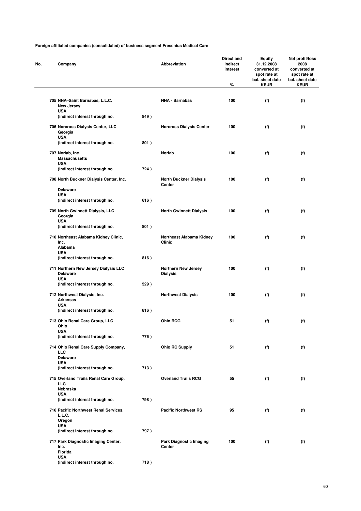| Company                                                               |      | Abbreviation                                  | Direct and<br>indirect<br>interest<br>% | <b>Equity</b><br>31.12.2008<br>converted at<br>spot rate at<br>bal. sheet date<br><b>KEUR</b> | Net profit/loss<br>2008<br>converted at<br>spot rate at<br>bal. sheet date<br><b>KEUR</b> |
|-----------------------------------------------------------------------|------|-----------------------------------------------|-----------------------------------------|-----------------------------------------------------------------------------------------------|-------------------------------------------------------------------------------------------|
|                                                                       |      |                                               |                                         |                                                                                               |                                                                                           |
| 705 NNA-Saint Barnabas, L.L.C.<br>New Jersey                          |      | <b>NNA - Barnabas</b>                         | 100                                     | (f)                                                                                           | (f)                                                                                       |
| USA<br>(indirect interest through no.                                 | 849) |                                               |                                         |                                                                                               |                                                                                           |
| 706 Norcross Dialysis Center, LLC<br>Georgia<br><b>USA</b>            |      | <b>Norcross Dialysis Center</b>               | 100                                     | (f)                                                                                           | (f)                                                                                       |
| (indirect interest through no.                                        | 801) |                                               |                                         |                                                                                               |                                                                                           |
| 707 Norlab, Inc.<br><b>Massachusetts</b>                              |      | Norlab                                        | 100                                     | (f)                                                                                           | (f)                                                                                       |
| <b>USA</b><br>(indirect interest through no.                          | 724) |                                               |                                         |                                                                                               |                                                                                           |
| 708 North Buckner Dialysis Center, Inc.                               |      | <b>North Buckner Dialysis</b><br>Center       | 100                                     | (f)                                                                                           | (f)                                                                                       |
| <b>Delaware</b><br><b>USA</b>                                         |      |                                               |                                         |                                                                                               |                                                                                           |
| (indirect interest through no.                                        | 616) |                                               |                                         |                                                                                               |                                                                                           |
| 709 North Gwinnett Dialysis, LLC<br>Georgia<br><b>USA</b>             |      | <b>North Gwinnett Dialysis</b>                | 100                                     | (f)                                                                                           | (f)                                                                                       |
| (indirect interest through no.                                        | 801) |                                               |                                         |                                                                                               |                                                                                           |
| 710 Northeast Alabama Kidney Clinic,<br>Inc.                          |      | Northeast Alabama Kidney<br>Clinic            | 100                                     | (f)                                                                                           | (f)                                                                                       |
| Alabama<br><b>USA</b><br>(indirect interest through no.               | 816) |                                               |                                         |                                                                                               |                                                                                           |
| 711 Northern New Jersey Dialysis LLC<br><b>Delaware</b><br><b>USA</b> |      | <b>Northern New Jersey</b><br><b>Dialysis</b> | 100                                     | (f)                                                                                           | (f)                                                                                       |
| (indirect interest through no.                                        | 529) |                                               |                                         |                                                                                               |                                                                                           |
| 712 Northwest Dialysis, Inc.<br><b>Arkansas</b>                       |      | <b>Northwest Dialysis</b>                     | 100                                     | (f)                                                                                           | (f)                                                                                       |
| <b>USA</b><br>(indirect interest through no.                          | 816) |                                               |                                         |                                                                                               |                                                                                           |
| 713 Ohio Renal Care Group, LLC<br>Onio                                |      | <b>Ohio RCG</b>                               | 51                                      | (f)                                                                                           | (f)                                                                                       |
| <b>USA</b><br>(indirect interest through no.                          | 776) |                                               |                                         |                                                                                               |                                                                                           |
| 714 Ohio Renal Care Supply Company,<br>LLC                            |      | <b>Ohio RC Supply</b>                         | 51                                      | (f)                                                                                           | (f)                                                                                       |
| <b>Delaware</b><br><b>USA</b>                                         |      |                                               |                                         |                                                                                               |                                                                                           |
| (indirect interest through no.                                        | 713) |                                               |                                         |                                                                                               |                                                                                           |
| 715 Overland Trails Renal Care Group,<br><b>LLC</b><br>Nebraska       |      | <b>Overland Trails RCG</b>                    | 55                                      | (f)                                                                                           | (f)                                                                                       |
| <b>USA</b><br>(indirect interest through no.                          | 798) |                                               |                                         |                                                                                               |                                                                                           |
| 716 Pacific Northwest Renal Services,                                 |      | <b>Pacific Northwest RS</b>                   | 95                                      | (f)                                                                                           | (f)                                                                                       |
| L.L.C.<br>Oregon<br><b>USA</b>                                        |      |                                               |                                         |                                                                                               |                                                                                           |
| (indirect interest through no.                                        | 797) |                                               |                                         |                                                                                               |                                                                                           |
| 717 Park Diagnostic Imaging Center,<br>Inc.<br><b>Florida</b>         |      | <b>Park Diagnostic Imaging</b><br>Center      | 100                                     | (f)                                                                                           | (f)                                                                                       |
| <b>USA</b><br>(indirect interest through no.                          | 718) |                                               |                                         |                                                                                               |                                                                                           |
|                                                                       |      |                                               |                                         |                                                                                               |                                                                                           |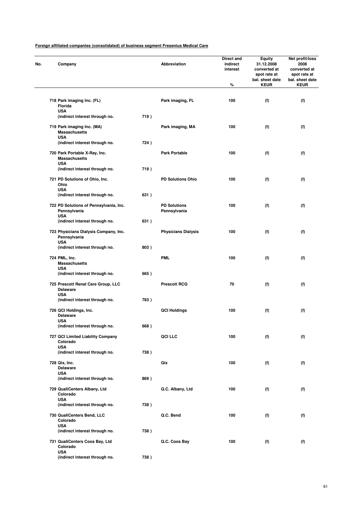| No. | Company                                                              |      | Abbreviation                        | <b>Direct and</b><br>indirect<br>interest<br>% | Equity<br>31.12.2008<br>converted at<br>spot rate at<br>bal. sheet date<br><b>KEUR</b> | Net profit/loss<br>2008<br>converted at<br>spot rate at<br>bal. sheet date<br><b>KEUR</b> |
|-----|----------------------------------------------------------------------|------|-------------------------------------|------------------------------------------------|----------------------------------------------------------------------------------------|-------------------------------------------------------------------------------------------|
|     | 718 Park imaging Inc. (FL)<br>Florida                                |      | Park imaging, FL                    | 100                                            | (f)                                                                                    | (f)                                                                                       |
|     | <b>USA</b><br>(indirect interest through no.                         | 719) |                                     |                                                |                                                                                        |                                                                                           |
|     | 719 Park imaging Inc. (MA)<br><b>Massachusetts</b><br><b>USA</b>     |      | Park imaging, MA                    | 100                                            | (f)                                                                                    | (f)                                                                                       |
|     | (indirect interest through no.                                       | 724) |                                     |                                                |                                                                                        |                                                                                           |
|     | 720 Park Portable X-Ray, Inc.<br><b>Massachusetts</b><br><b>USA</b>  |      | <b>Park Portable</b>                | 100                                            | (f)                                                                                    | (f)                                                                                       |
|     | (indirect interest through no.                                       | 719) |                                     |                                                |                                                                                        |                                                                                           |
|     | 721 PD Solutions of Ohio, Inc.<br>Ohio<br><b>USA</b>                 |      | <b>PD Solutions Ohio</b>            | 100                                            | (f)                                                                                    | (f)                                                                                       |
|     | (indirect interest through no.                                       | 631) |                                     |                                                |                                                                                        |                                                                                           |
|     | 722 PD Solutions of Pennsylvania, Inc.<br>Pennsylvania<br><b>USA</b> |      | <b>PD Solutions</b><br>Pennsylvania | 100                                            | (f)                                                                                    | (f)                                                                                       |
|     | (indirect interest through no.                                       | 631) |                                     |                                                |                                                                                        |                                                                                           |
|     | 723 Physicians Dialysis Company, Inc.<br>Pennsylvania<br><b>USA</b>  |      | <b>Physicians Dialysis</b>          | 100                                            | (f)                                                                                    | (f)                                                                                       |
|     | (indirect interest through no.                                       | 803) |                                     |                                                |                                                                                        |                                                                                           |
|     | 724 PML, Inc.<br><b>Massachusetts</b><br><b>USA</b>                  |      | <b>PML</b>                          | 100                                            | (f)                                                                                    | (f)                                                                                       |
|     | (indirect interest through no.                                       | 665) |                                     |                                                |                                                                                        |                                                                                           |
|     | 725 Prescott Renal Care Group, LLC<br><b>Delaware</b><br><b>USA</b>  |      | <b>Prescott RCG</b>                 | 70                                             | (f)                                                                                    | (f)                                                                                       |
|     | (indirect interest through no.                                       | 783) |                                     |                                                |                                                                                        |                                                                                           |
|     | 726 QCI Holdings, Inc.<br><b>Delaware</b><br>USA                     |      | <b>QCI Holdings</b>                 | 100                                            | (f)                                                                                    | (f)                                                                                       |
|     | (indirect interest through no.                                       | 668) |                                     |                                                |                                                                                        |                                                                                           |
|     | 727 QCI Limited Liability Company<br>Colorado<br><b>USA</b>          |      | QCI LLC                             | 100                                            | (f)                                                                                    | (f)                                                                                       |
|     | (indirect interest through no.                                       | 738) |                                     |                                                |                                                                                        |                                                                                           |
|     | 728 Qix, Inc.<br><b>Delaware</b><br><b>USA</b>                       |      | Qix                                 | 100                                            | (f)                                                                                    | (f)                                                                                       |
|     | (indirect interest through no.                                       | 869) |                                     |                                                |                                                                                        |                                                                                           |
|     | 729 QualiCenters Albany, Ltd<br>Colorado<br><b>USA</b>               |      | Q.C. Albany, Ltd                    | 100                                            | (f)                                                                                    | (f)                                                                                       |
|     | (indirect interest through no.                                       | 738) |                                     |                                                |                                                                                        |                                                                                           |
|     | 730 QualiCenters Bend, LLC<br>Colorado<br><b>USA</b>                 |      | Q.C. Bend                           | 100                                            | (f)                                                                                    | (f)                                                                                       |
|     | (indirect interest through no.                                       | 738) |                                     |                                                |                                                                                        |                                                                                           |
|     | 731 QualiCenters Coos Bay, Ltd<br>Colorado<br><b>USA</b>             |      | Q.C. Coos Bay                       | 100                                            | (f)                                                                                    | (f)                                                                                       |
|     | (indirect interest through no.                                       | 738) |                                     |                                                |                                                                                        |                                                                                           |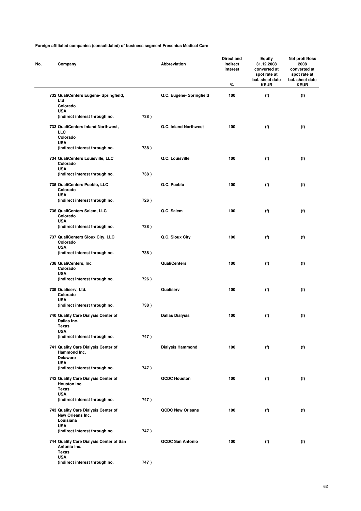| No. | Company                                                                 |      | <b>Abbreviation</b>      | Direct and<br>indirect<br>interest<br>% | Equity<br>31.12.2008<br>converted at<br>spot rate at<br>bal. sheet date<br><b>KEUR</b> | Net profit/loss<br>2008<br>converted at<br>spot rate at<br>bal. sheet date<br><b>KEUR</b> |
|-----|-------------------------------------------------------------------------|------|--------------------------|-----------------------------------------|----------------------------------------------------------------------------------------|-------------------------------------------------------------------------------------------|
|     | 732 QualiCenters Eugene- Springfield,<br>Ltd<br>Colorado                |      | Q.C. Eugene- Springfield | 100                                     | (f)                                                                                    | (f)                                                                                       |
|     | <b>USA</b><br>(indirect interest through no.                            | 738) |                          |                                         |                                                                                        |                                                                                           |
|     | 733 QualiCenters Inland Northwest,<br>LLC<br>Colorado                   |      | Q.C. Inland Northwest    | 100                                     | (f)                                                                                    | (f)                                                                                       |
|     | <b>USA</b><br>(indirect interest through no.                            | 738) |                          |                                         |                                                                                        |                                                                                           |
|     | 734 QualiCenters Louisville, LLC<br>Colorado<br><b>USA</b>              |      | Q.C. Louisville          | 100                                     | (f)                                                                                    | (f)                                                                                       |
|     | (indirect interest through no.                                          | 738) |                          |                                         |                                                                                        |                                                                                           |
|     | 735 QualiCenters Pueblo, LLC<br>Colorado<br><b>USA</b>                  |      | Q.C. Pueblo              | 100                                     | (f)                                                                                    | (f)                                                                                       |
|     | (indirect interest through no.                                          | 726) |                          |                                         |                                                                                        |                                                                                           |
|     | 736 QualiCenters Salem, LLC<br>Colorado<br><b>USA</b>                   |      | Q.C. Salem               | 100                                     | (f)                                                                                    | (f)                                                                                       |
|     | (indirect interest through no.                                          | 738) |                          |                                         |                                                                                        |                                                                                           |
|     | 737 QualiCenters Sioux City, LLC<br>Colorado<br>USA                     |      | Q.C. Sioux City          | 100                                     | (f)                                                                                    | (f)                                                                                       |
|     | (indirect interest through no.                                          | 738) |                          |                                         |                                                                                        |                                                                                           |
|     | 738 QualiCenters, Inc.<br>Colorado<br><b>USA</b>                        |      | <b>QualiCenters</b>      | 100                                     | (f)                                                                                    | (f)                                                                                       |
|     | (indirect interest through no.                                          | 726) |                          |                                         |                                                                                        |                                                                                           |
|     | 739 Qualiserv, Ltd.<br>Colorado<br><b>USA</b>                           |      | Qualiserv                | 100                                     | (f)                                                                                    | (f)                                                                                       |
|     | (indirect interest through no.                                          | 738) |                          |                                         |                                                                                        |                                                                                           |
|     | 740 Quality Care Dialysis Center of<br>Dallas Inc.<br>Texas             |      | <b>Dallas Dialysis</b>   | 100                                     | (f)                                                                                    | (f)                                                                                       |
|     | USA<br>(indirect interest through no.                                   | 747) |                          |                                         |                                                                                        |                                                                                           |
|     | 741 Quality Care Dialysis Center of<br>Hammond Inc.<br><b>Delaware</b>  |      | <b>Dialysis Hammond</b>  | 100                                     | (f)                                                                                    | (f)                                                                                       |
|     | <b>USA</b><br>(indirect interest through no.                            | 747) |                          |                                         |                                                                                        |                                                                                           |
|     | 742 Quality Care Dialysis Center of<br>Houston Inc.<br>Texas            |      | <b>QCDC Houston</b>      | 100                                     | (f)                                                                                    | (f)                                                                                       |
|     | <b>USA</b><br>(indirect interest through no.                            | 747) |                          |                                         |                                                                                        |                                                                                           |
|     | 743 Quality Care Dialysis Center of<br>New Orleans Inc.<br>Louisiana    |      | <b>QCDC New Orleans</b>  | 100                                     | (f)                                                                                    | (f)                                                                                       |
|     | <b>USA</b><br>(indirect interest through no.                            | 747) |                          |                                         |                                                                                        |                                                                                           |
|     | 744 Quality Care Dialysis Center of San<br>Antonio Inc.<br><b>Texas</b> |      | <b>QCDC San Antonio</b>  | 100                                     | (f)                                                                                    | (f)                                                                                       |
|     | <b>USA</b><br>(indirect interest through no.                            | 747) |                          |                                         |                                                                                        |                                                                                           |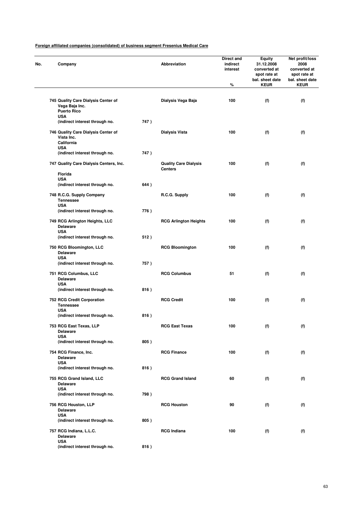| Company                                                                       |      | Abbreviation                                   | Direct and<br>indirect<br>interest<br>$\%$ | <b>Equity</b><br>31.12.2008<br>converted at<br>spot rate at<br>bal. sheet date<br><b>KEUR</b> | Net profit/loss<br>2008<br>converted at<br>spot rate at<br>bal. sheet date<br><b>KEUR</b> |
|-------------------------------------------------------------------------------|------|------------------------------------------------|--------------------------------------------|-----------------------------------------------------------------------------------------------|-------------------------------------------------------------------------------------------|
| 745 Quality Care Dialysis Center of<br>Vega Baja Inc.                         |      | Dialysis Vega Baja                             | 100                                        | (f)                                                                                           | (f)                                                                                       |
| <b>Puerto Rico</b><br><b>USA</b>                                              |      |                                                |                                            |                                                                                               |                                                                                           |
| (indirect interest through no.                                                | 747) |                                                |                                            |                                                                                               |                                                                                           |
| 746 Quality Care Dialysis Center of<br>Vista Inc.<br>California<br><b>USA</b> |      | <b>Dialysis Vista</b>                          | 100                                        | (f)                                                                                           | (f)                                                                                       |
| (indirect interest through no.                                                | 747) |                                                |                                            |                                                                                               |                                                                                           |
| 747 Quality Care Dialysis Centers, Inc.                                       |      | <b>Quality Care Dialysis</b><br><b>Centers</b> | 100                                        | (f)                                                                                           | (f)                                                                                       |
| Florida<br><b>USA</b>                                                         |      |                                                |                                            |                                                                                               |                                                                                           |
| (indirect interest through no.                                                | 644) |                                                |                                            |                                                                                               |                                                                                           |
| 748 R.C.G. Supply Company<br><b>Tennessee</b><br><b>USA</b>                   |      | R.C.G. Supply                                  | 100                                        | (f)                                                                                           | (f)                                                                                       |
| (indirect interest through no.                                                | 776) |                                                |                                            |                                                                                               |                                                                                           |
| 749 RCG Arlington Heights, LLC<br><b>Delaware</b>                             |      | <b>RCG Arlington Heights</b>                   | 100                                        | (f)                                                                                           | (f)                                                                                       |
| <b>USA</b><br>(indirect interest through no.                                  | 512) |                                                |                                            |                                                                                               |                                                                                           |
| 750 RCG Bloomington, LLC<br><b>Delaware</b><br><b>USA</b>                     |      | <b>RCG Bloomington</b>                         | 100                                        | (f)                                                                                           | (f)                                                                                       |
| (indirect interest through no.                                                | 757) |                                                |                                            |                                                                                               |                                                                                           |
| 751 RCG Columbus, LLC<br>Delaware                                             |      | <b>RCG Columbus</b>                            | 51                                         | (f)                                                                                           | (f)                                                                                       |
| <b>USA</b><br>(indirect interest through no.                                  | 816) |                                                |                                            |                                                                                               |                                                                                           |
| 752 RCG Credit Corporation<br><b>Tennessee</b>                                |      | <b>RCG Credit</b>                              | 100                                        | (f)                                                                                           | (f)                                                                                       |
| <b>USA</b><br>(indirect interest through no.                                  | 816) |                                                |                                            |                                                                                               |                                                                                           |
| 753 RCG East Texas, LLP<br><b>Delaware</b>                                    |      | <b>RCG East Texas</b>                          | 100                                        | (f)                                                                                           | (f)                                                                                       |
| <b>USA</b><br>(indirect interest through no.                                  | 805) |                                                |                                            |                                                                                               |                                                                                           |
| 754 RCG Finance, Inc.<br><b>Delaware</b>                                      |      | <b>RCG Finance</b>                             | 100                                        | (f)                                                                                           | (f)                                                                                       |
| <b>USA</b><br>(indirect interest through no.                                  | 816) |                                                |                                            |                                                                                               |                                                                                           |
| 755 RCG Grand Island, LLC<br><b>Delaware</b><br><b>USA</b>                    |      | <b>RCG Grand Island</b>                        | 60                                         | (f)                                                                                           | (f)                                                                                       |
| (indirect interest through no.                                                | 798) |                                                |                                            |                                                                                               |                                                                                           |
| 756 RCG Houston, LLP<br><b>Delaware</b>                                       |      | <b>RCG Houston</b>                             | 90                                         | (f)                                                                                           | (f)                                                                                       |
| <b>USA</b><br>(indirect interest through no.                                  | 805) |                                                |                                            |                                                                                               |                                                                                           |
| 757 RCG Indiana, L.L.C.<br><b>Delaware</b>                                    |      | <b>RCG Indiana</b>                             | 100                                        | (f)                                                                                           | (f)                                                                                       |
| <b>USA</b><br>(indirect interest through no.                                  | 816) |                                                |                                            |                                                                                               |                                                                                           |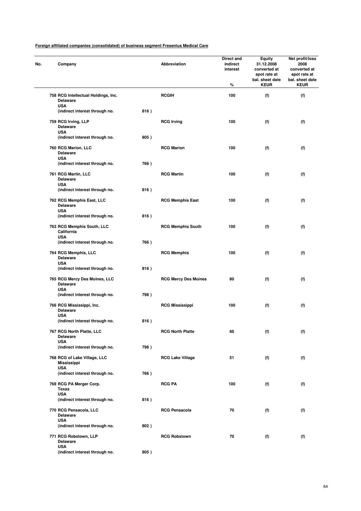| No. | Company                                                          |      | Abbreviation                | Direct and<br>indirect<br>interest<br>% | <b>Equity</b><br>31.12.2008<br>converted at<br>spot rate at<br>bal. sheet date<br><b>KEUR</b> | Net profit/loss<br>2008<br>converted at<br>spot rate at<br>bal. sheet date<br><b>KEUR</b> |
|-----|------------------------------------------------------------------|------|-----------------------------|-----------------------------------------|-----------------------------------------------------------------------------------------------|-------------------------------------------------------------------------------------------|
|     | 758 RCG Intellectual Holdings, Inc.<br><b>Delaware</b>           |      | <b>RCGIH</b>                | 100                                     | (f)                                                                                           | (f)                                                                                       |
|     | <b>USA</b><br>(indirect interest through no.                     | 816) |                             |                                         |                                                                                               |                                                                                           |
|     | 759 RCG Irving, LLP<br><b>Delaware</b><br><b>USA</b>             |      | <b>RCG Irving</b>           | 100                                     | (f)                                                                                           | (f)                                                                                       |
|     | (indirect interest through no.                                   | 805) |                             |                                         |                                                                                               |                                                                                           |
|     | 760 RCG Marion, LLC<br><b>Delaware</b><br><b>USA</b>             |      | <b>RCG Marion</b>           | 100                                     | (f)                                                                                           | (f)                                                                                       |
|     | (indirect interest through no.                                   | 766) |                             |                                         |                                                                                               |                                                                                           |
|     | 761 RCG Martin, LLC<br><b>Delaware</b><br><b>USA</b>             |      | <b>RCG Martin</b>           | 100                                     | (f)                                                                                           | (f)                                                                                       |
|     | (indirect interest through no.                                   | 816) |                             |                                         |                                                                                               |                                                                                           |
|     | 762 RCG Memphis East, LLC<br><b>Delaware</b>                     |      | <b>RCG Memphis East</b>     | 100                                     | (f)                                                                                           | (f)                                                                                       |
|     | <b>USA</b><br>(indirect interest through no.                     | 816) |                             |                                         |                                                                                               |                                                                                           |
|     | 763 RCG Memphis South, LLC<br>California                         |      | <b>RCG Memphis South</b>    | 100                                     | (f)                                                                                           | (f)                                                                                       |
|     | <b>USA</b><br>(indirect interest through no.                     | 766) |                             |                                         |                                                                                               |                                                                                           |
|     | 764 RCG Memphis, LLC<br><b>Delaware</b><br><b>USA</b>            |      | <b>RCG Memphis</b>          | 100                                     | (f)                                                                                           | (f)                                                                                       |
|     | (indirect interest through no.                                   | 816) |                             |                                         |                                                                                               |                                                                                           |
|     | 765 RCG Mercy Des Moines, LLC<br><b>Delaware</b><br><b>USA</b>   |      | <b>RCG Mercy Des Moines</b> | 80                                      | (f)                                                                                           | (f)                                                                                       |
|     | (indirect interest through no.                                   | 798) |                             |                                         |                                                                                               |                                                                                           |
|     | 766 RCG Mississippi, Inc.<br><b>Delaware</b><br><b>USA</b>       |      | <b>RCG Mississippi</b>      | 100                                     | (f)                                                                                           | (f)                                                                                       |
|     | (indirect interest through no.                                   | 816) |                             |                                         |                                                                                               |                                                                                           |
|     | 767 RCG North Platte, LLC<br><b>Delaware</b><br><b>USA</b>       |      | <b>RCG North Platte</b>     | 60                                      | (f)                                                                                           | (f)                                                                                       |
|     | (indirect interest through no.                                   | 798) |                             |                                         |                                                                                               |                                                                                           |
|     | 768 RCG of Lake Village, LLC<br><b>Mississippi</b><br><b>USA</b> |      | <b>RCG Lake Village</b>     | 51                                      | (f)                                                                                           | (f)                                                                                       |
|     | (indirect interest through no.                                   | 766) |                             |                                         |                                                                                               |                                                                                           |
|     | 769 RCG PA Merger Corp.<br>Texas                                 |      | <b>RCG PA</b>               | 100                                     | (f)                                                                                           | (f)                                                                                       |
|     | <b>USA</b><br>(indirect interest through no.                     | 816) |                             |                                         |                                                                                               |                                                                                           |
|     | 770 RCG Pensacola, LLC<br><b>Delaware</b>                        |      | <b>RCG Pensacola</b>        | 70                                      | (f)                                                                                           | (f)                                                                                       |
|     | <b>USA</b><br>(indirect interest through no.                     | 802) |                             |                                         |                                                                                               |                                                                                           |
|     | 771 RCG Robstown, LLP<br><b>Delaware</b>                         |      | <b>RCG Robstown</b>         | 70                                      | (f)                                                                                           | (f)                                                                                       |
|     | <b>USA</b><br>(indirect interest through no.                     | 805) |                             |                                         |                                                                                               |                                                                                           |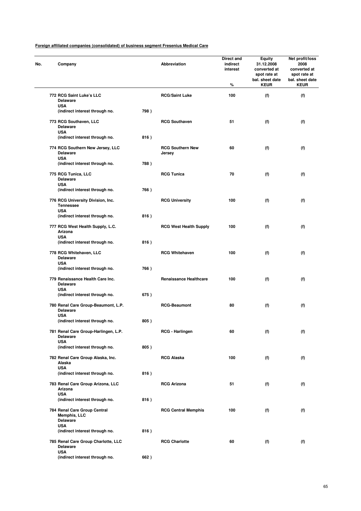| No. | Company                                                               |      | <b>Abbreviation</b>               | Direct and<br>indirect<br>interest<br>% | <b>Equity</b><br>31.12.2008<br>converted at<br>spot rate at<br>bal. sheet date<br><b>KEUR</b> | Net profit/loss<br>2008<br>converted at<br>spot rate at<br>bal. sheet date<br><b>KEUR</b> |
|-----|-----------------------------------------------------------------------|------|-----------------------------------|-----------------------------------------|-----------------------------------------------------------------------------------------------|-------------------------------------------------------------------------------------------|
|     | 772 RCG Saint Luke's LLC<br><b>Delaware</b>                           |      | <b>RCG/Saint Luke</b>             | 100                                     | (f)                                                                                           | (f)                                                                                       |
|     | <b>USA</b>                                                            |      |                                   |                                         |                                                                                               |                                                                                           |
|     | (indirect interest through no.                                        | 798) |                                   |                                         |                                                                                               |                                                                                           |
|     | 773 RCG Southaven, LLC<br><b>Delaware</b><br><b>USA</b>               |      | <b>RCG Southaven</b>              | 51                                      | (f)                                                                                           | (f)                                                                                       |
|     | (indirect interest through no.                                        | 816) |                                   |                                         |                                                                                               |                                                                                           |
|     | 774 RCG Southern New Jersey, LLC<br><b>Delaware</b><br><b>USA</b>     |      | <b>RCG Southern New</b><br>Jersey | 60                                      | (f)                                                                                           | (f)                                                                                       |
|     | (indirect interest through no.                                        | 788) |                                   |                                         |                                                                                               |                                                                                           |
|     | 775 RCG Tunica, LLC<br><b>Delaware</b><br><b>USA</b>                  |      | <b>RCG Tunica</b>                 | 70                                      | (f)                                                                                           | (f)                                                                                       |
|     | (indirect interest through no.                                        | 766) |                                   |                                         |                                                                                               |                                                                                           |
|     | 776 RCG University Division, Inc.<br><b>Tennessee</b>                 |      | <b>RCG University</b>             | 100                                     | (f)                                                                                           | (f)                                                                                       |
|     | <b>USA</b><br>(indirect interest through no.                          | 816) |                                   |                                         |                                                                                               |                                                                                           |
|     | 777 RCG West Health Supply, L.C.<br>Arizona                           |      | <b>RCG West Health Supply</b>     | 100                                     | (f)                                                                                           | (f)                                                                                       |
|     | <b>USA</b>                                                            |      |                                   |                                         |                                                                                               |                                                                                           |
|     | (indirect interest through no.                                        | 816) |                                   |                                         |                                                                                               |                                                                                           |
|     | 778 RCG Whitehaven, LLC<br><b>Delaware</b><br><b>USA</b>              |      | <b>RCG Whitehaven</b>             | 100                                     | (f)                                                                                           | (f)                                                                                       |
|     | (indirect interest through no.                                        | 766) |                                   |                                         |                                                                                               |                                                                                           |
|     | 779 Renaissance Health Care Inc.<br><b>Delaware</b>                   |      | <b>Renaissance Healthcare</b>     | 100                                     | (f)                                                                                           | (f)                                                                                       |
|     | <b>USA</b><br>(indirect interest through no.                          | 675) |                                   |                                         |                                                                                               |                                                                                           |
|     | 780 Renal Care Group-Beaumont, L.P.<br><b>Delaware</b>                |      | <b>RCG-Beaumont</b>               | 80                                      | (f)                                                                                           | (f)                                                                                       |
|     | <b>USA</b><br>(indirect interest through no.                          | 805) |                                   |                                         |                                                                                               |                                                                                           |
|     |                                                                       |      |                                   |                                         |                                                                                               |                                                                                           |
|     | 781 Renal Care Group-Harlingen, L.P.<br><b>Delaware</b><br><b>USA</b> |      | RCG - Harlingen                   | 60                                      | (f)                                                                                           | (f)                                                                                       |
|     | (indirect interest through no.                                        | 805) |                                   |                                         |                                                                                               |                                                                                           |
|     | 782 Renal Care Group Alaska, Inc.<br>Alaska<br><b>USA</b>             |      | <b>RCG Alaska</b>                 | 100                                     | (f)                                                                                           | (f)                                                                                       |
|     | (indirect interest through no.                                        | 816) |                                   |                                         |                                                                                               |                                                                                           |
|     | 783 Renal Care Group Arizona, LLC<br>Arizona                          |      | <b>RCG Arizona</b>                | 51                                      | (f)                                                                                           | (f)                                                                                       |
|     | <b>USA</b><br>(indirect interest through no.                          | 816) |                                   |                                         |                                                                                               |                                                                                           |
|     | 784 Renal Care Group Central<br><b>Memphis, LLC</b>                   |      | <b>RCG Central Memphis</b>        | 100                                     | (f)                                                                                           | (f)                                                                                       |
|     | <b>Delaware</b>                                                       |      |                                   |                                         |                                                                                               |                                                                                           |
|     | <b>USA</b><br>(indirect interest through no.                          | 816) |                                   |                                         |                                                                                               |                                                                                           |
|     | 785 Renal Care Group Charlotte, LLC<br><b>Delaware</b>                |      | <b>RCG Charlotte</b>              | 60                                      | (f)                                                                                           | (f)                                                                                       |
|     | <b>USA</b>                                                            |      |                                   |                                         |                                                                                               |                                                                                           |
|     | (indirect interest through no.                                        | 662) |                                   |                                         |                                                                                               |                                                                                           |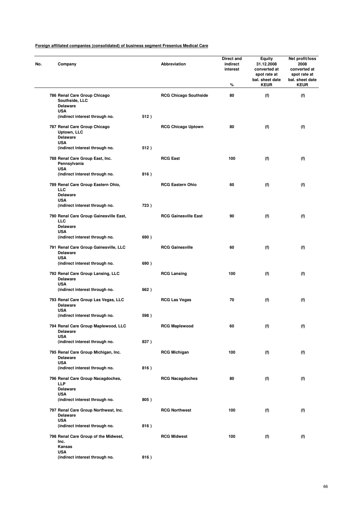| No. | Company                                                                      |      | Abbreviation                 | Direct and<br>indirect<br>interest<br>% | Equity<br>31.12.2008<br>converted at<br>spot rate at<br>bal. sheet date<br><b>KEUR</b> | Net profit/loss<br>2008<br>converted at<br>spot rate at<br>bal. sheet date<br><b>KEUR</b> |
|-----|------------------------------------------------------------------------------|------|------------------------------|-----------------------------------------|----------------------------------------------------------------------------------------|-------------------------------------------------------------------------------------------|
|     | 786 Renal Care Group Chicago<br>Southside, LLC<br><b>Delaware</b>            |      | <b>RCG Chicago Southside</b> | 80                                      | (f)                                                                                    | (f)                                                                                       |
|     | <b>USA</b><br>(indirect interest through no.                                 | 512) |                              |                                         |                                                                                        |                                                                                           |
|     | 787 Renal Care Group Chicago<br>Uptown, LLC<br><b>Delaware</b><br><b>USA</b> |      | <b>RCG Chicago Uptown</b>    | 80                                      | (f)                                                                                    | (f)                                                                                       |
|     | (indirect interest through no.                                               | 512) |                              |                                         |                                                                                        |                                                                                           |
|     | 788 Renal Care Group East, Inc.<br>Pennsylvania<br><b>USA</b>                |      | <b>RCG East</b>              | 100                                     | (f)                                                                                    | (f)                                                                                       |
|     | (indirect interest through no.                                               | 816) |                              |                                         |                                                                                        |                                                                                           |
|     | 789 Renal Care Group Eastern Ohio,<br>LLC<br><b>Delaware</b><br><b>USA</b>   |      | <b>RCG Eastern Ohio</b>      | 60                                      | (f)                                                                                    | (f)                                                                                       |
|     | (indirect interest through no.                                               | 723) |                              |                                         |                                                                                        |                                                                                           |
|     | 790 Renal Care Group Gainesville East,<br>LLC                                |      | <b>RCG Gainesville East</b>  | 90                                      | (f)                                                                                    | (f)                                                                                       |
|     | <b>Delaware</b><br><b>USA</b><br>(indirect interest through no.              | 690) |                              |                                         |                                                                                        |                                                                                           |
|     | 791 Renal Care Group Gainesville, LLC<br><b>Delaware</b>                     |      | <b>RCG Gainesville</b>       | 60                                      | (f)                                                                                    | (f)                                                                                       |
|     | <b>USA</b><br>(indirect interest through no.                                 | 690) |                              |                                         |                                                                                        |                                                                                           |
|     | 792 Renal Care Group Lansing, LLC<br><b>Delaware</b>                         |      | <b>RCG Lansing</b>           | 100                                     | (f)                                                                                    | (f)                                                                                       |
|     | <b>USA</b><br>(indirect interest through no.                                 | 662) |                              |                                         |                                                                                        |                                                                                           |
|     | 793 Renal Care Group Las Vegas, LLC<br><b>Delaware</b>                       |      | <b>RCG Las Vegas</b>         | 70                                      | (f)                                                                                    | (f)                                                                                       |
|     | <b>USA</b><br>(indirect interest through no.                                 | 598) |                              |                                         |                                                                                        |                                                                                           |
|     | 794 Renal Care Group Maplewood, LLC<br><b>Delaware</b><br><b>USA</b>         |      | <b>RCG Maplewood</b>         | 60                                      | (f)                                                                                    | (f)                                                                                       |
|     | (indirect interest through no.                                               | 837) |                              |                                         |                                                                                        |                                                                                           |
|     | 795 Renal Care Group Michigan, Inc.<br><b>Delaware</b><br><b>USA</b>         |      | <b>RCG Michigan</b>          | 100                                     | (f)                                                                                    | (f)                                                                                       |
|     | (indirect interest through no.                                               | 816) |                              |                                         |                                                                                        |                                                                                           |
|     | 796 Renal Care Group Nacagdoches,<br><b>LLP</b><br><b>Delaware</b>           |      | <b>RCG Nacagdoches</b>       | 80                                      | (f)                                                                                    | (f)                                                                                       |
|     | <b>USA</b>                                                                   |      |                              |                                         |                                                                                        |                                                                                           |
|     | (indirect interest through no.                                               | 805) |                              |                                         |                                                                                        |                                                                                           |
|     | 797 Renal Care Group Northwest, Inc.<br><b>Delaware</b><br><b>USA</b>        |      | <b>RCG Northwest</b>         | 100                                     | (f)                                                                                    | (f)                                                                                       |
|     | (indirect interest through no.                                               | 816) |                              |                                         |                                                                                        |                                                                                           |
|     | 798 Renal Care Group of the Midwest,<br>Inc.<br>Kansas                       |      | <b>RCG Midwest</b>           | 100                                     | (f)                                                                                    | (f)                                                                                       |
|     | <b>USA</b><br>(indirect interest through no.                                 | 816) |                              |                                         |                                                                                        |                                                                                           |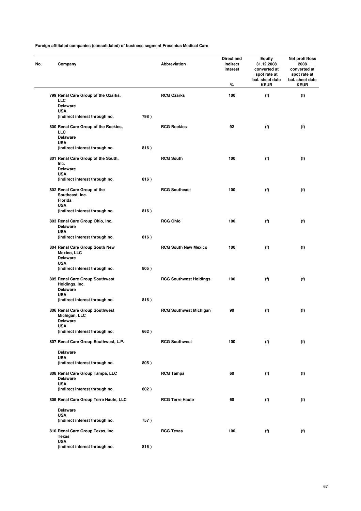| No. | Company                                                                           |      | Abbreviation                  | Direct and<br>indirect<br>interest<br>% | <b>Equity</b><br>31.12.2008<br>converted at<br>spot rate at<br>bal. sheet date<br><b>KEUR</b> | Net profit/loss<br>2008<br>converted at<br>spot rate at<br>bal. sheet date<br><b>KEUR</b> |
|-----|-----------------------------------------------------------------------------------|------|-------------------------------|-----------------------------------------|-----------------------------------------------------------------------------------------------|-------------------------------------------------------------------------------------------|
|     | 799 Renal Care Group of the Ozarks,<br>LLC                                        |      | <b>RCG Ozarks</b>             | 100                                     | (f)                                                                                           | (f)                                                                                       |
|     | <b>Delaware</b><br><b>USA</b>                                                     |      |                               |                                         |                                                                                               |                                                                                           |
|     | (indirect interest through no.                                                    | 798) |                               |                                         |                                                                                               |                                                                                           |
|     | 800 Renal Care Group of the Rockies,<br>LLC<br><b>Delaware</b>                    |      | <b>RCG Rockies</b>            | 92                                      | (f)                                                                                           | (f)                                                                                       |
|     | <b>USA</b><br>(indirect interest through no.                                      | 816) |                               |                                         |                                                                                               |                                                                                           |
|     | 801 Renal Care Group of the South,<br>Inc.<br><b>Delaware</b>                     |      | <b>RCG South</b>              | 100                                     | (f)                                                                                           | (f)                                                                                       |
|     | <b>USA</b>                                                                        |      |                               |                                         |                                                                                               |                                                                                           |
|     | (indirect interest through no.                                                    | 816) |                               |                                         |                                                                                               |                                                                                           |
|     | 802 Renal Care Group of the<br>Southeast, Inc.<br>Florida                         |      | <b>RCG Southeast</b>          | 100                                     | (f)                                                                                           | (f)                                                                                       |
|     | <b>USA</b><br>(indirect interest through no.                                      | 816) |                               |                                         |                                                                                               |                                                                                           |
|     | 803 Renal Care Group Ohio, Inc.<br><b>Delaware</b><br><b>USA</b>                  |      | <b>RCG Ohio</b>               | 100                                     | (f)                                                                                           | (f)                                                                                       |
|     | (indirect interest through no.                                                    | 816) |                               |                                         |                                                                                               |                                                                                           |
|     | 804 Renal Care Group South New<br>Mexico, LLC<br><b>Delaware</b><br><b>USA</b>    |      | <b>RCG South New Mexico</b>   | 100                                     | (f)                                                                                           | (f)                                                                                       |
|     | (indirect interest through no.                                                    | 805) |                               |                                         |                                                                                               |                                                                                           |
|     | 805 Renal Care Group Southwest<br>Holdings, Inc.<br><b>Delaware</b><br><b>USA</b> |      | <b>RCG Southwest Holdings</b> | 100                                     | (f)                                                                                           | (f)                                                                                       |
|     | (indirect interest through no.                                                    | 816) |                               |                                         |                                                                                               |                                                                                           |
|     | 806 Renal Care Group Southwest<br>Michigan, LLC<br><b>Delaware</b>                |      | <b>RCG Southwest Michigan</b> | 90                                      | (f)                                                                                           | (f)                                                                                       |
|     | <b>USA</b><br>(indirect interest through no.                                      | 662) |                               |                                         |                                                                                               |                                                                                           |
|     | 807 Renal Care Group Southwest, L.P.                                              |      | <b>RCG Southwest</b>          | 100                                     | (f)                                                                                           | (f)                                                                                       |
|     | <b>Delaware</b>                                                                   |      |                               |                                         |                                                                                               |                                                                                           |
|     | <b>USA</b><br>(indirect interest through no.                                      | 805) |                               |                                         |                                                                                               |                                                                                           |
|     | 808 Renal Care Group Tampa, LLC<br><b>Delaware</b>                                |      | <b>RCG Tampa</b>              | 60                                      | (f)                                                                                           | (f)                                                                                       |
|     | <b>USA</b><br>(indirect interest through no.                                      | 802) |                               |                                         |                                                                                               |                                                                                           |
|     | 809 Renal Care Group Terre Haute, LLC                                             |      | <b>RCG Terre Haute</b>        | 60                                      | (f)                                                                                           | (f)                                                                                       |
|     | <b>Delaware</b>                                                                   |      |                               |                                         |                                                                                               |                                                                                           |
|     | <b>USA</b><br>(indirect interest through no.                                      | 757) |                               |                                         |                                                                                               |                                                                                           |
|     | 810 Renal Care Group Texas, Inc.<br>Texas                                         |      | <b>RCG Texas</b>              | 100                                     | (f)                                                                                           | (f)                                                                                       |
|     | <b>USA</b><br>(indirect interest through no.                                      | 816) |                               |                                         |                                                                                               |                                                                                           |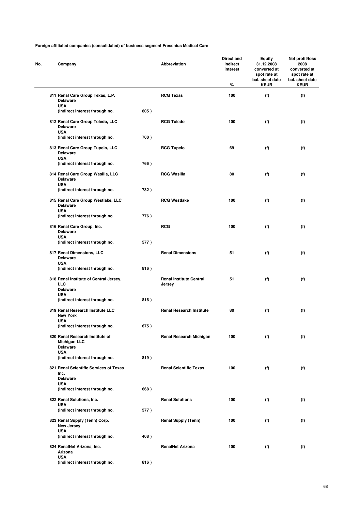| No. | Company                                                                   |      | Abbreviation                             | Direct and<br>indirect<br>interest<br>% | <b>Equity</b><br>31.12.2008<br>converted at<br>spot rate at<br>bal. sheet date<br><b>KEUR</b> | Net profit/loss<br>2008<br>converted at<br>spot rate at<br>bal. sheet date<br><b>KEUR</b> |
|-----|---------------------------------------------------------------------------|------|------------------------------------------|-----------------------------------------|-----------------------------------------------------------------------------------------------|-------------------------------------------------------------------------------------------|
|     | 811 Renal Care Group Texas, L.P.<br><b>Delaware</b>                       |      | <b>RCG Texas</b>                         | 100                                     | (f)                                                                                           | (f)                                                                                       |
|     | <b>USA</b><br>(indirect interest through no.                              | 805) |                                          |                                         |                                                                                               |                                                                                           |
|     | 812 Renal Care Group Toledo, LLC<br><b>Delaware</b><br><b>USA</b>         |      | <b>RCG Toledo</b>                        | 100                                     | (f)                                                                                           | (f)                                                                                       |
|     | (indirect interest through no.                                            | 700) |                                          |                                         |                                                                                               |                                                                                           |
|     | 813 Renal Care Group Tupelo, LLC<br><b>Delaware</b><br><b>USA</b>         |      | <b>RCG Tupelo</b>                        | 69                                      | (f)                                                                                           | (f)                                                                                       |
|     | (indirect interest through no.                                            | 766) |                                          |                                         |                                                                                               |                                                                                           |
|     | 814 Renal Care Group Wasilla, LLC<br><b>Delaware</b><br><b>USA</b>        |      | <b>RCG Wasilla</b>                       | 80                                      | (f)                                                                                           | (f)                                                                                       |
|     | (indirect interest through no.                                            | 782) |                                          |                                         |                                                                                               |                                                                                           |
|     | 815 Renal Care Group Westlake, LLC<br><b>Delaware</b><br><b>USA</b>       |      | <b>RCG Westlake</b>                      | 100                                     | (f)                                                                                           | (f)                                                                                       |
|     | (indirect interest through no.                                            | 776) |                                          |                                         |                                                                                               |                                                                                           |
|     | 816 Renal Care Group, Inc.<br><b>Delaware</b><br><b>USA</b>               |      | <b>RCG</b>                               | 100                                     | (f)                                                                                           | (f)                                                                                       |
|     | (indirect interest through no.                                            | 577) |                                          |                                         |                                                                                               |                                                                                           |
|     | 817 Renal Dimensions, LLC<br><b>Delaware</b><br><b>USA</b>                |      | <b>Renal Dimensions</b>                  | 51                                      | (f)                                                                                           | (f)                                                                                       |
|     | (indirect interest through no.                                            | 816) |                                          |                                         |                                                                                               |                                                                                           |
|     | 818 Renal Institute of Central Jersey,<br>LLC<br><b>Delaware</b>          |      | <b>Renal Institute Central</b><br>Jersey | 51                                      | (f)                                                                                           | (f)                                                                                       |
|     | <b>USA</b><br>(indirect interest through no.                              | 816) |                                          |                                         |                                                                                               |                                                                                           |
|     | 819 Renal Research Institute LLC<br><b>New York</b>                       |      | <b>Renal Research Institute</b>          | 80                                      | (f)                                                                                           | (f)                                                                                       |
|     | <b>USA</b><br>(indirect interest through no.                              | 675) |                                          |                                         |                                                                                               |                                                                                           |
|     | 820 Renal Research Institute of<br><b>Michigan LLC</b><br><b>Delaware</b> |      | <b>Renal Research Michigan</b>           | 100                                     | (f)                                                                                           | (f)                                                                                       |
|     | <b>USA</b><br>(indirect interest through no.                              | 819) |                                          |                                         |                                                                                               |                                                                                           |
|     | 821 Renal Scientific Services of Texas<br>Inc.                            |      | <b>Renal Scientific Texas</b>            | 100                                     | (f)                                                                                           | (f)                                                                                       |
|     | <b>Delaware</b><br><b>USA</b>                                             |      |                                          |                                         |                                                                                               |                                                                                           |
|     | (indirect interest through no.                                            | 668) |                                          |                                         |                                                                                               |                                                                                           |
|     | 822 Renal Solutions, Inc.<br><b>USA</b>                                   |      | <b>Renal Solutions</b>                   | 100                                     | (f)                                                                                           | (f)                                                                                       |
|     | (indirect interest through no.                                            | 577) |                                          |                                         |                                                                                               |                                                                                           |
|     | 823 Renal Supply (Tenn) Corp.<br><b>New Jersey</b><br><b>USA</b>          |      | <b>Renal Supply (Tenn)</b>               | 100                                     | (f)                                                                                           | (f)                                                                                       |
|     | (indirect interest through no.                                            | 408) |                                          |                                         |                                                                                               |                                                                                           |
|     | 824 RenalNet Arizona, Inc.<br>Arizona<br><b>USA</b>                       |      | <b>RenalNet Arizona</b>                  | 100                                     | (f)                                                                                           | (f)                                                                                       |
|     | (indirect interest through no.                                            | 816) |                                          |                                         |                                                                                               |                                                                                           |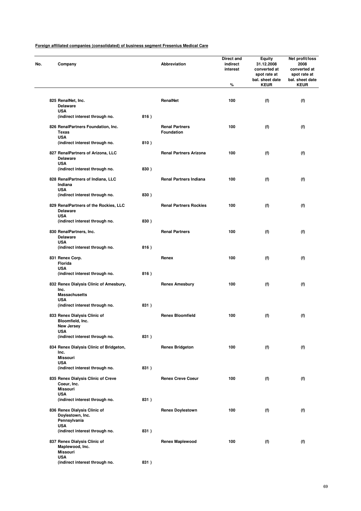| No. | Company                                                                |      | Abbreviation                               | Direct and<br>indirect<br>interest<br>% | Equity<br>31.12.2008<br>converted at<br>spot rate at<br>bal. sheet date<br><b>KEUR</b> | Net profit/loss<br>2008<br>converted at<br>spot rate at<br>bal. sheet date<br><b>KEUR</b> |
|-----|------------------------------------------------------------------------|------|--------------------------------------------|-----------------------------------------|----------------------------------------------------------------------------------------|-------------------------------------------------------------------------------------------|
|     |                                                                        |      |                                            |                                         |                                                                                        |                                                                                           |
|     | 825 RenalNet, Inc.<br><b>Delaware</b>                                  |      | RenalNet                                   | 100                                     | (f)                                                                                    | (f)                                                                                       |
|     | <b>USA</b><br>(indirect interest through no.                           | 816) |                                            |                                         |                                                                                        |                                                                                           |
|     | 826 RenalPartners Foundation, Inc.<br><b>Texas</b><br><b>USA</b>       |      | <b>Renal Partners</b><br><b>Foundation</b> | 100                                     | (f)                                                                                    | (f)                                                                                       |
|     | (indirect interest through no.                                         | 810) |                                            |                                         |                                                                                        |                                                                                           |
|     | 827 RenalPartners of Arizona, LLC<br><b>Delaware</b>                   |      | <b>Renal Partners Arizona</b>              | 100                                     | (f)                                                                                    | (f)                                                                                       |
|     | <b>USA</b><br>(indirect interest through no.                           | 830) |                                            |                                         |                                                                                        |                                                                                           |
|     | 828 RenalPartners of Indiana, LLC<br>Indiana<br><b>USA</b>             |      | <b>Renal Partners Indiana</b>              | 100                                     | (f)                                                                                    | (f)                                                                                       |
|     | (indirect interest through no.                                         | 830) |                                            |                                         |                                                                                        |                                                                                           |
|     | 829 RenalPartners of the Rockies, LLC<br><b>Delaware</b><br><b>USA</b> |      | <b>Renal Partners Rockies</b>              | 100                                     | (f)                                                                                    | (f)                                                                                       |
|     | (indirect interest through no.                                         | 830) |                                            |                                         |                                                                                        |                                                                                           |
|     | 830 RenalPartners, Inc.<br><b>Delaware</b>                             |      | <b>Renal Partners</b>                      | 100                                     | (f)                                                                                    | (f)                                                                                       |
|     | <b>USA</b><br>(indirect interest through no.                           | 816) |                                            |                                         |                                                                                        |                                                                                           |
|     | 831 Renex Corp.<br>Florida<br><b>USA</b>                               |      | Renex                                      | 100                                     | (f)                                                                                    | (f)                                                                                       |
|     | (indirect interest through no.                                         | 816) |                                            |                                         |                                                                                        |                                                                                           |
|     | 832 Renex Dialysis Clinic of Amesbury,<br>Inc.<br><b>Massachusetts</b> |      | <b>Renex Amesbury</b>                      | 100                                     | (f)                                                                                    | (f)                                                                                       |
|     | <b>USA</b><br>(indirect interest through no.                           | 831) |                                            |                                         |                                                                                        |                                                                                           |
|     | 833 Renex Dialysis Clinic of<br>Bloomfield, Inc.                       |      | <b>Renex Bloomfield</b>                    | 100                                     | (f)                                                                                    | (f)                                                                                       |
|     | New Jersey<br>USA                                                      |      |                                            |                                         |                                                                                        |                                                                                           |
|     | (indirect interest through no.                                         | 831) |                                            |                                         |                                                                                        |                                                                                           |
|     | 834 Renex Dialysis Clinic of Bridgeton,<br>Inc.<br><b>Missouri</b>     |      | <b>Renex Bridgeton</b>                     | 100                                     | (f)                                                                                    | (f)                                                                                       |
|     | <b>USA</b><br>(indirect interest through no.                           | 831) |                                            |                                         |                                                                                        |                                                                                           |
|     | 835 Renex Dialysis Clinic of Creve<br>Coeur, Inc.<br><b>Missouri</b>   |      | <b>Renex Creve Coeur</b>                   | 100                                     | (f)                                                                                    | (f)                                                                                       |
|     | <b>USA</b><br>(indirect interest through no.                           | 831) |                                            |                                         |                                                                                        |                                                                                           |
|     | 836 Renex Dialysis Clinic of<br>Doylestown, Inc.<br>Pennsylvania       |      | <b>Renex Doylestown</b>                    | 100                                     | (f)                                                                                    | (f)                                                                                       |
|     | <b>USA</b><br>(indirect interest through no.                           | 831) |                                            |                                         |                                                                                        |                                                                                           |
|     | 837 Renex Dialysis Clinic of<br>Maplewood, Inc.<br><b>Missouri</b>     |      | <b>Renex Maplewood</b>                     | 100                                     | (f)                                                                                    | (f)                                                                                       |
|     | <b>USA</b><br>(indirect interest through no.                           | 831) |                                            |                                         |                                                                                        |                                                                                           |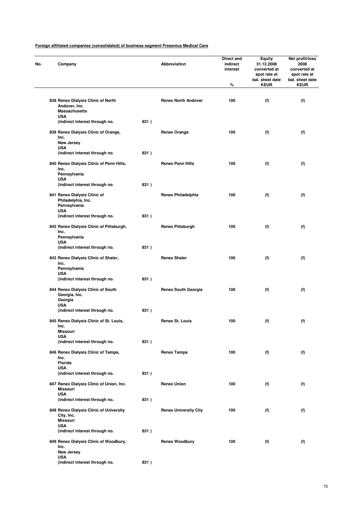| Company                                                                                   |      | Abbreviation                 | <b>Direct and</b><br>indirect<br>interest | <b>Equity</b><br>31.12.2008<br>converted at<br>spot rate at | Net profit/loss<br>2008<br>converted at<br>spot rate at |
|-------------------------------------------------------------------------------------------|------|------------------------------|-------------------------------------------|-------------------------------------------------------------|---------------------------------------------------------|
|                                                                                           |      |                              | %                                         | bal. sheet date<br><b>KEUR</b>                              | bal. sheet date<br><b>KEUR</b>                          |
| 838 Renex Dialysis Clinic of North<br>Andover, Inc.<br><b>Massachusetts</b><br><b>USA</b> |      | <b>Renex North Andover</b>   | 100                                       | (f)                                                         | (f)                                                     |
| (indirect interest through no.                                                            | 831) |                              |                                           |                                                             |                                                         |
| 839 Renex Dialysis Clinic of Orange,<br>Inc.<br>New Jersey                                |      | <b>Renex Orange</b>          | 100                                       | (f)                                                         | (f)                                                     |
| <b>USA</b><br>(indirect interest through no.                                              | 831) |                              |                                           |                                                             |                                                         |
| 840 Renex Dialysis Clinic of Penn Hills,<br>Inc.<br>Pennsylvania                          |      | <b>Renex Penn Hills</b>      | 100                                       | (f)                                                         | (f)                                                     |
| <b>USA</b><br>(indirect interest through no.                                              | 831) |                              |                                           |                                                             |                                                         |
| 841 Renex Dialysis Clinic of<br>Philadelphia, Inc.<br>Pennsylvania                        |      | <b>Renex Philadelphia</b>    | 100                                       | (f)                                                         | (f)                                                     |
| <b>USA</b><br>(indirect interest through no.                                              | 831) |                              |                                           |                                                             |                                                         |
| 842 Renex Dialysis Clinic of Pittsburgh,<br>Inc.<br>Pennsylvania                          |      | <b>Renex Pittsburgh</b>      | 100                                       | (f)                                                         | (f)                                                     |
| <b>USA</b><br>(indirect interest through no.                                              | 831) |                              |                                           |                                                             |                                                         |
| 843 Renex Dialysis Clinic of Shaler,<br>Inc.<br>Pennsylvania<br><b>USA</b>                |      | <b>Renex Shaler</b>          | 100                                       | (f)                                                         | (f)                                                     |
| (indirect interest through no.                                                            | 831) |                              |                                           |                                                             |                                                         |
| 844 Renex Dialysis Clinic of South<br>Georgia, Inc.<br>Georgia<br><b>USA</b>              |      | <b>Renex South Georgia</b>   | 100                                       | (f)                                                         | (f)                                                     |
| (indirect interest through no.                                                            | 831) |                              |                                           |                                                             |                                                         |
| 845 Renex Dialysis Clinic of St. Louis,<br>Inc.<br>Missouri                               |      | <b>Renex St. Louis</b>       | 100                                       | (f)                                                         | (f)                                                     |
| <b>USA</b><br>(indirect interest through no.                                              | 831) |                              |                                           |                                                             |                                                         |
| 846 Renex Dialysis Clinic of Tampa,<br>Inc.<br><b>Florida</b>                             |      | <b>Renex Tampa</b>           | 100                                       | (f)                                                         | (f)                                                     |
| <b>USA</b><br>(indirect interest through no.                                              | 831) |                              |                                           |                                                             |                                                         |
| 847 Renex Dialysis Clinic of Union, Inc.<br><b>Missouri</b><br><b>USA</b>                 |      | <b>Renex Union</b>           | 100                                       | (f)                                                         | (f)                                                     |
| (indirect interest through no.                                                            | 831) |                              |                                           |                                                             |                                                         |
| 848 Renex Dialysis Clinic of University<br>City, Inc.<br><b>Missouri</b><br><b>USA</b>    |      | <b>Renex University City</b> | 100                                       | (f)                                                         | (f)                                                     |
| (indirect interest through no.                                                            | 831) |                              |                                           |                                                             |                                                         |
| 849 Renex Dialysis Clinic of Woodbury,<br>Inc.<br>New Jersey                              |      | <b>Renex Woodbury</b>        | 100                                       | (f)                                                         | (f)                                                     |
| <b>USA</b><br>(indirect interest through no.                                              | 831) |                              |                                           |                                                             |                                                         |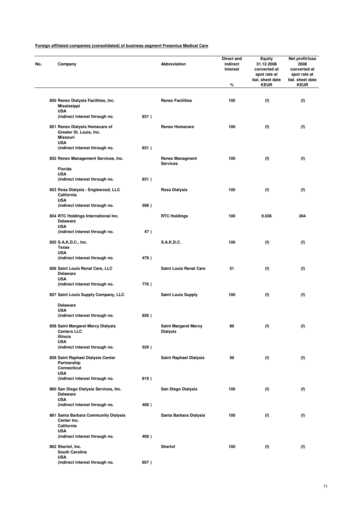| Company                                                                             |      | Abbreviation                                   | Direct and<br>indirect<br>interest<br>$\%$ | <b>Equity</b><br>31.12.2008<br>converted at<br>spot rate at<br>bal. sheet date<br><b>KEUR</b> | Net profit/loss<br>2008<br>converted at<br>spot rate at<br>bal. sheet date<br><b>KEUR</b> |
|-------------------------------------------------------------------------------------|------|------------------------------------------------|--------------------------------------------|-----------------------------------------------------------------------------------------------|-------------------------------------------------------------------------------------------|
| 850 Renex Dialysis Facilities, Inc.                                                 |      | <b>Renex Facilities</b>                        | 100                                        | (f)                                                                                           | (f)                                                                                       |
| <b>Mississippi</b><br><b>USA</b>                                                    |      |                                                |                                            |                                                                                               |                                                                                           |
| (indirect interest through no.                                                      | 831) |                                                |                                            |                                                                                               |                                                                                           |
| 851 Renex Dialysis Homecare of<br>Greater St. Louis, Inc.<br>Missouri<br><b>USA</b> |      | <b>Renex Homecare</b>                          | 100                                        | (f)                                                                                           | (f)                                                                                       |
| (indirect interest through no.                                                      | 831) |                                                |                                            |                                                                                               |                                                                                           |
| 852 Renex Management Services, Inc.                                                 |      | <b>Renex Managment</b><br><b>Services</b>      | 100                                        | (f)                                                                                           | (f)                                                                                       |
| Florida<br><b>USA</b>                                                               |      |                                                |                                            |                                                                                               |                                                                                           |
| (indirect interest through no.                                                      | 831) |                                                |                                            |                                                                                               |                                                                                           |
| 853 Ross Dialysis - Englewood, LLC<br>California<br><b>USA</b>                      |      | <b>Ross Dialysis</b>                           | 100                                        | (f)                                                                                           | (f)                                                                                       |
| (indirect interest through no.                                                      | 598) |                                                |                                            |                                                                                               |                                                                                           |
| 854 RTC Holdings International Inc.<br><b>Delaware</b><br><b>USA</b>                |      | <b>RTC Holdings</b>                            | 100                                        | 9.036                                                                                         | 264                                                                                       |
| (indirect interest through no.                                                      | 47)  |                                                |                                            |                                                                                               |                                                                                           |
| 855 S.A.K.D.C., Inc.<br><b>Texas</b>                                                |      | <b>S.A.K.D.C.</b>                              | 100                                        | (f)                                                                                           | (f)                                                                                       |
| <b>USA</b><br>(indirect interest through no.                                        | 479) |                                                |                                            |                                                                                               |                                                                                           |
| 856 Saint Louis Renal Care, LLC<br><b>Delaware</b>                                  |      | <b>Saint Louis Renal Care</b>                  | 51                                         | (f)                                                                                           | (f)                                                                                       |
| <b>USA</b><br>(indirect interest through no.                                        | 776) |                                                |                                            |                                                                                               |                                                                                           |
| 857 Saint Louis Supply Company, LLC                                                 |      | <b>Saint Louis Supply</b>                      | 100                                        | (f)                                                                                           | (f)                                                                                       |
| <b>Delaware</b>                                                                     |      |                                                |                                            |                                                                                               |                                                                                           |
| <b>USA</b><br>(indirect interest through no.                                        | 856) |                                                |                                            |                                                                                               |                                                                                           |
| 858 Saint Margaret Mercy Dialysis<br><b>Centers LLC</b><br><b>Illinois</b>          |      | <b>Saint Margaret Mercy</b><br><b>Dialysis</b> | 80                                         | (f)                                                                                           | (f)                                                                                       |
| <b>USA</b>                                                                          |      |                                                |                                            |                                                                                               |                                                                                           |
| (indirect interest through no.<br>859 Saint Raphael Dialysis Center                 | 529) | <b>Saint Raphael Dialysis</b>                  | 50                                         | (f)                                                                                           | (f)                                                                                       |
| Partnership<br><b>Connecticut</b><br><b>USA</b>                                     |      |                                                |                                            |                                                                                               |                                                                                           |
| (indirect interest through no.                                                      | 819) |                                                |                                            |                                                                                               |                                                                                           |
| 860 San Diego Dialysis Services, Inc.<br><b>Delaware</b>                            |      | San Diego Dialysis                             | 100                                        | (f)                                                                                           | (f)                                                                                       |
| <b>USA</b><br>(indirect interest through no.                                        | 408) |                                                |                                            |                                                                                               |                                                                                           |
| 861 Santa Barbara Community Dialysis<br>Center Inc.<br>California                   |      | Santa Barbara Dialysis                         | 100                                        | (f)                                                                                           | (f)                                                                                       |
| <b>USA</b><br>(indirect interest through no.                                        | 408) |                                                |                                            |                                                                                               |                                                                                           |
| 862 Sherlof, Inc.                                                                   |      | Sherlof                                        | 100                                        | (f)                                                                                           | (f)                                                                                       |
| South Carolina<br><b>USA</b>                                                        |      |                                                |                                            |                                                                                               |                                                                                           |
| (indirect interest through no.                                                      | 607) |                                                |                                            |                                                                                               |                                                                                           |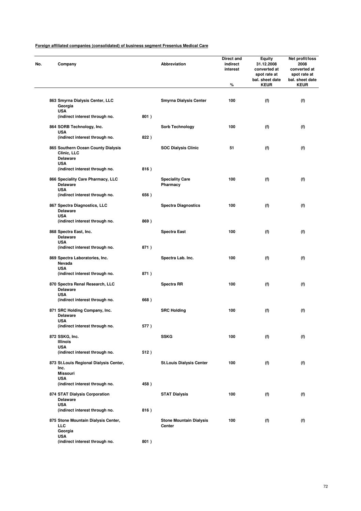**(indirect interest through no. 801 )**

| Company                                                              |      | <b>Abbreviation</b>                      | Direct and<br>indirect<br>interest<br>% | Equity<br>31.12.2008<br>converted at<br>spot rate at<br>bal. sheet date<br><b>KEUR</b> | Net profit/loss<br>2008<br>converted at<br>spot rate at<br>bal. sheet date<br><b>KEUR</b> |
|----------------------------------------------------------------------|------|------------------------------------------|-----------------------------------------|----------------------------------------------------------------------------------------|-------------------------------------------------------------------------------------------|
|                                                                      |      |                                          |                                         |                                                                                        |                                                                                           |
| 863 Smyrna Dialysis Center, LLC<br>Georgia                           |      | <b>Smyrna Dialysis Center</b>            | 100                                     | (f)                                                                                    | (f)                                                                                       |
| <b>USA</b><br>(indirect interest through no.                         | 801) |                                          |                                         |                                                                                        |                                                                                           |
| 864 SORB Technology, Inc.<br><b>USA</b>                              |      | Sorb Technology                          | 100                                     | (f)                                                                                    | (f)                                                                                       |
| (indirect interest through no.                                       | 822) |                                          |                                         |                                                                                        |                                                                                           |
| 865 Southern Ocean County Dialysis<br>Clinic, LLC<br><b>Delaware</b> |      | <b>SOC Dialysis Clinic</b>               | 51                                      | (f)                                                                                    | (f)                                                                                       |
| <b>USA</b><br>(indirect interest through no.                         | 816) |                                          |                                         |                                                                                        |                                                                                           |
| 866 Speciality Care Pharmacy, LLC<br><b>Delaware</b>                 |      | <b>Speciality Care</b><br>Pharmacy       | 100                                     | (f)                                                                                    | (f)                                                                                       |
| <b>USA</b><br>(indirect interest through no.                         | 656) |                                          |                                         |                                                                                        |                                                                                           |
| 867 Spectra Diagnostics, LLC<br><b>Delaware</b>                      |      | <b>Spectra Diagnostics</b>               | 100                                     | (f)                                                                                    | (f)                                                                                       |
| <b>USA</b><br>(indirect interest through no.                         | 869) |                                          |                                         |                                                                                        |                                                                                           |
| 868 Spectra East, Inc.<br><b>Delaware</b><br><b>USA</b>              |      | <b>Spectra East</b>                      | 100                                     | (f)                                                                                    | (f)                                                                                       |
| (indirect interest through no.                                       | 871) |                                          |                                         |                                                                                        |                                                                                           |
| 869 Spectra Laboratories, Inc.<br>Nevada<br><b>USA</b>               |      | Spectra Lab. Inc.                        | 100                                     | (f)                                                                                    | (f)                                                                                       |
| (indirect interest through no.                                       | 871) |                                          |                                         |                                                                                        |                                                                                           |
| 870 Spectra Renal Research, LLC<br><b>Delaware</b><br><b>USA</b>     |      | <b>Spectra RR</b>                        | 100                                     | (f)                                                                                    | (f)                                                                                       |
| (indirect interest through no.                                       | 668) |                                          |                                         |                                                                                        |                                                                                           |
| 871 SRC Holding Company, Inc.<br><b>Delaware</b><br><b>USA</b>       |      | <b>SRC Holding</b>                       | 100                                     | (f)                                                                                    | (f)                                                                                       |
| (indirect interest through no.                                       | 577) |                                          |                                         |                                                                                        |                                                                                           |
| 872 SSKG, Inc.<br>Illinois                                           |      | <b>SSKG</b>                              | 100                                     | (f)                                                                                    | (f)                                                                                       |
| <b>USA</b><br>(indirect interest through no.                         | 512) |                                          |                                         |                                                                                        |                                                                                           |
| 873 St. Louis Regional Dialysis Center,<br>Inc.                      |      | <b>St.Louis Dialysis Center</b>          | 100                                     | (f)                                                                                    | (f)                                                                                       |
| <b>Missouri</b><br><b>USA</b>                                        |      |                                          |                                         |                                                                                        |                                                                                           |
| (indirect interest through no.                                       | 458) |                                          |                                         |                                                                                        |                                                                                           |
| 874 STAT Dialysis Corporation<br><b>Delaware</b>                     |      | <b>STAT Dialysis</b>                     | 100                                     | (f)                                                                                    | (f)                                                                                       |
| <b>USA</b><br>(indirect interest through no.                         | 816) |                                          |                                         |                                                                                        |                                                                                           |
| 875 Stone Mountain Dialysis Center,<br>LLC<br>Georgia<br><b>USA</b>  |      | <b>Stone Mountain Dialysis</b><br>Center | 100                                     | (f)                                                                                    | (f)                                                                                       |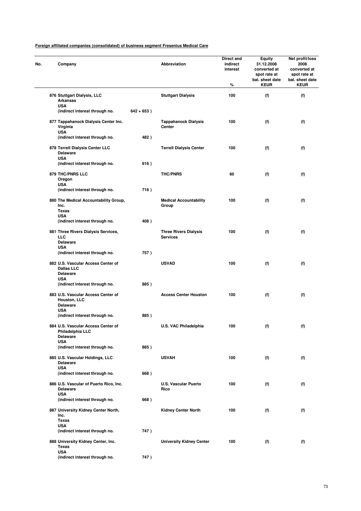| No. | Company                                                                      |               | Abbreviation                                    | Direct and<br>indirect<br>interest<br>% | <b>Equity</b><br>31.12.2008<br>converted at<br>spot rate at<br>bal. sheet date<br><b>KEUR</b> | Net profit/loss<br>2008<br>converted at<br>spot rate at<br>bal. sheet date<br><b>KEUR</b> |
|-----|------------------------------------------------------------------------------|---------------|-------------------------------------------------|-----------------------------------------|-----------------------------------------------------------------------------------------------|-------------------------------------------------------------------------------------------|
|     | 876 Stuttgart Dialysis, LLC<br><b>Arkansas</b>                               |               | <b>Stuttgart Dialysis</b>                       | 100                                     | (f)                                                                                           | (f)                                                                                       |
|     | <b>USA</b><br>(indirect interest through no.                                 | $642 + 653$ ) |                                                 |                                         |                                                                                               |                                                                                           |
|     | 877 Tappahanock Dialysis Center Inc.<br>Virginia<br><b>USA</b>               |               | <b>Tappahanock Dialysis</b><br>Center           | 100                                     | (f)                                                                                           | (f)                                                                                       |
|     | (indirect interest through no.                                               | 482)          |                                                 |                                         |                                                                                               |                                                                                           |
|     | 878 Terrell Dialysis Center LLC<br><b>Delaware</b><br><b>USA</b>             |               | <b>Terrell Dialysis Center</b>                  | 100                                     | (f)                                                                                           | (f)                                                                                       |
|     | (indirect interest through no.                                               | 616)          |                                                 |                                         |                                                                                               |                                                                                           |
|     | 879 THC/PNRS LLC<br>Oregon<br><b>USA</b>                                     |               | <b>THC/PNRS</b>                                 | 60                                      | (f)                                                                                           | (f)                                                                                       |
|     | (indirect interest through no.                                               | 716)          |                                                 |                                         |                                                                                               |                                                                                           |
|     | 880 The Medical Accountability Group,<br>Inc.<br><b>Texas</b>                |               | <b>Medical Accountability</b><br>Group          | 100                                     | (f)                                                                                           | (f)                                                                                       |
|     | <b>USA</b><br>(indirect interest through no.                                 | 408)          |                                                 |                                         |                                                                                               |                                                                                           |
|     | 881 Three Rivers Dialysis Services,<br>LLC<br><b>Delaware</b>                |               | <b>Three Rivers Dialysis</b><br><b>Services</b> | 100                                     | (f)                                                                                           | (f)                                                                                       |
|     | <b>USA</b><br>(indirect interest through no.                                 | 757)          |                                                 |                                         |                                                                                               |                                                                                           |
|     | 882 U.S. Vascular Access Center of<br><b>Dallas LLC</b><br><b>Delaware</b>   |               | <b>USVAD</b>                                    | 100                                     | (f)                                                                                           | (f)                                                                                       |
|     | <b>USA</b><br>(indirect interest through no.                                 | 885)          |                                                 |                                         |                                                                                               |                                                                                           |
|     | 883 U.S. Vascular Access Center of<br><b>Houston, LLC</b><br><b>Delaware</b> |               | <b>Access Center Houston</b>                    | 100                                     | (f)                                                                                           | (f)                                                                                       |
|     | <b>USA</b><br>(indirect interest through no.                                 | 885)          |                                                 |                                         |                                                                                               |                                                                                           |
|     | 884 U.S. Vascular Access Center of<br>Philadelphia LLC<br><b>Delaware</b>    |               | <b>U.S. VAC Philadelphia</b>                    | 100                                     | (f)                                                                                           | (f)                                                                                       |
|     | <b>USA</b><br>(indirect interest through no.                                 | 885)          |                                                 |                                         |                                                                                               |                                                                                           |
|     | 885 U.S. Vascular Holdings, LLC<br><b>Delaware</b>                           |               | <b>USVAH</b>                                    | 100                                     | (f)                                                                                           | (f)                                                                                       |
|     | <b>USA</b><br>(indirect interest through no.                                 | 668)          |                                                 |                                         |                                                                                               |                                                                                           |
|     | 886 U.S. Vascular of Puerto Rico, Inc.<br><b>Delaware</b><br><b>USA</b>      |               | <b>U.S. Vascular Puerto</b><br>Rico             | 100                                     | (f)                                                                                           | (f)                                                                                       |
|     | (indirect interest through no.                                               | 668)          |                                                 |                                         |                                                                                               |                                                                                           |
|     | 887 University Kidney Center North,<br>Inc.<br>Texas                         |               | <b>Kidney Center North</b>                      | 100                                     | (f)                                                                                           | (f)                                                                                       |
|     | <b>USA</b>                                                                   |               |                                                 |                                         |                                                                                               |                                                                                           |
|     | (indirect interest through no.                                               | 747)          |                                                 |                                         |                                                                                               |                                                                                           |
|     | 888 University Kidney Center, Inc.<br>Texas<br><b>USA</b>                    |               | <b>University Kidney Center</b>                 | 100                                     | (f)                                                                                           | (f)                                                                                       |
|     | (indirect interest through no.                                               | 747)          |                                                 |                                         |                                                                                               |                                                                                           |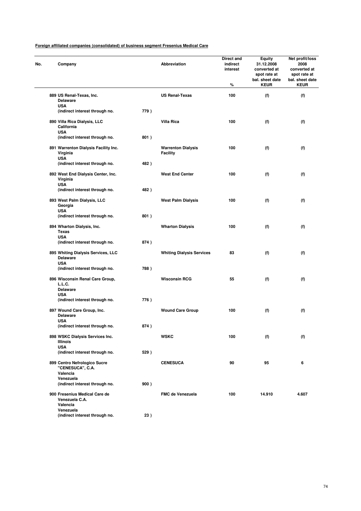| No. | Company                                                             |      | <b>Abbreviation</b>                          | Direct and<br>indirect<br>interest<br>% | Equity<br>31.12.2008<br>converted at<br>spot rate at<br>bal. sheet date<br><b>KEUR</b> | Net profit/loss<br>2008<br>converted at<br>spot rate at<br>bal. sheet date<br><b>KEUR</b> |
|-----|---------------------------------------------------------------------|------|----------------------------------------------|-----------------------------------------|----------------------------------------------------------------------------------------|-------------------------------------------------------------------------------------------|
|     | 889 US Renal-Texas, Inc.                                            |      | <b>US Renal-Texas</b>                        | 100                                     | (f)                                                                                    | (f)                                                                                       |
|     | <b>Delaware</b><br><b>USA</b>                                       |      |                                              |                                         |                                                                                        |                                                                                           |
|     | (indirect interest through no.                                      | 779) |                                              |                                         |                                                                                        |                                                                                           |
|     | 890 Villa Rica Dialysis, LLC<br>California<br><b>USA</b>            |      | <b>Villa Rica</b>                            | 100                                     | (f)                                                                                    | (f)                                                                                       |
|     | (indirect interest through no.                                      | 801) |                                              |                                         |                                                                                        |                                                                                           |
|     | 891 Warrenton Dialysis Facility Inc.<br>Virginia<br><b>USA</b>      |      | <b>Warrenton Dialysis</b><br><b>Facility</b> | 100                                     | (f)                                                                                    | (f)                                                                                       |
|     | (indirect interest through no.                                      | 482) |                                              |                                         |                                                                                        |                                                                                           |
|     | 892 West End Dialysis Center, Inc.<br>Virginia                      |      | <b>West End Center</b>                       | 100                                     | (f)                                                                                    | (f)                                                                                       |
|     | <b>USA</b><br>(indirect interest through no.                        | 482) |                                              |                                         |                                                                                        |                                                                                           |
|     | 893 West Palm Dialysis, LLC<br>Georgia                              |      | <b>West Palm Dialysis</b>                    | 100                                     | (f)                                                                                    | (f)                                                                                       |
|     | <b>USA</b><br>(indirect interest through no.                        | 801) |                                              |                                         |                                                                                        |                                                                                           |
|     | 894 Wharton Dialysis, Inc.<br><b>Texas</b>                          |      | <b>Wharton Dialysis</b>                      | 100                                     | (f)                                                                                    | (f)                                                                                       |
|     | <b>USA</b><br>(indirect interest through no.                        | 874) |                                              |                                         |                                                                                        |                                                                                           |
|     | 895 Whiting Dialysis Services, LLC<br><b>Delaware</b><br><b>USA</b> |      | <b>Whiting Dialysis Services</b>             | 83                                      | (f)                                                                                    | (f)                                                                                       |
|     | (indirect interest through no.                                      | 788) |                                              |                                         |                                                                                        |                                                                                           |
|     | 896 Wisconsin Renal Care Group,<br>L.L.C.<br><b>Delaware</b>        |      | <b>Wisconsin RCG</b>                         | 55                                      | (f)                                                                                    | (f)                                                                                       |
|     | <b>USA</b><br>(indirect interest through no.                        | 776) |                                              |                                         |                                                                                        |                                                                                           |
|     | 897 Wound Care Group, Inc.                                          |      |                                              | 100                                     | (f)                                                                                    |                                                                                           |
|     | <b>Delaware</b><br><b>USA</b>                                       |      | <b>Wound Care Group</b>                      |                                         |                                                                                        | (f)                                                                                       |
|     | (indirect interest through no.                                      | 874) |                                              |                                         |                                                                                        |                                                                                           |
|     | 898 WSKC Dialysis Services Inc.<br>Illinois<br><b>USA</b>           |      | <b>WSKC</b>                                  | 100                                     | (f)                                                                                    | (f)                                                                                       |
|     | (indirect interest through no.                                      | 529) |                                              |                                         |                                                                                        |                                                                                           |
|     | 899 Centro Nefrologico Sucre<br>"CENESUCA", C.A.<br>Valencia        |      | <b>CENESUCA</b>                              | 90                                      | 95                                                                                     | 6                                                                                         |
|     | Venezuela<br>(indirect interest through no.                         | 900) |                                              |                                         |                                                                                        |                                                                                           |
|     |                                                                     |      |                                              |                                         |                                                                                        |                                                                                           |
|     | 900 Fresenius Medical Care de<br>Venezuela C.A.<br>Valencia         |      | <b>FMC de Venezuela</b>                      | 100                                     | 14.910                                                                                 | 4.607                                                                                     |
|     | Venezuela<br>(indirect interest through no.                         | 23)  |                                              |                                         |                                                                                        |                                                                                           |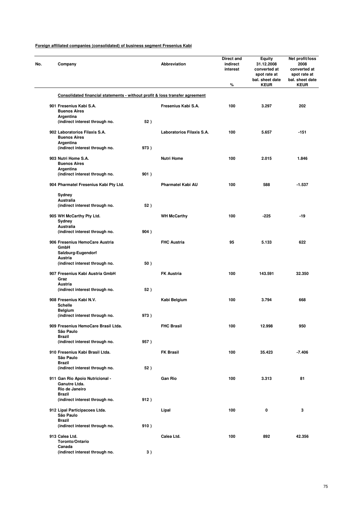| Company                                                                      |      | Abbreviation              | <b>Direct and</b><br>indirect<br>interest | <b>Equity</b><br>31.12.2008<br>converted at<br>spot rate at<br>bal. sheet date | Net profit/loss<br>2008<br>converted at<br>spot rate at<br>bal. sheet date |
|------------------------------------------------------------------------------|------|---------------------------|-------------------------------------------|--------------------------------------------------------------------------------|----------------------------------------------------------------------------|
|                                                                              |      |                           | %                                         | <b>KEUR</b>                                                                    | <b>KEUR</b>                                                                |
| Consolidated financial statements - without profit & loss transfer agreement |      |                           |                                           |                                                                                |                                                                            |
| 901 Fresenius Kabi S.A.<br><b>Buenos Aires</b><br>Argentina                  |      | Fresenius Kabi S.A.       | 100                                       | 3.297                                                                          | 202                                                                        |
| (indirect interest through no.                                               | 52)  |                           |                                           |                                                                                |                                                                            |
| 902 Laboratorios Filaxis S.A.<br><b>Buenos Aires</b><br>Argentina            |      | Laboratorios Filaxis S.A. | 100                                       | 5.657                                                                          | $-151$                                                                     |
| (indirect interest through no.                                               | 973) |                           |                                           |                                                                                |                                                                            |
| 903 Nutri Home S.A.<br><b>Buenos Aires</b>                                   |      | <b>Nutri Home</b>         | 100                                       | 2.015                                                                          | 1.846                                                                      |
| Argentina<br>(indirect interest through no.                                  | 901) |                           |                                           |                                                                                |                                                                            |
| 904 Pharmatel Fresenius Kabi Pty Ltd.                                        |      | <b>Pharmatel Kabi AU</b>  | 100                                       | 588                                                                            | $-1.537$                                                                   |
| Sydney<br>Australia                                                          |      |                           |                                           |                                                                                |                                                                            |
| (indirect interest through no.                                               | 52)  |                           |                                           |                                                                                |                                                                            |
| 905 WH McCarthy Pty Ltd.<br>Sydney                                           |      | <b>WH McCarthy</b>        | 100                                       | $-225$                                                                         | $-19$                                                                      |
| Australia<br>(indirect interest through no.                                  | 904) |                           |                                           |                                                                                |                                                                            |
| 906 Fresenius HemoCare Austria<br>GmbH                                       |      | <b>FHC Austria</b>        | 95                                        | 5.133                                                                          | 622                                                                        |
| Salzburg-Eugendorf                                                           |      |                           |                                           |                                                                                |                                                                            |
| Austria<br>(indirect interest through no.                                    | 50)  |                           |                                           |                                                                                |                                                                            |
| 907 Fresenius Kabi Austria GmbH<br>Graz                                      |      | <b>FK Austria</b>         | 100                                       | 143.591                                                                        | 32.350                                                                     |
| Austria<br>(indirect interest through no.                                    | 52)  |                           |                                           |                                                                                |                                                                            |
|                                                                              |      |                           |                                           |                                                                                |                                                                            |
| 908 Fresenius Kabi N.V.<br><b>Schelle</b><br><b>Belgium</b>                  |      | Kabi Belgium              | 100                                       | 3.794                                                                          | 668                                                                        |
| (indirect interest through no.                                               | 973) |                           |                                           |                                                                                |                                                                            |
| 909 Fresenius HemoCare Brasil Ltda.<br>São Paulo                             |      | <b>FHC Brasil</b>         | 100                                       | 12.998                                                                         | 950                                                                        |
| <b>Brazil</b><br>(indirect interest through no.                              | 957) |                           |                                           |                                                                                |                                                                            |
| 910 Fresenius Kabi Brasil Ltda.<br>São Paulo                                 |      | <b>FK Brasil</b>          | 100                                       | 35.423                                                                         | $-7.406$                                                                   |
| <b>Brazil</b><br>(indirect interest through no.                              | 52)  |                           |                                           |                                                                                |                                                                            |
| 911 Gan Rio Apoio Nutricional -<br>Ganutre Ltda.                             |      | <b>Gan Rio</b>            | 100                                       | 3.313                                                                          | 81                                                                         |
| Rio de Janeiro<br>Brazil                                                     |      |                           |                                           |                                                                                |                                                                            |
| (indirect interest through no.                                               | 912) |                           |                                           |                                                                                |                                                                            |
| 912 Lipal Participacoes Ltda.<br>São Paulo                                   |      | Lipal                     | 100                                       | 0                                                                              | 3                                                                          |
| <b>Brazil</b><br>(indirect interest through no.                              | 910) |                           |                                           |                                                                                |                                                                            |
| 913 Calea Ltd.<br>Toronto/Ontario                                            |      | Calea Ltd.                | 100                                       | 892                                                                            | 42.356                                                                     |
| Canada<br>(indirect interest through no.                                     | 3)   |                           |                                           |                                                                                |                                                                            |
|                                                                              |      |                           |                                           |                                                                                |                                                                            |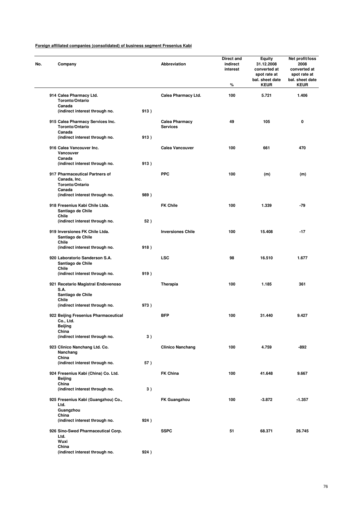| No. | Company                                                                     |      | <b>Abbreviation</b>                      | Direct and<br>indirect<br>interest<br>% | Equity<br>31.12.2008<br>converted at<br>spot rate at<br>bal. sheet date<br><b>KEUR</b> | Net profit/loss<br>2008<br>converted at<br>spot rate at<br>bal. sheet date<br><b>KEUR</b> |
|-----|-----------------------------------------------------------------------------|------|------------------------------------------|-----------------------------------------|----------------------------------------------------------------------------------------|-------------------------------------------------------------------------------------------|
|     | 914 Calea Pharmacy Ltd.<br>Toronto/Ontario                                  |      | Calea Pharmacy Ltd.                      | 100                                     | 5.721                                                                                  | 1.406                                                                                     |
|     | Canada<br>(indirect interest through no.                                    | 913) |                                          |                                         |                                                                                        |                                                                                           |
|     | 915 Calea Pharmacy Services Inc.<br>Toronto/Ontario                         |      | <b>Calea Pharmacy</b><br><b>Services</b> | 49                                      | 105                                                                                    | 0                                                                                         |
|     | Canada<br>(indirect interest through no.                                    | 913) |                                          |                                         |                                                                                        |                                                                                           |
|     | 916 Calea Vancouver Inc.<br>Vancouver<br>Canada                             |      | <b>Calea Vancouver</b>                   | 100                                     | 661                                                                                    | 470                                                                                       |
|     | (indirect interest through no.                                              | 913) |                                          |                                         |                                                                                        |                                                                                           |
|     | 917 Pharmaceutical Partners of<br>Canada, Inc.<br>Toronto/Ontario<br>Canada |      | <b>PPC</b>                               | 100                                     | (m)                                                                                    | (m)                                                                                       |
|     | (indirect interest through no.                                              | 989) |                                          |                                         |                                                                                        |                                                                                           |
|     | 918 Fresenius Kabi Chile Ltda.<br>Santiago de Chile<br>Chile                |      | <b>FK Chile</b>                          | 100                                     | 1.339                                                                                  | -79                                                                                       |
|     | (indirect interest through no.                                              | 52)  |                                          |                                         |                                                                                        |                                                                                           |
|     | 919 Inversiones FK Chile Ltda.<br>Santiago de Chile<br>Chile                |      | <b>Inversiones Chile</b>                 | 100                                     | 15.408                                                                                 | $-17$                                                                                     |
|     | (indirect interest through no.                                              | 918) |                                          |                                         |                                                                                        |                                                                                           |
|     | 920 Laboratorio Sanderson S.A.<br>Santiago de Chile<br>Chile                |      | <b>LSC</b>                               | 98                                      | 16.510                                                                                 | 1.677                                                                                     |
|     | (indirect interest through no.                                              | 919) |                                          |                                         |                                                                                        |                                                                                           |
|     | 921 Recetario Magistral Endovenoso<br>S.A.<br>Santiago de Chile             |      | Therapia                                 | 100                                     | 1.185                                                                                  | 361                                                                                       |
|     | Chile<br>(indirect interest through no.                                     | 973) |                                          |                                         |                                                                                        |                                                                                           |
|     | 922 Beijing Fresenius Pharmaceutical<br>Co., Ltd.                           |      | <b>BFP</b>                               | 100                                     | 31.440                                                                                 | 9.427                                                                                     |
|     | Beijing<br>China<br>(indirect interest through no.                          | 3)   |                                          |                                         |                                                                                        |                                                                                           |
|     | 923 Clinico Nanchang Ltd. Co.<br>Nanchang                                   |      | <b>Clinico Nanchang</b>                  | 100                                     | 4.759                                                                                  | -892                                                                                      |
|     | China<br>(indirect interest through no.                                     | 57)  |                                          |                                         |                                                                                        |                                                                                           |
|     | 924 Fresenius Kabi (China) Co. Ltd.<br>Beijing                              |      | <b>FK China</b>                          | 100                                     | 41.648                                                                                 | 9.667                                                                                     |
|     | China<br>(indirect interest through no.                                     | 3)   |                                          |                                         |                                                                                        |                                                                                           |
|     | 925 Fresenius Kabi (Guangzhou) Co.,<br>Ltd.                                 |      | <b>FK Guangzhou</b>                      | 100                                     | $-3.872$                                                                               | $-1.357$                                                                                  |
|     | Guangzhou<br>China<br>(indirect interest through no.                        | 924) |                                          |                                         |                                                                                        |                                                                                           |
|     | 926 Sino-Swed Pharmaceutical Corp.<br>Ltd.                                  |      | <b>SSPC</b>                              | 51                                      | 68.371                                                                                 | 26.745                                                                                    |
|     | Wuxi<br>China                                                               |      |                                          |                                         |                                                                                        |                                                                                           |
|     | (indirect interest through no.                                              | 924) |                                          |                                         |                                                                                        |                                                                                           |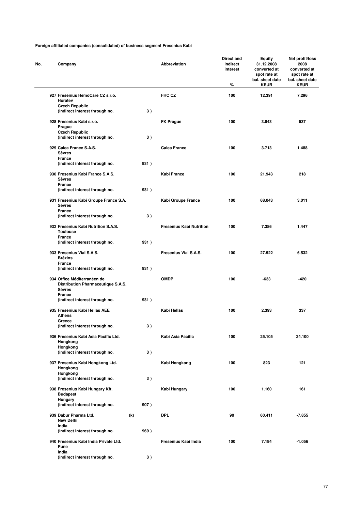| Company                                                                            |     |      | Abbreviation                    | Direct and<br>indirect<br>interest<br>% | Equity<br>31.12.2008<br>converted at<br>spot rate at<br>bal. sheet date<br><b>KEUR</b> | Net profit/loss<br>2008<br>converted at<br>spot rate at<br>bal. sheet date<br><b>KEUR</b> |
|------------------------------------------------------------------------------------|-----|------|---------------------------------|-----------------------------------------|----------------------------------------------------------------------------------------|-------------------------------------------------------------------------------------------|
| 927 Fresenius HemoCare CZ s.r.o.<br>Horatev                                        |     |      | FHC CZ                          | 100                                     | 12.391                                                                                 | 7.296                                                                                     |
| <b>Czech Republic</b><br>(indirect interest through no.                            |     | 3)   |                                 |                                         |                                                                                        |                                                                                           |
| 928 Fresenius Kabi s.r.o.<br>Prague                                                |     |      | <b>FK Prague</b>                | 100                                     | 3.843                                                                                  | 537                                                                                       |
| <b>Czech Republic</b><br>(indirect interest through no.                            |     | 3)   |                                 |                                         |                                                                                        |                                                                                           |
| 929 Calea France S.A.S.<br><b>Sèvres</b>                                           |     |      | <b>Calea France</b>             | 100                                     | 3.713                                                                                  | 1.488                                                                                     |
| France<br>(indirect interest through no.                                           |     | 931) |                                 |                                         |                                                                                        |                                                                                           |
| 930 Fresenius Kabi France S.A.S.<br><b>Sèvres</b><br>France                        |     |      | Kabi France                     | 100                                     | 21.943                                                                                 | 218                                                                                       |
| (indirect interest through no.                                                     |     | 931) |                                 |                                         |                                                                                        |                                                                                           |
| 931 Fresenius Kabi Groupe France S.A.<br><b>Sèvres</b>                             |     |      | Kabi Groupe France              | 100                                     | 68.043                                                                                 | 3.011                                                                                     |
| France<br>(indirect interest through no.                                           |     | 3)   |                                 |                                         |                                                                                        |                                                                                           |
| 932 Fresenius Kabi Nutrition S.A.S.<br><b>Toulouse</b>                             |     |      | <b>Fresenius Kabi Nutrition</b> | 100                                     | 7.386                                                                                  | 1.447                                                                                     |
| <b>France</b><br>(indirect interest through no.                                    |     | 931) |                                 |                                         |                                                                                        |                                                                                           |
| 933 Fresenius Vial S.A.S.<br><b>Brézins</b>                                        |     |      | Fresenius Vial S.A.S.           | 100                                     | 27.522                                                                                 | 6.532                                                                                     |
| <b>France</b><br>(indirect interest through no.                                    |     | 931) |                                 |                                         |                                                                                        |                                                                                           |
| 934 Office Méditerranéen de<br>Distribution Pharmaceutique S.A.S.<br><b>Sèvres</b> |     |      | <b>OMDP</b>                     | 100                                     | -633                                                                                   | -420                                                                                      |
| France<br>(indirect interest through no.                                           |     | 931) |                                 |                                         |                                                                                        |                                                                                           |
| 935 Fresenius Kabi Hellas AEE<br>Athens                                            |     |      | Kabi Hellas                     | 100                                     | 2.393                                                                                  | 337                                                                                       |
| Greece<br>(indirect interest through no.                                           |     | 3)   |                                 |                                         |                                                                                        |                                                                                           |
| 936 Fresenius Kabi Asia Pacific Ltd.<br>Hongkong                                   |     |      | Kabi Asia Pacific               | 100                                     | 25.105                                                                                 | 24.100                                                                                    |
| Hongkong<br>(indirect interest through no.                                         |     | 3)   |                                 |                                         |                                                                                        |                                                                                           |
| 937 Fresenius Kabi Hongkong Ltd.<br>Hongkong                                       |     |      | Kabi Hongkong                   | 100                                     | 823                                                                                    | 121                                                                                       |
| Hongkong<br>(indirect interest through no.                                         |     | 3)   |                                 |                                         |                                                                                        |                                                                                           |
| 938 Fresenius Kabi Hungary Kft.<br><b>Budapest</b>                                 |     |      | Kabi Hungary                    | 100                                     | 1.160                                                                                  | 161                                                                                       |
| <b>Hungary</b><br>(indirect interest through no.                                   |     | 907) |                                 |                                         |                                                                                        |                                                                                           |
| 939 Dabur Pharma Ltd.<br><b>New Delhi</b>                                          | (k) |      | <b>DPL</b>                      | 90                                      | 60.411                                                                                 | $-7.855$                                                                                  |
| India<br>(indirect interest through no.                                            |     | 969) |                                 |                                         |                                                                                        |                                                                                           |
| 940 Fresenius Kabi India Private Ltd.<br>Pune                                      |     |      | Fresenius Kabi India            | 100                                     | 7.194                                                                                  | $-1.056$                                                                                  |
| India<br>(indirect interest through no.                                            |     | 3)   |                                 |                                         |                                                                                        |                                                                                           |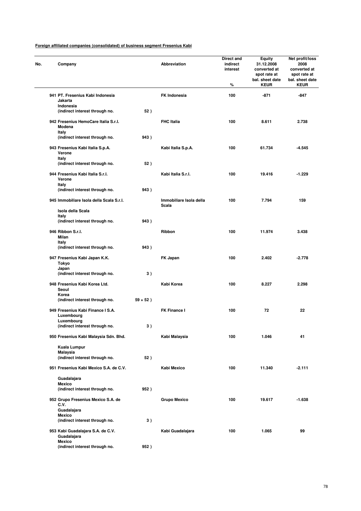| No. | Company                                                 |             | Abbreviation                     | Direct and<br>indirect<br>interest<br>% | Equity<br>31.12.2008<br>converted at<br>spot rate at<br>bal. sheet date<br><b>KEUR</b> | Net profit/loss<br>2008<br>converted at<br>spot rate at<br>bal. sheet date<br><b>KEUR</b> |
|-----|---------------------------------------------------------|-------------|----------------------------------|-----------------------------------------|----------------------------------------------------------------------------------------|-------------------------------------------------------------------------------------------|
|     | 941 PT. Fresenius Kabi Indonesia<br>Jakarta             |             | <b>FK Indonesia</b>              | 100                                     | $-871$                                                                                 | -847                                                                                      |
|     | Indonesia<br>(indirect interest through no.             | 52)         |                                  |                                         |                                                                                        |                                                                                           |
|     | 942 Fresenius HemoCare Italia S.r.l.<br>Modena<br>Italy |             | <b>FHC Italia</b>                | 100                                     | 8.611                                                                                  | 2.738                                                                                     |
|     | (indirect interest through no.                          | 943)        |                                  |                                         |                                                                                        |                                                                                           |
|     | 943 Fresenius Kabi Italia S.p.A.<br>Verone<br>Italy     |             | Kabi Italia S.p.A.               | 100                                     | 61.734                                                                                 | -4.545                                                                                    |
|     | (indirect interest through no.                          | 52)         |                                  |                                         |                                                                                        |                                                                                           |
|     | 944 Fresenius Kabi Italia S.r.l.<br>Verone              |             | Kabi Italia S.r.I.               | 100                                     | 19.416                                                                                 | $-1.229$                                                                                  |
|     | Italy<br>(indirect interest through no.                 | 943)        |                                  |                                         |                                                                                        |                                                                                           |
|     | 945 Immobiliare Isola della Scala S.r.l.                |             | Immobiliare Isola della<br>Scala | 100                                     | 7.794                                                                                  | 159                                                                                       |
|     | Isola della Scala<br>Italy                              |             |                                  |                                         |                                                                                        |                                                                                           |
|     | (indirect interest through no.                          | 943)        |                                  |                                         |                                                                                        |                                                                                           |
|     | 946 Ribbon S.r.l.<br>Milan<br>Italy                     |             | Ribbon                           | 100                                     | 11.974                                                                                 | 3.438                                                                                     |
|     | (indirect interest through no.                          | 943)        |                                  |                                         |                                                                                        |                                                                                           |
|     | 947 Fresenius Kabi Japan K.K.<br>Tokyo                  |             | FK Japan                         | 100                                     | 2.402                                                                                  | $-2.778$                                                                                  |
|     | Japan<br>(indirect interest through no.                 | 3)          |                                  |                                         |                                                                                        |                                                                                           |
|     | 948 Fresenius Kabi Korea Ltd.<br>Seoul                  |             | Kabi Korea                       | 100                                     | 8.227                                                                                  | 2.298                                                                                     |
|     | Korea<br>(indirect interest through no.                 | $59 + 52$ ) |                                  |                                         |                                                                                        |                                                                                           |
|     | 949 Fresenius Kabi Finance I S.A.<br>Luxembourg         |             | FK Finance I                     | 100                                     | 72                                                                                     | 22                                                                                        |
|     | Luxembourg<br>(indirect interest through no.            | 3)          |                                  |                                         |                                                                                        |                                                                                           |
|     | 950 Fresenius Kabi Malaysia Sdn. Bhd.                   |             | Kabi Malaysia                    | 100                                     | 1.046                                                                                  | 41                                                                                        |
|     | Kuala Lumpur                                            |             |                                  |                                         |                                                                                        |                                                                                           |
|     | <b>Malaysia</b><br>(indirect interest through no.       | 52)         |                                  |                                         |                                                                                        |                                                                                           |
|     | 951 Fresenius Kabi Mexico S.A. de C.V.                  |             | Kabi Mexico                      | 100                                     | 11.340                                                                                 | $-2.111$                                                                                  |
|     | Guadalajara                                             |             |                                  |                                         |                                                                                        |                                                                                           |
|     | <b>Mexico</b><br>(indirect interest through no.         | 952)        |                                  |                                         |                                                                                        |                                                                                           |
|     | 952 Grupo Fresenius Mexico S.A. de<br>C.V.              |             | <b>Grupo Mexico</b>              | 100                                     | 19.617                                                                                 | $-1.638$                                                                                  |
|     | Guadalajara<br><b>Mexico</b>                            |             |                                  |                                         |                                                                                        |                                                                                           |
|     | (indirect interest through no.                          | 3)          |                                  |                                         |                                                                                        |                                                                                           |
|     | 953 Kabi Guadalajara S.A. de C.V.<br>Guadalajara        |             | Kabi Guadalajara                 | 100                                     | 1.065                                                                                  | 99                                                                                        |
|     | <b>Mexico</b><br>(indirect interest through no.         | 952)        |                                  |                                         |                                                                                        |                                                                                           |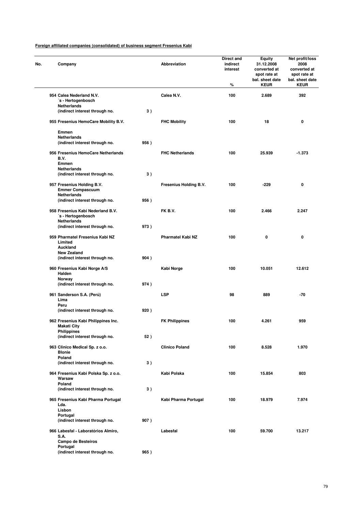| No. | Company                                                                  |      | Abbreviation             | Direct and<br>indirect<br>interest<br>% | <b>Equity</b><br>31.12.2008<br>converted at<br>spot rate at<br>bal. sheet date<br><b>KEUR</b> | Net profit/loss<br>2008<br>converted at<br>spot rate at<br>bal. sheet date<br><b>KEUR</b> |
|-----|--------------------------------------------------------------------------|------|--------------------------|-----------------------------------------|-----------------------------------------------------------------------------------------------|-------------------------------------------------------------------------------------------|
|     | 954 Calea Nederland N.V.<br>´s - Hertogenbosch                           |      | Calea N.V.               | 100                                     | 2.689                                                                                         | 392                                                                                       |
|     | <b>Netherlands</b><br>(indirect interest through no.                     | 3)   |                          |                                         |                                                                                               |                                                                                           |
|     | 955 Fresenius HemoCare Mobility B.V.                                     |      | <b>FHC Mobility</b>      | 100                                     | 18                                                                                            | 0                                                                                         |
|     | Emmen                                                                    |      |                          |                                         |                                                                                               |                                                                                           |
|     | <b>Netherlands</b><br>(indirect interest through no.                     | 956) |                          |                                         |                                                                                               |                                                                                           |
|     | 956 Fresenius HemoCare Netherlands<br>B.V.<br>Emmen                      |      | <b>FHC Netherlands</b>   | 100                                     | 25.939                                                                                        | $-1.373$                                                                                  |
|     | Netherlands<br>(indirect interest through no.                            | 3)   |                          |                                         |                                                                                               |                                                                                           |
|     | 957 Fresenius Holding B.V.<br><b>Emmer Compascuum</b>                    |      | Fresenius Holding B.V.   | 100                                     | $-229$                                                                                        | 0                                                                                         |
|     | <b>Netherlands</b><br>(indirect interest through no.                     | 956) |                          |                                         |                                                                                               |                                                                                           |
|     | 958 Fresenius Kabi Nederland B.V.<br>´s - Hertogenbosch                  |      | FK B.V.                  | 100                                     | 2.466                                                                                         | 2.247                                                                                     |
|     | <b>Netherlands</b><br>(indirect interest through no.                     | 973) |                          |                                         |                                                                                               |                                                                                           |
|     | 959 Pharmatel Fresenius Kabi NZ<br>Limited<br>Auckland                   |      | <b>Pharmatel Kabi NZ</b> | 100                                     | 0                                                                                             | 0                                                                                         |
|     | <b>New Zealand</b><br>(indirect interest through no.                     | 904) |                          |                                         |                                                                                               |                                                                                           |
|     | 960 Fresenius Kabi Norge A/S<br>Halden                                   |      | Kabi Norge               | 100                                     | 10.051                                                                                        | 12.612                                                                                    |
|     | Norway<br>(indirect interest through no.                                 | 974) |                          |                                         |                                                                                               |                                                                                           |
|     | 961 Sanderson S.A. (Perú)<br>Lima<br>Peru                                |      | <b>LSP</b>               | 98                                      | 889                                                                                           | -70                                                                                       |
|     | (indirect interest through no.                                           | 920) |                          |                                         |                                                                                               |                                                                                           |
|     | 962 Fresenius Kabi Philippines Inc.<br>Makati City<br><b>Philippines</b> |      | <b>FK Philippines</b>    | 100                                     | 4.261                                                                                         | 959                                                                                       |
|     | (indirect interest through no.                                           | 52)  |                          |                                         |                                                                                               |                                                                                           |
|     | 963 Clinico Medical Sp. z o.o.<br><b>Blonie</b><br>Poland                |      | <b>Clinico Poland</b>    | 100                                     | 8.528                                                                                         | 1.970                                                                                     |
|     | (indirect interest through no.                                           | 3)   |                          |                                         |                                                                                               |                                                                                           |
|     | 964 Fresenius Kabi Polska Sp. z o.o.<br>Warsaw<br>Poland                 |      | Kabi Polska              | 100                                     | 15.854                                                                                        | 803                                                                                       |
|     | (indirect interest through no.                                           | 3)   |                          |                                         |                                                                                               |                                                                                           |
|     | 965 Fresenius Kabi Pharma Portugal<br>Lda.                               |      | Kabi Pharma Portugal     | 100                                     | 18.979                                                                                        | 7.974                                                                                     |
|     | Lisbon<br>Portugal<br>(indirect interest through no.                     | 907) |                          |                                         |                                                                                               |                                                                                           |
|     | 966 Labesfal - Laboratórios Almiro,<br>S.A.                              |      | Labesfal                 | 100                                     | 59.700                                                                                        | 13.217                                                                                    |
|     | Campo de Besteiros<br>Portugal                                           |      |                          |                                         |                                                                                               |                                                                                           |
|     | (indirect interest through no.                                           | 965) |                          |                                         |                                                                                               |                                                                                           |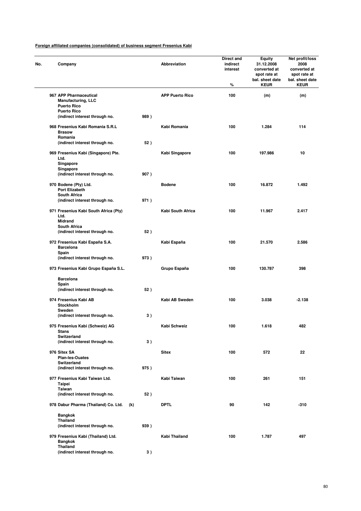| Company                                                                   |      | <b>Abbreviation</b>    | <b>Direct and</b><br>indirect<br>interest<br>% | Equity<br>31.12.2008<br>converted at<br>spot rate at<br>bal. sheet date<br><b>KEUR</b> | Net profit/loss<br>2008<br>converted at<br>spot rate at<br>bal. sheet date<br><b>KEUR</b> |
|---------------------------------------------------------------------------|------|------------------------|------------------------------------------------|----------------------------------------------------------------------------------------|-------------------------------------------------------------------------------------------|
| 967 APP Pharmaceutical<br><b>Manufacturing, LLC</b><br><b>Puerto Rico</b> |      | <b>APP Puerto Rico</b> | 100                                            | (m)                                                                                    | (m)                                                                                       |
| <b>Puerto Rico</b><br>(indirect interest through no.                      | 989) |                        |                                                |                                                                                        |                                                                                           |
| 968 Fresenius Kabi Romania S.R.L<br><b>Brasow</b><br>Romania              |      | Kabi Romania           | 100                                            | 1.284                                                                                  | 114                                                                                       |
| (indirect interest through no.                                            | 52)  |                        |                                                |                                                                                        |                                                                                           |
| 969 Fresenius Kabi (Singapore) Pte.<br>Ltd.<br>Singapore                  |      | Kabi Singapore         | 100                                            | 197.986                                                                                | 10                                                                                        |
| Singapore<br>(indirect interest through no.                               | 907) |                        |                                                |                                                                                        |                                                                                           |
| 970 Bodene (Pty) Ltd.<br>Port Elizabeth                                   |      | <b>Bodene</b>          | 100                                            | 16.872                                                                                 | 1.492                                                                                     |
| <b>South Africa</b><br>(indirect interest through no.                     | 971) |                        |                                                |                                                                                        |                                                                                           |
| 971 Fresenius Kabi South Africa (Pty)<br>Ltd.<br><b>Midrand</b>           |      | Kabi South Africa      | 100                                            | 11.967                                                                                 | 2.417                                                                                     |
| <b>South Africa</b><br>(indirect interest through no.                     | 52)  |                        |                                                |                                                                                        |                                                                                           |
| 972 Fresenius Kabi España S.A.<br><b>Barcelona</b>                        |      | Kabi España            | 100                                            | 21.570                                                                                 | 2.586                                                                                     |
| Spain                                                                     |      |                        |                                                |                                                                                        |                                                                                           |
| (indirect interest through no.                                            | 973) |                        |                                                |                                                                                        |                                                                                           |
| 973 Fresenius Kabi Grupo España S.L.                                      |      | Grupo España           | 100                                            | 130.787                                                                                | 398                                                                                       |
| <b>Barcelona</b><br>Spain                                                 |      |                        |                                                |                                                                                        |                                                                                           |
| (indirect interest through no.                                            | 52)  |                        |                                                |                                                                                        |                                                                                           |
| 974 Fresenius Kabi AB<br>Stockholm<br>Sweden                              |      | Kabi AB Sweden         | 100                                            | 3.038                                                                                  | $-2.138$                                                                                  |
| (indirect interest through no.                                            | 3)   |                        |                                                |                                                                                        |                                                                                           |
| 975 Fresenius Kabi (Schweiz) AG<br><b>Stans</b><br>Switzerland            |      | Kabi Schweiz           | 100                                            | 1.618                                                                                  | 482                                                                                       |
| (indirect interest through no.                                            | 3)   |                        |                                                |                                                                                        |                                                                                           |
| 976 Sitex SA<br><b>Plan-les-Ouates</b>                                    |      | <b>Sitex</b>           | 100                                            | 572                                                                                    | 22                                                                                        |
| Switzerland<br>(indirect interest through no.                             | 975) |                        |                                                |                                                                                        |                                                                                           |
| 977 Fresenius Kabi Taiwan Ltd.<br><b>Taipei</b>                           |      | Kabi Taiwan            | 100                                            | 261                                                                                    | 151                                                                                       |
| Taiwan<br>(indirect interest through no.                                  | 52)  |                        |                                                |                                                                                        |                                                                                           |
| 978 Dabur Pharma (Thailand) Co. Ltd.                                      | (k)  | <b>DPTL</b>            | 90                                             | 142                                                                                    | $-310$                                                                                    |
| <b>Bangkok</b>                                                            |      |                        |                                                |                                                                                        |                                                                                           |
| Thailand<br>(indirect interest through no.                                | 939) |                        |                                                |                                                                                        |                                                                                           |
| 979 Fresenius Kabi (Thailand) Ltd.<br><b>Bangkok</b>                      |      | Kabi Thailand          | 100                                            | 1.787                                                                                  | 497                                                                                       |
| <b>Thailand</b>                                                           |      |                        |                                                |                                                                                        |                                                                                           |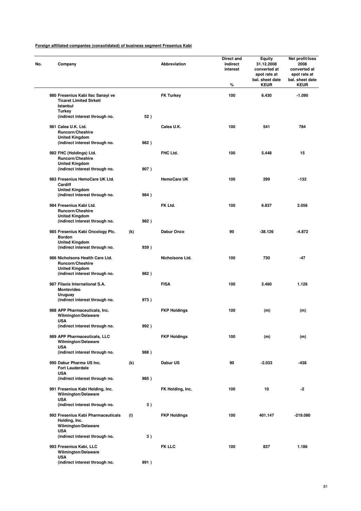| Company                                                                             |      | <b>Abbreviation</b> | <b>Direct and</b><br>indirect<br>interest<br>% | Equity<br>31.12.2008<br>converted at<br>spot rate at<br>bal. sheet date<br><b>KEUR</b> | Net profit/loss<br>2008<br>converted at<br>spot rate at<br>bal. sheet date<br><b>KEUR</b> |
|-------------------------------------------------------------------------------------|------|---------------------|------------------------------------------------|----------------------------------------------------------------------------------------|-------------------------------------------------------------------------------------------|
| 980 Fresenius Kabi Ilac Sanayi ve<br><b>Ticaret Limited Sirketi</b><br>Istanbul     |      | <b>FK Turkey</b>    | 100                                            | 6.430                                                                                  | $-1.090$                                                                                  |
| Turkey<br>(indirect interest through no.                                            |      | 52)                 |                                                |                                                                                        |                                                                                           |
| 981 Calea U.K. Ltd.<br><b>Runcorn/Cheshire</b><br><b>United Kingdom</b>             |      | Calea U.K.          | 100                                            | 541                                                                                    | 784                                                                                       |
| (indirect interest through no.<br>982 FHC (Holdings) Ltd.                           | 982) | FHC Ltd.            | 100                                            | 5.448                                                                                  | 15                                                                                        |
| Runcorn/Cheshire<br><b>United Kingdom</b><br>(indirect interest through no.         | 907) |                     |                                                |                                                                                        |                                                                                           |
| 983 Fresenius HemoCare UK Ltd.<br>Cardiff                                           |      | <b>HemoCare UK</b>  | 100                                            | 299                                                                                    | $-132$                                                                                    |
| <b>United Kingdom</b><br>(indirect interest through no.                             | 984) |                     |                                                |                                                                                        |                                                                                           |
| 984 Fresenius Kabi Ltd.<br>Runcorn/Cheshire                                         |      | FK Ltd.             | 100                                            | 6.837                                                                                  | 2.056                                                                                     |
| <b>United Kingdom</b><br>(indirect interest through no.                             | 982) |                     |                                                |                                                                                        |                                                                                           |
| 985 Fresenius Kabi Oncology Plc.<br><b>Bordon</b>                                   | (k)  | Dabur Onco          | 90                                             | -38.126                                                                                | $-4.872$                                                                                  |
| <b>United Kingdom</b><br>(indirect interest through no.                             | 939) |                     |                                                |                                                                                        |                                                                                           |
| 986 Nicholsons Health Care Ltd.<br><b>Runcorn/Cheshire</b><br><b>United Kingdom</b> |      | Nicholsons Ltd.     | 100                                            | 730                                                                                    | -47                                                                                       |
| (indirect interest through no.                                                      | 982) |                     |                                                |                                                                                        |                                                                                           |
| 987 Filaxis International S.A.<br>Montevideo<br><b>Uruguay</b>                      |      | <b>FISA</b>         | 100                                            | 2.460                                                                                  | 1.126                                                                                     |
| (indirect interest through no.                                                      | 973) |                     |                                                |                                                                                        |                                                                                           |
| 988 APP Pharmaceuticals, Inc.<br><b>Wilmington/Delaware</b><br><b>USA</b>           |      | <b>FKP Holdings</b> | 100                                            | (m)                                                                                    | (m)                                                                                       |
| (indirect interest through no.                                                      | 992) |                     |                                                |                                                                                        |                                                                                           |
| 989 APP Pharmaceuticals, LLC<br>Wilmington/Delaware<br><b>USA</b>                   |      | <b>FKP Holdings</b> | 100                                            | (m)                                                                                    | (m)                                                                                       |
| (indirect interest through no.                                                      | 988) |                     |                                                |                                                                                        |                                                                                           |
| 990 Dabur Pharma US Inc.<br><b>Fort Lauderdale</b><br><b>USA</b>                    | (k)  | Dabur US            | 90                                             | $-2.033$                                                                               | -438                                                                                      |
| (indirect interest through no.                                                      | 985) |                     |                                                |                                                                                        |                                                                                           |
| 991 Fresenius Kabi Holding, Inc.<br>Wilmington/Delaware                             |      | FK Holding, Inc.    | 100                                            | 10                                                                                     | -2                                                                                        |
| <b>USA</b><br>(indirect interest through no.                                        |      | 3)                  |                                                |                                                                                        |                                                                                           |
| 992 Fresenius Kabi Pharmaceuticals<br>Holding, Inc.<br>Wilmington/Delaware          | (1)  | <b>FKP Holdings</b> | 100                                            | 401.147                                                                                | $-219.080$                                                                                |
| <b>USA</b><br>(indirect interest through no.                                        |      | 3)                  |                                                |                                                                                        |                                                                                           |
| 993 Fresenius Kabi, LLC<br>Wilmington/Delaware<br><b>USA</b>                        |      | <b>FK LLC</b>       | 100                                            | 837                                                                                    | 1.186                                                                                     |
| (indirect interest through no.                                                      | 991) |                     |                                                |                                                                                        |                                                                                           |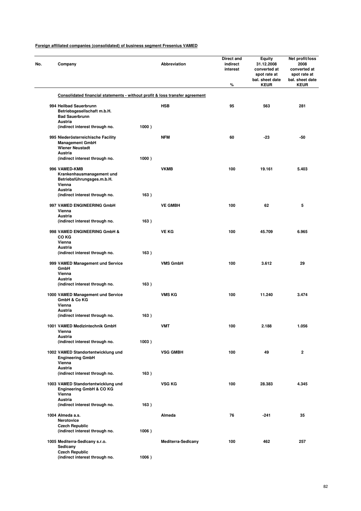| Company                                                                                              |       | Abbreviation              | Direct and<br>indirect<br>interest<br>% | Equity<br>31.12.2008<br>converted at<br>spot rate at<br>bal. sheet date<br><b>KEUR</b> | Net profit/loss<br>2008<br>converted at<br>spot rate at<br>bal. sheet date<br><b>KEUR</b> |
|------------------------------------------------------------------------------------------------------|-------|---------------------------|-----------------------------------------|----------------------------------------------------------------------------------------|-------------------------------------------------------------------------------------------|
| Consolidated financial statements - without profit & loss transfer agreement                         |       |                           |                                         |                                                                                        |                                                                                           |
| 994 Heilbad Sauerbrunn<br>Betriebsgesellschaft m.b.H.<br><b>Bad Sauerbrunn</b><br>Austria            |       | <b>HSB</b>                | 95                                      | 563                                                                                    | 281                                                                                       |
| (indirect interest through no.                                                                       | 1000) |                           |                                         |                                                                                        |                                                                                           |
| 995 Niederösterreichische Facility<br><b>Management GmbH</b><br><b>Wiener Neustadt</b>               |       | <b>NFM</b>                | 60                                      | $-23$                                                                                  | -50                                                                                       |
| Austria<br>(indirect interest through no.                                                            | 1000) |                           |                                         |                                                                                        |                                                                                           |
| 996 VAMED-KMB<br>Krankenhausmanagement und<br>Betriebsführungsges.m.b.H.<br>Vienna<br><b>Austria</b> |       | <b>VKMB</b>               | 100                                     | 19.161                                                                                 | 5.403                                                                                     |
| (indirect interest through no.                                                                       | 163)  |                           |                                         |                                                                                        |                                                                                           |
| 997 VAMED ENGINEERING GmbH<br>Vienna<br>Austria                                                      |       | <b>VE GMBH</b>            | 100                                     | 62                                                                                     | 5                                                                                         |
| (indirect interest through no.                                                                       | 163)  |                           |                                         |                                                                                        |                                                                                           |
| 998 VAMED ENGINEERING GmbH &<br>CO KG<br>Vienna                                                      |       | <b>VE KG</b>              | 100                                     | 45.709                                                                                 | 6.965                                                                                     |
| <b>Austria</b><br>(indirect interest through no.                                                     | 163)  |                           |                                         |                                                                                        |                                                                                           |
| 999 VAMED Management und Service<br>GmbH<br>Vienna                                                   |       | <b>VMS GmbH</b>           | 100                                     | 3.612                                                                                  | 29                                                                                        |
| Austria<br>(indirect interest through no.                                                            | 163)  |                           |                                         |                                                                                        |                                                                                           |
| 1000 VAMED Management und Service<br>GmbH & Co KG<br>Vienna                                          |       | <b>VMS KG</b>             | 100                                     | 11.240                                                                                 | 3.474                                                                                     |
| Austria                                                                                              |       |                           |                                         |                                                                                        |                                                                                           |
| (indirect interest through no.                                                                       | 163)  |                           |                                         |                                                                                        |                                                                                           |
| 1001 VAMED Medizintechnik GmbH<br>Vienna<br>Austria                                                  |       | VMT                       | 100                                     | 2.188                                                                                  | 1.056                                                                                     |
| (indirect interest through no.                                                                       | 1003) |                           |                                         |                                                                                        |                                                                                           |
| 1002 VAMED Standortentwicklung und<br><b>Engineering GmbH</b><br>Vienna<br>Austria                   |       | <b>VSG GMBH</b>           | 100                                     | 49                                                                                     | 2                                                                                         |
| (indirect interest through no.                                                                       | 163)  |                           |                                         |                                                                                        |                                                                                           |
| 1003 VAMED Standortentwicklung und<br>Engineering GmbH & CO KG<br>Vienna<br>Austria                  |       | VSG KG                    | 100                                     | 28.383                                                                                 | 4.345                                                                                     |
| (indirect interest through no.                                                                       | 163)  |                           |                                         |                                                                                        |                                                                                           |
| 1004 Almeda a.s.<br>Nerotovice<br><b>Czech Republic</b>                                              |       | Almeda                    | 76                                      | $-241$                                                                                 | 35                                                                                        |
| (indirect interest through no.                                                                       | 1006) |                           |                                         |                                                                                        |                                                                                           |
| 1005 Mediterra-Sedicany s.r.o.<br>Sedicany<br><b>Czech Republic</b>                                  |       | <b>Mediterra-Sedicany</b> | 100                                     | 462                                                                                    | 257                                                                                       |
| (indirect interest through no.                                                                       | 1006) |                           |                                         |                                                                                        |                                                                                           |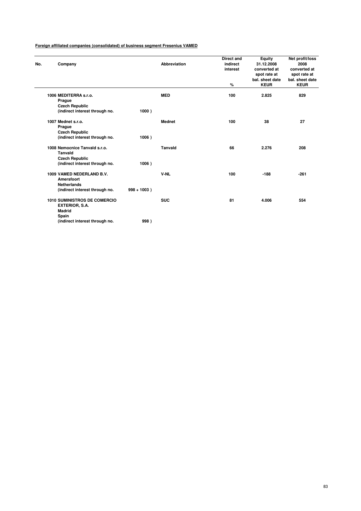| No. | Company                                                 |                | <b>Abbreviation</b> | <b>Direct and</b><br>indirect<br>interest | Equity<br>31.12.2008<br>converted at<br>spot rate at | Net profit/loss<br>2008<br>converted at<br>spot rate at |
|-----|---------------------------------------------------------|----------------|---------------------|-------------------------------------------|------------------------------------------------------|---------------------------------------------------------|
|     |                                                         |                |                     |                                           | bal. sheet date                                      | bal. sheet date                                         |
|     |                                                         |                |                     | %                                         | <b>KEUR</b>                                          | <b>KEUR</b>                                             |
|     | 1006 MEDITERRA s.r.o.                                   |                | <b>MED</b>          | 100                                       | 2.825                                                | 829                                                     |
|     | Prague                                                  |                |                     |                                           |                                                      |                                                         |
|     | <b>Czech Republic</b><br>(indirect interest through no. | 1000)          |                     |                                           |                                                      |                                                         |
|     |                                                         |                |                     |                                           |                                                      |                                                         |
|     | 1007 Mednet s.r.o.                                      |                | <b>Mednet</b>       | 100                                       | 38                                                   | 27                                                      |
|     | Prague                                                  |                |                     |                                           |                                                      |                                                         |
|     | <b>Czech Republic</b>                                   |                |                     |                                           |                                                      |                                                         |
|     | (indirect interest through no.                          | 1006)          |                     |                                           |                                                      |                                                         |
|     | 1008 Nemocnice Tanvald s.r.o.                           |                | <b>Tanvald</b>      | 66                                        | 2.276                                                | 208                                                     |
|     | <b>Tanvald</b>                                          |                |                     |                                           |                                                      |                                                         |
|     | <b>Czech Republic</b>                                   |                |                     |                                           |                                                      |                                                         |
|     | (indirect interest through no.                          | 1006)          |                     |                                           |                                                      |                                                         |
|     | 1009 VAMED NEDERLAND B.V.                               |                | V-NL                | 100                                       | $-188$                                               | $-261$                                                  |
|     | Amersfoort                                              |                |                     |                                           |                                                      |                                                         |
|     | <b>Netherlands</b>                                      |                |                     |                                           |                                                      |                                                         |
|     | (indirect interest through no.                          | $998 + 1003$ ) |                     |                                           |                                                      |                                                         |
|     | <b>1010 SUMINISTROS DE COMERCIO</b>                     |                | <b>SUC</b>          | 81                                        | 4.006                                                | 554                                                     |
|     | EXTERIOR, S.A.                                          |                |                     |                                           |                                                      |                                                         |
|     | <b>Madrid</b>                                           |                |                     |                                           |                                                      |                                                         |
|     | Spain                                                   |                |                     |                                           |                                                      |                                                         |
|     | (indirect interest through no.                          | 998)           |                     |                                           |                                                      |                                                         |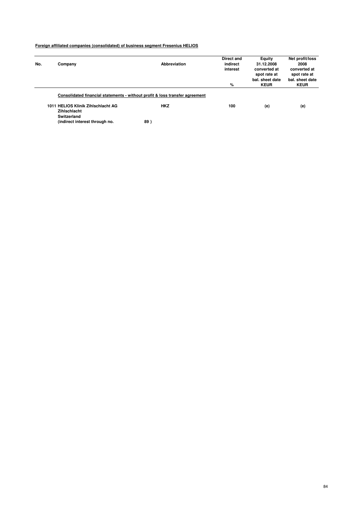|     |                                    |                                                                              | Direct and | Equity          | Net profit/loss |
|-----|------------------------------------|------------------------------------------------------------------------------|------------|-----------------|-----------------|
| No. | Company                            | <b>Abbreviation</b>                                                          | indirect   | 31.12.2008      | 2008            |
|     |                                    |                                                                              | interest   | converted at    | converted at    |
|     |                                    |                                                                              |            | spot rate at    | spot rate at    |
|     |                                    |                                                                              |            | bal, sheet date | bal, sheet date |
|     |                                    |                                                                              | %          | <b>KEUR</b>     | <b>KEUR</b>     |
|     |                                    | Consolidated financial statements - without profit & loss transfer agreement |            |                 |                 |
|     | 1011 HELIOS Klinik Zihlschlacht AG | <b>HKZ</b>                                                                   | 100        | (e)             | (e)             |
|     | Zihlschlacht                       |                                                                              |            |                 |                 |
|     | Switzerland                        |                                                                              |            |                 |                 |
|     | (indirect interest through no.     | 89                                                                           |            |                 |                 |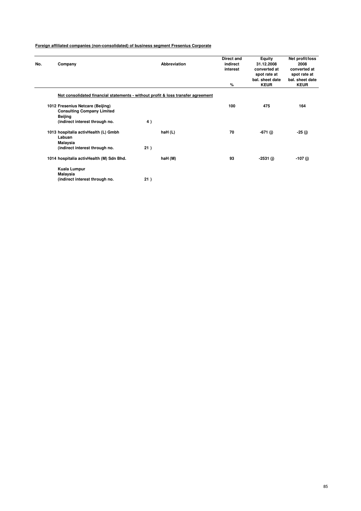| No. | Company                                                                          | <b>Abbreviation</b>                                                              | <b>Direct and</b><br>indirect<br>interest | Equity<br>31.12.2008<br>converted at<br>spot rate at<br>bal, sheet date | Net profit/loss<br>2008<br>converted at<br>spot rate at<br>bal, sheet date |
|-----|----------------------------------------------------------------------------------|----------------------------------------------------------------------------------|-------------------------------------------|-------------------------------------------------------------------------|----------------------------------------------------------------------------|
|     |                                                                                  |                                                                                  | %                                         | <b>KEUR</b>                                                             | <b>KEUR</b>                                                                |
|     |                                                                                  | Not consolidated financial statements - without profit & loss transfer agreement |                                           |                                                                         |                                                                            |
|     | 1012 Fresenius Netcare (Beijing)<br><b>Consulting Company Limited</b><br>Beijing |                                                                                  | 100                                       | 475                                                                     | 164                                                                        |
|     | (indirect interest through no.                                                   | 4)                                                                               |                                           |                                                                         |                                                                            |
|     | 1013 hospitalia activHealth (L) Gmbh<br>Labuan<br>Malaysia                       | haH(L)                                                                           | 70                                        | $-671(j)$                                                               | -25 (j)                                                                    |
|     | (indirect interest through no.                                                   | 21)                                                                              |                                           |                                                                         |                                                                            |
|     | 1014 hospitalia activHealth (M) Sdn Bhd.                                         | haH (M)                                                                          | 93                                        | -2531 (j)                                                               | -107 (j)                                                                   |
|     | Kuala Lumpur                                                                     |                                                                                  |                                           |                                                                         |                                                                            |
|     | Malaysia<br>(indirect interest through no.                                       | 21)                                                                              |                                           |                                                                         |                                                                            |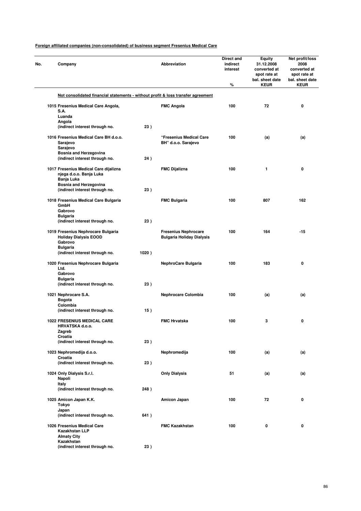| No. | Company                                                                          |       | <b>Abbreviation</b>                                             | Direct and<br>indirect<br>interest<br>% | Equity<br>31.12.2008<br>converted at<br>spot rate at<br>bal. sheet date<br><b>KEUR</b> | Net profit/loss<br>2008<br>converted at<br>spot rate at<br>bal. sheet date<br><b>KEUR</b> |
|-----|----------------------------------------------------------------------------------|-------|-----------------------------------------------------------------|-----------------------------------------|----------------------------------------------------------------------------------------|-------------------------------------------------------------------------------------------|
|     | Not consolidated financial statements - without profit & loss transfer agreement |       |                                                                 |                                         |                                                                                        |                                                                                           |
|     | 1015 Fresenius Medical Care Angola,                                              |       | <b>FMC Angola</b>                                               | 100                                     | 72                                                                                     | 0                                                                                         |
|     | S.A.                                                                             |       |                                                                 |                                         |                                                                                        |                                                                                           |
|     | Luanda<br>Angola                                                                 |       |                                                                 |                                         |                                                                                        |                                                                                           |
|     | (indirect interest through no.                                                   | 23)   |                                                                 |                                         |                                                                                        |                                                                                           |
|     | 1016 Fresenius Medical Care BH d.o.o.<br>Sarajevo<br>Sarajevo                    |       | "Fresenius Medical Care<br>BH" d.o.o. Sarajevo                  | 100                                     | (a)                                                                                    | (a)                                                                                       |
|     | <b>Bosnia and Herzegovina</b>                                                    |       |                                                                 |                                         |                                                                                        |                                                                                           |
|     | (indirect interest through no.                                                   | 24)   |                                                                 |                                         |                                                                                        |                                                                                           |
|     | 1017 Fresenius Medical Care dijalizna<br>njega d.o.o. Banja Luka<br>Banja Luka   |       | <b>FMC Dijalizna</b>                                            | 100                                     | 1                                                                                      | 0                                                                                         |
|     | <b>Bosnia and Herzegovina</b>                                                    |       |                                                                 |                                         |                                                                                        |                                                                                           |
|     | (indirect interest through no.                                                   | 23)   |                                                                 |                                         |                                                                                        |                                                                                           |
|     | 1018 Fresenius Medical Care Bulgaria<br>GmbH<br>Gabrovo                          |       | <b>FMC Bulgaria</b>                                             | 100                                     | 807                                                                                    | 162                                                                                       |
|     | <b>Bulgaria</b>                                                                  |       |                                                                 |                                         |                                                                                        |                                                                                           |
|     | (indirect interest through no.                                                   | 23)   |                                                                 |                                         |                                                                                        |                                                                                           |
|     | 1019 Fresenius Nephrocare Bulgaria<br><b>Holiday Dialysis EOOD</b><br>Gabrovo    |       | <b>Fresenius Nephrocare</b><br><b>Bulgaria Holiday Dialysis</b> | 100                                     | 164                                                                                    | $-15$                                                                                     |
|     | <b>Bulgaria</b><br>(indirect interest through no.                                | 1020) |                                                                 |                                         |                                                                                        |                                                                                           |
|     |                                                                                  |       |                                                                 |                                         |                                                                                        |                                                                                           |
|     | 1020 Fresenius Nephrocare Bulgaria<br>Ltd.<br>Gabrovo                            |       | NephroCare Bulgaria                                             | 100                                     | 183                                                                                    | 0                                                                                         |
|     | <b>Bulgaria</b>                                                                  |       |                                                                 |                                         |                                                                                        |                                                                                           |
|     | (indirect interest through no.                                                   | 23)   |                                                                 |                                         |                                                                                        |                                                                                           |
|     | 1021 Nephrocare S.A.                                                             |       | <b>Nephrocare Colombia</b>                                      | 100                                     | (a)                                                                                    | (a)                                                                                       |
|     | <b>Bogota</b><br>Colombia                                                        |       |                                                                 |                                         |                                                                                        |                                                                                           |
|     | (indirect interest through no.                                                   | 15)   |                                                                 |                                         |                                                                                        |                                                                                           |
|     | <b>1022 FRESENIUS MEDICAL CARE</b><br>HRVATSKA d.o.o.<br>Zagreb                  |       | <b>FMC Hrvatska</b>                                             | 100                                     | 3                                                                                      | 0                                                                                         |
|     | Croatia                                                                          |       |                                                                 |                                         |                                                                                        |                                                                                           |
|     | (indirect interest through no.                                                   | 23)   |                                                                 |                                         |                                                                                        |                                                                                           |
|     | 1023 Nephromedija d.o.o.                                                         |       | Nephromedija                                                    | 100                                     | (a)                                                                                    | (a)                                                                                       |
|     | Croatia<br>(indirect interest through no.                                        | 23)   |                                                                 |                                         |                                                                                        |                                                                                           |
|     | 1024 Only Dialysis S.r.l.<br>Napoli                                              |       | <b>Only Dialysis</b>                                            | 51                                      | (a)                                                                                    | (a)                                                                                       |
|     | Italy<br>(indirect interest through no.                                          | 248)  |                                                                 |                                         |                                                                                        |                                                                                           |
|     |                                                                                  |       |                                                                 |                                         |                                                                                        |                                                                                           |
|     | 1025 Amicon Japan K.K.<br>Tokyo<br>Japan                                         |       | Amicon Japan                                                    | 100                                     | 72                                                                                     | 0                                                                                         |
|     | (indirect interest through no.                                                   | 641)  |                                                                 |                                         |                                                                                        |                                                                                           |
|     | 1026 Fresenius Medical Care<br>Kazakhstan LLP<br><b>Almaty City</b>              |       | <b>FMC Kazakhstan</b>                                           | 100                                     | 0                                                                                      | 0                                                                                         |
|     | Kazakhstan<br>(indirect interest through no.                                     | 23)   |                                                                 |                                         |                                                                                        |                                                                                           |
|     |                                                                                  |       |                                                                 |                                         |                                                                                        |                                                                                           |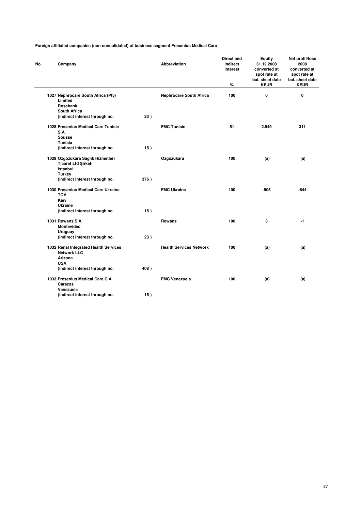| No. | Company                                                                     |      | <b>Abbreviation</b>            | Direct and<br>indirect<br>interest<br>% | Equity<br>31.12.2008<br>converted at<br>spot rate at<br>bal. sheet date<br><b>KEUR</b> | Net profit/loss<br>2008<br>converted at<br>spot rate at<br>bal. sheet date<br><b>KEUR</b> |
|-----|-----------------------------------------------------------------------------|------|--------------------------------|-----------------------------------------|----------------------------------------------------------------------------------------|-------------------------------------------------------------------------------------------|
|     | 1027 Nephrocare South Africa (Pty)<br>Limited                               |      | <b>Nephrocare South Africa</b> | 100                                     | $\mathbf 0$                                                                            | 0                                                                                         |
|     | Rosebank                                                                    |      |                                |                                         |                                                                                        |                                                                                           |
|     | <b>South Africa</b>                                                         |      |                                |                                         |                                                                                        |                                                                                           |
|     | (indirect interest through no.                                              | 23)  |                                |                                         |                                                                                        |                                                                                           |
|     | 1028 Fresenius Medical Care Tunisie<br>S.A.<br><b>Sousse</b>                |      | <b>FMC Tunisie</b>             | 51                                      | 2.949                                                                                  | 311                                                                                       |
|     | Tunisia                                                                     |      |                                |                                         |                                                                                        |                                                                                           |
|     | (indirect interest through no.                                              | 15)  |                                |                                         |                                                                                        |                                                                                           |
|     | 1029 Özgözükara Sağlık Hizmetleri<br><b>Ticaret Ltd Sirketi</b><br>Istanbul |      | Özgözükara                     | 100                                     | (a)                                                                                    | (a)                                                                                       |
|     | Turkey                                                                      |      |                                |                                         |                                                                                        |                                                                                           |
|     | (indirect interest through no.                                              | 376) |                                |                                         |                                                                                        |                                                                                           |
|     | 1030 Fresenius Medical Care Ukraine<br><b>TOV</b>                           |      | <b>FMC Ukraine</b>             | 100                                     | $-905$                                                                                 | -644                                                                                      |
|     | Kiev                                                                        |      |                                |                                         |                                                                                        |                                                                                           |
|     | <b>Ukraine</b><br>(indirect interest through no.                            | 15)  |                                |                                         |                                                                                        |                                                                                           |
|     |                                                                             |      |                                |                                         |                                                                                        |                                                                                           |
|     | 1031 Rowans S.A.                                                            |      | Rowans                         | 100                                     | 3                                                                                      | $-1$                                                                                      |
|     | <b>Montevideo</b>                                                           |      |                                |                                         |                                                                                        |                                                                                           |
|     | Uruguay                                                                     |      |                                |                                         |                                                                                        |                                                                                           |
|     | (indirect interest through no.                                              | 23)  |                                |                                         |                                                                                        |                                                                                           |
|     | 1032 Renal Integrated Health Services<br><b>Network LLC</b>                 |      | <b>Health Services Network</b> | 100                                     | (a)                                                                                    | (a)                                                                                       |
|     | Arizona                                                                     |      |                                |                                         |                                                                                        |                                                                                           |
|     | <b>USA</b>                                                                  |      |                                |                                         |                                                                                        |                                                                                           |
|     | (indirect interest through no.                                              | 408) |                                |                                         |                                                                                        |                                                                                           |
|     | 1033 Fresenius Medical Care C.A.<br>Caracas                                 |      | <b>FMC Venezuela</b>           | 100                                     | (a)                                                                                    | (a)                                                                                       |
|     | Venezuela                                                                   |      |                                |                                         |                                                                                        |                                                                                           |
|     | (indirect interest through no.                                              | 15)  |                                |                                         |                                                                                        |                                                                                           |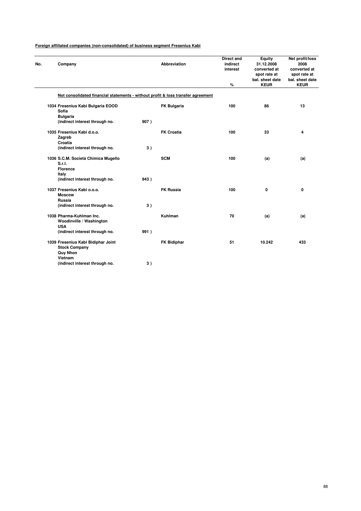| Foreign affiliated companies (non-consolidated) of business segment Fresenius Kabi |  |  |
|------------------------------------------------------------------------------------|--|--|
|                                                                                    |  |  |

| No. | Company                                                                                  |                                |      | <b>Abbreviation</b>                                                              | <b>Direct and</b><br>indirect<br>interest<br>$\%$ | Equity<br>31.12.2008<br>converted at<br>spot rate at<br>bal. sheet date<br><b>KEUR</b> | Net profit/loss<br>2008<br>converted at<br>spot rate at<br>bal. sheet date<br><b>KEUR</b> |
|-----|------------------------------------------------------------------------------------------|--------------------------------|------|----------------------------------------------------------------------------------|---------------------------------------------------|----------------------------------------------------------------------------------------|-------------------------------------------------------------------------------------------|
|     |                                                                                          |                                |      |                                                                                  |                                                   |                                                                                        |                                                                                           |
|     |                                                                                          |                                |      | Not consolidated financial statements - without profit & loss transfer agreement |                                                   |                                                                                        |                                                                                           |
|     | 1034 Fresenius Kabi Bulgaria EOOD<br>Sofia<br><b>Bulgaria</b>                            |                                |      | <b>FK Bulgaria</b>                                                               | 100                                               | 86                                                                                     | 13                                                                                        |
|     |                                                                                          | (indirect interest through no. | 907) |                                                                                  |                                                   |                                                                                        |                                                                                           |
|     | 1035 Fresenius Kabi d.o.o.<br>Zagreb<br>Croatia                                          |                                |      | <b>FK Croatia</b>                                                                | 100                                               | 33                                                                                     | 4                                                                                         |
|     |                                                                                          | (indirect interest through no. | 3)   |                                                                                  |                                                   |                                                                                        |                                                                                           |
|     | 1036 S.C.M. Società Chimica Mugello<br>S.r.I.<br><b>Florence</b>                         |                                |      | <b>SCM</b>                                                                       | 100                                               | (a)                                                                                    | (a)                                                                                       |
|     | Italy                                                                                    | (indirect interest through no. | 943) |                                                                                  |                                                   |                                                                                        |                                                                                           |
|     | 1037 Fresenius Kabi o.o.o.<br><b>Moscow</b><br>Russia                                    | (indirect interest through no. | 3)   | <b>FK Russia</b>                                                                 | 100                                               | 0                                                                                      | 0                                                                                         |
|     | 1038 Pharma-Kuhlman Inc.<br>Woodinville / Washington<br><b>USA</b>                       |                                |      | Kuhlman                                                                          | 70                                                | (a)                                                                                    | (a)                                                                                       |
|     |                                                                                          | (indirect interest through no. | 991) |                                                                                  |                                                   |                                                                                        |                                                                                           |
|     | 1039 Fresenius Kabi Bidiphar Joint<br><b>Stock Company</b><br><b>Quy Nhon</b><br>Vietnam |                                |      | <b>FK Bidiphar</b>                                                               | 51                                                | 10.242                                                                                 | 433                                                                                       |
|     |                                                                                          | (indirect interest through no. | 3)   |                                                                                  |                                                   |                                                                                        |                                                                                           |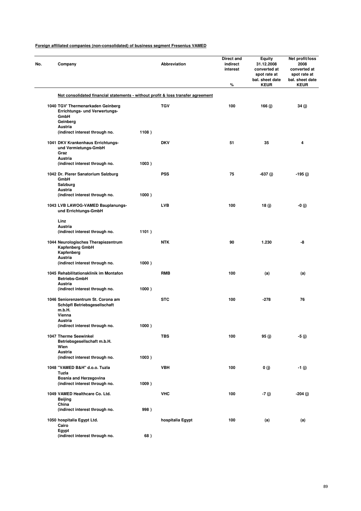| No. | Company                                                                                                           |       | Abbreviation     | Direct and<br>indirect<br>interest<br>% | <b>Equity</b><br>31.12.2008<br>converted at<br>spot rate at<br>bal. sheet date<br><b>KEUR</b> | Net profit/loss<br>2008<br>converted at<br>spot rate at<br>bal. sheet date<br><b>KEUR</b> |
|-----|-------------------------------------------------------------------------------------------------------------------|-------|------------------|-----------------------------------------|-----------------------------------------------------------------------------------------------|-------------------------------------------------------------------------------------------|
|     | Not consolidated financial statements - without profit & loss transfer agreement                                  |       |                  |                                         |                                                                                               |                                                                                           |
|     | 1040 TGV' Thermenarkaden Geinberg<br>Errichtungs- und Verwertungs-<br>GmbH<br>Geinberg<br>Austria                 |       | <b>TGV</b>       | 100                                     | 166 (j)                                                                                       | 34 (j)                                                                                    |
|     | (indirect interest through no.                                                                                    | 1108) |                  |                                         |                                                                                               |                                                                                           |
|     | 1041 DKV Krankenhaus Errichtungs-<br>und Vermietungs-GmbH<br>Graz<br>Austria                                      |       | <b>DKV</b>       | 51                                      | 35                                                                                            | 4                                                                                         |
|     | (indirect interest through no.                                                                                    | 1003) |                  |                                         |                                                                                               |                                                                                           |
|     | 1042 Dr. Pierer Sanatorium Salzburg<br>GmbH<br>Salzburg<br>Austria<br>(indirect interest through no.              | 1000) | <b>PSS</b>       | 75                                      | -637 (j)                                                                                      | -195 (j)                                                                                  |
|     | 1043 LVB LAWOG-VAMED Bauplanungs-<br>und Errichtungs-GmbH                                                         |       | <b>LVB</b>       | 100                                     | 18 (j)                                                                                        | -0 (j)                                                                                    |
|     | Linz<br>Austria                                                                                                   |       |                  |                                         |                                                                                               |                                                                                           |
|     | (indirect interest through no.                                                                                    | 1101) |                  |                                         |                                                                                               |                                                                                           |
|     | 1044 Neurologisches Therapiezentrum<br>Kapfenberg GmbH<br>Kapfenberg<br>Austria<br>(indirect interest through no. | 1000) | <b>NTK</b>       | 90                                      | 1.230                                                                                         | -8                                                                                        |
|     | 1045 Rehabilitationsklinik im Montafon<br><b>Betriebs-GmbH</b>                                                    |       | RMB              | 100                                     | (a)                                                                                           | (a)                                                                                       |
|     | Austria<br>(indirect interest through no.                                                                         | 1000) |                  |                                         |                                                                                               |                                                                                           |
|     | 1046 Seniorenzentrum St. Corona am<br>Schöpfl Betriebsgesellschaft<br>m.b.H.                                      |       | <b>STC</b>       | 100                                     | -278                                                                                          | 76                                                                                        |
|     | Vienna<br>Austria                                                                                                 |       |                  |                                         |                                                                                               |                                                                                           |
|     | (indirect interest through no.                                                                                    | 1000) |                  |                                         |                                                                                               |                                                                                           |
|     | 1047 Therme Seewinkel<br>Betriebsgesellschaft m.b.H.<br>Wien<br>Austria                                           |       | TBS              | 100                                     | 95 (j)                                                                                        | -5 (j)                                                                                    |
|     | (indirect interest through no.                                                                                    | 1003) |                  |                                         |                                                                                               |                                                                                           |
|     | 1048 "VAMED B&H" d.o.o. Tuzla<br>Tuzla<br>Bosnia and Herzegovina                                                  |       | VBH              | 100                                     | 0(j)                                                                                          | $-1(j)$                                                                                   |
|     | (indirect interest through no.                                                                                    | 1009) |                  |                                         |                                                                                               |                                                                                           |
|     | 1049 VAMED Healthcare Co. Ltd.<br>Beijing                                                                         |       | <b>VHC</b>       | 100                                     | -7 (j)                                                                                        | $-204(j)$                                                                                 |
|     | China<br>(indirect interest through no.                                                                           | 998)  |                  |                                         |                                                                                               |                                                                                           |
|     | 1050 hospitalia Egypt Ltd.<br>Cairo                                                                               |       | hospitalia Egypt | 100                                     | (a)                                                                                           | (a)                                                                                       |
|     | Egypt<br>(indirect interest through no.                                                                           | 68)   |                  |                                         |                                                                                               |                                                                                           |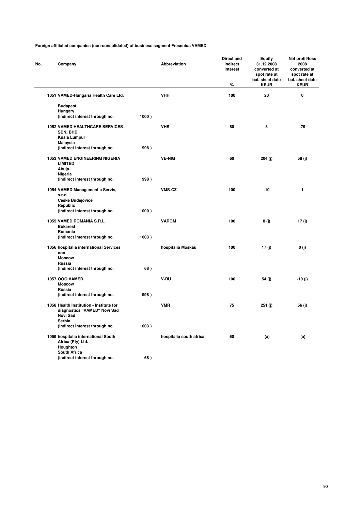| No. | Company                                                                                              |       | Abbreviation            | <b>Direct and</b><br>indirect<br>interest<br>$\%$ | Equity<br>31.12.2008<br>converted at<br>spot rate at<br>bal. sheet date<br><b>KEUR</b> | Net profit/loss<br>2008<br>converted at<br>spot rate at<br>bal. sheet date<br><b>KEUR</b> |
|-----|------------------------------------------------------------------------------------------------------|-------|-------------------------|---------------------------------------------------|----------------------------------------------------------------------------------------|-------------------------------------------------------------------------------------------|
|     | 1051 VAMED-Hungaria Health Care Ltd.                                                                 |       | <b>VHH</b>              | 100                                               | 20                                                                                     | 0                                                                                         |
|     | <b>Budapest</b>                                                                                      |       |                         |                                                   |                                                                                        |                                                                                           |
|     | Hungary                                                                                              |       |                         |                                                   |                                                                                        |                                                                                           |
|     | (indirect interest through no.                                                                       | 1000) |                         |                                                   |                                                                                        |                                                                                           |
|     | <b>1052 VAMED HEALTHCARE SERVICES</b><br>SDN. BHD.                                                   |       | <b>VHS</b>              | 80                                                | 3                                                                                      | $-79$                                                                                     |
|     | Kuala Lumpur                                                                                         |       |                         |                                                   |                                                                                        |                                                                                           |
|     | Malaysia<br>(indirect interest through no.                                                           | 998)  |                         |                                                   |                                                                                        |                                                                                           |
|     | 1053 VAMED ENGINEERING NIGERIA<br><b>LIMITED</b>                                                     |       | <b>VE-NIG</b>           | 60                                                | 204 (j)                                                                                | 58(j)                                                                                     |
|     | Abuja<br>Nigeria                                                                                     |       |                         |                                                   |                                                                                        |                                                                                           |
|     | (indirect interest through no.                                                                       | 998)  |                         |                                                   |                                                                                        |                                                                                           |
|     | 1054 VAMED Management a Servis,<br>s.r.o.<br><b>Ceske Budejovice</b>                                 |       | VMS-CZ                  | 100                                               | $-10$                                                                                  | 1                                                                                         |
|     | Republic                                                                                             |       |                         |                                                   |                                                                                        |                                                                                           |
|     | (indirect interest through no.                                                                       | 1000) |                         |                                                   |                                                                                        |                                                                                           |
|     | 1055 VAMED ROMANIA S.R.L.<br><b>Bukarest</b><br>Romania                                              |       | <b>VAROM</b>            | 100                                               | 8(j)                                                                                   | 17(j)                                                                                     |
|     | (indirect interest through no.                                                                       | 1003) |                         |                                                   |                                                                                        |                                                                                           |
|     | 1056 hospitalia international Services<br>000<br><b>Moscow</b>                                       |       | hospitalia Moskau       | 100                                               | 17 $(i)$                                                                               | 0(i)                                                                                      |
|     | Russia                                                                                               |       |                         |                                                   |                                                                                        |                                                                                           |
|     | (indirect interest through no.                                                                       | 68)   |                         |                                                   |                                                                                        |                                                                                           |
|     | <b>1057 OOO VAMED</b>                                                                                |       | V-RU                    | 100                                               | 54 (j)                                                                                 | $-10(j)$                                                                                  |
|     | <b>Moscow</b><br>Russia                                                                              |       |                         |                                                   |                                                                                        |                                                                                           |
|     | (indirect interest through no.                                                                       | 998)  |                         |                                                   |                                                                                        |                                                                                           |
|     | 1058 Health Institution - Institute for<br>diagnostics "VAMED" Novi Sad<br><b>Novi Sad</b><br>Serbia |       | <b>VMR</b>              | 75                                                | 251 (j)                                                                                | 56 (j)                                                                                    |
|     | (indirect interest through no.                                                                       | 1003) |                         |                                                   |                                                                                        |                                                                                           |
|     | 1059 hospitalia international South<br>Africa (Pty) Ltd.<br>Houghton                                 |       | hospitalia south africa | 60                                                | (a)                                                                                    | (a)                                                                                       |
|     | South Africa<br>(indirect interest through no.                                                       | 68)   |                         |                                                   |                                                                                        |                                                                                           |
|     |                                                                                                      |       |                         |                                                   |                                                                                        |                                                                                           |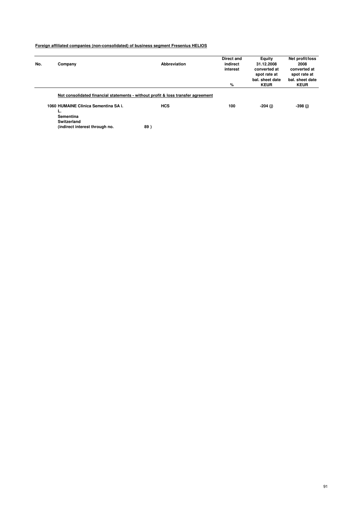| No. | Company                                    | Abbreviation                                                                     | <b>Direct and</b><br>indirect | <b>Equity</b><br>31.12.2008  | Net profit/loss<br>2008      |
|-----|--------------------------------------------|----------------------------------------------------------------------------------|-------------------------------|------------------------------|------------------------------|
|     |                                            |                                                                                  | interest                      | converted at<br>spot rate at | converted at<br>spot rate at |
|     |                                            |                                                                                  |                               | bal, sheet date              | bal, sheet date              |
|     |                                            |                                                                                  | %                             | <b>KEUR</b>                  | <b>KEUR</b>                  |
|     |                                            | Not consolidated financial statements - without profit & loss transfer agreement |                               |                              |                              |
|     | 1060 HUMAINE Clinica Sementina SA i.<br>ъ. | <b>HCS</b>                                                                       | 100                           | -204 (i)                     | $-398$ (j)                   |
|     | Sementina                                  |                                                                                  |                               |                              |                              |
|     | Switzerland                                |                                                                                  |                               |                              |                              |
|     | (indirect interest through no.             | 89)                                                                              |                               |                              |                              |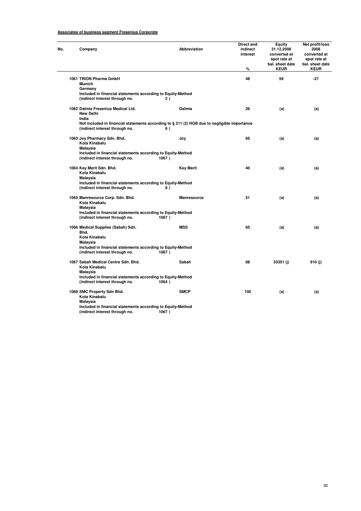# **Associates of business segment Fresenius Corporate**

| No. | Company                                                                                                  | <b>Abbreviation</b>                                                                                | Direct and<br>indirect<br>interest<br>% | Equity<br>31.12.2008<br>converted at<br>spot rate at<br>bal. sheet date<br><b>KEUR</b> | Net profit/loss<br>2008<br>converted at<br>spot rate at<br>bal. sheet date<br><b>KEUR</b> |
|-----|----------------------------------------------------------------------------------------------------------|----------------------------------------------------------------------------------------------------|-----------------------------------------|----------------------------------------------------------------------------------------|-------------------------------------------------------------------------------------------|
|     | 1061 TRION Pharma GmbH<br><b>Munich</b>                                                                  |                                                                                                    | 48                                      | 59                                                                                     | $-21$                                                                                     |
|     | Germany<br>Included in financial statements according to Equity-Method<br>(indirect interest through no. | 2)                                                                                                 |                                         |                                                                                        |                                                                                           |
|     | 1062 Dalmia Fresenius Medical Ltd.<br><b>New Delhi</b><br>India                                          | <b>Dalmia</b>                                                                                      | 26                                      | (a)                                                                                    | (a)                                                                                       |
|     | (indirect interest through no.                                                                           | Not included in financial statements according to § 311 (2) HGB due to negligible importance<br>6) |                                         |                                                                                        |                                                                                           |
|     | 1063 Joy Pharmacy Sdn. Bhd.<br>Kota Kinabalu<br>Malaysia                                                 | Joy                                                                                                | 65                                      | (a)                                                                                    | (a)                                                                                       |
|     | Included in financial statements according to Equity-Method<br>(indirect interest through no.            | 1067)                                                                                              |                                         |                                                                                        |                                                                                           |
|     | 1064 Key Merit Sdn. Bhd.<br>Kota Kinabalu<br>Malaysia                                                    | <b>Key Merit</b>                                                                                   | 40                                      | (a)                                                                                    | (a)                                                                                       |
|     | Included in financial statements according to Equity-Method<br>(indirect interest through no.            | 8)                                                                                                 |                                         |                                                                                        |                                                                                           |
|     | 1065 Manresource Corp. Sdn. Bhd.<br>Kota Kinabalu<br><b>Malaysia</b>                                     | Manresource                                                                                        | 51                                      | (a)                                                                                    | (a)                                                                                       |
|     | Included in financial statements according to Equity-Method<br>(indirect interest through no.            | 1067)                                                                                              |                                         |                                                                                        |                                                                                           |
|     | 1066 Medical Supplies (Sabah) Sdn.<br>Bhd.                                                               | <b>MSS</b>                                                                                         | 65                                      | (a)                                                                                    | (a)                                                                                       |
|     | Kota Kinabalu<br>Malaysia                                                                                |                                                                                                    |                                         |                                                                                        |                                                                                           |
|     | Included in financial statements according to Equity-Method<br>(indirect interest through no.            | 1067)                                                                                              |                                         |                                                                                        |                                                                                           |
|     | 1067 Sabah Medical Centre Sdn. Bhd.<br>Kota Kinabalu<br><b>Malaysia</b>                                  | Sabah                                                                                              | 68                                      | 33351 (j)                                                                              | 910 (j)                                                                                   |
|     | Included in financial statements according to Equity-Method<br>(indirect interest through no.            | 1064)                                                                                              |                                         |                                                                                        |                                                                                           |
|     | 1068 SMC Property Sdn Bhd.<br>Kota Kinabalu<br>Malaysia                                                  | <b>SMCP</b>                                                                                        | 100                                     | (a)                                                                                    | (a)                                                                                       |
|     | Included in financial statements according to Equity-Method<br>(indirect interest through no.            | 1067)                                                                                              |                                         |                                                                                        |                                                                                           |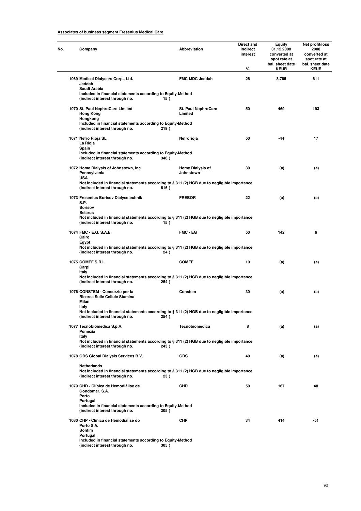# **Associates of business segment Fresenius Medical Care**

| No. | Company                                                                                                                                             | Abbreviation                         | Direct and<br>indirect<br>interest<br>% | Equity<br>31.12.2008<br>converted at<br>spot rate at<br>bal. sheet date<br><b>KEUR</b> | Net profit/loss<br>2008<br>converted at<br>spot rate at<br>bal. sheet date<br><b>KEUR</b> |  |  |  |
|-----|-----------------------------------------------------------------------------------------------------------------------------------------------------|--------------------------------------|-----------------------------------------|----------------------------------------------------------------------------------------|-------------------------------------------------------------------------------------------|--|--|--|
|     | 1069 Medical Dialysers Corp., Ltd.<br>Jeddah<br>Saudi Arabia                                                                                        | <b>FMC MDC Jeddah</b>                | 26                                      | 8.765                                                                                  | 611                                                                                       |  |  |  |
|     | Included in financial statements according to Equity-Method<br>(indirect interest through no.                                                       | 15)                                  |                                         |                                                                                        |                                                                                           |  |  |  |
|     | 1070 St. Paul NephroCare Limited<br><b>Hong Kong</b><br>Hongkong                                                                                    | St. Paul NephroCare<br>Limited       | 50                                      | 469                                                                                    | 193                                                                                       |  |  |  |
|     | Included in financial statements according to Equity-Method<br>(indirect interest through no.<br>219)                                               |                                      |                                         |                                                                                        |                                                                                           |  |  |  |
|     | 1071 Nefro Rioja SL<br>La Rioja<br>Spain                                                                                                            | Nefrorioja                           | 50                                      | -44                                                                                    | 17                                                                                        |  |  |  |
|     | Included in financial statements according to Equity-Method<br>(indirect interest through no.<br>346)                                               |                                      |                                         |                                                                                        |                                                                                           |  |  |  |
|     | 1072 Home Dialysis of Johnstown, Inc.<br>Pennsylvania<br><b>USA</b>                                                                                 | <b>Home Dialysis of</b><br>Johnstown | 30                                      | (a)                                                                                    | (a)                                                                                       |  |  |  |
|     | Not included in financial statements according to $\S 311 (2)$ HGB due to negligible importance<br>(indirect interest through no.<br>616)           |                                      |                                         |                                                                                        |                                                                                           |  |  |  |
|     | 1073 Fresenius Borisov Dialysetechnik<br>S.P.<br><b>Borisov</b>                                                                                     | <b>FREBOR</b>                        | 22                                      | (a)                                                                                    | (a)                                                                                       |  |  |  |
|     | <b>Belarus</b><br>Not included in financial statements according to $\S 311 (2)$ HGB due to negligible importance<br>(indirect interest through no. | 15)                                  |                                         |                                                                                        |                                                                                           |  |  |  |
|     | 1074 FMC - E.G. S.A.E.<br>Cairo<br>Egypt                                                                                                            | <b>FMC - EG</b>                      | 50                                      | 142                                                                                    | 6                                                                                         |  |  |  |
|     | Not included in financial statements according to $\S 311 (2)$ HGB due to negligible importance<br>(indirect interest through no.                   | 24)                                  |                                         |                                                                                        |                                                                                           |  |  |  |
|     | 1075 COMEF S.R.L.<br>Carpi<br>Italy                                                                                                                 | <b>COMEF</b>                         | 10                                      | (a)                                                                                    | (a)                                                                                       |  |  |  |
|     | Not included in financial statements according to § 311 (2) HGB due to negligible importance<br>(indirect interest through no.<br>254)              |                                      |                                         |                                                                                        |                                                                                           |  |  |  |
|     | 1076 CONSTEM - Consorzio per la<br>Ricerca Sulle Cellule Stamina<br>Milan                                                                           | Constem                              | 30                                      | (a)                                                                                    | (a)                                                                                       |  |  |  |
|     | Italy<br>Not included in financial statements according to § 311 (2) HGB due to negligible importance<br>(indirect interest through no.<br>254)     |                                      |                                         |                                                                                        |                                                                                           |  |  |  |
|     | 1077 Tecnobiomedica S.p.A.<br>Pomezia<br>Italy                                                                                                      | Tecnobiomedica                       | 8                                       | (a)                                                                                    | (a)                                                                                       |  |  |  |
|     | Not included in financial statements according to $\S 311 (2)$ HGB due to negligible importance<br>(indirect interest through no.<br>243)           |                                      |                                         |                                                                                        |                                                                                           |  |  |  |
|     | 1078 GDS Global Dialysis Services B.V.                                                                                                              | <b>GDS</b>                           | 40                                      | (a)                                                                                    | (a)                                                                                       |  |  |  |
|     | Netherlands<br>Not included in financial statements according to $\S 311 (2)$ HGB due to negligible importance<br>(indirect interest through no.    | 23)                                  |                                         |                                                                                        |                                                                                           |  |  |  |
|     | 1079 CHD - Clínica de Hemodiálise de<br>Gondomar, S.A.<br>Porto                                                                                     | CHD                                  | 50                                      | 167                                                                                    | 48                                                                                        |  |  |  |
|     | Portugal<br>Included in financial statements according to Equity-Method<br>(indirect interest through no.<br>305)                                   |                                      |                                         |                                                                                        |                                                                                           |  |  |  |
|     | 1080 CHP - Clínica de Hemodiálise do<br>Porto S.A.<br><b>Bonfim</b>                                                                                 | <b>CHP</b>                           | 34                                      | 414                                                                                    | -51                                                                                       |  |  |  |
|     | Portugal<br>Included in financial statements according to Equity-Method                                                                             |                                      |                                         |                                                                                        |                                                                                           |  |  |  |

**(indirect interest through no. 305 )**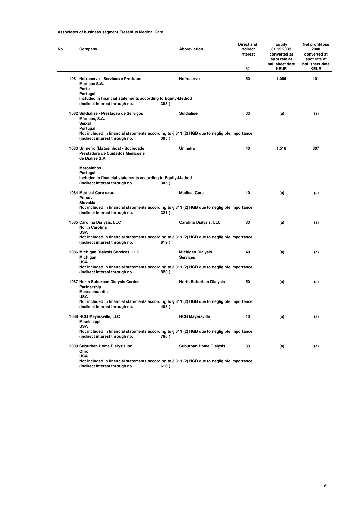# **Associates of business segment Fresenius Medical Care**

| Company                                                                                                                                | Abbreviation                                                        | Direct and<br>indirect<br>interest<br>℅ | Equity<br>31.12.2008<br>converted at<br>spot rate at<br>bal. sheet date<br><b>KEUR</b> | Net profit/loss<br>2008<br>converted at<br>spot rate at<br>bal. sheet date<br><b>KEUR</b> |  |  |  |  |
|----------------------------------------------------------------------------------------------------------------------------------------|---------------------------------------------------------------------|-----------------------------------------|----------------------------------------------------------------------------------------|-------------------------------------------------------------------------------------------|--|--|--|--|
| 1081 Nefroserve - Servicos e Produtos<br>Medicos S.A.<br>Porto                                                                         | <b>Nefroserve</b>                                                   | 50                                      | 1.066                                                                                  | 101                                                                                       |  |  |  |  |
| Portugal<br>(indirect interest through no.                                                                                             | Included in financial statements according to Equity-Method<br>305) |                                         |                                                                                        |                                                                                           |  |  |  |  |
| 1082 Suldiálise - Prestação de Serviços<br>Médicos, S.A.<br>Seixal<br>Portugal                                                         | <b>Suldiálise</b>                                                   | 33                                      | (a)                                                                                    | (a)                                                                                       |  |  |  |  |
| Not included in financial statements according to § 311 (2) HGB due to negligible importance<br>(indirect interest through no.         | 305)                                                                |                                         |                                                                                        |                                                                                           |  |  |  |  |
| 1083 Uninefro (Matosinhos) - Sociedade<br>Prestadora de Cuidados Médicos e<br>de Diálise S.A.                                          | Uninefro                                                            | 40                                      | 1.516                                                                                  | 307                                                                                       |  |  |  |  |
| <b>Matosinhos</b><br>Portugal<br>Included in financial statements according to Equity-Method<br>(indirect interest through no.<br>305) |                                                                     |                                         |                                                                                        |                                                                                           |  |  |  |  |
| 1084 Medical-Care s.r.o.<br>Presov<br>Slovakia                                                                                         | <b>Medical-Care</b>                                                 | 10                                      | (a)                                                                                    | (a)                                                                                       |  |  |  |  |
| Not included in financial statements according to § 311 (2) HGB due to negligible importance<br>(indirect interest through no.         | 321)                                                                |                                         |                                                                                        |                                                                                           |  |  |  |  |
| 1085 Carolina Dialysis, LLC<br><b>North Carolina</b><br><b>USA</b>                                                                     | Carolina Dialysis, LLC                                              | 33                                      | (a)                                                                                    | (a)                                                                                       |  |  |  |  |
| Not included in financial statements according to § 311 (2) HGB due to negligible importance<br>(indirect interest through no.<br>819) |                                                                     |                                         |                                                                                        |                                                                                           |  |  |  |  |
| 1086 Michigan Dialysis Services, LLC<br>Michigan<br><b>USA</b>                                                                         | <b>Michigan Dialysis</b><br><b>Services</b>                         | 49                                      | (a)                                                                                    | (a)                                                                                       |  |  |  |  |
| Not included in financial statements according to § 311 (2) HGB due to negligible importance<br>(indirect interest through no.<br>820) |                                                                     |                                         |                                                                                        |                                                                                           |  |  |  |  |
| 1087 North Suburban Dialysis Center<br>Partnership<br><b>Massachusetts</b><br><b>USA</b>                                               | <b>North Suburban Dialysis</b>                                      | 50                                      | (a)                                                                                    | (a)                                                                                       |  |  |  |  |
| Not included in financial statements according to § 311 (2) HGB due to negligible importance<br>(indirect interest through no.         | 408)                                                                |                                         |                                                                                        |                                                                                           |  |  |  |  |
| 1088 RCG Mayersville, LLC<br>Mississippi<br><b>USA</b>                                                                                 | <b>RCG Mayersville</b>                                              | 10                                      | (a)                                                                                    | (a)                                                                                       |  |  |  |  |
| Not included in financial statements according to § 311 (2) HGB due to negligible importance<br>(indirect interest through no.         | 766)                                                                |                                         |                                                                                        |                                                                                           |  |  |  |  |
| 1089 Suburban Home Dialysis Inc.<br>Ohio<br><b>USA</b>                                                                                 | <b>Suburban Home Dialysis</b>                                       | 33                                      | (a)                                                                                    | (a)                                                                                       |  |  |  |  |
| Not included in financial statements according to § 311 (2) HGB due to negligible importance<br>(indirect interest through no.         | 616)                                                                |                                         |                                                                                        |                                                                                           |  |  |  |  |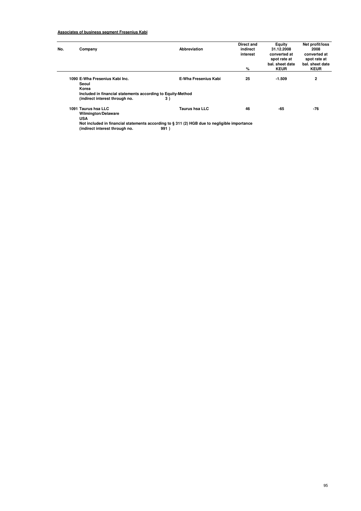# **Associates of business segment Fresenius Kabi**

| No. | Company                                                                                                        | Abbreviation                | Direct and<br>indirect<br>interest | Equity<br>31.12.2008<br>converted at           | Net profit/loss<br>2008<br>converted at        |  |  |
|-----|----------------------------------------------------------------------------------------------------------------|-----------------------------|------------------------------------|------------------------------------------------|------------------------------------------------|--|--|
|     |                                                                                                                |                             | %                                  | spot rate at<br>bal, sheet date<br><b>KEUR</b> | spot rate at<br>bal. sheet date<br><b>KEUR</b> |  |  |
|     | 1090 E-Wha Fresenius Kabi Inc.<br>Seoul<br>Korea                                                               | <b>E-Wha Fresenius Kabi</b> | 25                                 | $-1.509$                                       | 2                                              |  |  |
|     | Included in financial statements according to Equity-Method                                                    |                             |                                    |                                                |                                                |  |  |
|     | (indirect interest through no.                                                                                 | 3)                          |                                    |                                                |                                                |  |  |
|     | 1091 Taurus hsa LLC<br><b>Wilmington/Delaware</b>                                                              | <b>Taurus hsa LLC</b>       | 46                                 | -65                                            | $-76$                                          |  |  |
|     | <b>USA</b>                                                                                                     |                             |                                    |                                                |                                                |  |  |
|     | Also besteads at the March of all concerning the condition of a Add 7A) LLAM about a constant also become a co |                             |                                    |                                                |                                                |  |  |

**Not included in financial statements according to § 311 (2) HGB due to negligible importance (indirect interest through no. 991 )**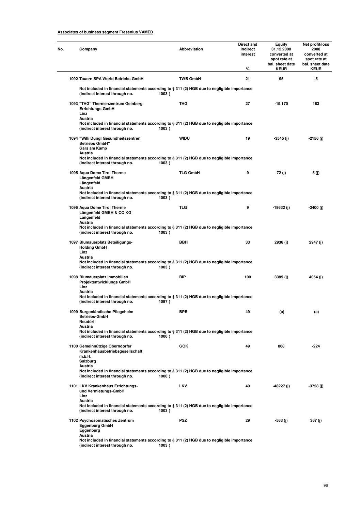# **Associates of business segment Fresenius VAMED**

| Company                                                                                                                                   | Abbreviation    | <b>Direct and</b><br>indirect<br>interest<br>% | Equity<br>31.12.2008<br>converted at<br>spot rate at<br>bal. sheet date<br><b>KEUR</b> | Net profit/loss<br>2008<br>converted at<br>spot rate at<br>bal. sheet date<br><b>KEUR</b> |
|-------------------------------------------------------------------------------------------------------------------------------------------|-----------------|------------------------------------------------|----------------------------------------------------------------------------------------|-------------------------------------------------------------------------------------------|
| 1092 Tauern SPA World Betriebs-GmbH                                                                                                       | <b>TWB GmbH</b> | 21                                             | 95                                                                                     | -5                                                                                        |
| Not included in financial statements according to § 311 (2) HGB due to negligible importance<br>(indirect interest through no.            | 1003)           |                                                |                                                                                        |                                                                                           |
| 1093 "THG" Thermenzentrum Geinberg<br>Errichtungs-GmbH<br>Linz<br>Austria                                                                 | <b>THG</b>      | 27                                             | $-19.170$                                                                              | 183                                                                                       |
| Not included in financial statements according to § 311 (2) HGB due to negligible importance<br>(indirect interest through no.            | 1003)           |                                                |                                                                                        |                                                                                           |
| 1094 "Willi Dungl Gesundheitszentren<br><b>Betriebs GmbH"</b><br>Gars am Kamp<br>Austria                                                  | <b>WIDU</b>     | 19                                             | $-3545$ (j)                                                                            | -2156 (j)                                                                                 |
| Not included in financial statements according to § 311 (2) HGB due to negligible importance<br>(indirect interest through no.            | 1003)           |                                                |                                                                                        |                                                                                           |
| 1095 Aqua Dome Tirol Therme<br>Längenfeld GMBH<br>Längenfeld                                                                              | <b>TLG GmbH</b> | 9                                              | 72 (j)                                                                                 | 5 (j)                                                                                     |
| Austria<br>Not included in financial statements according to § 311 (2) HGB due to negligible importance<br>(indirect interest through no. | 1003)           |                                                |                                                                                        |                                                                                           |
| 1096 Aqua Dome Tirol Therme<br>Längenfeld GMBH & CO KG<br>Längenfeld                                                                      | <b>TLG</b>      | 9                                              | -19632 (j)                                                                             | -3400 (j)                                                                                 |
| Austria<br>Not included in financial statements according to § 311 (2) HGB due to negligible importance<br>(indirect interest through no. | 1003)           |                                                |                                                                                        |                                                                                           |
| 1097 Blumauerplatz Beteiligungs-<br><b>Holding GmbH</b><br>Linz                                                                           | <b>BBH</b>      | 33                                             | 2936 (j)                                                                               | 2947 (j)                                                                                  |
| Austria<br>Not included in financial statements according to § 311 (2) HGB due to negligible importance<br>(indirect interest through no. | 1003)           |                                                |                                                                                        |                                                                                           |
| 1098 Blumauerplatz Immobilien<br>Projektentwicklungs GmbH<br>Linz                                                                         | <b>BIP</b>      | 100                                            | 3385 (j)                                                                               | 4054 (j)                                                                                  |
| Austria<br>Not included in financial statements according to § 311 (2) HGB due to negligible importance<br>(indirect interest through no. | 1097)           |                                                |                                                                                        |                                                                                           |
| 1099 Burgenländische Pflegeheim<br><b>Betriebs-GmbH</b><br>Neudörfl                                                                       | <b>BPB</b>      | 49                                             | (a)                                                                                    | (a)                                                                                       |
| Austria<br>Not included in financial statements according to § 311 (2) HGB due to negligible importance<br>(indirect interest through no. | 1000)           |                                                |                                                                                        |                                                                                           |
| 1100 Gemeinnützige Oberndorfer<br>Krankenhausbetriebsgesellschaft<br>m.b.H.<br>Salzburg                                                   | <b>GOK</b>      | 49                                             | 868                                                                                    | $-224$                                                                                    |
| Austria<br>Not included in financial statements according to § 311 (2) HGB due to negligible importance<br>(indirect interest through no. | 1000)           |                                                |                                                                                        |                                                                                           |
| 1101 LKV Krankenhaus Errichtungs-<br>und Vermietungs-GmbH<br>Linz                                                                         | <b>LKV</b>      | 49                                             | $-48227$ (j)                                                                           | -3728 (j)                                                                                 |
| Austria<br>Not included in financial statements according to § 311 (2) HGB due to negligible importance<br>(indirect interest through no. | 1003)           |                                                |                                                                                        |                                                                                           |
| 1102 Psychosomatisches Zentrum<br>Eggenburg GmbH<br>Eggenburg<br>Austria                                                                  | <b>PSZ</b>      | 29                                             | -563 (j)                                                                               | 367 (j)                                                                                   |
| Not included in financial statements according to § 311 (2) HGB due to negligible importance<br>(indirect interest through no.            | 1003)           |                                                |                                                                                        |                                                                                           |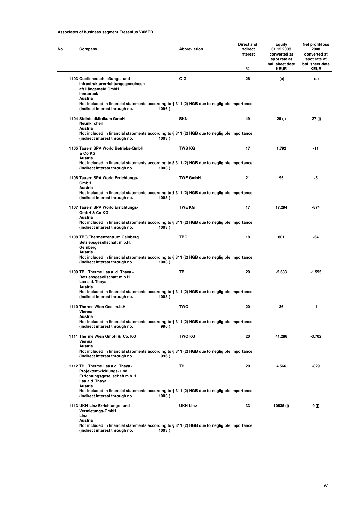# **Associates of business segment Fresenius VAMED**

| Company                                                                                                                                            | <b>Abbreviation</b> | Direct and<br>indirect<br>interest<br>% | Equity<br>31.12.2008<br>converted at<br>spot rate at<br>bal. sheet date<br><b>KEUR</b> | Net profit/loss<br>2008<br>converted at<br>spot rate at<br>bal. sheet date<br><b>KEUR</b> |  |  |
|----------------------------------------------------------------------------------------------------------------------------------------------------|---------------------|-----------------------------------------|----------------------------------------------------------------------------------------|-------------------------------------------------------------------------------------------|--|--|
| 1103 Quellenerschließungs- und<br>Infrastrukturerrichtungsgemeinsch<br>aft Längenfeld GmbH<br>Innsbruck<br>Austria                                 | QIG                 | 26                                      | (a)                                                                                    | (a)                                                                                       |  |  |
| Not included in financial statements according to § 311 (2) HGB due to negligible importance<br>(indirect interest through no.                     | 1096)               |                                         |                                                                                        |                                                                                           |  |  |
| 1104 Steinfeldklinikum GmbH<br>Neunkirchen                                                                                                         | <b>SKN</b>          | 49                                      | 26 (j)                                                                                 | -27 (j)                                                                                   |  |  |
| Austria<br>Not included in financial statements according to § 311 (2) HGB due to negligible importance<br>(indirect interest through no.<br>1003) |                     |                                         |                                                                                        |                                                                                           |  |  |
| 1105 Tauern SPA World Betriebs-GmbH<br>& Co KG                                                                                                     | <b>TWB KG</b>       | 17                                      | 1.792                                                                                  | $-11$                                                                                     |  |  |
| Austria<br>Not included in financial statements according to § 311 (2) HGB due to negligible importance<br>(indirect interest through no.          | 1003)               |                                         |                                                                                        |                                                                                           |  |  |
| 1106 Tauern SPA World Errichtungs-<br>GmbH                                                                                                         | <b>TWE GmbH</b>     | 21                                      | 95                                                                                     | -5                                                                                        |  |  |
| Austria<br>Not included in financial statements according to § 311 (2) HGB due to negligible importance<br>(indirect interest through no.          | 1003)               |                                         |                                                                                        |                                                                                           |  |  |
| 1107 Tauern SPA World Errichtungs-<br>GmbH & Co KG                                                                                                 | <b>TWE KG</b>       | 17                                      | 17.294                                                                                 | $-874$                                                                                    |  |  |
| Austria<br>Not included in financial statements according to § 311 (2) HGB due to negligible importance<br>(indirect interest through no.          | 1003)               |                                         |                                                                                        |                                                                                           |  |  |
| 1108 TBG Thermenzentrum Geinberg<br>Betriebsgesellschaft m.b.H.<br>Geinberg                                                                        | <b>TBG</b>          | 18                                      | 801                                                                                    | -64                                                                                       |  |  |
| Austria<br>Not included in financial statements according to § 311 (2) HGB due to negligible importance<br>(indirect interest through no.          | 1003)               |                                         |                                                                                        |                                                                                           |  |  |
| 1109 TBL Therme Laa a. d. Thaya -<br>Betriebsgesellschaft m.b.H.<br>Laa a.d. Thaya                                                                 | <b>TBL</b>          | 20                                      | $-5.683$                                                                               | $-1.595$                                                                                  |  |  |
| Austria<br>Not included in financial statements according to § 311 (2) HGB due to negligible importance<br>(indirect interest through no.          | 1003)               |                                         |                                                                                        |                                                                                           |  |  |
| 1110 Therme Wien Ges. m.b.H.<br>Vienna                                                                                                             | TWO                 | 20                                      | 36                                                                                     | -1                                                                                        |  |  |
| Austria<br>Not included in financial statements according to § 311 (2) HGB due to negligible importance<br>(indirect interest through no.          | 996)                |                                         |                                                                                        |                                                                                           |  |  |
| 1111 Therme Wien GmbH & Co. KG<br>Vienna                                                                                                           | <b>TWO KG</b>       | 20                                      | 41.286                                                                                 | $-3.702$                                                                                  |  |  |
| Austria<br>Not included in financial statements according to § 311 (2) HGB due to negligible importance<br>(indirect interest through no.          | 996)                |                                         |                                                                                        |                                                                                           |  |  |
| 1112 THL Therme Laa a.d. Thaya -<br>Projektentwicklungs- und<br>Errichtungsgesellschaft m.b.H.<br>Laa a.d. Thaya<br>Austria                        | <b>THL</b>          | 20                                      | 4.566                                                                                  | -829                                                                                      |  |  |
| Not included in financial statements according to § 311 (2) HGB due to negligible importance<br>(indirect interest through no.                     | 1003)               |                                         |                                                                                        |                                                                                           |  |  |
| 1113 UKH-Linz Errichtungs- und<br>Vermietungs-GmbH<br>Linz<br>Austria                                                                              | UKH-Linz            | 33                                      | 10835(j)                                                                               | 0(j)                                                                                      |  |  |
| Not included in financial statements according to § 311 (2) HGB due to negligible importance<br>(indirect interest through no.                     | 1003)               |                                         |                                                                                        |                                                                                           |  |  |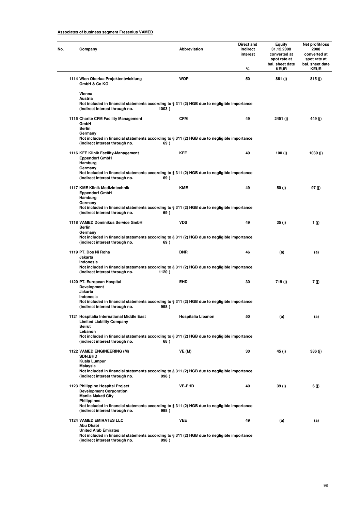# **Associates of business segment Fresenius VAMED**

| No. | Company                                                                                                                                                                                      | Abbreviation       | Direct and<br>indirect<br>interest<br>$\%$ | Equity<br>31.12.2008<br>converted at<br>spot rate at<br>bal. sheet date<br><b>KEUR</b> | Net profit/loss<br>2008<br>converted at<br>spot rate at<br>bal. sheet date<br><b>KEUR</b> |  |  |
|-----|----------------------------------------------------------------------------------------------------------------------------------------------------------------------------------------------|--------------------|--------------------------------------------|----------------------------------------------------------------------------------------|-------------------------------------------------------------------------------------------|--|--|
|     | 1114 Wien Oberlaa Projektentwicklung<br>GmbH & Co KG                                                                                                                                         | <b>WOP</b>         | 50                                         | 861 (j)                                                                                | 815 (j)                                                                                   |  |  |
|     | Vienna<br>Austria<br>Not included in financial statements according to § 311 (2) HGB due to negligible importance<br>(indirect interest through no.                                          | 1003)              |                                            |                                                                                        |                                                                                           |  |  |
|     | 1115 Charité CFM Facility Management<br>GmbH<br><b>Berlin</b><br>Germany                                                                                                                     | <b>CFM</b>         | 49                                         | 2451 (j)                                                                               | 449 (j)                                                                                   |  |  |
|     | Not included in financial statements according to § 311 (2) HGB due to negligible importance<br>(indirect interest through no.                                                               | 69)                |                                            |                                                                                        |                                                                                           |  |  |
|     | 1116 KFE Klinik Facility-Management<br><b>Eppendorf GmbH</b><br>Hamburg                                                                                                                      | <b>KFE</b>         | 49                                         | 100 (j)                                                                                | 1039(j)                                                                                   |  |  |
|     | Germany<br>Not included in financial statements according to § 311 (2) HGB due to negligible importance<br>(indirect interest through no.                                                    | 69)                |                                            |                                                                                        |                                                                                           |  |  |
|     | 1117 KME Klinik Medizintechnik<br><b>Eppendorf GmbH</b><br>Hamburg<br>Germany                                                                                                                | <b>KME</b>         | 49                                         | 50 (j)                                                                                 | 97 (j)                                                                                    |  |  |
|     | Not included in financial statements according to § 311 (2) HGB due to negligible importance<br>(indirect interest through no.                                                               | 69)                |                                            |                                                                                        |                                                                                           |  |  |
|     | 1118 VAMED Dominikus Service GmbH<br><b>Berlin</b><br>Germany                                                                                                                                | <b>VDS</b>         | 49                                         | 35 (j)                                                                                 | 1 (j)                                                                                     |  |  |
|     | Not included in financial statements according to § 311 (2) HGB due to negligible importance<br>(indirect interest through no.                                                               | 69)                |                                            |                                                                                        |                                                                                           |  |  |
|     | 1119 PT. Dos Ni Roha<br>Jakarta<br>Indonesia                                                                                                                                                 | <b>DNR</b>         | 46                                         | (a)                                                                                    | (a)                                                                                       |  |  |
|     | Not included in financial statements according to § 311 (2) HGB due to negligible importance<br>(indirect interest through no.<br>1120)                                                      |                    |                                            |                                                                                        |                                                                                           |  |  |
|     | 1120 PT. European Hospital<br><b>Development</b><br>Jakarta                                                                                                                                  | EHD                | 30                                         | 719 (j)                                                                                | 7 (j)                                                                                     |  |  |
|     | Indonesia<br>Not included in financial statements according to § 311 (2) HGB due to negligible importance<br>(indirect interest through no.                                                  | 998)               |                                            |                                                                                        |                                                                                           |  |  |
|     | 1121 Hospitalia International Middle East<br><b>Limited Liability Company</b><br><b>Beirut</b>                                                                                               | Hospitalia Libanon | 50                                         | (a)                                                                                    | (a)                                                                                       |  |  |
|     | Lebanon<br>Not included in financial statements according to $\S 311 (2)$ HGB due to negligible importance<br>(indirect interest through no.                                                 | 68)                |                                            |                                                                                        |                                                                                           |  |  |
|     | 1122 VAMED ENGINEERING (M)<br><b>SDN.BHD</b><br>Kuala Lumpur                                                                                                                                 | VE (M)             | 30                                         | 45 (j)                                                                                 | 386 (j)                                                                                   |  |  |
|     | <b>Malaysia</b><br>Not included in financial statements according to $\S 311 (2)$ HGB due to negligible importance<br>(indirect interest through no.                                         | 998)               |                                            |                                                                                        |                                                                                           |  |  |
|     | 1123 Philippine Hospital Project<br><b>Development Corporation</b>                                                                                                                           | <b>VE-PHD</b>      | 40                                         | 39 (j)                                                                                 | 6 (j)                                                                                     |  |  |
|     | <b>Manila Makati City</b><br><b>Philippines</b><br>Not included in financial statements according to $\S 311 (2)$ HGB due to negligible importance<br>(indirect interest through no.<br>998) |                    |                                            |                                                                                        |                                                                                           |  |  |
|     | <b>1124 VAMED EMIRATES LLC</b><br>Abu Dhabi                                                                                                                                                  | <b>VEE</b>         | 49                                         | (a)                                                                                    | (a)                                                                                       |  |  |
|     | <b>United Arab Emirates</b><br>Not included in financial statements according to $\S 311 (2)$ HGB due to negligible importance<br>(indirect interest through no.                             | 998)               |                                            |                                                                                        |                                                                                           |  |  |